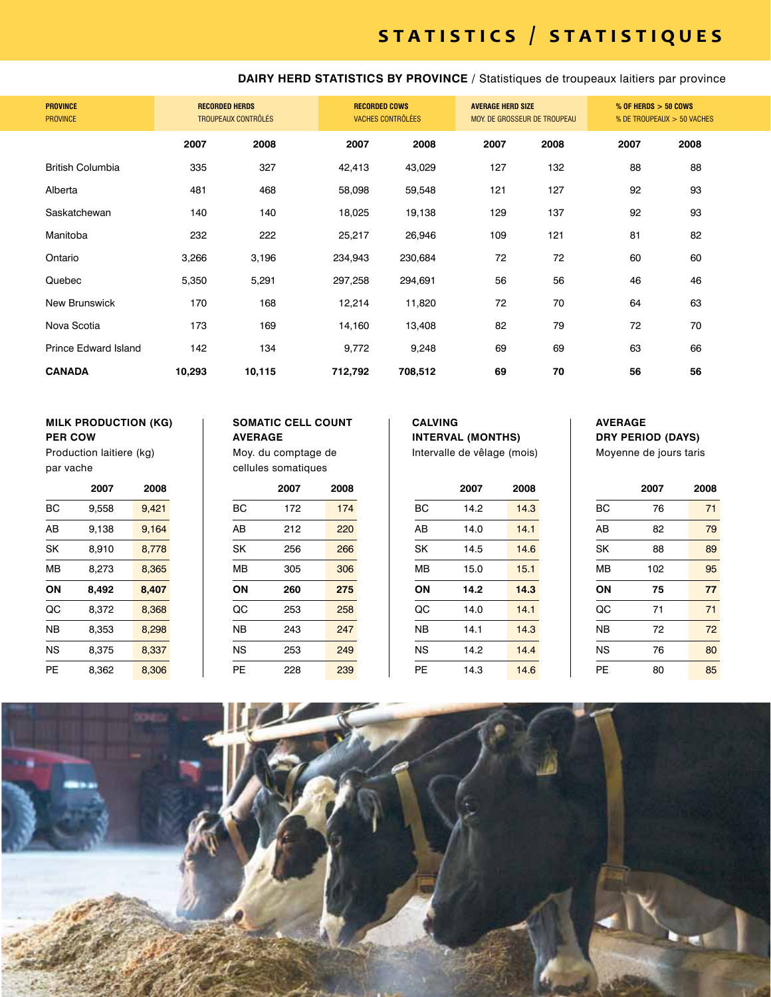**DAIRY HERD STATISTICS BY PROVINCE /** Statistiques de troupeaux laitiers par province

| <b>PROVINCE</b><br><b>PROVINCE</b> | <b>RECORDED HERDS</b><br><b>TROUPEAUX CONTRÔLÉS</b> |        |         | <b>RECORDED COWS</b><br><b>VACHES CONTRÔLÉES</b> |      | <b>AVERAGE HERD SIZE</b><br>MOY. DE GROSSEUR DE TROUPEAU |      | $%$ OF HERDS $>$ 50 COWS<br>% DE TROUPEAUX > 50 VACHES |
|------------------------------------|-----------------------------------------------------|--------|---------|--------------------------------------------------|------|----------------------------------------------------------|------|--------------------------------------------------------|
|                                    | 2007                                                | 2008   | 2007    | 2008                                             | 2007 | 2008                                                     | 2007 | 2008                                                   |
| <b>British Columbia</b>            | 335                                                 | 327    | 42,413  | 43,029                                           | 127  | 132                                                      | 88   | 88                                                     |
| Alberta                            | 481                                                 | 468    | 58,098  | 59,548                                           | 121  | 127                                                      | 92   | 93                                                     |
| Saskatchewan                       | 140                                                 | 140    | 18,025  | 19,138                                           | 129  | 137                                                      | 92   | 93                                                     |
| Manitoba                           | 232                                                 | 222    | 25,217  | 26,946                                           | 109  | 121                                                      | 81   | 82                                                     |
| Ontario                            | 3,266                                               | 3,196  | 234,943 | 230,684                                          | 72   | 72                                                       | 60   | 60                                                     |
| Quebec                             | 5,350                                               | 5,291  | 297,258 | 294,691                                          | 56   | 56                                                       | 46   | 46                                                     |
| New Brunswick                      | 170                                                 | 168    | 12,214  | 11,820                                           | 72   | 70                                                       | 64   | 63                                                     |
| Nova Scotia                        | 173                                                 | 169    | 14,160  | 13,408                                           | 82   | 79                                                       | 72   | 70                                                     |
| <b>Prince Edward Island</b>        | 142                                                 | 134    | 9,772   | 9,248                                            | 69   | 69                                                       | 63   | 66                                                     |
| <b>CANADA</b>                      | 10,293                                              | 10,115 | 712,792 | 708,512                                          | 69   | 70                                                       | 56   | 56                                                     |

### **MILK PRODUCTION (KG) PER COW**

Production laitiere (kg) par vache

|    | 2007  | 2008  |
|----|-------|-------|
| ВC | 9.558 | 9.421 |
| ΑB | 9.138 | 9.164 |
| SK | 8.910 | 8.778 |
| MВ | 8.273 | 8.365 |
| ΟN | 8.492 | 8,407 |
| QC | 8,372 | 8,368 |
| ΝB | 8.353 | 8,298 |
| NS | 8.375 | 8.337 |
| PE | 8.362 | 8.306 |

### **SOMATIC CELL COUNT**

**AVERAGE** Moy. du comptage de cellules somatiques

|    | 2007 | 2008 |
|----|------|------|
| BС | 172  | 174  |
| AB | 212  | 220  |
| SK | 256  | 266  |
| MB | 305  | 306  |
| ON | 260  | 275  |
| QC | 253  | 258  |
| ΝB | 243  | 247  |
| NS | 253  | 249  |
| PE | 228  | 239  |

### **CALVING INTERVAL (MONTHS)** Intervalle de vêlage (mois)

|    | 2007 | 2008 |
|----|------|------|
| BС | 14.2 | 14.3 |
| AB | 14.0 | 14.1 |
| SK | 14.5 | 14.6 |
| МB | 15.0 | 15.1 |
| ON | 14.2 | 14.3 |
| QC | 14.0 | 14.1 |
| ΝB | 14.1 | 14.3 |
| NS | 14.2 | 14.4 |
| PЕ | 14.3 | 14.6 |

### **AVERAGE DRY PERIOD (DAYS)**

Moyenne de jours taris

|    | 2007 | 2008 |
|----|------|------|
| BС | 76   | 71   |
| AB | 82   | 79   |
| SK | 88   | 89   |
| MВ | 102  | 95   |
| ON | 75   | 77   |
| QC | 71   | 71   |
| NΒ | 72   | 72   |
| NS | 76   | 80   |
| PE | 80   | 85   |

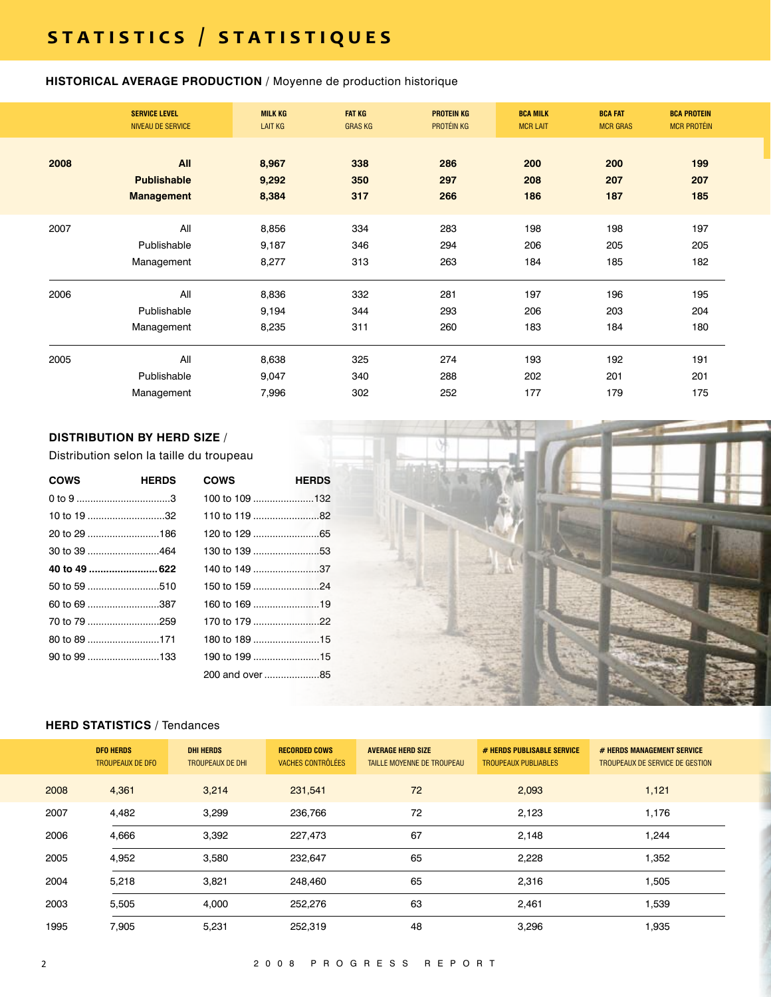### **HISTORICAL AVERAGE PRODUCTION** / Moyenne de production historique

|      | <b>SERVICE LEVEL</b><br>NIVEAU DE SERVICE      | <b>MILK KG</b><br><b>LAIT KG</b> | <b>FAT KG</b><br><b>GRAS KG</b> | <b>PROTEIN KG</b><br>PROTÉIN KG | <b>BCA MILK</b><br><b>MCR LAIT</b> | <b>BCA FAT</b><br><b>MCR GRAS</b> | <b>BCA PROTEIN</b><br><b>MCR PROTÉIN</b> |  |
|------|------------------------------------------------|----------------------------------|---------------------------------|---------------------------------|------------------------------------|-----------------------------------|------------------------------------------|--|
| 2008 | All<br><b>Publishable</b><br><b>Management</b> | 8,967<br>9,292<br>8,384          | 338<br>350<br>317               | 286<br>297<br>266               | 200<br>208<br>186                  | 200<br>207<br>187                 | 199<br>207<br>185                        |  |
| 2007 | All<br>Publishable<br>Management               | 8,856<br>9,187<br>8,277          | 334<br>346<br>313               | 283<br>294<br>263               | 198<br>206<br>184                  | 198<br>205<br>185                 | 197<br>205<br>182                        |  |
| 2006 | All<br>Publishable<br>Management               | 8,836<br>9,194<br>8,235          | 332<br>344<br>311               | 281<br>293<br>260               | 197<br>206<br>183                  | 196<br>203<br>184                 | 195<br>204<br>180                        |  |
| 2005 | All<br>Publishable<br>Management               | 8,638<br>9,047<br>7,996          | 325<br>340<br>302               | 274<br>288<br>252               | 193<br>202<br>177                  | 192<br>201<br>179                 | 191<br>201<br>175                        |  |

### **DISTRIBUTION BY HERD SIZE** /

Distribution selon la taille du troupeau

| <b>COWS</b>  | <b>HERDS</b> | <b>COWS</b>    | <b>HERDS</b> |
|--------------|--------------|----------------|--------------|
|              |              | 100 to 109 132 |              |
| 10 to 19 32  |              | 110 to 119 82  |              |
| 20 to 29 186 |              |                |              |
| 30 to 39 464 |              | 130 to 139 53  |              |
|              |              | 140 to 149 37  |              |
|              |              | 150 to 159 24  |              |
| 60 to 69 387 |              | 160 to 169 19  |              |
| 70 to 79 259 |              | 170 to 179 22  |              |
| 80 to 89 171 |              | 180 to 189 15  |              |
| 90 to 99 133 |              | 190 to 199 15  |              |
|              |              | 200 and over85 |              |



### **HERD STATISTICS** / Tendances

|      | <b>DFO HERDS</b><br><b>TROUPEAUX DE DFO</b> | <b>DHI HERDS</b><br><b>TROUPEAUX DE DHI</b> | <b>RECORDED COWS</b><br>VACHES CONTRÔLÉES | <b>AVERAGE HERD SIZE</b><br>TAILLE MOYENNE DE TROUPEAU | # HERDS PUBLISABLE SERVICE<br><b>TROUPEAUX PUBLIABLES</b> | # HERDS MANAGEMENT SERVICE<br>TROUPEAUX DE SERVICE DE GESTION |
|------|---------------------------------------------|---------------------------------------------|-------------------------------------------|--------------------------------------------------------|-----------------------------------------------------------|---------------------------------------------------------------|
| 2008 | 4,361                                       | 3,214                                       | 231,541                                   | 72                                                     | 2,093                                                     | 1,121                                                         |
| 2007 | 4,482                                       | 3,299                                       | 236,766                                   | 72                                                     | 2,123                                                     | 1,176                                                         |
| 2006 | 4,666                                       | 3,392                                       | 227,473                                   | 67                                                     | 2,148                                                     | 1,244                                                         |
| 2005 | 4,952                                       | 3,580                                       | 232,647                                   | 65                                                     | 2,228                                                     | 1,352                                                         |
| 2004 | 5,218                                       | 3,821                                       | 248,460                                   | 65                                                     | 2,316                                                     | 1,505                                                         |
| 2003 | 5,505                                       | 4,000                                       | 252,276                                   | 63                                                     | 2,461                                                     | 1,539                                                         |
| 1995 | 7,905                                       | 5,231                                       | 252,319                                   | 48                                                     | 3,296                                                     | 1,935                                                         |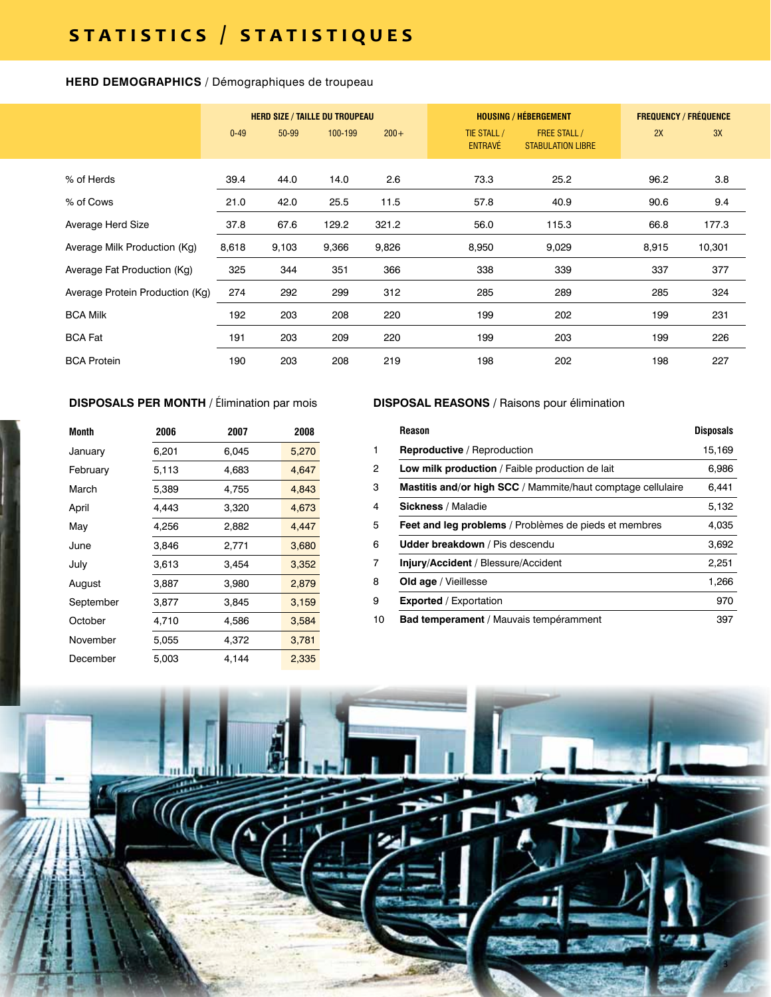### **HERD DEMOGRAPHICS** / Démographiques de troupeau

|                                 | <b>HERD SIZE / TAILLE DU TROUPEAU</b> |       |         |         | <b>HOUSING / HÉBERGEMENT</b>  | <b>FREQUENCY / FRÉQUENCE</b>                    |       |        |
|---------------------------------|---------------------------------------|-------|---------|---------|-------------------------------|-------------------------------------------------|-------|--------|
|                                 | $0 - 49$                              | 50-99 | 100-199 | $200 +$ | TIE STALL /<br><b>ENTRAVÉ</b> | <b>FREE STALL /</b><br><b>STABULATION LIBRE</b> | 2X    | 3X     |
| % of Herds                      | 39.4                                  | 44.0  | 14.0    | 2.6     | 73.3                          | 25.2                                            | 96.2  | 3.8    |
| % of Cows                       | 21.0                                  | 42.0  | 25.5    | 11.5    | 57.8                          | 40.9                                            | 90.6  | 9.4    |
| Average Herd Size               | 37.8                                  | 67.6  | 129.2   | 321.2   | 56.0                          | 115.3                                           | 66.8  | 177.3  |
| Average Milk Production (Kg)    | 8,618                                 | 9,103 | 9,366   | 9,826   | 8,950                         | 9,029                                           | 8,915 | 10,301 |
| Average Fat Production (Kg)     | 325                                   | 344   | 351     | 366     | 338                           | 339                                             | 337   | 377    |
| Average Protein Production (Kg) | 274                                   | 292   | 299     | 312     | 285                           | 289                                             | 285   | 324    |
| <b>BCA Milk</b>                 | 192                                   | 203   | 208     | 220     | 199                           | 202                                             | 199   | 231    |
| <b>BCA Fat</b>                  | 191                                   | 203   | 209     | 220     | 199                           | 203                                             | 199   | 226    |
| <b>BCA Protein</b>              | 190                                   | 203   | 208     | 219     | 198                           | 202                                             | 198   | 227    |

### **DISPOSALS PER MONTH** / Élimination par mois

| Month     | 2006  | 2007  | 2008  |
|-----------|-------|-------|-------|
| January   | 6,201 | 6,045 | 5,270 |
| February  | 5,113 | 4,683 | 4,647 |
| March     | 5,389 | 4,755 | 4,843 |
| April     | 4,443 | 3,320 | 4,673 |
| May       | 4,256 | 2,882 | 4,447 |
| June      | 3.846 | 2,771 | 3,680 |
| July      | 3,613 | 3,454 | 3,352 |
| August    | 3,887 | 3,980 | 2,879 |
| September | 3,877 | 3,845 | 3,159 |
| October   | 4,710 | 4,586 | 3,584 |
| November  | 5,055 | 4.372 | 3,781 |
| December  | 5.003 | 4.144 | 2,335 |

### **DISPOSAL REASONS /** Raisons pour élimination

| <b>Reason</b>                                               | <b>Disposals</b> |
|-------------------------------------------------------------|------------------|
| <b>Reproductive</b> / Reproduction                          | 15,169           |
| Low milk production / Faible production de lait             | 6,986            |
| Mastitis and/or high SCC / Mammite/haut comptage cellulaire | 6,441            |
| <b>Sickness / Maladie</b>                                   | 5,132            |
| Feet and leg problems / Problèmes de pieds et membres       | 4,035            |
| <b>Udder breakdown</b> / Pis descendu                       | 3,692            |
| Injury/Accident / Blessure/Accident                         | 2,251            |
| Old age / Vieillesse                                        | 1.266            |
| <b>Exported</b> / Exportation                               | 970              |
| <b>Bad temperament</b> / Mauvais tempéramment               | 397              |

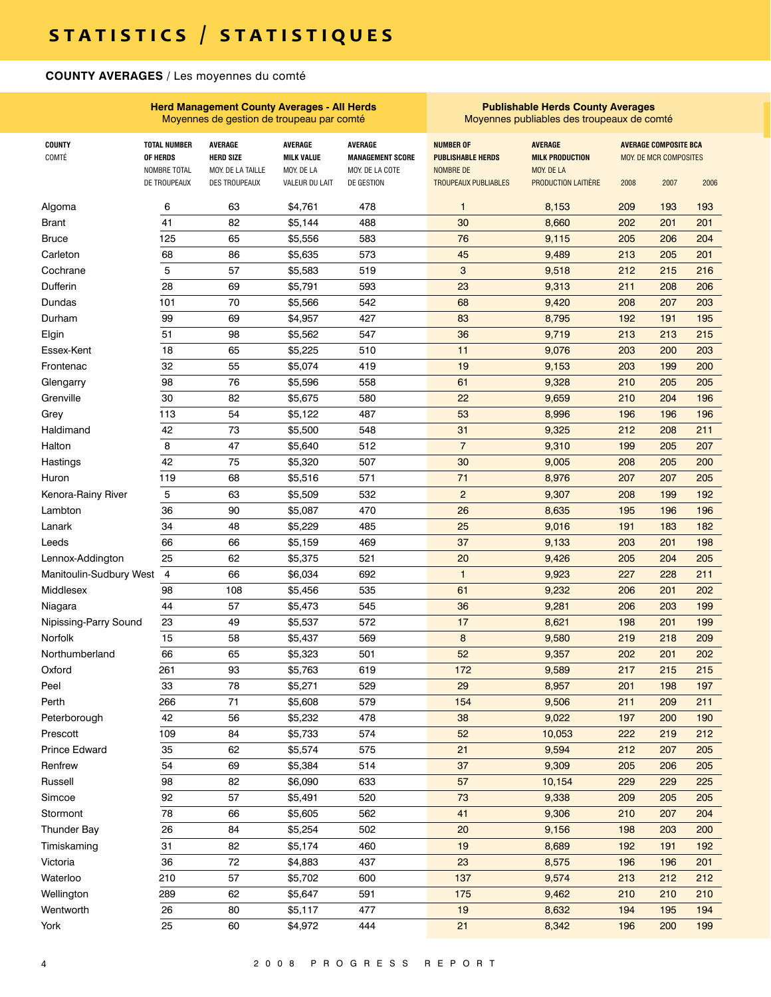### **COUNTY AVERAGES** / Les moyennes du comté

|                         |                                                 | <b>Herd Management County Averages - All Herds</b><br>Moyennes de gestion de troupeau par comté |                                                   |                                                              | <b>Publishable Herds County Averages</b><br>Moyennes publiables des troupeaux de comté |                                                        |      |                                                        |      |
|-------------------------|-------------------------------------------------|-------------------------------------------------------------------------------------------------|---------------------------------------------------|--------------------------------------------------------------|----------------------------------------------------------------------------------------|--------------------------------------------------------|------|--------------------------------------------------------|------|
| <b>COUNTY</b><br>COMTÉ  | <b>TOTAL NUMBER</b><br>OF HERDS<br>NOMBRE TOTAL | <b>AVERAGE</b><br><b>HERD SIZE</b><br>MOY. DE LA TAILLE                                         | <b>AVERAGE</b><br><b>MILK VALUE</b><br>MOY. DE LA | <b>AVERAGE</b><br><b>MANAGEMENT SCORE</b><br>MOY. DE LA COTE | <b>NUMBER OF</b><br><b>PUBLISHABLE HERDS</b><br>NOMBRE DE                              | <b>AVERAGE</b><br><b>MILK PRODUCTION</b><br>MOY. DE LA |      | <b>AVERAGE COMPOSITE BCA</b><br>MOY. DE MCR COMPOSITES |      |
|                         | DE TROUPEAUX                                    | DES TROUPEAUX                                                                                   | VALEUR DU LAIT                                    | DE GESTION                                                   | <b>TROUPEAUX PUBLIABLES</b>                                                            | PRODUCTION LAITIÈRE                                    | 2008 | 2007                                                   | 2006 |
| Algoma                  | 6                                               | 63                                                                                              | \$4,761                                           | 478                                                          | 1                                                                                      | 8,153                                                  | 209  | 193                                                    | 193  |
| Brant                   | 41                                              | 82                                                                                              | \$5,144                                           | 488                                                          | 30                                                                                     | 8,660                                                  | 202  | 201                                                    | 201  |
| <b>Bruce</b>            | 125                                             | 65                                                                                              | \$5,556                                           | 583                                                          | 76                                                                                     | 9,115                                                  | 205  | 206                                                    | 204  |
| Carleton                | 68                                              | 86                                                                                              | \$5,635                                           | 573                                                          | 45                                                                                     | 9,489                                                  | 213  | 205                                                    | 201  |
| Cochrane                | 5                                               | 57                                                                                              | \$5,583                                           | 519                                                          | 3                                                                                      | 9,518                                                  | 212  | 215                                                    | 216  |
| Dufferin                | 28                                              | 69                                                                                              | \$5,791                                           | 593                                                          | 23                                                                                     | 9,313                                                  | 211  | 208                                                    | 206  |
| Dundas                  | 101                                             | 70                                                                                              | \$5,566                                           | 542                                                          | 68                                                                                     | 9,420                                                  | 208  | 207                                                    | 203  |
| Durham                  | 99                                              | 69                                                                                              | \$4,957                                           | 427                                                          | 83                                                                                     | 8,795                                                  | 192  | 191                                                    | 195  |
| Elgin                   | 51                                              | 98                                                                                              | \$5,562                                           | 547                                                          | 36                                                                                     | 9,719                                                  | 213  | 213                                                    | 215  |
| Essex-Kent              | 18                                              | 65                                                                                              | \$5,225                                           | 510                                                          | 11                                                                                     | 9,076                                                  | 203  | 200                                                    | 203  |
| Frontenac               | 32                                              | 55                                                                                              | \$5,074                                           | 419                                                          | 19                                                                                     | 9,153                                                  | 203  | 199                                                    | 200  |
| Glengarry               | 98                                              | 76                                                                                              | \$5,596                                           | 558                                                          | 61                                                                                     | 9,328                                                  | 210  | 205                                                    | 205  |
| Grenville               | 30                                              | 82                                                                                              | \$5,675                                           | 580                                                          | 22                                                                                     | 9,659                                                  | 210  | 204                                                    | 196  |
| Grey                    | 113                                             | 54                                                                                              | \$5,122                                           | 487                                                          | 53                                                                                     | 8,996                                                  | 196  | 196                                                    | 196  |
| Haldimand               | 42                                              | 73                                                                                              | \$5,500                                           | 548                                                          | 31                                                                                     | 9,325                                                  | 212  | 208                                                    | 211  |
| Halton                  | 8                                               | 47                                                                                              | \$5,640                                           | 512                                                          | $\overline{7}$                                                                         | 9,310                                                  | 199  | 205                                                    | 207  |
| Hastings                | 42                                              | 75                                                                                              | \$5,320                                           | 507                                                          | 30                                                                                     | 9,005                                                  | 208  | 205                                                    | 200  |
| Huron                   | 119                                             | 68                                                                                              | \$5,516                                           | 571                                                          | 71                                                                                     | 8,976                                                  | 207  | 207                                                    | 205  |
| Kenora-Rainy River      | 5                                               | 63                                                                                              | \$5,509                                           | 532                                                          | $\overline{2}$                                                                         | 9,307                                                  | 208  | 199                                                    | 192  |
| Lambton                 | 36                                              | 90                                                                                              | \$5,087                                           | 470                                                          | 26                                                                                     | 8,635                                                  | 195  | 196                                                    | 196  |
| Lanark                  | 34                                              | 48                                                                                              | \$5,229                                           | 485                                                          | 25                                                                                     | 9,016                                                  | 191  | 183                                                    | 182  |
| Leeds                   | 66                                              | 66                                                                                              | \$5,159                                           | 469                                                          | 37                                                                                     | 9,133                                                  | 203  | 201                                                    | 198  |
| Lennox-Addington        | 25                                              | 62                                                                                              | \$5,375                                           | 521                                                          | 20                                                                                     | 9,426                                                  | 205  | 204                                                    | 205  |
| Manitoulin-Sudbury West | $\overline{4}$                                  | 66                                                                                              | \$6,034                                           | 692                                                          | $\mathbf{1}$                                                                           | 9,923                                                  | 227  | 228                                                    | 211  |
| Middlesex               | 98                                              | 108                                                                                             | \$5,456                                           | 535                                                          | 61                                                                                     | 9,232                                                  | 206  | 201                                                    | 202  |
| Niagara                 | 44                                              | 57                                                                                              | \$5,473                                           | 545                                                          | 36                                                                                     | 9,281                                                  | 206  | 203                                                    | 199  |
| Nipissing-Parry Sound   | 23                                              | 49                                                                                              | \$5,537                                           | 572                                                          | 17                                                                                     | 8,621                                                  | 198  | 201                                                    | 199  |
| Norfolk                 | 15                                              | 58                                                                                              | \$5,437                                           | 569                                                          | 8                                                                                      | 9,580                                                  | 219  | 218                                                    | 209  |
| Northumberland          | 66                                              | 65                                                                                              | \$5,323                                           | 501                                                          | 52                                                                                     | 9,357                                                  | 202  | 201                                                    | 202  |
| Oxford                  | 261                                             | 93                                                                                              | \$5,763                                           | 619                                                          | 172                                                                                    | 9,589                                                  | 217  | 215                                                    | 215  |
| Peel                    | 33                                              | 78                                                                                              | \$5,271                                           | 529                                                          | 29                                                                                     | 8,957                                                  | 201  | 198                                                    | 197  |
| Perth                   | 266                                             | 71                                                                                              | \$5,608                                           | 579                                                          | 154                                                                                    | 9,506                                                  | 211  | 209                                                    | 211  |
| Peterborough            | 42                                              | 56                                                                                              | \$5,232                                           | 478                                                          | 38                                                                                     | 9,022                                                  | 197  | 200                                                    | 190  |
| Prescott                | 109                                             | 84                                                                                              | \$5,733                                           | 574                                                          | 52                                                                                     | 10,053                                                 | 222  | 219                                                    | 212  |
| <b>Prince Edward</b>    | 35                                              | 62                                                                                              | \$5,574                                           | 575                                                          | 21                                                                                     | 9,594                                                  | 212  | 207                                                    | 205  |
| Renfrew                 | 54                                              | 69                                                                                              | \$5,384                                           | 514                                                          | 37                                                                                     | 9,309                                                  | 205  | 206                                                    | 205  |
| Russell                 | 98                                              | 82                                                                                              | \$6,090                                           | 633                                                          | 57                                                                                     | 10,154                                                 | 229  | 229                                                    | 225  |
| Simcoe                  | 92                                              | 57                                                                                              | \$5,491                                           | 520                                                          | 73                                                                                     | 9,338                                                  | 209  | 205                                                    | 205  |
| Stormont                | 78                                              | 66                                                                                              | \$5,605                                           | 562                                                          | 41                                                                                     | 9,306                                                  | 210  | 207                                                    | 204  |
| <b>Thunder Bay</b>      | 26                                              | 84                                                                                              | \$5,254                                           | 502                                                          | 20                                                                                     | 9,156                                                  | 198  | 203                                                    | 200  |
| Timiskaming             | 31                                              | 82                                                                                              | \$5,174                                           | 460                                                          | 19                                                                                     | 8,689                                                  | 192  | 191                                                    | 192  |
| Victoria                | 36                                              | 72                                                                                              | \$4,883                                           | 437                                                          | 23                                                                                     | 8,575                                                  | 196  | 196                                                    | 201  |
| Waterloo                | 210                                             | 57                                                                                              | \$5,702                                           | 600                                                          | 137                                                                                    | 9,574                                                  | 213  | 212                                                    | 212  |
| Wellington              | 289                                             | 62                                                                                              | \$5,647                                           | 591                                                          | 175                                                                                    | 9,462                                                  | 210  | 210                                                    | 210  |
| Wentworth               | 26                                              | 80                                                                                              | \$5,117                                           | 477                                                          | 19                                                                                     | 8,632                                                  | 194  | 195                                                    | 194  |
| York                    | 25                                              | 60                                                                                              | \$4,972                                           | 444                                                          | 21                                                                                     | 8,342                                                  | 196  | 200                                                    | 199  |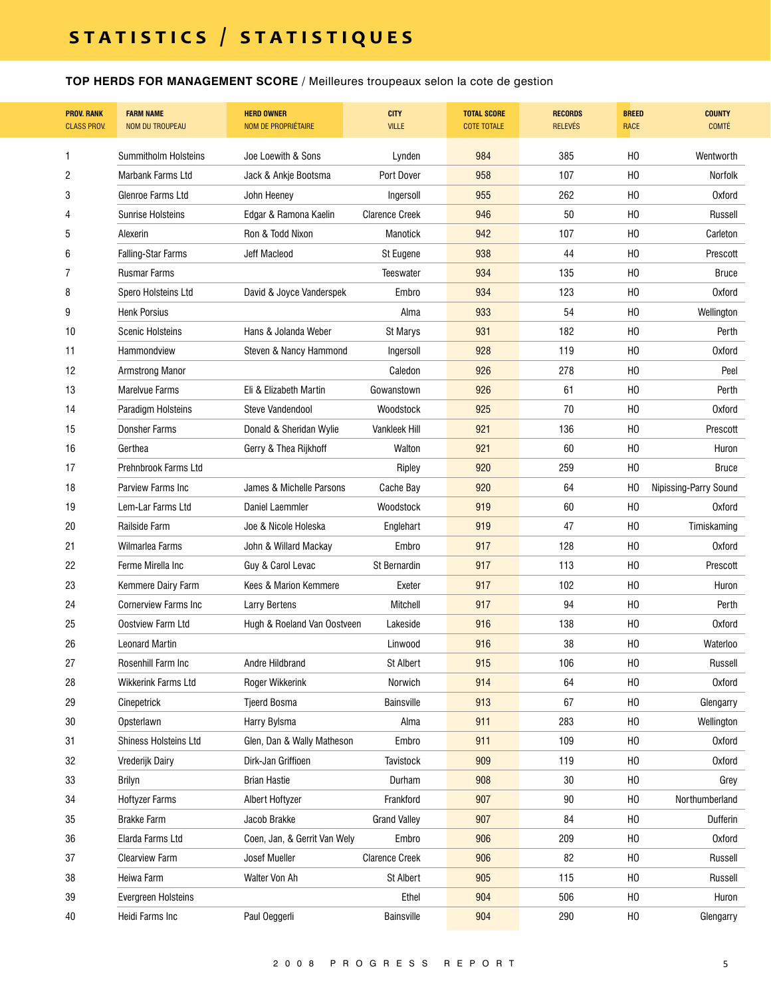**TOP HERDS FOR MANAGEMENT SCORE** / Meilleures troupeaux selon la cote de gestion

| <b>PROV. RANK</b><br><b>CLASS PROV.</b> | <b>FARM NAME</b><br><b>NOM DU TROUPEAU</b> | <b>HERD OWNER</b><br><b>NOM DE PROPRIÉTAIRE</b> | <b>CITY</b><br><b>VILLE</b> | <b>TOTAL SCORE</b><br><b>COTE TOTALE</b> | <b>RECORDS</b><br><b>RELEVÉS</b> | <b>BREED</b><br><b>RACE</b> | <b>COUNTY</b><br><b>COMTÉ</b> |
|-----------------------------------------|--------------------------------------------|-------------------------------------------------|-----------------------------|------------------------------------------|----------------------------------|-----------------------------|-------------------------------|
| 1                                       | Summitholm Holsteins                       | Joe Loewith & Sons                              | Lynden                      | 984                                      | 385                              | H <sub>0</sub>              | Wentworth                     |
| 2                                       | <b>Marbank Farms Ltd</b>                   | Jack & Ankje Bootsma                            | Port Dover                  | 958                                      | 107                              | H <sub>0</sub>              | Norfolk                       |
| 3                                       | Glenroe Farms Ltd                          | John Heeney                                     | Ingersoll                   | 955                                      | 262                              | H <sub>0</sub>              | <b>Oxford</b>                 |
| 4                                       | <b>Sunrise Holsteins</b>                   | Edgar & Ramona Kaelin                           | <b>Clarence Creek</b>       | 946                                      | 50                               | H <sub>0</sub>              | Russell                       |
| 5                                       | Alexerin                                   | Ron & Todd Nixon                                | <b>Manotick</b>             | 942                                      | 107                              | H <sub>0</sub>              | Carleton                      |
| 6                                       | <b>Falling-Star Farms</b>                  | Jeff Macleod                                    | St Eugene                   | 938                                      | 44                               | H <sub>0</sub>              | Prescott                      |
| 7                                       | <b>Rusmar Farms</b>                        |                                                 | <b>Teeswater</b>            | 934                                      | 135                              | H <sub>0</sub>              | <b>Bruce</b>                  |
| 8                                       | Spero Holsteins Ltd                        | David & Joyce Vanderspek                        | Embro                       | 934                                      | 123                              | H <sub>0</sub>              | <b>Oxford</b>                 |
| 9                                       | <b>Henk Porsius</b>                        |                                                 | Alma                        | 933                                      | 54                               | H <sub>0</sub>              | Wellington                    |
| 10                                      | <b>Scenic Holsteins</b>                    | Hans & Jolanda Weber                            | St Marys                    | 931                                      | 182                              | H <sub>0</sub>              | Perth                         |
| 11                                      | Hammondview                                | Steven & Nancy Hammond                          | Ingersoll                   | 928                                      | 119                              | H <sub>0</sub>              | Oxford                        |
| 12                                      | <b>Armstrong Manor</b>                     |                                                 | Caledon                     | 926                                      | 278                              | H <sub>0</sub>              | Peel                          |
| 13                                      | <b>Marelvue Farms</b>                      | Eli & Elizabeth Martin                          | Gowanstown                  | 926                                      | 61                               | H <sub>0</sub>              | Perth                         |
| 14                                      | Paradigm Holsteins                         | Steve Vandendool                                | Woodstock                   | 925                                      | 70                               | H <sub>0</sub>              | <b>Oxford</b>                 |
| 15                                      | <b>Donsher Farms</b>                       | Donald & Sheridan Wylie                         | <b>Vankleek Hill</b>        | 921                                      | 136                              | H <sub>0</sub>              | Prescott                      |
| 16                                      | Gerthea                                    | Gerry & Thea Rijkhoff                           | Walton                      | 921                                      | 60                               | H <sub>0</sub>              | Huron                         |
| 17                                      | Prehnbrook Farms Ltd                       |                                                 | Ripley                      | 920                                      | 259                              | H <sub>0</sub>              | <b>Bruce</b>                  |
| 18                                      | Parview Farms Inc                          | James & Michelle Parsons                        | Cache Bay                   | 920                                      | 64                               | H <sub>0</sub>              | Nipissing-Parry Sound         |
| 19                                      | Lem-Lar Farms Ltd                          | Daniel Laemmler                                 | Woodstock                   | 919                                      | 60                               | H <sub>0</sub>              | <b>Oxford</b>                 |
| 20                                      | Railside Farm                              | Joe & Nicole Holeska                            | Englehart                   | 919                                      | 47                               | H <sub>0</sub>              | Timiskaming                   |
| 21                                      | Wilmarlea Farms                            | John & Willard Mackay                           | Embro                       | 917                                      | 128                              | H <sub>0</sub>              | <b>Oxford</b>                 |
| 22                                      | Ferme Mirella Inc                          | Guy & Carol Levac                               | St Bernardin                | 917                                      | 113                              | H <sub>0</sub>              | Prescott                      |
| 23                                      | Kemmere Dairy Farm                         | Kees & Marion Kemmere                           | Exeter                      | 917                                      | 102                              | H <sub>0</sub>              | Huron                         |
| 24                                      | <b>Cornerview Farms Inc.</b>               | <b>Larry Bertens</b>                            | Mitchell                    | 917                                      | 94                               | H <sub>0</sub>              | Perth                         |
| 25                                      | Oostview Farm Ltd                          | Hugh & Roeland Van Oostveen                     | Lakeside                    | 916                                      | 138                              | H <sub>0</sub>              | <b>Oxford</b>                 |
| 26                                      | <b>Leonard Martin</b>                      |                                                 | Linwood                     | 916                                      | 38                               | H <sub>0</sub>              | Waterloo                      |
| 27                                      | Rosenhill Farm Inc                         | Andre Hildbrand                                 | <b>St Albert</b>            | 915                                      | 106                              | H <sub>0</sub>              | Russell                       |
| 28                                      | Wikkerink Farms Ltd                        | Roger Wikkerink                                 | Norwich                     | 914                                      | 64                               | H <sub>0</sub>              | <b>Oxford</b>                 |
| 29                                      | Cinepetrick                                | <b>Tjeerd Bosma</b>                             | <b>Bainsville</b>           | 913                                      | 67                               | H <sub>0</sub>              | Glengarry                     |
| 30                                      | Opsterlawn                                 | Harry Bylsma                                    | Alma                        | 911                                      | 283                              | H <sub>0</sub>              | Wellington                    |
| 31                                      | <b>Shiness Holsteins Ltd</b>               | Glen, Dan & Wally Matheson                      | Embro                       | 911                                      | 109                              | H <sub>0</sub>              | <b>Oxford</b>                 |
| 32                                      | Vrederijk Dairy                            | Dirk-Jan Griffioen                              | Tavistock                   | 909                                      | 119                              | H <sub>0</sub>              | <b>Oxford</b>                 |
| 33                                      | Brilyn                                     | <b>Brian Hastie</b>                             | Durham                      | 908                                      | 30                               | HO                          | Grey                          |
| 34                                      | <b>Hoftyzer Farms</b>                      | Albert Hoftyzer                                 | Frankford                   | 907                                      | 90                               | HO                          | Northumberland                |
| 35                                      | <b>Brakke Farm</b>                         | Jacob Brakke                                    | <b>Grand Valley</b>         | 907                                      | 84                               | H <sub>0</sub>              | Dufferin                      |
| 36                                      | Elarda Farms Ltd                           | Coen, Jan, & Gerrit Van Wely                    | Embro                       | 906                                      | 209                              | H <sub>0</sub>              | <b>Oxford</b>                 |
| 37                                      | <b>Clearview Farm</b>                      | Josef Mueller                                   | <b>Clarence Creek</b>       | 906                                      | 82                               | H <sub>0</sub>              | Russell                       |
| 38                                      | Heiwa Farm                                 | Walter Von Ah                                   | St Albert                   | 905                                      | 115                              | H <sub>0</sub>              | Russell                       |
| 39                                      | Evergreen Holsteins                        |                                                 | Ethel                       | 904                                      | 506                              | H <sub>0</sub>              | Huron                         |
| $40\,$                                  | Heidi Farms Inc                            | Paul Oeggerli                                   | <b>Bainsville</b>           | 904                                      | 290                              | H <sub>0</sub>              | Glengarry                     |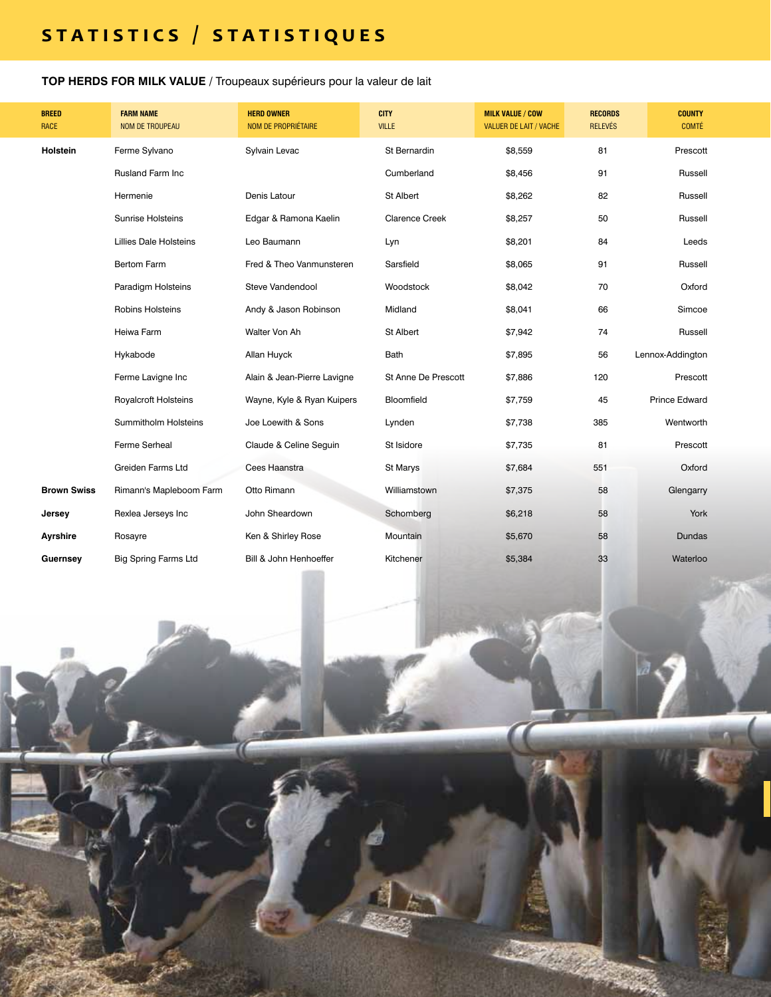**TOP HERDS FOR MILK VALUE /** Troupeaux supérieurs pour la valeur de lait

6 2 0 0 8 P R O R E P O R E P O R E P O R E P O R E P O R E P O R E P O R E P O R E P O R E P O R E P O R E P

Thirligh

| <b>BREED</b><br><b>RACE</b> | <b>FARM NAME</b><br><b>NOM DE TROUPEAU</b> | <b>HERD OWNER</b><br>NOM DE PROPRIÉTAIRE | <b>CITY</b><br><b>VILLE</b> | <b>MILK VALUE / COW</b><br><b>VALUER DE LAIT / VACHE</b> | <b>RECORDS</b><br><b>RELEVÉS</b> | <b>COUNTY</b><br><b>COMTÉ</b> |
|-----------------------------|--------------------------------------------|------------------------------------------|-----------------------------|----------------------------------------------------------|----------------------------------|-------------------------------|
| Holstein                    | Ferme Sylvano                              | Sylvain Levac                            | St Bernardin                | \$8,559                                                  | 81                               | Prescott                      |
|                             | <b>Rusland Farm Inc</b>                    |                                          | Cumberland                  | \$8,456                                                  | 91                               | Russell                       |
|                             | Hermenie                                   | Denis Latour                             | St Albert                   | \$8,262                                                  | 82                               | Russell                       |
|                             | <b>Sunrise Holsteins</b>                   | Edgar & Ramona Kaelin                    | <b>Clarence Creek</b>       | \$8,257                                                  | 50                               | Russell                       |
|                             | <b>Lillies Dale Holsteins</b>              | Leo Baumann                              | Lyn                         | \$8,201                                                  | 84                               | Leeds                         |
|                             | <b>Bertom Farm</b>                         | Fred & Theo Vanmunsteren                 | Sarsfield                   | \$8,065                                                  | 91                               | Russell                       |
|                             | Paradigm Holsteins                         | Steve Vandendool                         | Woodstock                   | \$8,042                                                  | 70                               | Oxford                        |
|                             | <b>Robins Holsteins</b>                    | Andy & Jason Robinson                    | Midland                     | \$8,041                                                  | 66                               | Simcoe                        |
|                             | Heiwa Farm                                 | Walter Von Ah                            | St Albert                   | \$7,942                                                  | 74                               | Russell                       |
|                             | Hykabode                                   | Allan Huyck                              | Bath                        | \$7,895                                                  | 56                               | Lennox-Addington              |
|                             | Ferme Lavigne Inc                          | Alain & Jean-Pierre Lavigne              | St Anne De Prescott         | \$7,886                                                  | 120                              | Prescott                      |
|                             | <b>Royalcroft Holsteins</b>                | Wayne, Kyle & Ryan Kuipers               | Bloomfield                  | \$7,759                                                  | 45                               | <b>Prince Edward</b>          |
|                             | <b>Summitholm Holsteins</b>                | Joe Loewith & Sons                       | Lynden                      | \$7,738                                                  | 385                              | Wentworth                     |
|                             | Ferme Serheal                              | Claude & Celine Seguin                   | St Isidore                  | \$7,735                                                  | 81                               | Prescott                      |
|                             | <b>Greiden Farms Ltd</b>                   | Cees Haanstra                            | St Marys                    | \$7,684                                                  | 551                              | Oxford                        |
| <b>Brown Swiss</b>          | Rimann's Mapleboom Farm                    | Otto Rimann                              | Williamstown                | \$7,375                                                  | 58                               | Glengarry                     |
| Jersey                      | Rexlea Jerseys Inc                         | John Sheardown                           | Schomberg                   | \$6,218                                                  | 58                               | York                          |
| Ayrshire                    | Rosayre                                    | Ken & Shirley Rose                       | Mountain                    | \$5,670                                                  | 58                               | <b>Dundas</b>                 |
| Guernsey                    | <b>Big Spring Farms Ltd</b>                | Bill & John Henhoeffer                   | Kitchener                   | \$5,384                                                  | 33                               | Waterloo                      |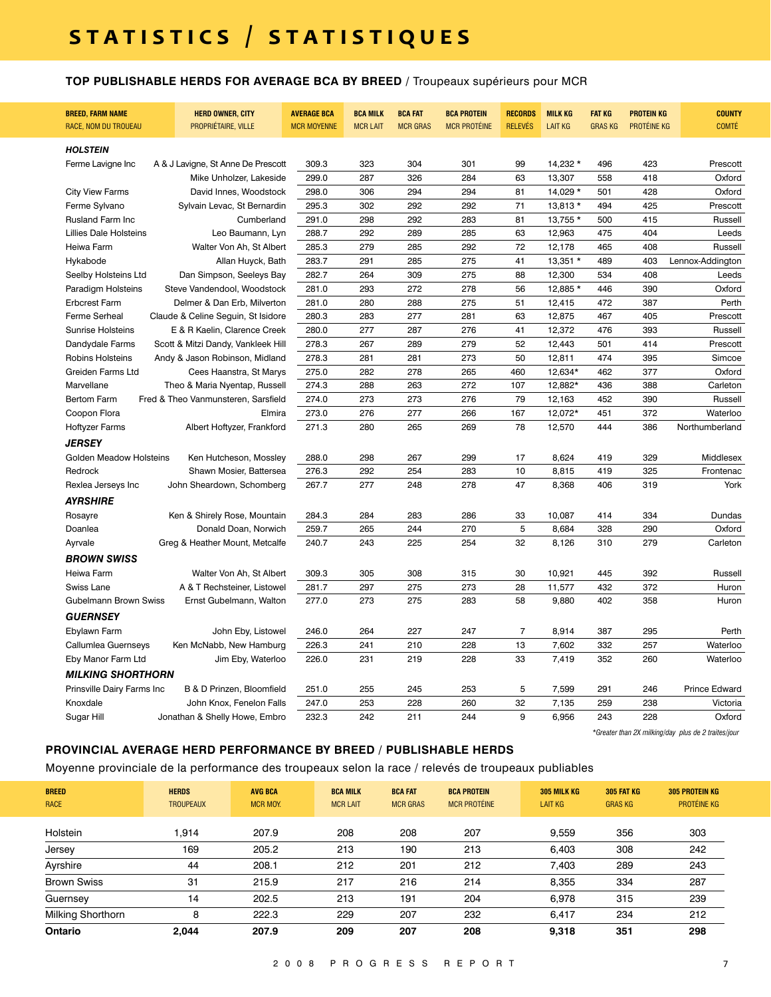### **TOP PUBLISHABLE HERDS FOR AVERAGE BCA BY BREED /** Troupeaux supérieurs pour MCR

| <b>BREED, FARM NAME</b><br>RACE, NOM DU TROUEAU | <b>HERD OWNER, CITY</b><br>PROPRIÉTAIRE, VILLE | <b>AVERAGE BCA</b><br><b>MCR MOYENNE</b> | <b>BCA MILK</b><br><b>MCR LAIT</b> | <b>BCA FAT</b><br><b>MCR GRAS</b> | <b>BCA PROTEIN</b><br><b>MCR PROTÉINE</b> | <b>RECORDS</b><br><b>RELEVÉS</b> | <b>MILK KG</b><br><b>LAIT KG</b> | <b>FAT KG</b><br><b>GRAS KG</b> | <b>PROTEIN KG</b><br>PROTÉINE KG | <b>COUNTY</b><br><b>COMTÉ</b> |
|-------------------------------------------------|------------------------------------------------|------------------------------------------|------------------------------------|-----------------------------------|-------------------------------------------|----------------------------------|----------------------------------|---------------------------------|----------------------------------|-------------------------------|
| <b>HOLSTEIN</b>                                 |                                                |                                          |                                    |                                   |                                           |                                  |                                  |                                 |                                  |                               |
| Ferme Lavigne Inc                               | A & J Lavigne, St Anne De Prescott             | 309.3                                    | 323                                | 304                               | 301                                       | 99                               | 14,232 *                         | 496                             | 423                              | Prescott                      |
|                                                 | Mike Unholzer, Lakeside                        | 299.0                                    | 287                                | 326                               | 284                                       | 63                               | 13,307                           | 558                             | 418                              | Oxford                        |
| <b>City View Farms</b>                          | David Innes, Woodstock                         | 298.0                                    | 306                                | 294                               | 294                                       | 81                               | 14,029 *                         | 501                             | 428                              | Oxford                        |
| Ferme Sylvano                                   | Sylvain Levac, St Bernardin                    | 295.3                                    | 302                                | 292                               | 292                                       | 71                               | 13,813 *                         | 494                             | 425                              | Prescott                      |
| Rusland Farm Inc                                | Cumberland                                     | 291.0                                    | 298                                | 292                               | 283                                       | 81                               | 13,755 *                         | 500                             | 415                              | Russell                       |
| <b>Lillies Dale Holsteins</b>                   | Leo Baumann, Lyn                               | 288.7                                    | 292                                | 289                               | 285                                       | 63                               | 12,963                           | 475                             | 404                              | Leeds                         |
| Heiwa Farm                                      | Walter Von Ah, St Albert                       | 285.3                                    | 279                                | 285                               | 292                                       | 72                               | 12,178                           | 465                             | 408                              | Russell                       |
| Hykabode                                        | Allan Huyck, Bath                              | 283.7                                    | 291                                | 285                               | 275                                       | 41                               | 13,351 *                         | 489                             | 403                              | Lennox-Addington              |
| Seelby Holsteins Ltd                            | Dan Simpson, Seeleys Bay                       | 282.7                                    | 264                                | 309                               | 275                                       | 88                               | 12,300                           | 534                             | 408                              | Leeds                         |
| Paradigm Holsteins                              | Steve Vandendool, Woodstock                    | 281.0                                    | 293                                | 272                               | 278                                       | 56                               | 12,885 *                         | 446                             | 390                              | Oxford                        |
| <b>Erbcrest Farm</b>                            | Delmer & Dan Erb, Milverton                    | 281.0                                    | 280                                | 288                               | 275                                       | 51                               | 12,415                           | 472                             | 387                              | Perth                         |
| Ferme Serheal                                   | Claude & Celine Seguin, St Isidore             | 280.3                                    | 283                                | 277                               | 281                                       | 63                               | 12,875                           | 467                             | 405                              | Prescott                      |
| <b>Sunrise Holsteins</b>                        | E & R Kaelin, Clarence Creek                   | 280.0                                    | 277                                | 287                               | 276                                       | 41                               | 12,372                           | 476                             | 393                              | Russell                       |
| Dandydale Farms                                 | Scott & Mitzi Dandy, Vankleek Hill             | 278.3                                    | 267                                | 289                               | 279                                       | 52                               | 12,443                           | 501                             | 414                              | Prescott                      |
| Robins Holsteins                                | Andy & Jason Robinson, Midland                 | 278.3                                    | 281                                | 281                               | 273                                       | 50                               | 12,811                           | 474                             | 395                              | Simcoe                        |
| Greiden Farms Ltd                               | Cees Haanstra, St Marys                        | 275.0                                    | 282                                | 278                               | 265                                       | 460                              | 12,634*                          | 462                             | 377                              | Oxford                        |
| Marvellane                                      | Theo & Maria Nyentap, Russell                  | 274.3                                    | 288                                | 263                               | 272                                       | 107                              | 12,882*                          | 436                             | 388                              | Carleton                      |
| <b>Bertom Farm</b>                              | Fred & Theo Vanmunsteren, Sarsfield            | 274.0                                    | 273                                | 273                               | 276                                       | 79                               | 12,163                           | 452                             | 390                              | Russell                       |
| Coopon Flora                                    | Elmira                                         | 273.0                                    | 276                                | 277                               | 266                                       | 167                              | 12,072*                          | 451                             | 372                              | Waterloo                      |
| <b>Hoftyzer Farms</b>                           | Albert Hoftyzer, Frankford                     | 271.3                                    | 280                                | 265                               | 269                                       | 78                               | 12,570                           | 444                             | 386                              | Northumberland                |
| JERSEY                                          |                                                |                                          |                                    |                                   |                                           |                                  |                                  |                                 |                                  |                               |
| Golden Meadow Holsteins                         | Ken Hutcheson, Mossley                         | 288.0                                    | 298                                | 267                               | 299                                       | 17                               | 8,624                            | 419                             | 329                              | Middlesex                     |
| Redrock                                         | Shawn Mosier, Battersea                        | 276.3                                    | 292                                | 254                               | 283                                       | 10                               | 8,815                            | 419                             | 325                              | Frontenac                     |
| Rexlea Jerseys Inc                              | John Sheardown, Schomberg                      | 267.7                                    | 277                                | 248                               | 278                                       | 47                               | 8,368                            | 406                             | 319                              | York                          |
| <b>AYRSHIRE</b>                                 |                                                |                                          |                                    |                                   |                                           |                                  |                                  |                                 |                                  |                               |
| Rosayre                                         | Ken & Shirely Rose, Mountain                   | 284.3                                    | 284                                | 283                               | 286                                       | 33                               | 10,087                           | 414                             | 334                              | Dundas                        |
| Doanlea                                         | Donald Doan, Norwich                           | 259.7                                    | 265                                | 244                               | 270                                       | 5                                | 8,684                            | 328                             | 290                              | Oxford                        |
| Ayrvale                                         | Greg & Heather Mount, Metcalfe                 | 240.7                                    | 243                                | 225                               | 254                                       | 32                               | 8,126                            | 310                             | 279                              | Carleton                      |
| BROWN SWISS                                     |                                                |                                          |                                    |                                   |                                           |                                  |                                  |                                 |                                  |                               |
| <b>Heiwa Farm</b>                               | Walter Von Ah, St Albert                       | 309.3                                    | 305                                | 308                               | 315                                       | 30                               | 10,921                           | 445                             | 392                              | Russell                       |
| Swiss Lane                                      | A & T Rechsteiner, Listowel                    | 281.7                                    | 297                                | 275                               | 273                                       | 28                               | 11,577                           | 432                             | 372                              | Huron                         |
| Gubelmann Brown Swiss                           | Ernst Gubelmann, Walton                        | 277.0                                    | 273                                | 275                               | 283                                       | 58                               | 9,880                            | 402                             | 358                              | Huron                         |
| <b>GUERNSEY</b>                                 |                                                |                                          |                                    |                                   |                                           |                                  |                                  |                                 |                                  |                               |
| Ebylawn Farm                                    | John Eby, Listowel                             | 246.0                                    | 264                                | 227                               | 247                                       | $\overline{7}$                   | 8,914                            | 387                             | 295                              | Perth                         |
| Callumlea Guernseys                             | Ken McNabb, New Hamburg                        | 226.3                                    | 241                                | 210                               | 228                                       | 13                               | 7,602                            | 332                             | 257                              | Waterloo                      |
| Eby Manor Farm Ltd                              | Jim Eby, Waterloo                              | 226.0                                    | 231                                | 219                               | 228                                       | 33                               | 7,419                            | 352                             | 260                              | Waterloo                      |
| <b>MILKING SHORTHORN</b>                        |                                                |                                          |                                    |                                   |                                           |                                  |                                  |                                 |                                  |                               |
| Prinsville Dairy Farms Inc                      | B & D Prinzen, Bloomfield                      | 251.0                                    | 255                                | 245                               | 253                                       | 5                                | 7,599                            | 291                             | 246                              | <b>Prince Edward</b>          |
| Knoxdale                                        | John Knox, Fenelon Falls                       | 247.0                                    | 253                                | 228                               | 260                                       | 32                               | 7,135                            | 259                             | 238                              | Victoria                      |
| Sugar Hill                                      | Jonathan & Shelly Howe, Embro                  | 232.3                                    | 242                                | 211                               | 244                                       | 9                                | 6,956                            | 243                             | 228                              | Oxford                        |

*\*Greater than 2X milking/day plus de 2 traites/jour*

### **PROVINCIAL AVERAGE HERD PERFORMANCE BY BREED / PUBLISHABLE HERDS**

Moyenne provinciale de la performance des troupeaux selon la race / relevés de troupeaux publiables

| <b>BREED</b><br><b>RACE</b> | <b>HERDS</b><br><b>TROUPEAUX</b> | <b>AVG BCA</b><br><b>MCR MOY.</b> | <b>BCA MILK</b><br><b>MCR LAIT</b> | <b>BCA FAT</b><br><b>MCR GRAS</b> | <b>BCA PROTEIN</b><br><b>MCR PROTÉINE</b> | <b>305 MILK KG</b><br><b>LAIT KG</b> | 305 FAT KG<br><b>GRAS KG</b> | <b>305 PROTEIN KG</b><br>PROTÉINE KG |
|-----------------------------|----------------------------------|-----------------------------------|------------------------------------|-----------------------------------|-------------------------------------------|--------------------------------------|------------------------------|--------------------------------------|
| Holstein                    | .914                             | 207.9                             | 208                                | 208                               | 207                                       | 9.559                                | 356                          | 303                                  |
| Jersey                      | 169                              | 205.2                             | 213                                | 190                               | 213                                       | 6.403                                | 308                          | 242                                  |
| Ayrshire                    | 44                               | 208.1                             | 212                                | 201                               | 212                                       | 7.403                                | 289                          | 243                                  |
| <b>Brown Swiss</b>          | 31                               | 215.9                             | 217                                | 216                               | 214                                       | 8,355                                | 334                          | 287                                  |
| Guernsey                    | 14                               | 202.5                             | 213                                | 191                               | 204                                       | 6.978                                | 315                          | 239                                  |
| Milking Shorthorn           | 8                                | 222.3                             | 229                                | 207                               | 232                                       | 6,417                                | 234                          | 212                                  |
| Ontario                     | 2.044                            | 207.9                             | 209                                | 207                               | 208                                       | 9.318                                | 351                          | 298                                  |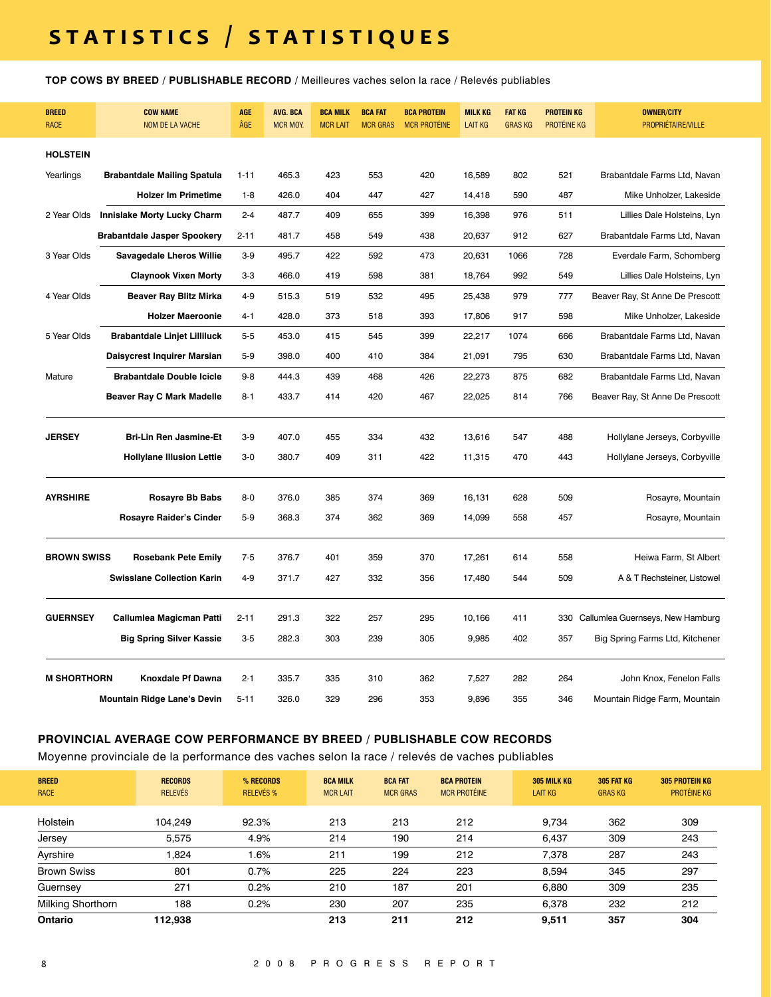# **s t a t i s t i c s / s t a t i s t i q u e s**

**TOP COWS BY BREED / PUBLISHABLE RECORD /** Meilleures vaches selon la race / Relevés publiables

| <b>BREED</b><br>RACE | <b>COW NAME</b><br><b>NOM DE LA VACHE</b> | <b>AGE</b><br>ÂGE | <b>AVG. BCA</b><br><b>MCR MOY.</b> | <b>BCA MILK</b><br><b>MCR LAIT</b> | <b>BCA FAT</b><br><b>MCR GRAS</b> | <b>BCA PROTEIN</b><br><b>MCR PROTÉINE</b> | <b>MILK KG</b><br><b>LAIT KG</b> | <b>FAT KG</b><br><b>GRASKG</b> | <b>PROTEIN KG</b><br>PROTÉINE KG | <b>OWNER/CITY</b><br>PROPRIÉTAIRE/VILLE |
|----------------------|-------------------------------------------|-------------------|------------------------------------|------------------------------------|-----------------------------------|-------------------------------------------|----------------------------------|--------------------------------|----------------------------------|-----------------------------------------|
| <b>HOLSTEIN</b>      |                                           |                   |                                    |                                    |                                   |                                           |                                  |                                |                                  |                                         |
| Yearlings            | <b>Brabantdale Mailing Spatula</b>        | $1 - 11$          | 465.3                              | 423                                | 553                               | 420                                       | 16,589                           | 802                            | 521                              | Brabantdale Farms Ltd, Navan            |
|                      | <b>Holzer Im Primetime</b>                | $1-8$             | 426.0                              | 404                                | 447                               | 427                                       | 14,418                           | 590                            | 487                              | Mike Unholzer, Lakeside                 |
| 2 Year Olds          | <b>Innislake Morty Lucky Charm</b>        | $2 - 4$           | 487.7                              | 409                                | 655                               | 399                                       | 16,398                           | 976                            | 511                              | Lillies Dale Holsteins, Lyn             |
|                      | <b>Brabantdale Jasper Spookery</b>        | $2 - 11$          | 481.7                              | 458                                | 549                               | 438                                       | 20,637                           | 912                            | 627                              | Brabantdale Farms Ltd, Navan            |
| 3 Year Olds          | <b>Savagedale Lheros Willie</b>           | $3-9$             | 495.7                              | 422                                | 592                               | 473                                       | 20,631                           | 1066                           | 728                              | Everdale Farm, Schomberg                |
|                      | <b>Claynook Vixen Morty</b>               | $3-3$             | 466.0                              | 419                                | 598                               | 381                                       | 18,764                           | 992                            | 549                              | Lillies Dale Holsteins, Lyn             |
| 4 Year Olds          | <b>Beaver Ray Blitz Mirka</b>             | $4 - 9$           | 515.3                              | 519                                | 532                               | 495                                       | 25,438                           | 979                            | 777                              | Beaver Ray, St Anne De Prescott         |
|                      | <b>Holzer Maeroonie</b>                   | $4 - 1$           | 428.0                              | 373                                | 518                               | 393                                       | 17,806                           | 917                            | 598                              | Mike Unholzer, Lakeside                 |
| 5 Year Olds          | <b>Brabantdale Linjet Lilliluck</b>       | $5-5$             | 453.0                              | 415                                | 545                               | 399                                       | 22,217                           | 1074                           | 666                              | Brabantdale Farms Ltd, Navan            |
|                      | Daisycrest Inquirer Marsian               | $5-9$             | 398.0                              | 400                                | 410                               | 384                                       | 21,091                           | 795                            | 630                              | Brabantdale Farms Ltd, Navan            |
| Mature               | <b>Brabantdale Double Icicle</b>          | $9 - 8$           | 444.3                              | 439                                | 468                               | 426                                       | 22,273                           | 875                            | 682                              | Brabantdale Farms Ltd, Navan            |
|                      | <b>Beaver Ray C Mark Madelle</b>          | $8 - 1$           | 433.7                              | 414                                | 420                               | 467                                       | 22,025                           | 814                            | 766                              | Beaver Ray, St Anne De Prescott         |
| <b>JERSEY</b>        | <b>Bri-Lin Ren Jasmine-Et</b>             | $3-9$             | 407.0                              | 455                                | 334                               | 432                                       | 13,616                           | 547                            | 488                              | Hollylane Jerseys, Corbyville           |
|                      | <b>Hollylane Illusion Lettie</b>          | $3-0$             | 380.7                              | 409                                | 311                               | 422                                       | 11,315                           | 470                            | 443                              | Hollylane Jerseys, Corbyville           |
| <b>AYRSHIRE</b>      | <b>Rosayre Bb Babs</b>                    | $8 - 0$           | 376.0                              | 385                                | 374                               | 369                                       | 16,131                           | 628                            | 509                              | Rosayre, Mountain                       |
|                      | <b>Rosayre Raider's Cinder</b>            | $5-9$             | 368.3                              | 374                                | 362                               | 369                                       | 14,099                           | 558                            | 457                              | Rosayre, Mountain                       |
| <b>BROWN SWISS</b>   | <b>Rosebank Pete Emily</b>                | $7 - 5$           | 376.7                              | 401                                | 359                               | 370                                       | 17,261                           | 614                            | 558                              | Heiwa Farm, St Albert                   |
|                      | <b>Swisslane Collection Karin</b>         | $4 - 9$           | 371.7                              | 427                                | 332                               | 356                                       | 17,480                           | 544                            | 509                              | A & T Rechsteiner, Listowel             |
| <b>GUERNSEY</b>      | <b>Callumlea Magicman Patti</b>           | $2 - 11$          | 291.3                              | 322                                | 257                               | 295                                       | 10,166                           | 411                            | 330                              | Callumlea Guernseys, New Hamburg        |
|                      | <b>Big Spring Silver Kassie</b>           | $3-5$             | 282.3                              | 303                                | 239                               | 305                                       | 9,985                            | 402                            | 357                              | Big Spring Farms Ltd, Kitchener         |
| <b>M SHORTHORN</b>   | <b>Knoxdale Pf Dawna</b>                  | $2 - 1$           | 335.7                              | 335                                | 310                               | 362                                       | 7,527                            | 282                            | 264                              | John Knox, Fenelon Falls                |
|                      | <b>Mountain Ridge Lane's Devin</b>        | $5 - 11$          | 326.0                              | 329                                | 296                               | 353                                       | 9,896                            | 355                            | 346                              | Mountain Ridge Farm, Mountain           |

#### **PROVINCIAL AVERAGE COW PERFORMANCE BY BREED / PUBLISHABLE COW RECORDS**

Moyenne provinciale de la performance des vaches selon la race / relevés de vaches publiables

| <b>BREED</b><br><b>RACE</b> | <b>RECORDS</b><br><b>RELEVÉS</b> | % RECORDS<br><b>RELEVÉS %</b> | <b>BCA MILK</b><br><b>MCR LAIT</b> | <b>BCA FAT</b><br><b>MCR GRAS</b> | <b>BCA PROTEIN</b><br><b>MCR PROTÉINE</b> | 305 MILK KG<br><b>LAIT KG</b> | <b>305 FAT KG</b><br><b>GRAS KG</b> | <b>305 PROTEIN KG</b><br>PROTÉINE KG |
|-----------------------------|----------------------------------|-------------------------------|------------------------------------|-----------------------------------|-------------------------------------------|-------------------------------|-------------------------------------|--------------------------------------|
| Holstein                    | 104,249                          | 92.3%                         | 213                                | 213                               | 212                                       | 9,734                         | 362                                 | 309                                  |
| Jersey                      | 5.575                            | 4.9%                          | 214                                | 190                               | 214                                       | 6,437                         | 309                                 | 243                                  |
| Ayrshire                    | .824                             | 1.6%                          | 211                                | 199                               | 212                                       | 7.378                         | 287                                 | 243                                  |
| <b>Brown Swiss</b>          | 801                              | 0.7%                          | 225                                | 224                               | 223                                       | 8.594                         | 345                                 | 297                                  |
| Guernsey                    | 271                              | 0.2%                          | 210                                | 187                               | 201                                       | 6,880                         | 309                                 | 235                                  |
| Milking Shorthorn           | 188                              | 0.2%                          | 230                                | 207                               | 235                                       | 6,378                         | 232                                 | 212                                  |
| Ontario                     | 112.938                          |                               | 213                                | 211                               | 212                                       | 9.511                         | 357                                 | 304                                  |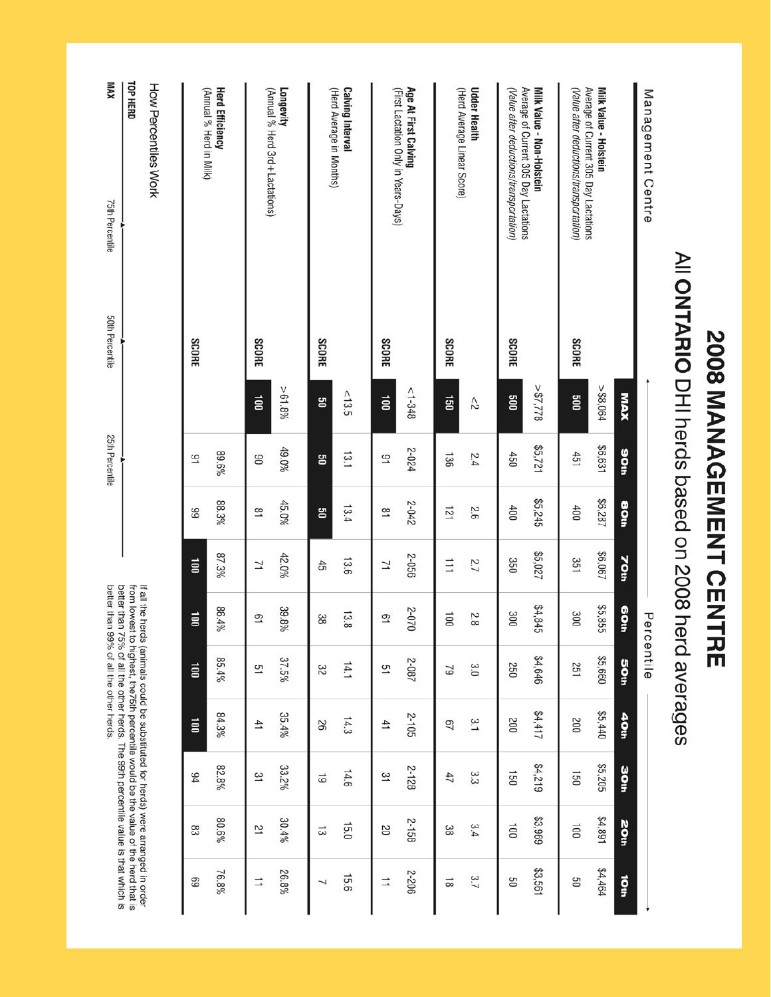| (Value after deductions/transportation)<br>Average of Current 305 Day Lactations<br>Milk Value - Holstein<br>Management Centre | NI ON 2008 pedased on 2008 he<br><b>SCORE</b> | $>$ \$8,064<br><b>NAX</b><br><b>SOO</b>     | \$6,631<br>aoth<br>451 | \$6,287<br>aoa<br>400 | \$6,067<br><b>70th</b><br>351 | \$5,855<br><b>SO</b> th<br>300 | Percentile<br>rd averages<br>\$5,660<br><b>SOth</b><br>251                                                                                                             | \$5,440<br>40th<br>200 | \$5,205<br>aoth<br>150 | \$4,891<br><b>20th</b><br>$\overline{0}0$ | \$4,464<br>Ö<br>90                                                                |
|--------------------------------------------------------------------------------------------------------------------------------|-----------------------------------------------|---------------------------------------------|------------------------|-----------------------|-------------------------------|--------------------------------|------------------------------------------------------------------------------------------------------------------------------------------------------------------------|------------------------|------------------------|-------------------------------------------|-----------------------------------------------------------------------------------|
| (Value after deductions/transportation)<br>Average of Current 305 Day Lactations<br>Milk Value - Non-Holstein                  | <b>SCORE</b>                                  | 822'28<<br><b>900</b>                       | \$5,721<br>450         | \$5,245<br>400        | \$5,027<br>350                | \$4,845<br>300                 | \$4,646<br>250                                                                                                                                                         | \$4,417<br>200         | \$4,219<br>150         | \$3,969<br>$\overline{001}$               | \$3,561<br>90                                                                     |
| <b>Udder Health</b><br>(Herd Average Linear Score)                                                                             | <b>SCORE</b>                                  | g1<br>$\stackrel{\wedge}{\scriptstyle\sim}$ | 136<br>2.4             | 121<br>9.2            | $\exists$<br>2.7              | $\overline{5}$<br>2.8          | 3.0<br>29                                                                                                                                                              | Ξ,<br>57               | دى<br>ما<br>47         | 3.4<br>အ                                  | 3.7<br>$\stackrel{\rightharpoonup }{\infty }$                                     |
| Age At First Calving<br>(First Lactation Only in Years-Days)                                                                   | <b>SCORE</b>                                  | $<1-348$<br>$\overrightarrow{a}$            | 2-024<br>51            | 2-042<br>$\vec{e}$    | 2-056<br>7                    | 2-070<br>51                    | 2-087<br>51                                                                                                                                                            | 2-105<br>$\ddot{ }$    | 2-128<br>31            | 2-158<br>20                               | 2-206<br>$\overrightarrow{=}$                                                     |
| <b>Calving Interval</b><br>(Herd Average in Months)                                                                            | <b>SCORE</b>                                  | < 13.5<br>ຮ                                 | 13.1<br>ឌ              | 13.4<br>ឌ             | 13.6<br>45                    | 13.8<br>အ                      | 14.1<br>32                                                                                                                                                             | 14.3<br>26             | 14.6<br>6              | 15.0<br>ದ                                 | 15.6<br>┙                                                                         |
| Longevity<br>(Annual % Herd 3rd + Lactations)                                                                                  | <b>SCORE</b>                                  | $> 61.8\%$<br>$\vec{e}$                     | 49.0%<br>90            | 45.0%<br>$\approx$    | 42.0%<br>Σ                    | 39.8%<br>51                    | 37.5%<br>51                                                                                                                                                            | 35.4%<br>41            | 33.2%<br>31            | 30.4%<br>21                               | 26.8%<br>≐                                                                        |
| <b>Herd Efficiency</b><br>(Annual % Herd in Milk)                                                                              | <b>SCORE</b>                                  |                                             | 89.6%<br>٩             | 88.3%<br>89           | 87.3%<br>$\overline{a}$       | 86.4%<br>ä                     | 85.4%<br>$\overrightarrow{a}$                                                                                                                                          | 84.3%<br>ä             | 82.8%<br>94            | 80.6%<br>83                               | 76.8%<br>69                                                                       |
| TOP HERD<br>How Percentiles Work                                                                                               |                                               |                                             |                        |                       |                               |                                | better than 75% of all the other herds. The 99th percentile value is that which is<br>If all the herds (animals could be substituted for herds) were arranged in order |                        |                        |                                           | from lowest to highest, the75th percentile would be the value of the herd that is |
| XWM<br>75th Percentile                                                                                                         | 50th Percentile                               |                                             | 25th Percentile        |                       |                               |                                | better than 99% of all the other herds.                                                                                                                                |                        |                        |                                           |                                                                                   |

**2008 MANAGEMENT CENTRE**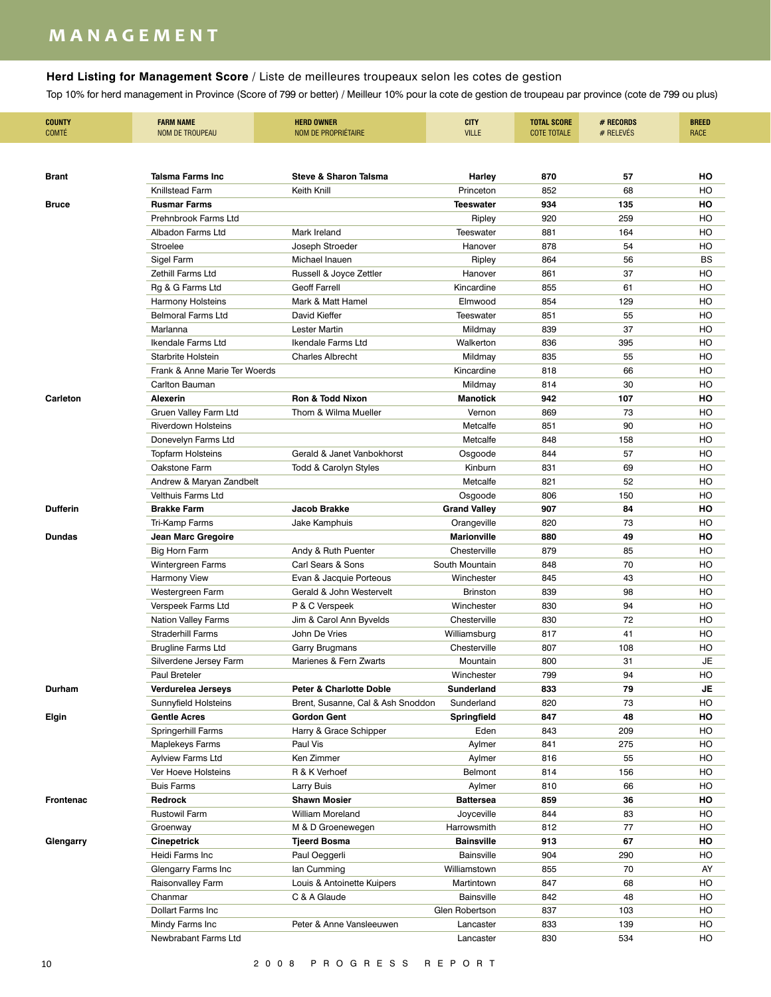## **m a n a g e m e n t**

### **Herd Listing for Management Score** / Liste de meilleures troupeaux selon les cotes de gestion

| <b>COUNTY</b><br><b>COMTÉ</b> | <b>FARM NAME</b><br><b>NOM DE TROUPEAU</b> | <b>HERD OWNER</b><br>NOM DE PROPRIÉTAIRE | <b>CITY</b><br><b>VILLE</b> | <b>TOTAL SCORE</b><br><b>COTE TOTALE</b> | # RECORDS<br># RELEVES | <b>BREED</b><br><b>RACE</b> |
|-------------------------------|--------------------------------------------|------------------------------------------|-----------------------------|------------------------------------------|------------------------|-----------------------------|
|                               |                                            |                                          |                             |                                          |                        |                             |
| <b>Brant</b>                  | Talsma Farms Inc                           | <b>Steve &amp; Sharon Talsma</b>         | Harley                      | 870                                      | 57                     | HO                          |
|                               | Knillstead Farm                            | Keith Knill                              | Princeton                   | 852                                      | 68                     | HO                          |
| <b>Bruce</b>                  | <b>Rusmar Farms</b>                        |                                          | <b>Teeswater</b>            | 934                                      | 135                    | HO                          |
|                               | Prehnbrook Farms Ltd                       |                                          | Ripley                      | 920                                      | 259                    | HO                          |
|                               | Albadon Farms Ltd                          | Mark Ireland                             | <b>Teeswater</b>            | 881                                      | 164                    | HO                          |
|                               | Stroelee                                   | Joseph Stroeder                          | Hanover                     | 878                                      | 54                     | HO                          |
|                               | Sigel Farm                                 | Michael Inauen                           | Ripley                      | 864                                      | 56                     | <b>BS</b>                   |
|                               | Zethill Farms Ltd                          | Russell & Joyce Zettler                  | Hanover                     | 861                                      | 37                     | HO                          |
|                               | Rg & G Farms Ltd                           | <b>Geoff Farrell</b>                     | Kincardine                  | 855                                      | 61                     | HO                          |
|                               | <b>Harmony Holsteins</b>                   | Mark & Matt Hamel                        | Elmwood                     | 854                                      | 129                    | HO                          |
|                               | <b>Belmoral Farms Ltd</b>                  | David Kieffer                            | <b>Teeswater</b>            | 851                                      | 55                     | HO                          |
|                               | Marlanna                                   | Lester Martin                            | Mildmay                     | 839                                      | 37                     | HO                          |
|                               | <b>Ikendale Farms Ltd</b>                  | <b>Ikendale Farms Ltd</b>                | Walkerton                   | 836                                      | 395                    | HO                          |
|                               | <b>Starbrite Holstein</b>                  | <b>Charles Albrecht</b>                  | Mildmay                     | 835                                      | 55                     | HO                          |
|                               | Frank & Anne Marie Ter Woerds              |                                          | Kincardine                  | 818                                      | 66                     | HO                          |
|                               | Carlton Bauman                             |                                          | Mildmay                     | 814                                      | 30                     | HO                          |
| Carleton                      | <b>Alexerin</b>                            | <b>Ron &amp; Todd Nixon</b>              | <b>Manotick</b>             | 942                                      | 107                    | HO                          |
|                               | Gruen Valley Farm Ltd                      | Thom & Wilma Mueller                     | Vernon                      | 869                                      | 73                     | HO                          |
|                               | <b>Riverdown Holsteins</b>                 |                                          | Metcalfe                    | 851                                      | 90                     | HO                          |
|                               | Donevelyn Farms Ltd                        |                                          | Metcalfe                    | 848                                      | 158                    | HO                          |
|                               | Topfarm Holsteins                          | Gerald & Janet Vanbokhorst               | Osgoode                     | 844                                      | 57                     | HO                          |
|                               | Oakstone Farm                              | Todd & Carolyn Styles                    | Kinburn                     | 831                                      | 69                     | HO                          |
|                               | Andrew & Maryan Zandbelt                   |                                          | Metcalfe                    | 821                                      | 52                     | HO                          |
|                               | Velthuis Farms Ltd                         |                                          | Osgoode                     | 806                                      | 150                    | HO                          |
| <b>Dufferin</b>               | <b>Brakke Farm</b>                         | Jacob Brakke                             | <b>Grand Valley</b>         | 907                                      | 84                     | HO                          |
|                               | Tri-Kamp Farms                             | Jake Kamphuis                            | Orangeville                 | 820                                      | 73                     | HO                          |
| <b>Dundas</b>                 | Jean Marc Gregoire                         |                                          | <b>Marionville</b>          | 880                                      | 49                     | ΗО                          |
|                               | <b>Big Horn Farm</b>                       | Andy & Ruth Puenter                      | Chesterville                | 879                                      | 85                     | HO                          |
|                               | Wintergreen Farms                          | Carl Sears & Sons                        | South Mountain              | 848                                      | 70                     | HO                          |
|                               | <b>Harmony View</b>                        | Evan & Jacquie Porteous                  | Winchester                  | 845                                      | 43                     | HO                          |
|                               | Westergreen Farm                           | Gerald & John Westervelt                 | <b>Brinston</b>             | 839                                      | 98                     | HO                          |
|                               | Verspeek Farms Ltd                         | P & C Verspeek                           | Winchester                  | 830                                      | 94                     | HO                          |
|                               | Nation Valley Farms                        | Jim & Carol Ann Byvelds                  | Chesterville                | 830                                      | 72                     | HO                          |
|                               | <b>Straderhill Farms</b>                   | John De Vries                            | Williamsburg                | 817                                      | 41                     | HO                          |
|                               | <b>Brugline Farms Ltd</b>                  | <b>Garry Brugmans</b>                    | Chesterville                | 807                                      | 108                    | HO                          |
|                               | Silverdene Jersey Farm                     | Marienes & Fern Zwarts                   | Mountain                    | 800                                      | 31                     | JE                          |
|                               | Paul Breteler                              |                                          | Winchester                  | 799                                      | 94                     | HO                          |
| Durham                        | Verdurelea Jerseys                         | Peter & Charlotte Doble                  | Sunderland                  | 833                                      | 79                     | JE                          |
|                               | Sunnyfield Holsteins                       | Brent, Susanne, Cal & Ash Snoddon        | Sunderland                  | 820                                      | 73                     | HO                          |
| Elgin                         | <b>Gentle Acres</b>                        | <b>Gordon Gent</b>                       | Springfield                 | 847                                      | 48                     | HO                          |
|                               | Springerhill Farms                         | Harry & Grace Schipper                   | Eden                        | 843                                      | 209                    | HO                          |
|                               | Maplekeys Farms                            | Paul Vis                                 | Aylmer                      | 841                                      | 275                    | HO                          |
|                               | <b>Aylview Farms Ltd</b>                   | Ken Zimmer                               | Aylmer                      | 816                                      | 55                     | HO                          |
|                               | Ver Hoeve Holsteins                        | R & K Verhoef                            | Belmont                     | 814                                      | 156                    | HO                          |
|                               | <b>Buis Farms</b>                          | Larry Buis                               | Aylmer                      | 810                                      | 66                     | HO                          |
| Frontenac                     | Redrock                                    | <b>Shawn Mosier</b>                      | Battersea                   | 859                                      | 36                     | HO                          |
|                               | <b>Rustowil Farm</b>                       | <b>William Moreland</b>                  | Joyceville                  | 844                                      | 83                     | HO                          |
|                               | Groenway                                   | M & D Groenewegen                        | Harrowsmith                 | 812                                      | 77                     | HO                          |
| Glengarry                     | <b>Cinepetrick</b>                         | Tjeerd Bosma                             | <b>Bainsville</b>           | 913                                      | 67                     | HO                          |
|                               | Heidi Farms Inc                            | Paul Oeggerli                            | <b>Bainsville</b>           | 904                                      | 290                    | HO                          |
|                               | Glengarry Farms Inc                        | lan Cumming                              | Williamstown                | 855                                      | 70                     | AY                          |
|                               | Raisonvalley Farm                          | Louis & Antoinette Kuipers               | Martintown                  | 847                                      | 68                     | HO                          |
|                               | Chanmar                                    | C & A Glaude                             | <b>Bainsville</b>           | 842                                      | 48                     | HO                          |
|                               | Dollart Farms Inc                          |                                          | Glen Robertson              | 837                                      | 103                    | HO                          |
|                               | Mindy Farms Inc                            | Peter & Anne Vansleeuwen                 | Lancaster                   | 833                                      | 139                    | HO                          |
|                               | Newbrabant Farms Ltd                       |                                          | Lancaster                   | 830                                      | 534                    | HO                          |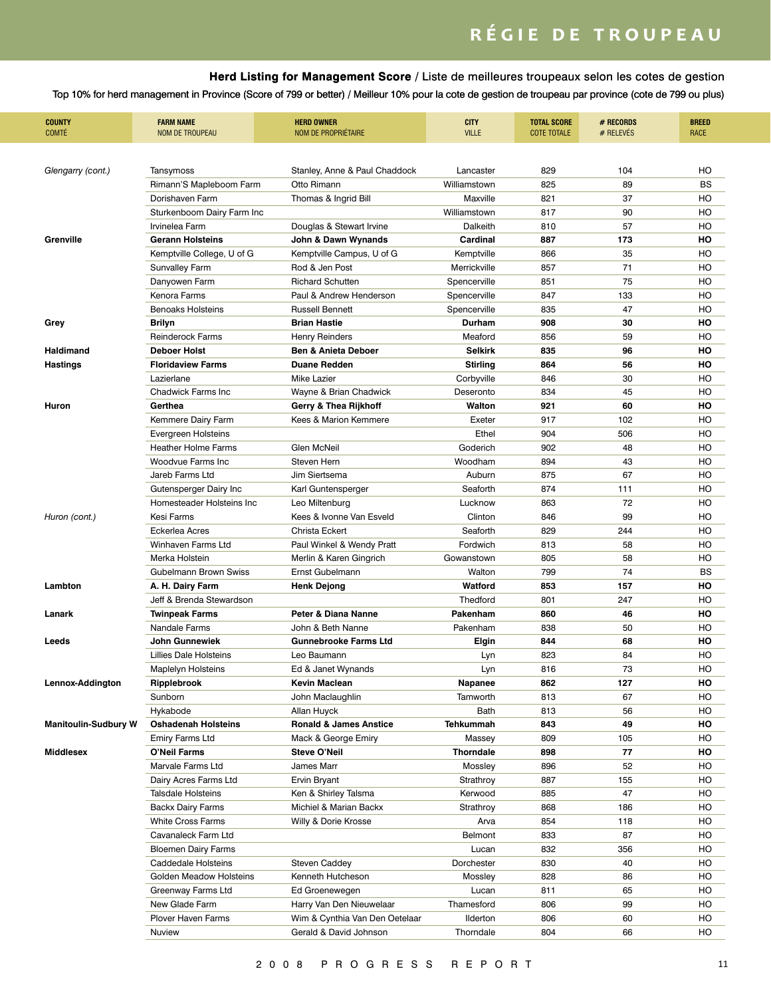# *RÉGIE DE TROUPEAU*

### **Herd Listing for Management Score** / Liste de meilleures troupeaux selon les cotes de gestion

| <b>COUNTY</b><br><b>COMTÉ</b> | <b>FARM NAME</b><br><b>NOM DE TROUPEAU</b> | <b>HERD OWNER</b><br>NOM DE PROPRIÉTAIRE | <b>CITY</b><br><b>VILLE</b> | <b>TOTAL SCORE</b><br><b>COTE TOTALE</b> | # RECORDS<br># RELEVES | <b>BREED</b><br>RACE |
|-------------------------------|--------------------------------------------|------------------------------------------|-----------------------------|------------------------------------------|------------------------|----------------------|
|                               |                                            |                                          |                             |                                          |                        |                      |
| Glengarry (cont.)             | Tansymoss                                  | Stanley, Anne & Paul Chaddock            | Lancaster                   | 829                                      | 104                    | HO                   |
|                               | Rimann'S Mapleboom Farm                    | Otto Rimann                              | Williamstown                | 825                                      | 89                     | <b>BS</b>            |
|                               | Dorishaven Farm                            | Thomas & Ingrid Bill                     | Maxville                    | 821                                      | 37                     | HO                   |
|                               | Sturkenboom Dairy Farm Inc                 |                                          | Williamstown                | 817                                      | 90                     | HO                   |
|                               | Irvinelea Farm                             | Douglas & Stewart Irvine                 | Dalkeith                    | 810                                      | 57                     | HO                   |
| Grenville                     | Gerann Holsteins                           | John & Dawn Wynands                      | Cardinal                    | 887                                      | 173                    | ΗО                   |
|                               | Kemptville College, U of G                 | Kemptville Campus, U of G                | Kemptville                  | 866                                      | 35                     | HO                   |
|                               | Sunvalley Farm                             | Rod & Jen Post                           | Merrickville                | 857                                      | 71                     | HO                   |
|                               | Danyowen Farm                              | <b>Richard Schutten</b>                  | Spencerville                | 851                                      | 75                     | HO                   |
|                               | Kenora Farms                               | Paul & Andrew Henderson                  | Spencerville                | 847                                      | 133                    | HO                   |
|                               | <b>Benoaks Holsteins</b>                   | <b>Russell Bennett</b>                   | Spencerville                | 835                                      | 47                     | HO                   |
| Grey                          | Brilyn                                     | <b>Brian Hastie</b>                      | Durham                      | 908                                      | 30                     | ΗО                   |
|                               | <b>Reinderock Farms</b>                    | Henry Reinders                           | Meaford                     | 856                                      | 59                     | HO                   |
| Haldimand                     | <b>Deboer Holst</b>                        | <b>Ben &amp; Anieta Deboer</b>           | <b>Selkirk</b>              | 835                                      | 96                     | но                   |
| <b>Hastings</b>               | <b>Floridaview Farms</b>                   | <b>Duane Redden</b>                      | <b>Stirling</b>             | 864                                      | 56                     | но                   |
|                               | Lazierlane                                 | Mike Lazier                              | Corbyville                  | 846                                      | 30                     | HO                   |
|                               | Chadwick Farms Inc                         | Wayne & Brian Chadwick                   | Deseronto                   | 834                                      | 45                     | HO                   |
| Huron                         | Gerthea                                    | Gerry & Thea Rijkhoff                    | Walton                      | 921                                      | 60                     | ΗО                   |
|                               | Kemmere Dairy Farm                         | Kees & Marion Kemmere                    | Exeter                      | 917                                      | 102                    | HO                   |
|                               | Evergreen Holsteins                        |                                          | Ethel                       | 904                                      | 506                    | HO                   |
|                               | <b>Heather Holme Farms</b>                 | Glen McNeil                              | Goderich                    | 902                                      | 48                     | HO                   |
|                               | Woodvue Farms Inc                          | Steven Hern                              | Woodham                     | 894                                      | 43                     | HO                   |
|                               | Jareb Farms Ltd                            | Jim Siertsema                            | Auburn                      | 875                                      | 67                     | HO                   |
|                               | Gutensperger Dairy Inc                     | Karl Guntensperger                       | Seaforth                    | 874                                      | 111                    | HO                   |
|                               | Homesteader Holsteins Inc                  | Leo Miltenburg                           | Lucknow                     | 863                                      | 72                     | HO                   |
| Huron (cont.)                 | Kesi Farms                                 | Kees & Ivonne Van Esveld                 | Clinton                     | 846                                      | 99                     | HO                   |
|                               | Eckerlea Acres                             | Christa Eckert                           | Seaforth                    | 829                                      | 244                    | HO                   |
|                               | Winhaven Farms Ltd                         | Paul Winkel & Wendy Pratt                | Fordwich                    | 813                                      | 58                     | HO                   |
|                               | Merka Holstein                             | Merlin & Karen Gingrich                  | Gowanstown                  | 805                                      | 58                     | HO                   |
|                               | Gubelmann Brown Swiss                      | Ernst Gubelmann                          | Walton                      | 799                                      | 74                     | <b>BS</b>            |
| Lambton                       | A. H. Dairy Farm                           | <b>Henk Dejong</b>                       | Watford                     | 853                                      | 157                    | HO                   |
|                               | Jeff & Brenda Stewardson                   |                                          | <b>Thedford</b>             | 801                                      | 247                    | HO                   |
| Lanark                        | Twinpeak Farms                             | Peter & Diana Nanne                      | Pakenham                    | 860                                      | 46                     | но                   |
|                               | Nandale Farms                              | John & Beth Nanne                        | Pakenham                    | 838                                      | 50                     | HO                   |
| Leeds                         | John Gunnewiek                             | <b>Gunnebrooke Farms Ltd</b>             | Elgin                       | 844                                      | 68                     | ΗО                   |
|                               | <b>Lillies Dale Holsteins</b>              | Leo Baumann                              | Lyn                         | 823                                      | 84                     | HO                   |
|                               | <b>Maplelyn Holsteins</b>                  | Ed & Janet Wynands                       | Lyn                         | 816                                      | 73                     | HO                   |
| Lennox-Addington              | Ripplebrook                                | Kevin Maclean                            | Napanee                     | 862                                      | 127                    | HO                   |
|                               | Sunborn                                    | John Maclaughlin                         | Tamworth                    | 813                                      | 67                     | HO                   |
|                               | Hykabode                                   | Allan Huyck                              | Bath                        | 813                                      | 56                     | HO                   |
| <b>Manitoulin-Sudbury W</b>   | <b>Oshadenah Holsteins</b>                 | <b>Ronald &amp; James Anstice</b>        | Tehkummah                   | 843                                      | 49                     | HO                   |
|                               | <b>Emiry Farms Ltd</b>                     | Mack & George Emiry                      | Massey                      | 809                                      | 105                    | HO                   |
| Middlesex                     | O'Neil Farms                               | Steve O'Neil                             | Thorndale                   | 898                                      | 77                     | HO                   |
|                               | Marvale Farms Ltd                          | James Marr                               | Mossley                     | 896                                      | 52                     | HO                   |
|                               | Dairy Acres Farms Ltd                      | Ervin Bryant                             | Strathroy                   | 887                                      | 155                    | HO                   |
|                               | <b>Talsdale Holsteins</b>                  | Ken & Shirley Talsma                     | Kerwood                     | 885                                      | 47                     | HO                   |
|                               | <b>Backx Dairy Farms</b>                   | Michiel & Marian Backx                   | Strathroy                   | 868                                      | 186                    | HO                   |
|                               | White Cross Farms                          | Willy & Dorie Krosse                     | Arva                        | 854                                      | 118                    | HO                   |
|                               | Cavanaleck Farm Ltd                        |                                          | Belmont                     | 833                                      | 87                     | HO                   |
|                               | <b>Bloemen Dairy Farms</b>                 |                                          | Lucan                       | 832                                      | 356                    | HO                   |
|                               | Caddedale Holsteins                        | Steven Caddey                            | Dorchester                  | 830                                      | 40                     | HO                   |
|                               | Golden Meadow Holsteins                    |                                          |                             | 828                                      |                        | HO                   |
|                               |                                            | Kenneth Hutcheson                        | Mossley                     |                                          | 86                     | HO                   |
|                               | Greenway Farms Ltd                         | Ed Groenewegen                           | Lucan                       | 811                                      | 65                     |                      |
|                               | New Glade Farm                             | Harry Van Den Nieuwelaar                 | Thamesford                  | 806                                      | 99                     | HO                   |
|                               | Plover Haven Farms                         | Wim & Cynthia Van Den Oetelaar           | Ilderton                    | 806                                      | 60                     | HO                   |
|                               | Nuview                                     | Gerald & David Johnson                   | Thorndale                   | 804                                      | 66                     | HO                   |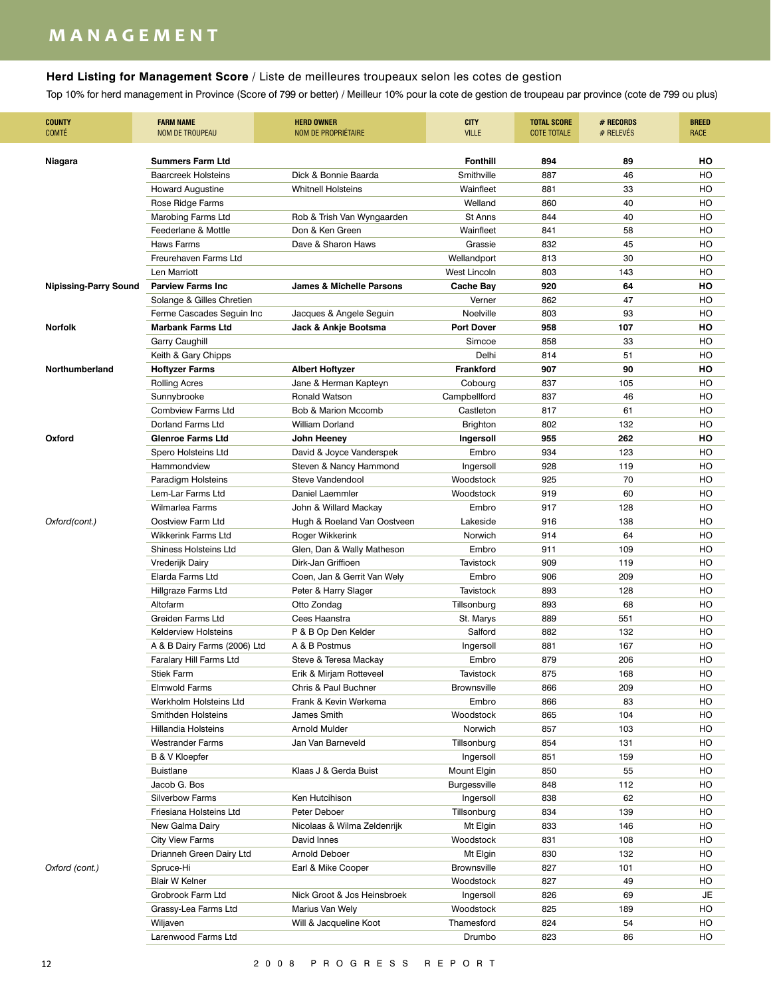## **m a n a g e m e n t**

### **Herd Listing for Management Score** / Liste de meilleures troupeaux selon les cotes de gestion

| <b>COUNTY</b><br><b>COMTÉ</b> | <b>FARM NAME</b><br><b>NOM DE TROUPEAU</b>   | <b>HERD OWNER</b><br>NOM DE PROPRIÉTAIRE        | <b>CITY</b><br><b>VILLE</b> | <b>TOTAL SCORE</b><br><b>COTE TOTALE</b> | # RECORDS<br># RELEVES | <b>BREED</b><br><b>RACE</b> |
|-------------------------------|----------------------------------------------|-------------------------------------------------|-----------------------------|------------------------------------------|------------------------|-----------------------------|
| Niagara                       | <b>Summers Farm Ltd</b>                      |                                                 | <b>Fonthill</b>             | 894                                      | 89                     | HO                          |
|                               | <b>Baarcreek Holsteins</b>                   | Dick & Bonnie Baarda                            | Smithville                  | 887                                      | 46                     | HO                          |
|                               | <b>Howard Augustine</b>                      | <b>Whitnell Holsteins</b>                       | Wainfleet                   | 881                                      | 33                     | HO                          |
|                               | Rose Ridge Farms                             |                                                 | Welland                     | 860                                      | 40                     | HO                          |
|                               | Marobing Farms Ltd                           | Rob & Trish Van Wyngaarden                      | St Anns                     | 844                                      | 40                     | HO                          |
|                               | Feederlane & Mottle                          | Don & Ken Green                                 | Wainfleet                   | 841                                      | 58                     | HO                          |
|                               | <b>Haws Farms</b>                            | Dave & Sharon Haws                              | Grassie                     | 832                                      | 45                     | HO                          |
|                               | Freurehaven Farms Ltd                        |                                                 | Wellandport                 | 813                                      | 30                     | HO                          |
|                               | Len Marriott                                 |                                                 | West Lincoln                | 803                                      | 143                    | HO                          |
| Nipissing-Parry Sound         | <b>Parview Farms Inc.</b>                    | <b>James &amp; Michelle Parsons</b>             | <b>Cache Bay</b>            | 920                                      | 64                     | но                          |
|                               | Solange & Gilles Chretien                    |                                                 | Verner                      | 862                                      | 47                     | HO                          |
|                               | Ferme Cascades Seguin Inc                    | Jacques & Angele Seguin                         | Noelville                   | 803                                      | 93                     | HO                          |
| <b>Norfolk</b>                | <b>Marbank Farms Ltd</b>                     | Jack & Ankje Bootsma                            | <b>Port Dover</b>           | 958                                      | 107                    | но                          |
|                               | Garry Caughill                               |                                                 | Simcoe                      | 858                                      | 33                     | HO                          |
|                               | Keith & Gary Chipps                          |                                                 | Delhi                       | 814                                      | 51                     | HO                          |
| Northumberland                | <b>Hoftyzer Farms</b>                        | <b>Albert Hoftyzer</b>                          | <b>Frankford</b>            | 907                                      | 90                     | но                          |
|                               | <b>Rolling Acres</b>                         | Jane & Herman Kapteyn                           | Cobourg                     | 837                                      | 105                    | HO                          |
|                               | Sunnybrooke                                  | <b>Ronald Watson</b>                            | Campbellford                | 837                                      | 46                     | HO                          |
|                               | <b>Combview Farms Ltd</b>                    | Bob & Marion Mccomb                             | Castleton                   | 817                                      | 61                     | HO                          |
|                               | Dorland Farms Ltd                            | <b>William Dorland</b>                          | <b>Brighton</b>             | 802                                      | 132                    | HO                          |
| Oxford                        | <b>Glenroe Farms Ltd</b>                     | John Heeney                                     | Ingersoll                   | 955                                      | 262                    | но                          |
|                               | Spero Holsteins Ltd                          | David & Joyce Vanderspek                        | Embro                       | 934                                      | 123                    | HO                          |
|                               | Hammondview                                  | Steven & Nancy Hammond                          | Ingersoll                   | 928                                      | 119                    | HO                          |
|                               | Paradigm Holsteins                           | Steve Vandendool                                | Woodstock                   | 925                                      | 70                     | HO                          |
|                               | Lem-Lar Farms Ltd                            | Daniel Laemmler                                 | Woodstock                   | 919                                      | 60                     | HO                          |
|                               | <b>Wilmarlea Farms</b>                       | John & Willard Mackay                           | Embro                       | 917                                      | 128                    | HO                          |
| Oxford(cont.)                 | Oostview Farm Ltd                            | Hugh & Roeland Van Oostveen                     | Lakeside                    | 916                                      | 138                    | HO                          |
|                               | <b>Wikkerink Farms Ltd</b>                   | Roger Wikkerink                                 | Norwich                     | 914                                      | 64                     | HO                          |
|                               | <b>Shiness Holsteins Ltd</b>                 | Glen, Dan & Wally Matheson                      | Embro                       | 911                                      | 109                    | HO                          |
|                               | Vrederijk Dairy                              | Dirk-Jan Griffioen                              | <b>Tavistock</b>            | 909                                      | 119                    | HO                          |
|                               | Elarda Farms Ltd                             | Coen, Jan & Gerrit Van Wely                     | Embro                       | 906                                      | 209                    | HO                          |
|                               | Hillgraze Farms Ltd                          | Peter & Harry Slager                            | <b>Tavistock</b>            | 893                                      | 128                    | HO                          |
|                               | Altofarm                                     | Otto Zondag                                     | Tillsonburg                 | 893                                      | 68                     | HO                          |
|                               | Greiden Farms Ltd                            | Cees Haanstra                                   | St. Marys                   | 889                                      | 551                    | HO                          |
|                               | <b>Kelderview Holsteins</b>                  | P & B Op Den Kelder                             | Salford                     | 882                                      | 132                    | HO                          |
|                               | A & B Dairy Farms (2006) Ltd                 | A & B Postmus                                   | Ingersoll                   | 881                                      | 167                    | HO                          |
|                               | Faralary Hill Farms Ltd                      | Steve & Teresa Mackay                           | Embro                       | 879                                      | 206                    | HO                          |
|                               |                                              |                                                 | <b>Tavistock</b>            | 875                                      | 168                    | HO                          |
|                               | <b>Stiek Farm</b><br><b>Elmwold Farms</b>    | Erik & Mirjam Rotteveel<br>Chris & Paul Buchner | <b>Brownsville</b>          | 866                                      |                        | HO                          |
|                               |                                              |                                                 |                             |                                          | 209                    |                             |
|                               | Werkholm Holsteins Ltd<br>Smithden Holsteins | Frank & Kevin Werkema                           | Embro                       | 866                                      | 83<br>104              | HO<br>HO                    |
|                               | <b>Hillandia Holsteins</b>                   | James Smith<br>Arnold Mulder                    | Woodstock<br>Norwich        | 865<br>857                               | 103                    | HO                          |
|                               |                                              |                                                 |                             |                                          |                        |                             |
|                               | <b>Westrander Farms</b>                      | Jan Van Barneveld                               | Tillsonburg                 | 854                                      | 131                    | HO                          |
|                               | B & V Kloepfer                               |                                                 | Ingersoll                   | 851                                      | 159                    | HO                          |
|                               | Buistlane                                    | Klaas J & Gerda Buist                           | Mount Elgin                 | 850                                      | 55                     | HO                          |
|                               | Jacob G. Bos                                 |                                                 | Burgessville                | 848                                      | 112                    | HO                          |
|                               | <b>Silverbow Farms</b>                       | Ken Hutcihison                                  | Ingersoll                   | 838                                      | 62                     | HO                          |
|                               | Friesiana Holsteins Ltd                      | Peter Deboer                                    | Tillsonburg                 | 834                                      | 139                    | HO                          |
|                               | New Galma Dairy                              | Nicolaas & Wilma Zeldenrijk                     | Mt Elgin                    | 833                                      | 146                    | HO                          |
|                               | <b>City View Farms</b>                       | David Innes                                     | Woodstock                   | 831                                      | 108                    | HO                          |
|                               | Drianneh Green Dairy Ltd                     | Arnold Deboer                                   | Mt Elgin                    | 830                                      | 132                    | HO                          |
| Oxford (cont.)                | Spruce-Hi                                    | Earl & Mike Cooper                              | <b>Brownsville</b>          | 827                                      | 101                    | HO                          |
|                               | <b>Blair W Kelner</b>                        |                                                 | Woodstock                   | 827                                      | 49                     | HO                          |
|                               | Grobrook Farm Ltd                            | Nick Groot & Jos Heinsbroek                     | Ingersoll                   | 826                                      | 69                     | JE                          |
|                               | Grassy-Lea Farms Ltd                         | Marius Van Wely                                 | Woodstock                   | 825                                      | 189                    | HO                          |
|                               | Wiljaven                                     | Will & Jacqueline Koot                          | Thamesford                  | 824                                      | 54                     | HO                          |
|                               | Larenwood Farms Ltd                          |                                                 | Drumbo                      | 823                                      | 86                     | HO                          |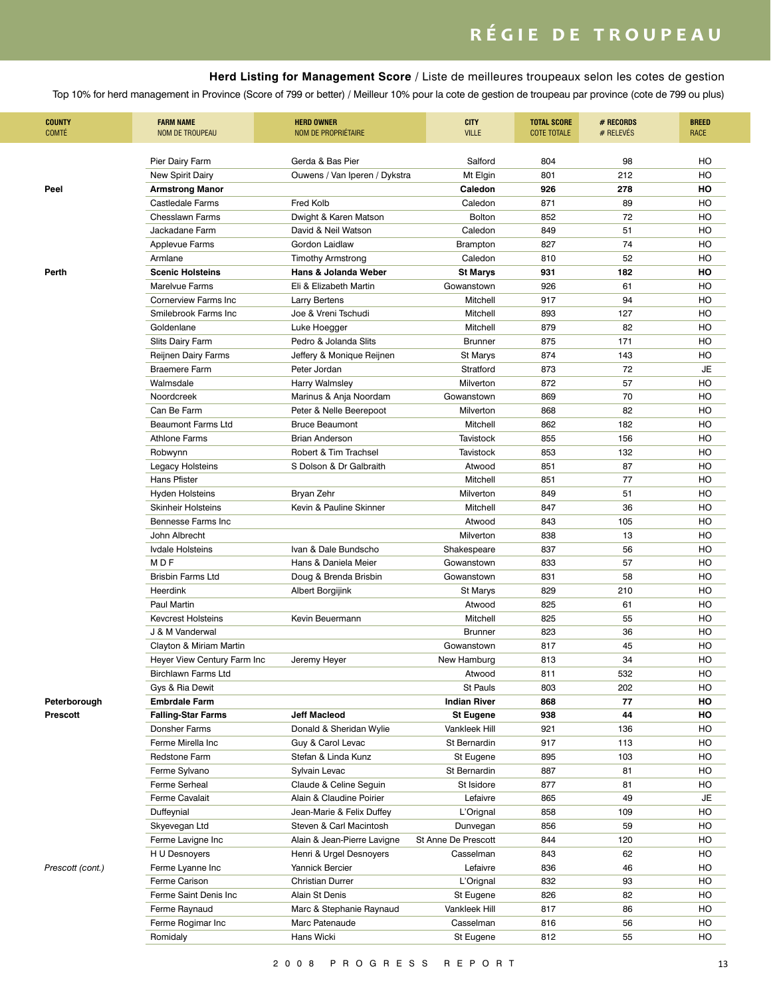**Herd Listing for Management Score** / Liste de meilleures troupeaux selon les cotes de gestion

| <b>COUNTY</b><br><b>COMTÉ</b> | <b>FARM NAME</b><br><b>NOM DE TROUPEAU</b> | <b>HERD OWNER</b><br>NOM DE PROPRIÉTAIRE | <b>CITY</b><br><b>VILLE</b> | <b>TOTAL SCORE</b><br><b>COTE TOTALE</b> | # RECORDS<br># RELEVES | <b>BREED</b><br><b>RACE</b> |
|-------------------------------|--------------------------------------------|------------------------------------------|-----------------------------|------------------------------------------|------------------------|-----------------------------|
|                               | Pier Dairy Farm                            | Gerda & Bas Pier                         | Salford                     | 804                                      | 98                     | HO                          |
|                               | New Spirit Dairy                           | Ouwens / Van Iperen / Dykstra            | Mt Elgin                    | 801                                      | 212                    | HO                          |
| Peel                          | <b>Armstrong Manor</b>                     |                                          | Caledon                     | 926                                      | 278                    | HO                          |
|                               | <b>Castledale Farms</b>                    | Fred Kolb                                | Caledon                     | 871                                      | 89                     | HO                          |
|                               | <b>Chesslawn Farms</b>                     | Dwight & Karen Matson                    | <b>Bolton</b>               | 852                                      | 72                     | HO                          |
|                               | Jackadane Farm                             | David & Neil Watson                      | Caledon                     | 849                                      | 51                     | HO                          |
|                               | <b>Applevue Farms</b>                      | Gordon Laidlaw                           | Brampton                    | 827                                      | 74                     | HO                          |
|                               | Armlane                                    | <b>Timothy Armstrong</b>                 | Caledon                     | 810                                      | 52                     | HO                          |
| Perth                         | <b>Scenic Holsteins</b>                    | Hans & Jolanda Weber                     | <b>St Marys</b>             | 931                                      | 182                    | HO                          |
|                               | Marelyue Farms                             | Eli & Elizabeth Martin                   | Gowanstown                  | 926                                      | 61                     | HO                          |
|                               | <b>Cornerview Farms Inc.</b>               | <b>Larry Bertens</b>                     | Mitchell                    | 917                                      | 94                     | HO                          |
|                               | Smilebrook Farms Inc                       | Joe & Vreni Tschudi                      | Mitchell                    | 893                                      | 127                    | HO                          |
|                               | Goldenlane                                 | Luke Hoegger                             | Mitchell                    | 879                                      | 82                     | HO                          |
|                               | <b>Slits Dairy Farm</b>                    | Pedro & Jolanda Slits                    | <b>Brunner</b>              | 875                                      | 171                    | HO                          |
|                               | Reijnen Dairy Farms                        | Jeffery & Monique Reijnen                | St Marys                    | 874                                      | 143                    | HO                          |
|                               | <b>Braemere Farm</b>                       | Peter Jordan                             | Stratford                   | 873                                      | 72                     | JE                          |
|                               | Walmsdale                                  | Harry Walmsley                           | Milverton                   | 872                                      | 57                     | HO                          |
|                               | Noordcreek                                 | Marinus & Anja Noordam                   | Gowanstown                  | 869                                      | 70                     | HO                          |
|                               | Can Be Farm                                | Peter & Nelle Beerepoot                  | Milverton                   | 868                                      | 82                     | HO                          |
|                               | Beaumont Farms Ltd                         | <b>Bruce Beaumont</b>                    | Mitchell                    | 862                                      | 182                    | HO                          |
|                               | <b>Athlone Farms</b>                       | <b>Brian Anderson</b>                    | <b>Tavistock</b>            | 855                                      | 156                    | HO                          |
|                               | Robwynn                                    | Robert & Tim Trachsel                    | Tavistock                   | 853                                      | 132                    | HO                          |
|                               | Legacy Holsteins                           | S Dolson & Dr Galbraith                  | Atwood                      | 851                                      | 87                     | HO                          |
|                               | Hans Pfister                               |                                          | Mitchell                    | 851                                      | 77                     | HO                          |
|                               | Hyden Holsteins                            | Bryan Zehr                               | Milverton                   | 849                                      | 51                     | HO                          |
|                               | <b>Skinheir Holsteins</b>                  | Kevin & Pauline Skinner                  | Mitchell                    | 847                                      | 36                     | HO                          |
|                               | Bennesse Farms Inc                         |                                          | Atwood                      | 843                                      | 105                    | HO                          |
|                               | John Albrecht                              |                                          | Milverton                   | 838                                      | 13                     | HO                          |
|                               | Ivdale Holsteins                           | Ivan & Dale Bundscho                     | Shakespeare                 | 837                                      | 56                     | HO                          |
|                               | M <sub>DF</sub>                            | Hans & Daniela Meier                     | Gowanstown                  | 833                                      | 57                     | HO                          |
|                               | <b>Brisbin Farms Ltd</b>                   | Doug & Brenda Brisbin                    | Gowanstown                  | 831                                      | 58                     | HO                          |
|                               | Heerdink                                   | Albert Borgijink                         | St Marys                    | 829                                      | 210                    | HO                          |
|                               | Paul Martin                                |                                          | Atwood                      | 825                                      | 61                     | HO                          |
|                               | <b>Kevcrest Holsteins</b>                  | Kevin Beuermann                          | Mitchell                    | 825                                      | 55                     | HO                          |
|                               | J & M Vanderwal                            |                                          | <b>Brunner</b>              | 823                                      | 36                     | HO                          |
|                               | Clayton & Miriam Martin                    |                                          | Gowanstown                  | 817                                      | 45                     | HO                          |
|                               | Heyer View Century Farm Inc                | Jeremy Heyer                             | New Hamburg                 | 813                                      | 34                     | HO                          |
|                               | <b>Birchlawn Farms Ltd</b>                 |                                          | Atwood                      | 811                                      | 532                    | HO                          |
|                               | Gys & Ria Dewit                            |                                          | St Pauls                    | 803                                      | 202                    | HO                          |
| Peterborough                  | <b>Embrdale Farm</b>                       |                                          | <b>Indian River</b>         | 868                                      | 77                     | HO                          |
| <b>Prescott</b>               | <b>Falling-Star Farms</b>                  | <b>Jeff Macleod</b>                      | <b>St Eugene</b>            | 938                                      | 44                     | HO                          |
|                               | Donsher Farms                              | Donald & Sheridan Wylie                  | Vankleek Hill               | 921                                      | 136                    | HO                          |
|                               | Ferme Mirella Inc                          | Guy & Carol Levac                        | St Bernardin                | 917                                      | 113                    | HO                          |
|                               | <b>Redstone Farm</b>                       | Stefan & Linda Kunz                      | St Eugene                   | 895                                      | 103                    | HO                          |
|                               | Ferme Sylvano                              | Sylvain Levac                            | St Bernardin                | 887                                      | 81                     | HO                          |
|                               | Ferme Serheal                              | Claude & Celine Seguin                   | St Isidore                  | 877                                      | 81                     | HO                          |
|                               | Ferme Cavalait                             | Alain & Claudine Poirier                 | Lefaivre                    | 865                                      | 49                     | JE                          |
|                               | Duffeynial                                 | Jean-Marie & Felix Duffey                | L'Orignal                   | 858                                      | 109                    | HO                          |
|                               |                                            | Steven & Carl Macintosh                  | Dunvegan                    | 856                                      | 59                     | HO                          |
|                               | Skyevegan Ltd<br>Ferme Lavigne Inc         | Alain & Jean-Pierre Lavigne              | St Anne De Prescott         |                                          | 120                    | HO                          |
|                               |                                            |                                          |                             | 844                                      |                        |                             |
|                               | H U Desnoyers                              | Henri & Urgel Desnoyers                  | Casselman                   | 843                                      | 62                     | HO                          |
| Prescott (cont.)              | Ferme Lyanne Inc                           | Yannick Bercier                          | Lefaivre                    | 836                                      | 46                     | HO                          |
|                               | Ferme Carison                              | <b>Christian Durrer</b>                  | L'Orignal                   | 832                                      | 93                     | HO                          |
|                               | Ferme Saint Denis Inc                      | Alain St Denis                           | St Eugene                   | 826                                      | 82                     | HO                          |
|                               | Ferme Raynaud                              | Marc & Stephanie Raynaud                 | Vankleek Hill               | 817                                      | 86                     | HO                          |
|                               | Ferme Rogimar Inc                          | Marc Patenaude                           | Casselman                   | 816                                      | 56                     | HO                          |
|                               | Romidaly                                   | Hans Wicki                               | St Eugene                   | 812                                      | 55                     | HO                          |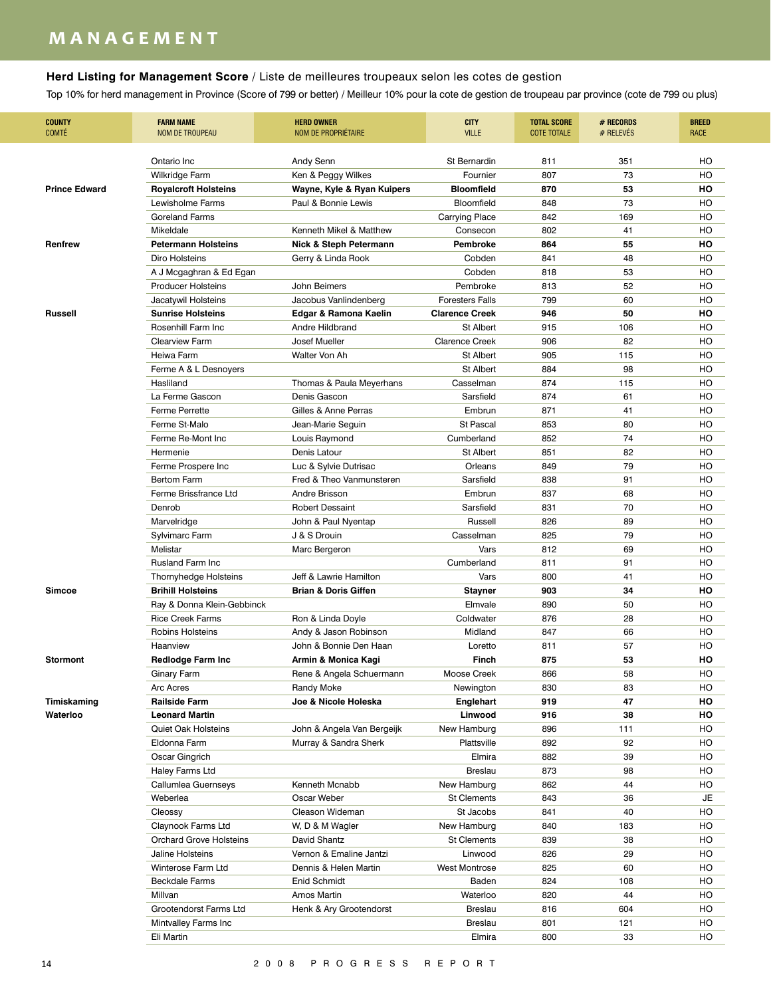## **m a n a g e m e n t**

### **Herd Listing for Management Score** / Liste de meilleures troupeaux selon les cotes de gestion

| <b>COUNTY</b><br><b>COMTÉ</b> | <b>FARM NAME</b><br><b>NOM DE TROUPEAU</b> | <b>HERD OWNER</b><br><b>NOM DE PROPRIÉTAIRE</b> | <b>CITY</b><br><b>VILLE</b> | <b>TOTAL SCORE</b><br><b>COTE TOTALE</b> | # RECORDS<br># RELEVÉS | <b>BREED</b><br><b>RACE</b> |
|-------------------------------|--------------------------------------------|-------------------------------------------------|-----------------------------|------------------------------------------|------------------------|-----------------------------|
|                               | Ontario Inc                                | Andy Senn                                       | St Bernardin                | 811                                      | 351                    | HO                          |
|                               | Wilkridge Farm                             | Ken & Peggy Wilkes                              | Fournier                    | 807                                      | 73                     | HO                          |
| <b>Prince Edward</b>          | <b>Royalcroft Holsteins</b>                | Wayne, Kyle & Ryan Kuipers                      | <b>Bloomfield</b>           | 870                                      | 53                     | HO                          |
|                               | Lewisholme Farms                           | Paul & Bonnie Lewis                             | Bloomfield                  | 848                                      | 73                     | HO                          |
|                               | <b>Goreland Farms</b>                      |                                                 | <b>Carrying Place</b>       | 842                                      | 169                    | HO                          |
|                               | Mikeldale                                  | Kenneth Mikel & Matthew                         | Consecon                    | 802                                      | 41                     | HO                          |
| Renfrew                       | <b>Petermann Holsteins</b>                 | <b>Nick &amp; Steph Petermann</b>               | Pembroke                    | 864                                      | 55                     | HO                          |
|                               | Diro Holsteins                             | Gerry & Linda Rook                              | Cobden                      | 841                                      | 48                     | HO                          |
|                               | A J Mcgaghran & Ed Egan                    |                                                 | Cobden                      | 818                                      | 53                     | HO                          |
|                               | Producer Holsteins                         | John Beimers                                    | Pembroke                    | 813                                      | 52                     | HO                          |
|                               | Jacatywil Holsteins                        | Jacobus Vanlindenberg                           | <b>Foresters Falls</b>      | 799                                      | 60                     | HO                          |
| <b>Russell</b>                | <b>Sunrise Holsteins</b>                   | Edgar & Ramona Kaelin                           | <b>Clarence Creek</b>       | 946                                      | 50                     | но                          |
|                               | Rosenhill Farm Inc                         | Andre Hildbrand                                 | St Albert                   | 915                                      | 106                    | HO                          |
|                               | <b>Clearview Farm</b>                      | Josef Mueller                                   | <b>Clarence Creek</b>       | 906                                      | 82                     | HO                          |
|                               | Heiwa Farm                                 | Walter Von Ah                                   | St Albert                   | 905                                      | 115                    | HO                          |
|                               | Ferme A & L Desnoyers                      |                                                 | St Albert                   | 884                                      | 98                     | HO                          |
|                               | Hasliland                                  | Thomas & Paula Meyerhans                        | Casselman                   | 874                                      | 115                    | HO                          |
|                               | La Ferme Gascon                            | Denis Gascon                                    | Sarsfield                   | 874                                      | 61                     | HO                          |
|                               | <b>Ferme Perrette</b>                      | Gilles & Anne Perras                            | Embrun                      | 871                                      | 41                     | HO                          |
|                               | Ferme St-Malo                              | Jean-Marie Seguin                               | <b>St Pascal</b>            | 853                                      | 80                     | HO                          |
|                               | Ferme Re-Mont Inc                          | Louis Raymond                                   | Cumberland                  | 852                                      | 74                     | HO                          |
|                               | Hermenie                                   | Denis Latour                                    | St Albert                   | 851                                      | 82                     | HO                          |
|                               | Ferme Prospere Inc                         | Luc & Sylvie Dutrisac                           | Orleans                     | 849                                      | 79                     | HO                          |
|                               | <b>Bertom Farm</b>                         | Fred & Theo Vanmunsteren                        | Sarsfield                   | 838                                      | 91                     | HO                          |
|                               | Ferme Brissfrance Ltd                      | Andre Brisson                                   | Embrun                      | 837                                      | 68                     | HO                          |
|                               | Denrob                                     | <b>Robert Dessaint</b>                          | Sarsfield                   | 831                                      | 70                     | HO                          |
|                               | Marvelridge                                | John & Paul Nyentap                             | Russell                     | 826                                      | 89                     | HO                          |
|                               | Sylvimarc Farm                             | J & S Drouin                                    | Casselman                   | 825                                      | 79                     | HO                          |
|                               | Melistar                                   | Marc Bergeron                                   | Vars                        | 812                                      | 69                     | HO                          |
|                               | <b>Rusland Farm Inc</b>                    |                                                 | Cumberland                  | 811                                      | 91                     | HO                          |
|                               | Thornyhedge Holsteins                      | Jeff & Lawrie Hamilton                          | Vars                        | 800                                      | 41                     | HO                          |
| <b>Simcoe</b>                 | <b>Brihill Holsteins</b>                   | <b>Brian &amp; Doris Giffen</b>                 | <b>Stayner</b>              | 903                                      | 34                     | HO                          |
|                               | Ray & Donna Klein-Gebbinck                 |                                                 | Elmvale                     | 890                                      | 50                     | HO                          |
|                               | <b>Rice Creek Farms</b>                    | Ron & Linda Doyle                               | Coldwater                   | 876                                      | 28                     | HO                          |
|                               | Robins Holsteins                           | Andy & Jason Robinson                           | Midland                     | 847                                      | 66                     | HO                          |
|                               | Haanview                                   | John & Bonnie Den Haan                          | Loretto                     | 811                                      | 57                     | HO                          |
| <b>Stormont</b>               | <b>Redlodge Farm Inc</b>                   | Armin & Monica Kagi                             | Finch                       | 875                                      | 53                     | HO                          |
|                               | Ginary Farm                                | Rene & Angela Schuermann                        | Moose Creek                 | 866                                      | 58                     | HO                          |
|                               | Arc Acres                                  | Randy Moke                                      | Newington                   | 830                                      | 83                     | HO                          |
| Timiskaming                   | <b>Railside Farm</b>                       | Joe & Nicole Holeska                            | Englehart                   | 919                                      | 47                     | HO                          |
| Waterloo                      | <b>Leonard Martin</b>                      |                                                 | Linwood                     | 916                                      | 38                     | HO                          |
|                               | Quiet Oak Holsteins                        | John & Angela Van Bergeijk                      | New Hamburg                 | 896                                      | 111                    | HO                          |
|                               | Eldonna Farm                               | Murray & Sandra Sherk                           | Plattsville                 | 892                                      | 92                     | HO                          |
|                               | Oscar Gingrich                             |                                                 | Elmira                      | 882                                      | 39                     | HO                          |
|                               | Haley Farms Ltd                            |                                                 | <b>Breslau</b>              | 873                                      | 98                     | HO                          |
|                               | Callumlea Guernseys                        | Kenneth Mcnabb                                  | New Hamburg                 | 862                                      | 44                     | HO                          |
|                               | Weberlea                                   | Oscar Weber                                     | <b>St Clements</b>          | 843                                      | 36                     | JE                          |
|                               | Cleossy                                    | Cleason Wideman                                 | St Jacobs                   | 841                                      | 40                     | HO                          |
|                               | Claynook Farms Ltd                         | W, D & M Wagler                                 | New Hamburg                 | 840                                      | 183                    | HO                          |
|                               | <b>Orchard Grove Holsteins</b>             | David Shantz                                    | <b>St Clements</b>          | 839                                      | 38                     | HO                          |
|                               | Jaline Holsteins                           | Vernon & Emaline Jantzi                         | Linwood                     | 826                                      | 29                     | HO                          |
|                               | Winterose Farm Ltd                         | Dennis & Helen Martin                           | West Montrose               | 825                                      | 60                     | HO                          |
|                               | <b>Beckdale Farms</b>                      | Enid Schmidt                                    | Baden                       | 824                                      | 108                    | HO                          |
|                               | Millvan                                    | Amos Martin                                     | Waterloo                    | 820                                      | 44                     | HO                          |
|                               | Grootendorst Farms Ltd                     | Henk & Ary Grootendorst                         | <b>Breslau</b>              | 816                                      | 604                    | HO                          |
|                               | Mintvalley Farms Inc                       |                                                 | Breslau                     | 801                                      | 121                    | HO                          |
|                               | Eli Martin                                 |                                                 | Elmira                      | 800                                      | 33                     | HO                          |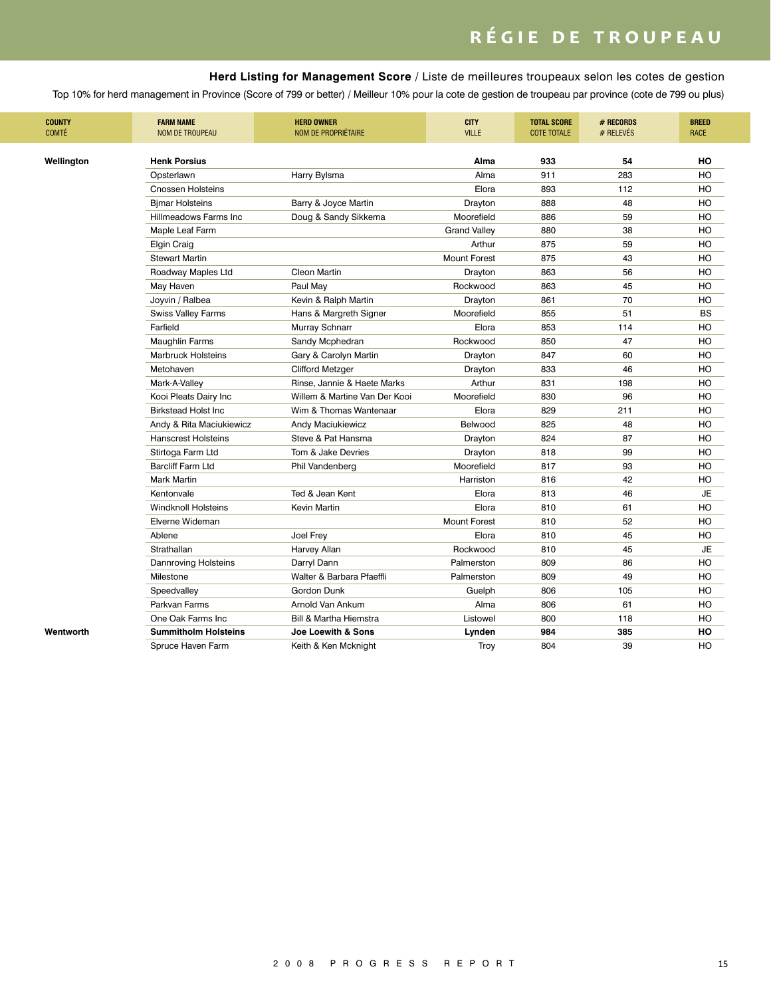### **Herd Listing for Management Score** / Liste de meilleures troupeaux selon les cotes de gestion

| <b>COUNTY</b><br>COMTÉ | <b>FARM NAME</b><br><b>NOM DE TROUPEAU</b> | <b>HERD OWNER</b><br>NOM DE PROPRIÉTAIRE | <b>CITY</b><br><b>VILLE</b> | <b>TOTAL SCORE</b><br><b>COTE TOTALE</b> | # RECORDS<br># RELEVÉS | <b>BREED</b><br><b>RACE</b> |
|------------------------|--------------------------------------------|------------------------------------------|-----------------------------|------------------------------------------|------------------------|-----------------------------|
|                        |                                            |                                          |                             |                                          |                        |                             |
| Wellington             | <b>Henk Porsius</b>                        |                                          | Alma                        | 933                                      | 54                     | HO                          |
|                        | Opsterlawn                                 | Harry Bylsma                             | Alma                        | 911                                      | 283                    | HO                          |
|                        | <b>Cnossen Holsteins</b>                   |                                          | Elora                       | 893                                      | 112                    | HO                          |
|                        | <b>Bjmar Holsteins</b>                     | Barry & Joyce Martin                     | Drayton                     | 888                                      | 48                     | HO                          |
|                        | Hillmeadows Farms Inc.                     | Doug & Sandy Sikkema                     | Moorefield                  | 886                                      | 59                     | HO                          |
|                        | Maple Leaf Farm                            |                                          | <b>Grand Valley</b>         | 880                                      | 38                     | HO                          |
|                        | Elgin Craig                                |                                          | Arthur                      | 875                                      | 59                     | HO                          |
|                        | <b>Stewart Martin</b>                      |                                          | <b>Mount Forest</b>         | 875                                      | 43                     | HO                          |
|                        | Roadway Maples Ltd                         | Cleon Martin                             | Drayton                     | 863                                      | 56                     | HO                          |
|                        | May Haven                                  | Paul May                                 | Rockwood                    | 863                                      | 45                     | HO                          |
|                        | Joyvin / Ralbea                            | Kevin & Ralph Martin                     | Drayton                     | 861                                      | 70                     | HO                          |
|                        | <b>Swiss Valley Farms</b>                  | Hans & Margreth Signer                   | Moorefield                  | 855                                      | 51                     | <b>BS</b>                   |
|                        | Farfield                                   | Murray Schnarr                           | Elora                       | 853                                      | 114                    | но                          |
|                        | <b>Maughlin Farms</b>                      | Sandy Mcphedran                          | Rockwood                    | 850                                      | 47                     | HO                          |
|                        | <b>Marbruck Holsteins</b>                  | Gary & Carolyn Martin                    | Drayton                     | 847                                      | 60                     | HO                          |
|                        | Metohaven                                  | <b>Clifford Metzger</b>                  | Drayton                     | 833                                      | 46                     | HO                          |
|                        | Mark-A-Valley                              | Rinse, Jannie & Haete Marks              | Arthur                      | 831                                      | 198                    | HO                          |
|                        | Kooi Pleats Dairy Inc                      | Willem & Martine Van Der Kooi            | Moorefield                  | 830                                      | 96                     | HO                          |
|                        | <b>Birkstead Holst Inc</b>                 | Wim & Thomas Wantenaar                   | Elora                       | 829                                      | 211                    | HO                          |
|                        | Andy & Rita Maciukiewicz                   | Andy Maciukiewicz                        | Belwood                     | 825                                      | 48                     | HO                          |
|                        | <b>Hanscrest Holsteins</b>                 | Steve & Pat Hansma                       | Drayton                     | 824                                      | 87                     | HO                          |
|                        | Stirtoga Farm Ltd                          | Tom & Jake Devries                       | Drayton                     | 818                                      | 99                     | HO                          |
|                        | <b>Barcliff Farm Ltd</b>                   | Phil Vandenberg                          | Moorefield                  | 817                                      | 93                     | HO                          |
|                        | <b>Mark Martin</b>                         |                                          | Harriston                   | 816                                      | 42                     | HO                          |
|                        | Kentonvale                                 | Ted & Jean Kent                          | Elora                       | 813                                      | 46                     | <b>JE</b>                   |
|                        | <b>Windknoll Holsteins</b>                 | Kevin Martin                             | Elora                       | 810                                      | 61                     | HO                          |
|                        | Elverne Wideman                            |                                          | <b>Mount Forest</b>         | 810                                      | 52                     | HO                          |
|                        | Ablene                                     | Joel Frey                                | Elora                       | 810                                      | 45                     | HO                          |
|                        | Strathallan                                | Harvey Allan                             | Rockwood                    | 810                                      | 45                     | <b>JE</b>                   |
|                        | <b>Dannroving Holsteins</b>                | Darryl Dann                              | Palmerston                  | 809                                      | 86                     | HO                          |
|                        | Milestone                                  | Walter & Barbara Pfaeffli                | Palmerston                  | 809                                      | 49                     | HO                          |
|                        |                                            | Gordon Dunk                              |                             | 806                                      | 105                    | HO                          |
|                        | Speedvalley                                |                                          | Guelph                      |                                          | 61                     |                             |
|                        | Parkvan Farms                              | Arnold Van Ankum                         | Alma                        | 806                                      |                        | HO                          |
|                        | One Oak Farms Inc                          | Bill & Martha Hiemstra                   | Listowel                    | 800                                      | 118                    | HO                          |
| Wentworth              | <b>Summitholm Holsteins</b>                | Joe Loewith & Sons                       | Lynden                      | 984                                      | 385                    | HO                          |
|                        | Spruce Haven Farm                          | Keith & Ken Mcknight                     | Troy                        | 804                                      | 39                     | HO                          |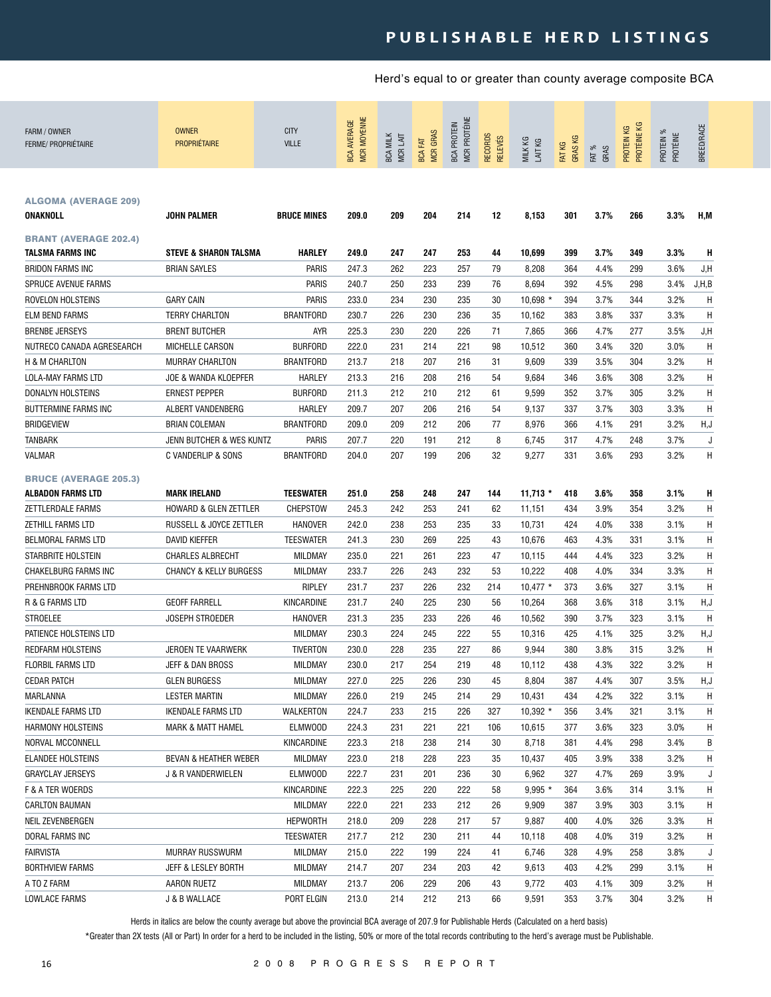### PUBLISHABLE HERD LISTINGS

Herd's equal to or greater than county average composite BCA

| FARM / OWNER<br><b>FERME/ PROPRIÉTAIRE</b>       | <b>OWNER</b><br><b>PROPRIÉTAIRE</b> | <b>CITY</b><br><b>VILLE</b> | MCR MOYENNE<br><b>BCA AVERAGE</b> | <b>BCA MILK</b><br><b>MCRLAIT</b> | <b>MCR GRAS</b><br><b>BCA FAT</b> | MCR PROTÉINE<br><b>BCA PROTEIN</b> | <b>RECORDS</b><br><b>RELEVÉS</b> | MILK KG<br>LAIT KG | <b>GRASKG</b><br>FAT KG | FAT %<br>GRAS | PROTÉINE KG<br>PROTEIN KG | PROTEIN %<br>PROTÉINE | BREED/RACE |
|--------------------------------------------------|-------------------------------------|-----------------------------|-----------------------------------|-----------------------------------|-----------------------------------|------------------------------------|----------------------------------|--------------------|-------------------------|---------------|---------------------------|-----------------------|------------|
| <b>ALGOMA (AVERAGE 209)</b><br>ONAKNOLL          | <b>JOHN PALMER</b>                  | <b>BRUCE MINES</b>          | 209.0                             | 209                               | 204                               | 214                                | 12                               | 8,153              | 301                     | 3.7%          | 266                       | 3.3%                  | H,M        |
| <b>BRANT (AVERAGE 202.4)</b><br>TALSMA FARMS INC | <b>STEVE &amp; SHARON TALSMA</b>    | <b>HARLEY</b>               | 249.0                             | 247                               | 247                               | 253                                | 44                               | 10,699             | 399                     | 3.7%          | 349                       | 3.3%                  | н          |
| <b>BRIDON FARMS INC</b>                          | <b>BRIAN SAYLES</b>                 | <b>PARIS</b>                | 247.3                             | 262                               | 223                               | 257                                | 79                               | 8,208              | 364                     | 4.4%          | 299                       | 3.6%                  | J,H        |
| <b>SPRUCE AVENUE FARMS</b>                       |                                     | PARIS                       | 240.7                             | 250                               | 233                               | 239                                | 76                               | 8,694              | 392                     | 4.5%          | 298                       | 3.4%                  | J, H, B    |
| ROVELON HOLSTEINS                                | <b>GARY CAIN</b>                    | PARIS                       | 233.0                             | 234                               | 230                               | 235                                | 30                               | $10,698$ *         | 394                     | 3.7%          | 344                       | 3.2%                  | Н          |
| ELM BEND FARMS                                   | <b>TERRY CHARLTON</b>               | <b>BRANTFORD</b>            | 230.7                             | 226                               | 230                               | 236                                | 35                               | 10,162             | 383                     | 3.8%          | 337                       | 3.3%                  | Н          |
| <b>BRENBE JERSEYS</b>                            | <b>BRENT BUTCHER</b>                | <b>AYR</b>                  | 225.3                             | 230                               | 220                               | 226                                | 71                               | 7,865              | 366                     | 4.7%          | 277                       | 3.5%                  | J,H        |
| NUTRECO CANADA AGRESEARCH                        | MICHELLE CARSON                     | <b>BURFORD</b>              | 222.0                             | 231                               | 214                               | 221                                | 98                               | 10,512             | 360                     | 3.4%          | 320                       | 3.0%                  | Η          |
| H & M CHARLTON                                   | MURRAY CHARLTON                     | <b>BRANTFORD</b>            | 213.7                             | 218                               | 207                               | 216                                | 31                               | 9,609              | 339                     | 3.5%          | 304                       | 3.2%                  | Η          |
| LOLA-MAY FARMS LTD                               | JOE & WANDA KLOEPFER                | <b>HARLEY</b>               | 213.3                             | 216                               | 208                               | 216                                | 54                               | 9,684              | 346                     | 3.6%          | 308                       | 3.2%                  | Η          |
| DONALYN HOLSTEINS                                | <b>ERNEST PEPPER</b>                | <b>BURFORD</b>              | 211.3                             | 212                               | 210                               | 212                                | 61                               | 9,599              | 352                     | 3.7%          | 305                       | 3.2%                  | Η          |
| BUTTERMINE FARMS INC                             | ALBERT VANDENBERG                   | <b>HARLEY</b>               | 209.7                             | 207                               | 206                               | 216                                | 54                               | 9,137              | 337                     | 3.7%          | 303                       | 3.3%                  | H          |
| BRIDGEVIEW                                       | <b>BRIAN COLEMAN</b>                | <b>BRANTFORD</b>            | 209.0                             | 209                               | 212                               | 206                                | 77                               | 8,976              | 366                     | 4.1%          | 291                       | 3.2%                  | H,J        |
| <b>TANBARK</b>                                   | JENN BUTCHER & WES KUNTZ            | <b>PARIS</b>                | 207.7                             | 220                               | 191                               | 212                                | 8                                | 6,745              | 317                     | 4.7%          | 248                       | 3.7%                  | J          |
| VALMAR                                           | C VANDERLIP & SONS                  | <b>BRANTFORD</b>            | 204.0                             | 207                               | 199                               | 206                                | 32                               | 9,277              | 331                     | 3.6%          | 293                       | 3.2%                  | Η          |
|                                                  |                                     |                             |                                   |                                   |                                   |                                    |                                  |                    |                         |               |                           |                       |            |
| <b>BRUCE (AVERAGE 205.3)</b>                     |                                     |                             |                                   |                                   |                                   |                                    |                                  |                    |                         |               |                           |                       |            |
| ALBADON FARMS LTD                                | <b>MARK IRELAND</b>                 | <b>TEESWATER</b>            | 251.0                             | 258                               | 248                               | 247                                | 144                              | $11,713$ *         | 418                     | 3.6%          | 358                       | 3.1%                  | H          |
| ZETTLERDALE FARMS                                | <b>HOWARD &amp; GLEN ZETTLER</b>    | CHEPSTOW                    | 245.3                             | 242                               | 253                               | 241                                | 62                               | 11,151             | 434                     | 3.9%          | 354                       | 3.2%                  | H          |
| ZETHILL FARMS LTD                                | RUSSELL & JOYCE ZETTLER             | <b>HANOVER</b>              | 242.0                             | 238                               | 253                               | 235                                | 33                               | 10,731             | 424                     | 4.0%          | 338                       | 3.1%                  | H          |
| BELMORAL FARMS LTD                               | <b>DAVID KIEFFER</b>                | <b>TEESWATER</b>            | 241.3                             | 230                               | 269                               | 225                                | 43                               | 10,676             | 463                     | 4.3%          | 331                       | 3.1%                  | Η          |
| STARBRITE HOLSTEIN                               | <b>CHARLES ALBRECHT</b>             | <b>MILDMAY</b>              | 235.0                             | 221                               | 261                               | 223                                | 47                               | 10,115             | 444                     | 4.4%          | 323                       | 3.2%                  | Η          |
| CHAKELBURG FARMS INC                             | <b>CHANCY &amp; KELLY BURGESS</b>   | <b>MILDMAY</b>              | 233.7                             | 226                               | 243                               | 232                                | 53                               | 10,222             | 408                     | 4.0%          | 334                       | 3.3%                  | H          |
| PREHNBROOK FARMS LTD                             |                                     | RIPLEY                      | 231.7                             | 237                               | 226                               | 232                                | 214                              | $10,477$ *         | 373                     | 3.6%          | 327                       | 3.1%                  | Η          |
| R & G FARMS LTD                                  | <b>GEOFF FARRELL</b>                | KINCARDINE                  | 231.7                             | 240                               | 225                               | 230                                | 56                               | 10,264             | 368                     | 3.6%          | 318                       | 3.1%                  | H,J        |
| STROELEE                                         | <b>JOSEPH STROEDER</b>              | <b>HANOVER</b>              | 231.3                             | 235                               | 233                               | 226                                | 46                               | 10,562             | 390                     | 3.7%          | 323                       | 3.1%                  | H          |
| PATIENCE HOLSTEINS LTD                           |                                     | <b>MILDMAY</b>              | 230.3                             | 224                               | 245                               | 222                                | 55                               | 10,316             | 425                     | 4.1%          | 325                       | 3.2%                  | H,J        |
| <b>REDFARM HOLSTEINS</b>                         | JEROEN TE VAARWERK                  | <b>TIVERTON</b>             | 230.0                             | 228                               | 235                               | 227                                | 86                               | 9,944              | 380                     | 3.8%          | 315                       | 3.2%                  | Η          |
| <b>FLORBIL FARMS LTD</b>                         | JEFF & DAN BROSS                    | MILDMAY                     | 230.0                             | 217                               | 254                               | 219                                | 48                               | 10,112             | 438                     | 4.3%          | 322                       | 3.2%                  | H          |
| <b>CEDAR PATCH</b>                               | <b>GLEN BURGESS</b>                 | <b>MILDMAY</b>              | 227.0                             | 225                               | 226                               | 230                                | 45                               | 8,804              | 387                     | 4.4%          | 307                       | 3.5%                  | H,J        |
| MARLANNA                                         | <b>LESTER MARTIN</b>                | MILDMAY                     | 226.0                             | 219                               | 245                               | 214                                | 29                               | 10,431             | 434                     | 4.2%          | 322                       | 3.1%                  | H          |
| IKENDALE FARMS LTD                               | IKENDALE FARMS LTD                  | WALKERTON                   | 224.7                             | 233                               | 215                               | 226                                | 327                              | $10,392$ *         | 356                     | 3.4%          | 321                       | 3.1%                  | Η          |
| <b>HARMONY HOLSTEINS</b>                         | <b>MARK &amp; MATT HAMEL</b>        | <b>ELMWOOD</b>              | 224.3                             | 231                               | 221                               | 221                                | 106                              | 10,615             | 377                     | 3.6%          | 323                       | 3.0%                  | Η          |
| NORVAL MCCONNELL                                 |                                     | KINCARDINE                  | 223.3                             | 218                               | 238                               | 214                                | 30                               | 8,718              | 381                     | 4.4%          | 298                       | 3.4%                  | B          |
| ELANDEE HOLSTEINS                                | BEVAN & HEATHER WEBER               | MILDMAY                     | 223.0                             | 218                               | 228                               | 223                                | 35                               | 10,437             | 405                     | 3.9%          | 338                       | 3.2%                  | Η          |
| <b>GRAYCLAY JERSEYS</b>                          | J & R VANDERWIELEN                  | ELMWOOD                     | 222.7                             | 231                               | 201                               | 236                                | 30                               | 6,962              | 327                     | 4.7%          | 269                       | 3.9%                  | J          |
| F & A TER WOERDS                                 |                                     | KINCARDINE                  | 222.3                             | 225                               | 220                               | 222                                | 58                               | $9,995$ *          | 364                     | 3.6%          | 314                       | 3.1%                  | Η          |
| CARLTON BAUMAN                                   |                                     | <b>MILDMAY</b>              | 222.0                             | 221                               | 233                               | 212                                | 26                               | 9,909              | 387                     | 3.9%          | 303                       | 3.1%                  | H          |
| NEIL ZEVENBERGEN                                 |                                     | <b>HEPWORTH</b>             | 218.0                             | 209                               | 228                               | 217                                | 57                               | 9,887              | 400                     | 4.0%          | 326                       | 3.3%                  | H          |
| DORAL FARMS INC                                  |                                     | <b>TEESWATER</b>            | 217.7                             | 212                               | 230                               | 211                                | 44                               | 10,118             | 408                     | 4.0%          | 319                       | 3.2%                  | H          |
| <b>FAIRVISTA</b>                                 | MURRAY RUSSWURM                     | <b>MILDMAY</b>              | 215.0                             | 222                               | 199                               | 224                                | 41                               | 6,746              | 328                     | 4.9%          | 258                       | 3.8%                  | J          |
| <b>BORTHVIEW FARMS</b>                           | JEFF & LESLEY BORTH                 | <b>MILDMAY</b>              | 214.7                             | 207                               | 234                               | 203                                | 42                               | 9,613              | 403                     | 4.2%          | 299                       | 3.1%                  | H          |
| A TO Z FARM                                      | AARON RUETZ                         | <b>MILDMAY</b>              | 213.7                             | 206                               | 229                               | 206                                | 43                               | 9,772              | 403                     | 4.1%          | 309                       | 3.2%                  | H          |
| LOWLACE FARMS                                    | J & B WALLACE                       | PORT ELGIN                  | 213.0                             | 214                               | 212                               | 213                                | 66                               | 9,591              | 353                     | 3.7%          | 304                       | 3.2%                  | H          |

Herds in italics are below the county average but above the provincial BCA average of 207.9 for Publishable Herds (Calculated on a herd basis)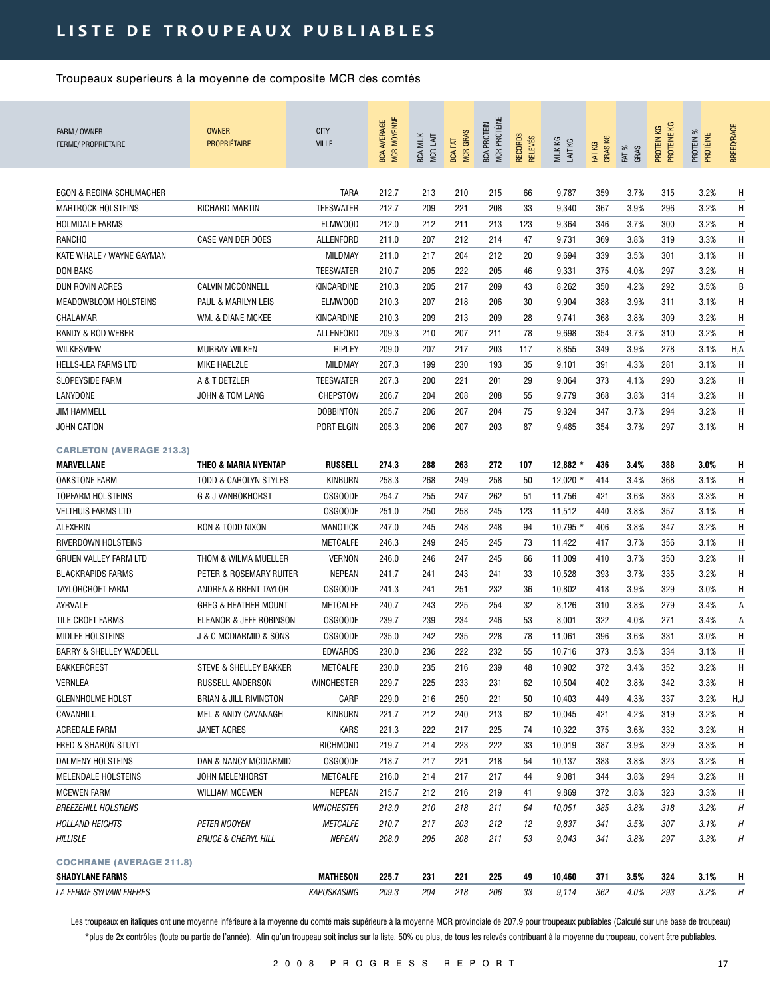| FARM / OWNER<br>FERME/ PROPRIÉTAIRE | <b>OWNER</b><br><b>PROPRIÉTAIRE</b>   | <b>CITY</b><br><b>VILLE</b> | <b>MCR MOYENNE</b><br><b>BCA AVERAGE</b> | <b>BCA MILK</b><br>MCR LAIT | <b>MCR GRAS</b><br><b>BCA FAT</b> | MCR PROTÉINE<br><b>BCA PROTEIN</b> | <b>RECORDS</b><br><b>RELEVÉS</b> | MILK KG<br>LAIT KG | <b>GRASKG</b><br>FAT KG | FAT %<br>GRAS | PROTÉINE KG<br>КG<br>PROTEIN I | PROTEIN %<br>PROTÉINE | <b>BREED/RACE</b> |
|-------------------------------------|---------------------------------------|-----------------------------|------------------------------------------|-----------------------------|-----------------------------------|------------------------------------|----------------------------------|--------------------|-------------------------|---------------|--------------------------------|-----------------------|-------------------|
| <b>EGON &amp; REGINA SCHUMACHER</b> |                                       | <b>TARA</b>                 | 212.7                                    | 213                         | 210                               | 215                                | 66                               | 9,787              | 359                     | 3.7%          | 315                            | 3.2%                  | Η                 |
| <b>MARTROCK HOLSTEINS</b>           | RICHARD MARTIN                        | <b>TEESWATER</b>            | 212.7                                    | 209                         | 221                               | 208                                | 33                               | 9,340              | 367                     | 3.9%          | 296                            | 3.2%                  | H                 |
| <b>HOLMDALE FARMS</b>               |                                       | ELMW00D                     | 212.0                                    | 212                         | 211                               | 213                                | 123                              | 9,364              | 346                     | 3.7%          | 300                            | 3.2%                  | H                 |
| <b>RANCHO</b>                       | CASE VAN DER DOES                     | ALLENFORD                   | 211.0                                    | 207                         | 212                               | 214                                | 47                               | 9,731              | 369                     | 3.8%          | 319                            | 3.3%                  | H                 |
| KATE WHALE / WAYNE GAYMAN           |                                       | MILDMAY                     | 211.0                                    | 217                         | 204                               | 212                                | 20                               | 9,694              | 339                     | 3.5%          | 301                            | 3.1%                  | H                 |
| DON BAKS                            |                                       | <b>TEESWATER</b>            | 210.7                                    | 205                         | 222                               | 205                                | 46                               | 9,331              | 375                     | 4.0%          | 297                            | 3.2%                  | H                 |
| DUN ROVIN ACRES                     | <b>CALVIN MCCONNELL</b>               | KINCARDINE                  | 210.3                                    | 205                         | 217                               | 209                                | 43                               | 8,262              | 350                     | 4.2%          | 292                            | 3.5%                  | B                 |
| MEADOWBLOOM HOLSTEINS               | PAUL & MARILYN LEIS                   | ELMW00D                     | 210.3                                    | 207                         | 218                               | 206                                | 30                               | 9,904              | 388                     | 3.9%          | 311                            | 3.1%                  | H                 |
| CHALAMAR                            | WM. & DIANE MCKEE                     | KINCARDINE                  | 210.3                                    | 209                         | 213                               | 209                                | 28                               | 9,741              | 368                     | 3.8%          | 309                            | 3.2%                  | H                 |
| RANDY & ROD WEBER                   |                                       | ALLENFORD                   | 209.3                                    | 210                         | 207                               | 211                                | 78                               | 9,698              | 354                     | 3.7%          | 310                            | 3.2%                  | H                 |
| <b>WILKESVIEW</b>                   | <b>MURRAY WILKEN</b>                  | RIPLEY                      | 209.0                                    | 207                         | 217                               | 203                                | 117                              | 8,855              | 349                     | 3.9%          | 278                            | 3.1%                  | H,A               |
| <b>HELLS-LEA FARMS LTD</b>          | <b>MIKE HAELZLE</b>                   | MILDMAY                     | 207.3                                    | 199                         | 230                               | 193                                | 35                               | 9,101              | 391                     | 4.3%          | 281                            | 3.1%                  | H                 |
| SLOPEYSIDE FARM                     | A & T DETZLER                         | <b>TEESWATER</b>            | 207.3                                    | 200                         | 221                               | 201                                | 29                               | 9,064              | 373                     | 4.1%          | 290                            | 3.2%                  | H                 |
| LANYDONE                            | JOHN & TOM LANG                       | CHEPSTOW                    | 206.7                                    | 204                         | 208                               | 208                                | 55                               | 9,779              | 368                     | 3.8%          | 314                            | 3.2%                  | Η                 |
| <b>JIM HAMMELL</b>                  |                                       | <b>DOBBINTON</b>            | 205.7                                    | 206                         | 207                               | 204                                | 75                               | 9,324              | 347                     | 3.7%          | 294                            | 3.2%                  | Η                 |
| JOHN CATION                         |                                       | PORT ELGIN                  | 205.3                                    | 206                         | 207                               | 203                                | 87                               | 9,485              | 354                     | 3.7%          | 297                            | 3.1%                  | H                 |
|                                     |                                       |                             |                                          |                             |                                   |                                    |                                  |                    |                         |               |                                |                       |                   |
| <b>CARLETON (AVERAGE 213.3)</b>     |                                       |                             |                                          |                             |                                   |                                    |                                  |                    |                         |               |                                |                       |                   |
| <b>MARVELLANE</b>                   | <b>THEO &amp; MARIA NYENTAP</b>       | <b>RUSSELL</b>              | 274.3                                    | 288                         | 263                               | 272                                | 107                              | $12.882*$          | 436                     | 3.4%          | 388                            | 3.0%                  | H                 |
| <b>OAKSTONE FARM</b>                | <b>TODD &amp; CAROLYN STYLES</b>      | <b>KINBURN</b>              | 258.3                                    | 268                         | 249                               | 258                                | 50                               | $12,020$ *         | 414                     | 3.4%          | 368                            | 3.1%                  | Η                 |
| <b>TOPFARM HOLSTEINS</b>            | G & J VANBOKHORST                     | <b>OSGOODE</b>              | 254.7                                    | 255                         | 247                               | 262                                | 51                               | 11,756             | 421                     | 3.6%          | 383                            | 3.3%                  | H                 |
| <b>VELTHUIS FARMS LTD</b>           |                                       | <b>OSGOODE</b>              | 251.0                                    | 250                         | 258                               | 245                                | 123                              | 11,512             | 440                     | 3.8%          | 357                            | 3.1%                  | H                 |
| ALEXERIN                            | RON & TODD NIXON                      | <b>MANOTICK</b>             | 247.0                                    | 245                         | 248                               | 248                                | 94                               | $10,795$ *         | 406                     | 3.8%          | 347                            | 3.2%                  | H                 |
| RIVERDOWN HOLSTEINS                 |                                       | METCALFE                    | 246.3                                    | 249                         | 245                               | 245                                | 73                               | 11,422             | 417                     | 3.7%          | 356                            | 3.1%                  | H                 |
| <b>GRUEN VALLEY FARM LTD</b>        | THOM & WILMA MUELLER                  | <b>VERNON</b>               | 246.0                                    | 246                         | 247                               | 245                                | 66                               | 11,009             | 410                     | 3.7%          | 350                            | 3.2%                  | H                 |
| <b>BLACKRAPIDS FARMS</b>            | PETER & ROSEMARY RUITER               | NEPEAN                      | 241.7                                    | 241                         | 243                               | 241                                | 33                               | 10,528             | 393                     | 3.7%          | 335                            | 3.2%                  | H                 |
| TAYLORCROFT FARM                    | ANDREA & BRENT TAYLOR                 | <b>OSGOODE</b>              | 241.3                                    | 241                         | 251                               | 232                                | 36                               | 10,802             | 418                     | 3.9%          | 329                            | 3.0%                  | Η                 |
| AYRVALE                             | <b>GREG &amp; HEATHER MOUNT</b>       | <b>METCALFE</b>             | 240.7                                    | 243                         | 225                               | 254                                | 32                               | 8,126              | 310                     | 3.8%          | 279                            | 3.4%                  | Α                 |
| TILE CROFT FARMS                    | ELEANOR & JEFF ROBINSON               | OSGOODE                     | 239.7                                    | 239                         | 234                               | 246                                | 53                               | 8,001              | 322                     | 4.0%          | 271                            | 3.4%                  | Α                 |
| <b>MIDLEE HOLSTEINS</b>             | <b>J &amp; C MCDIARMID &amp; SONS</b> | <b>OSGOODE</b>              | 235.0                                    | 242                         | 235                               | 228                                | 78                               | 11,061             | 396                     | 3.6%          | 331                            | 3.0%                  | Η                 |
| <b>BARRY &amp; SHELLEY WADDELL</b>  |                                       | <b>EDWARDS</b>              | 230.0                                    | 236                         | 222                               | 232                                | 55                               | 10,716             | 373                     | 3.5%          | 334                            | 3.1%                  | H                 |
| <b>BAKKERCREST</b>                  | STEVE & SHELLEY BAKKER                | METCALFE                    | 230.0                                    | 235                         | 216                               | 239                                | 48                               | 10,902             | 372                     | 3.4%          | 352                            | 3.2%                  | Η                 |
| VERNLEA                             | RUSSELL ANDERSON                      | <b>WINCHESTER</b>           | 229.7                                    | 225                         | 233                               | 231                                | 62                               | 10,504             | 402                     | 3.8%          | 342                            | 3.3%                  | H                 |
| <b>GLENNHOLME HOLST</b>             | <b>BRIAN &amp; JILL RIVINGTON</b>     | CARP                        | 229.0                                    | 216                         | 250                               | 221                                | 50                               | 10,403             | 449                     | 4.3%          | 337                            | 3.2%                  | H,J               |
| CAVANHILL                           | MEL & ANDY CAVANAGH                   | <b>KINBURN</b>              | 221.7                                    | 212                         | 240                               | 213                                | 62                               | 10,045             | 421                     | 4.2%          | 319                            | 3.2%                  | H                 |
| ACREDALE FARM                       | JANET ACRES                           | KARS                        | 221.3                                    | 222                         | 217                               | 225                                | 74                               | 10,322             | 375                     | 3.6%          | 332                            | 3.2%                  | H                 |
| FRED & SHARON STUYT                 |                                       | RICHMOND                    | 219.7                                    | 214                         | 223                               | 222                                | 33                               | 10,019             | 387                     | 3.9%          | 329                            | 3.3%                  | H                 |
| DALMENY HOLSTEINS                   | DAN & NANCY MCDIARMID                 | <b>OSGOODE</b>              | 218.7                                    | 217                         | 221                               | 218                                | 54                               | 10,137             | 383                     | 3.8%          | 323                            | 3.2%                  | Η                 |
| MELENDALE HOLSTEINS                 | JOHN MELENHORST                       | METCALFE                    | 216.0                                    | 214                         | 217                               | 217                                | 44                               | 9,081              | 344                     | 3.8%          | 294                            | 3.2%                  | Η                 |
| <b>MCEWEN FARM</b>                  | <b>WILLIAM MCEWEN</b>                 | NEPEAN                      | 215.7                                    | 212                         | 216                               | 219                                | 41                               | 9,869              | 372                     | 3.8%          | 323                            | 3.3%                  | Η                 |
| <b>BREEZEHILL HOLSTIENS</b>         |                                       | <b>WINCHESTER</b>           | 213.0                                    | 210                         | 218                               | 211                                | 64                               | 10,051             | 385                     | 3.8%          | 318                            | 3.2%                  | Η                 |
| <b>HOLLAND HEIGHTS</b>              | <b>PETER NOOYEN</b>                   | <b>METCALFE</b>             | 210.7                                    | 217                         | 203                               | 212                                | 12                               | 9,837              | 341                     | 3.5%          | 307                            | 3.1%                  | Η                 |
| HILLISLE                            | <b>BRUCE &amp; CHERYL HILL</b>        | <i><b>NEPEAN</b></i>        | 208.0                                    | 205                         | 208                               | 211                                | 53                               | 9,043              | 341                     | 3.8%          | 297                            | 3.3%                  | Η                 |
| <b>COCHRANE (AVERAGE 211.8)</b>     |                                       |                             |                                          |                             |                                   |                                    |                                  |                    |                         |               |                                |                       |                   |
| <b>SHADYLANE FARMS</b>              |                                       | <b>MATHESON</b>             | 225.7                                    | 231                         | 221                               | 225                                | 49                               | 10,460             | 371                     | 3.5%          | 324                            | 3.1%                  | н                 |
| <i>LA FERME SYLVAIN FRERES</i>      |                                       | KAPUSKASING                 | 209.3                                    | 204                         | 218                               | 206                                | 33                               | 9,114              | 362                     | 4.0%          | 293                            | 3.2%                  | Η                 |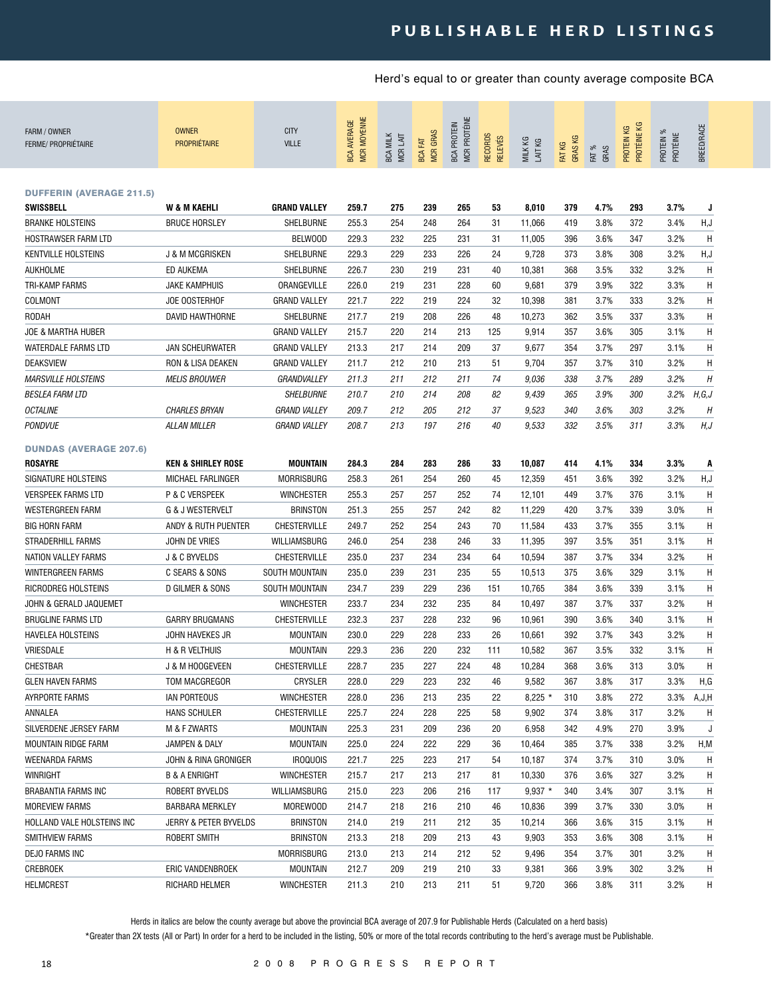### **p u b l i s h a b l e h e r d l i s t i n g s**

### Herd's equal to or greater than county average composite BCA

| FARM / OWNER<br><b>FERME/ PROPRIÉTAIRE</b>      | <b>OWNER</b><br><b>PROPRIÉTAIRE</b> | <b>CITY</b><br><b>VILLE</b> | <b>MCR MOYENNE</b><br><b>BCA AVERAGE</b> | <b>BCA MILK</b><br>MCR LAIT | <b>MCR GRAS</b><br><b>BCA FAT</b> | MCR PROTÉINE<br><b>BCA PROTEIN</b> | <b>RECORDS</b><br><b>RELEVÉS</b> | MILK KG<br>LAIT KG | GRAS KG<br>FAT KG | FAT %<br>GRAS | PROTÉINE KG<br>PROTEIN KG | PROTEIN %<br>PROTÉINE | BREED/RACE |
|-------------------------------------------------|-------------------------------------|-----------------------------|------------------------------------------|-----------------------------|-----------------------------------|------------------------------------|----------------------------------|--------------------|-------------------|---------------|---------------------------|-----------------------|------------|
| <b>DUFFERIN (AVERAGE 211.5)</b>                 |                                     |                             |                                          |                             |                                   |                                    |                                  |                    |                   |               |                           |                       |            |
| <b>SWISSBELL</b>                                | W & M KAEHLI                        | <b>GRAND VALLEY</b>         | 259.7                                    | 275                         | 239                               | 265                                | 53                               | 8,010              | 379               | 4.7%          | 293                       | 3.7%                  | J          |
| <b>BRANKE HOLSTEINS</b>                         | <b>BRUCE HORSLEY</b>                | SHELBURNE                   | 255.3                                    | 254                         | 248                               | 264                                | 31                               | 11,066             | 419               | 3.8%          | 372                       | 3.4%                  | H, J       |
| HOSTRAWSER FARM LTD                             |                                     | <b>BELWOOD</b>              | 229.3                                    | 232                         | 225                               | 231                                | 31                               | 11,005             | 396               | 3.6%          | 347                       | 3.2%                  | Η          |
| <b>KENTVILLE HOLSTEINS</b>                      | <b>J &amp; M MCGRISKEN</b>          | SHELBURNE                   | 229.3                                    | 229                         | 233                               | 226                                | 24                               | 9,728              | 373               | 3.8%          | 308                       | 3.2%                  | H, J       |
| AUKHOLME                                        | ED AUKEMA                           | <b>SHELBURNE</b>            | 226.7                                    | 230                         | 219                               | 231                                | 40                               | 10,381             | 368               | 3.5%          | 332                       | 3.2%                  | Η          |
| <b>TRI-KAMP FARMS</b>                           | <b>JAKE KAMPHUIS</b>                | ORANGEVILLE                 | 226.0                                    | 219                         | 231                               | 228                                | 60                               | 9,681              | 379               | 3.9%          | 322                       | 3.3%                  | Н          |
| COLMONT                                         | JOE OOSTERHOF                       | <b>GRAND VALLEY</b>         | 221.7                                    | 222                         | 219                               | 224                                | 32                               | 10,398             | 381               | 3.7%          | 333                       | 3.2%                  | Н          |
| RODAH                                           | DAVID HAWTHORNE                     | <b>SHELBURNE</b>            | 217.7                                    | 219                         | 208                               | 226                                | 48                               | 10,273             | 362               | 3.5%          | 337                       | 3.3%                  | Н          |
| <b>JOE &amp; MARTHA HUBER</b>                   |                                     | <b>GRAND VALLEY</b>         | 215.7                                    | 220                         | 214                               | 213                                | 125                              | 9,914              | 357               | 3.6%          | 305                       | 3.1%                  | Н          |
| WATERDALE FARMS LTD                             | <b>JAN SCHEURWATER</b>              | <b>GRAND VALLEY</b>         | 213.3                                    | 217                         | 214                               | 209                                | 37                               | 9,677              | 354               | 3.7%          | 297                       | 3.1%                  | Н          |
| <b>DEAKSVIEW</b>                                | <b>RON &amp; LISA DEAKEN</b>        | <b>GRAND VALLEY</b>         | 211.7                                    | 212                         | 210                               | 213                                | 51                               | 9,704              | 357               | 3.7%          | 310                       | 3.2%                  | Н          |
| <b>MARSVILLE HOLSTEINS</b>                      | <b>MELIS BROUWER</b>                | GRANDVALLEY                 | 211.3                                    | 211                         | 212                               | 211                                | 74                               | 9,036              | 338               | 3.7%          | 289                       | 3.2%                  | Н          |
| <i><b>BESLEA FARM LTD</b></i>                   |                                     | <b>SHELBURNE</b>            | 210.7                                    | 210                         | 214                               | 208                                | 82                               | 9,439              | 365               | 3.9%          | 300                       | 3.2%                  | H, G, J    |
| <b>OCTALINE</b>                                 | <b>CHARLES BRYAN</b>                | <b>GRAND VALLEY</b>         | 209.7                                    | 212                         | 205                               | 212                                | 37                               | 9,523              | 340               | 3.6%          | 303                       | 3.2%                  | H          |
| <b>PONDVUE</b>                                  | <b>ALLAN MILLER</b>                 | <b>GRAND VALLEY</b>         | 208.7                                    | 213                         | 197                               | 216                                | 40                               | 9,533              | 332               | 3.5%          | 311                       | 3.3%                  | H, J       |
|                                                 |                                     |                             |                                          |                             |                                   |                                    |                                  |                    |                   |               |                           |                       |            |
| <b>DUNDAS (AVERAGE 207.6)</b><br><b>ROSAYRE</b> | <b>KEN &amp; SHIRLEY ROSE</b>       | MOUNTAIN                    | 284.3                                    | 284                         | 283                               | 286                                | 33                               | 10,087             | 414               | 4.1%          | 334                       | 3.3%                  | A          |
| SIGNATURE HOLSTEINS                             | MICHAEL FARLINGER                   | MORRISBURG                  | 258.3                                    | 261                         | 254                               | 260                                | 45                               | 12,359             | 451               | 3.6%          | 392                       | 3.2%                  | H, J       |
| <b>VERSPEEK FARMS LTD</b>                       | P & C VERSPEEK                      | <b>WINCHESTER</b>           | 255.3                                    | 257                         | 257                               | 252                                | 74                               | 12,101             | 449               | 3.7%          | 376                       | 3.1%                  | Η          |
| WESTERGREEN FARM                                | <b>G &amp; J WESTERVELT</b>         | <b>BRINSTON</b>             | 251.3                                    | 255                         | 257                               | 242                                | 82                               | 11,229             | 420               | 3.7%          | 339                       | 3.0%                  | Η          |
| <b>BIG HORN FARM</b>                            | ANDY & RUTH PUENTER                 | <b>CHESTERVILLE</b>         | 249.7                                    | 252                         | 254                               | 243                                | 70                               | 11,584             | 433               | 3.7%          | 355                       | 3.1%                  | Η          |
| <b>STRADERHILL FARMS</b>                        | JOHN DE VRIES                       | WILLIAMSBURG                | 246.0                                    | 254                         | 238                               | 246                                | 33                               | 11,395             | 397               | 3.5%          | 351                       | 3.1%                  | Н          |
| NATION VALLEY FARMS                             |                                     | <b>CHESTERVILLE</b>         | 235.0                                    | 237                         | 234                               | 234                                | 64                               | 10,594             | 387               | 3.7%          | 334                       | 3.2%                  | Н          |
| <b>WINTERGREEN FARMS</b>                        | J & C BYVELDS<br>C SEARS & SONS     | <b>SOUTH MOUNTAIN</b>       | 235.0                                    | 239                         | 231                               | 235                                | 55                               | 10,513             | 375               | 3.6%          | 329                       | 3.1%                  | Н          |
| RICRODREG HOLSTEINS                             | D GILMER & SONS                     | <b>SOUTH MOUNTAIN</b>       | 234.7                                    | 239                         | 229                               | 236                                |                                  | 10,765             | 384               | 3.6%          | 339                       | 3.1%                  | Н          |
|                                                 |                                     |                             |                                          |                             |                                   |                                    | 151                              |                    |                   |               |                           |                       |            |
| JOHN & GERALD JAQUEMET                          |                                     | <b>WINCHESTER</b>           | 233.7                                    | 234                         | 232                               | 235                                | 84                               | 10,497             | 387               | 3.7%          | 337                       | 3.2%                  | Н          |
| <b>BRUGLINE FARMS LTD</b>                       | <b>GARRY BRUGMANS</b>               | <b>CHESTERVILLE</b>         | 232.3                                    | 237                         | 228                               | 232                                | 96                               | 10,961             | 390               | 3.6%          | 340                       | 3.1%                  | Н          |
| HAVELEA HOLSTEINS                               | JOHN HAVEKES JR                     | <b>MOUNTAIN</b>             | 230.0                                    | 229                         | 228                               | 233                                | 26                               | 10,661             | 392               | 3.7%          | 343                       | 3.2%                  | Н          |
| VRIESDALE                                       | H & R VELTHUIS                      | <b>MOUNTAIN</b>             | 229.3                                    | 236                         | 220                               | 232                                | 111                              | 10,582             | 367               | 3.5%          | 332                       | 3.1%                  | Н          |
| CHESTBAR                                        | J & M HOOGEVEEN                     | CHESTERVILLE                | 228.7                                    | 235                         | 227                               | 224                                | 48                               | 10,284             | 368               | 3.6%          | 313                       | 3.0%                  | H          |
| <b>GLEN HAVEN FARMS</b>                         | TOM MACGREGOR                       | CRYSLER                     | 228.0                                    | 229                         | 223                               | 232                                | 46                               | 9,582              | 367               | 3.8%          | 317                       | 3.3%                  | H,G        |
| <b>AYRPORTE FARMS</b>                           | IAN PORTEOUS                        | <b>WINCHESTER</b>           | 228.0                                    | 236                         | 213                               | 235                                | 22                               | $8,225$ *          | 310               | 3.8%          | 272                       | 3.3%                  | A,J,H      |
| ANNALEA                                         | <b>HANS SCHULER</b>                 | <b>CHESTERVILLE</b>         | 225.7                                    | 224                         | 228                               | 225                                | 58                               | 9,902              | 374               | 3.8%          | 317                       | 3.2%                  | H          |
| SILVERDENE JERSEY FARM                          | M & F ZWARTS                        | MOUNTAIN                    | 225.3                                    | 231                         | 209                               | 236                                | 20                               | 6,958              | 342               | 4.9%          | 270                       | 3.9%                  | J          |
| MOUNTAIN RIDGE FARM                             | JAMPEN & DALY                       | <b>MOUNTAIN</b>             | 225.0                                    | 224                         | 222                               | 229                                | 36                               | 10,464             | 385               | 3.7%          | 338                       | 3.2%                  | H, M       |
| <b>WEENARDA FARMS</b>                           | JOHN & RINA GRONIGER                | <b>IROQUOIS</b>             | 221.7                                    | 225                         | 223                               | 217                                | 54                               | 10,187             | 374               | 3.7%          | 310                       | 3.0%                  | Η          |
| WINRIGHT                                        | <b>B &amp; A ENRIGHT</b>            | <b>WINCHESTER</b>           | 215.7                                    | 217                         | 213                               | 217                                | 81                               | 10,330             | 376               | 3.6%          | 327                       | 3.2%                  | н          |
| <b>BRABANTIA FARMS INC</b>                      | ROBERT BYVELDS                      | WILLIAMSBURG                | 215.0                                    | 223                         | 206                               | 216                                | 117                              | $9,937$ *          | 340               | 3.4%          | 307                       | 3.1%                  | н          |
| <b>MOREVIEW FARMS</b>                           | <b>BARBARA MERKLEY</b>              | MOREWOOD                    | 214.7                                    | 218                         | 216                               | 210                                | 46                               | 10,836             | 399               | 3.7%          | 330                       | 3.0%                  | H          |
| HOLLAND VALE HOLSTEINS INC                      | JERRY & PETER BYVELDS               | <b>BRINSTON</b>             | 214.0                                    | 219                         | 211                               | 212                                | 35                               | 10,214             | 366               | 3.6%          | 315                       | 3.1%                  | H          |
| <b>SMITHVIEW FARMS</b>                          | ROBERT SMITH                        | <b>BRINSTON</b>             | 213.3                                    | 218                         | 209                               | 213                                | 43                               | 9,903              | 353               | 3.6%          | 308                       | 3.1%                  | Н          |
| DEJO FARMS INC                                  |                                     | <b>MORRISBURG</b>           | 213.0                                    | 213                         | 214                               | 212                                | 52                               | 9,496              | 354               | 3.7%          | 301                       | 3.2%                  | н          |
| CREBROEK                                        | ERIC VANDENBROEK                    | <b>MOUNTAIN</b>             | 212.7                                    | 209                         | 219                               | 210                                | 33                               | 9,381              | 366               | 3.9%          | 302                       | 3.2%                  | H          |
| <b>HELMCREST</b>                                | RICHARD HELMER                      | <b>WINCHESTER</b>           | 211.3                                    | 210                         | 213                               | 211                                | 51                               | 9,720              | 366               | 3.8%          | 311                       | 3.2%                  | H          |

Herds in italics are below the county average but above the provincial BCA average of 207.9 for Publishable Herds (Calculated on a herd basis)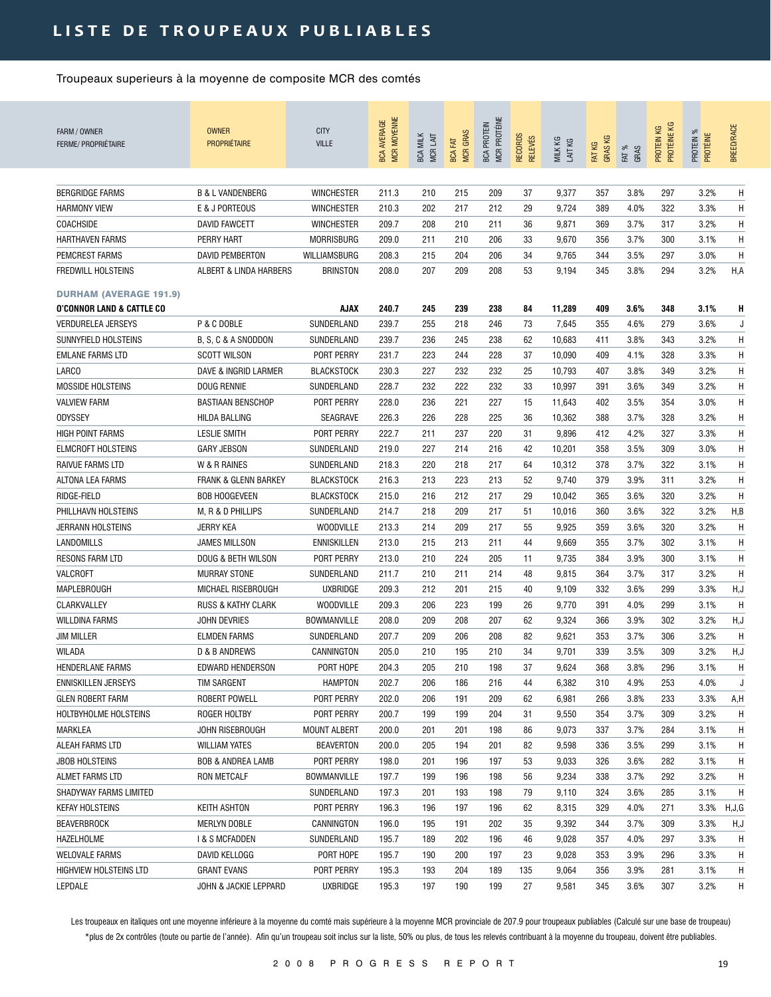| FARM / OWNER<br><b>FERME/ PROPRIÉTAIRE</b> | <b>OWNER</b><br><b>PROPRIÉTAIRE</b> | <b>CITY</b><br><b>VILLE</b> | <b>MCR MOYENNE</b><br><b>BCA AVERAGE</b> | <b>BCA MILK</b><br>MCR LAIT | <b>MCR GRAS</b><br><b>BCA FAT</b> | MCR PROTÉINE<br><b>BCA PROTEIN</b> | RECORDS<br><b>RELEVÉS</b> | MILK KG<br>LAIT KG | <b>GRASKG</b><br>FAT KG | FAT %<br>GRAS | PROTÉINE KG<br>PROTEIN KG | PROTEIN %<br>PROTÉINE | <b>BREED/RACE</b> |
|--------------------------------------------|-------------------------------------|-----------------------------|------------------------------------------|-----------------------------|-----------------------------------|------------------------------------|---------------------------|--------------------|-------------------------|---------------|---------------------------|-----------------------|-------------------|
| <b>BERGRIDGE FARMS</b>                     | <b>B &amp; L VANDENBERG</b>         | <b>WINCHESTER</b>           | 211.3                                    | 210                         | 215                               | 209                                | 37                        | 9,377              | 357                     | 3.8%          | 297                       | 3.2%                  | H                 |
| <b>HARMONY VIEW</b>                        | E & J PORTEOUS                      | <b>WINCHESTER</b>           | 210.3                                    | 202                         | 217                               | 212                                | 29                        | 9,724              | 389                     | 4.0%          | 322                       | 3.3%                  | H                 |
| <b>COACHSIDE</b>                           | <b>DAVID FAWCETT</b>                | <b>WINCHESTER</b>           | 209.7                                    | 208                         | 210                               | 211                                | 36                        | 9,871              | 369                     | 3.7%          | 317                       | 3.2%                  | H                 |
| <b>HARTHAVEN FARMS</b>                     | PERRY HART                          | <b>MORRISBURG</b>           | 209.0                                    | 211                         | 210                               | 206                                | 33                        | 9,670              | 356                     | 3.7%          | 300                       | 3.1%                  | H                 |
| PEMCREST FARMS                             | <b>DAVID PEMBERTON</b>              | WILLIAMSBURG                | 208.3                                    | 215                         | 204                               | 206                                | 34                        | 9,765              | 344                     | 3.5%          | 297                       | 3.0%                  | H                 |
| <b>FREDWILL HOLSTEINS</b>                  | ALBERT & LINDA HARBERS              | <b>BRINSTON</b>             | 208.0                                    | 207                         | 209                               | 208                                | 53                        | 9,194              | 345                     | 3.8%          | 294                       | 3.2%                  | H,A               |
| <b>DURHAM (AVERAGE 191.9)</b>              |                                     |                             |                                          |                             |                                   |                                    |                           |                    |                         |               |                           |                       |                   |
| <b>O'CONNOR LAND &amp; CATTLE CO</b>       |                                     | AJAX                        | 240.7                                    | 245                         | 239                               | 238                                | 84                        | 11,289             | 409                     | 3.6%          | 348                       | 3.1%                  | н                 |
| <b>VERDURELEA JERSEYS</b>                  | P & C DOBLE                         | SUNDERLAND                  | 239.7                                    | 255                         | 218                               | 246                                | 73                        | 7,645              | 355                     | 4.6%          | 279                       | 3.6%                  | J                 |
| SUNNYFIELD HOLSTEINS                       | B, S, C & A SNODDON                 | SUNDERLAND                  | 239.7                                    | 236                         | 245                               | 238                                | 62                        | 10,683             | 411                     | 3.8%          | 343                       | 3.2%                  | H                 |
| <b>EMLANE FARMS LTD</b>                    | <b>SCOTT WILSON</b>                 | PORT PERRY                  | 231.7                                    | 223                         | 244                               | 228                                | 37                        | 10,090             | 409                     | 4.1%          | 328                       | 3.3%                  | H                 |
| LARCO                                      | DAVE & INGRID LARMER                | <b>BLACKSTOCK</b>           | 230.3                                    | 227                         | 232                               | 232                                | 25                        | 10,793             | 407                     | 3.8%          | 349                       | 3.2%                  | H                 |
| <b>MOSSIDE HOLSTEINS</b>                   | <b>DOUG RENNIE</b>                  | SUNDERLAND                  | 228.7                                    | 232                         | 222                               | 232                                | 33                        | 10,997             | 391                     | 3.6%          | 349                       | 3.2%                  | H                 |
| <b>VALVIEW FARM</b>                        | <b>BASTIAAN BENSCHOP</b>            | PORT PERRY                  | 228.0                                    | 236                         | 221                               | 227                                | 15                        | 11,643             | 402                     | 3.5%          | 354                       | 3.0%                  | H                 |
| <b>ODYSSEY</b>                             | HILDA BALLING                       | SEAGRAVE                    | 226.3                                    | 226                         | 228                               | 225                                | 36                        | 10,362             | 388                     | 3.7%          | 328                       | 3.2%                  | H                 |
| <b>HIGH POINT FARMS</b>                    | <b>LESLIE SMITH</b>                 | PORT PERRY                  | 222.7                                    | 211                         | 237                               | 220                                | 31                        | 9,896              | 412                     | 4.2%          | 327                       | 3.3%                  | H                 |
| <b>ELMCROFT HOLSTEINS</b>                  | <b>GARY JEBSON</b>                  | SUNDERLAND                  | 219.0                                    | 227                         | 214                               | 216                                | 42                        | 10,201             | 358                     | 3.5%          | 309                       | 3.0%                  | H                 |
| <b>RAIVUE FARMS LTD</b>                    | W & R RAINES                        | SUNDERLAND                  | 218.3                                    | 220                         | 218                               | 217                                | 64                        | 10,312             | 378                     | 3.7%          | 322                       | 3.1%                  | H                 |
| ALTONA LEA FARMS                           | <b>FRANK &amp; GLENN BARKEY</b>     | <b>BLACKSTOCK</b>           | 216.3                                    | 213                         | 223                               | 213                                | 52                        | 9,740              | 379                     | 3.9%          | 311                       | 3.2%                  | H                 |
| RIDGE-FIELD                                | <b>BOB HOOGEVEEN</b>                | <b>BLACKSTOCK</b>           | 215.0                                    | 216                         | 212                               | 217                                | 29                        | 10,042             | 365                     | 3.6%          | 320                       | 3.2%                  | H                 |
| PHILLHAVN HOLSTEINS                        | M, R & D PHILLIPS                   | SUNDERLAND                  | 214.7                                    | 218                         | 209                               | 217                                | 51                        | 10,016             | 360                     | 3.6%          | 322                       | 3.2%                  | H, B              |
| JERRANN HOLSTEINS                          | <b>JERRY KEA</b>                    | <b>WOODVILLE</b>            | 213.3                                    | 214                         | 209                               | 217                                | 55                        | 9,925              | 359                     | 3.6%          | 320                       | 3.2%                  | H                 |
| LANDOMILLS                                 | <b>JAMES MILLSON</b>                | <b>ENNISKILLEN</b>          | 213.0                                    | 215                         | 213                               | 211                                | 44                        | 9,669              | 355                     | 3.7%          | 302                       | 3.1%                  | H                 |
| <b>RESONS FARM LTD</b>                     | DOUG & BETH WILSON                  | PORT PERRY                  | 213.0                                    | 210                         | 224                               | 205                                | 11                        | 9,735              | 384                     | 3.9%          | 300                       | 3.1%                  | H                 |
| VALCROFT                                   | <b>MURRAY STONE</b>                 | SUNDERLAND                  | 211.7                                    | 210                         | 211                               | 214                                | 48                        |                    | 364                     | 3.7%          | 317                       | 3.2%                  | H                 |
| <b>MAPLEBROUGH</b>                         |                                     |                             |                                          |                             |                                   |                                    |                           | 9,815              |                         |               |                           |                       |                   |
|                                            | MICHAEL RISEBROUGH                  | <b>UXBRIDGE</b>             | 209.3                                    | 212                         | 201                               | 215                                | 40                        | 9,109              | 332                     | 3.6%          | 299                       | 3.3%                  | H,J               |
| CLARKVALLEY                                | <b>RUSS &amp; KATHY CLARK</b>       | <b>WOODVILLE</b>            | 209.3                                    | 206                         | 223                               | 199                                | 26                        | 9,770              | 391                     | 4.0%          | 299                       | 3.1%                  | H                 |
| <b>WILLDINA FARMS</b>                      | <b>JOHN DEVRIES</b>                 | <b>BOWMANVILLE</b>          | 208.0                                    | 209                         | 208                               | 207                                | 62                        | 9,324              | 366                     | 3.9%          | 302                       | 3.2%                  | H,J               |
| <b>JIM MILLER</b>                          | <b>ELMDEN FARMS</b>                 | SUNDERLAND                  | 207.7                                    | 209                         | 206                               | 208                                | 82                        | 9,621              | 353                     | 3.7%          | 306                       | 3.2%                  | H                 |
| WILADA                                     | D & B ANDREWS                       | CANNINGTON                  | 205.0                                    | 210                         | 195                               | 210                                | 34                        | 9,701              | 339                     | 3.5%          | 309                       | 3.2%                  | H,J               |
| HENDERLANE FARMS                           | EDWARD HENDERSON                    | PORT HOPE                   | 204.3                                    | 205                         | 210                               | 198                                | 37                        | 9,624              | 368                     | 3.8%          | 296                       | 3.1%                  | H                 |
| <b>ENNISKILLEN JERSEYS</b>                 | TIM SARGENT                         | HAMPTON                     | 202.7                                    | 206                         | 186                               | 216                                | 44                        | 6,382              | 310                     | 4.9%          | 253                       | 4.0%                  | J                 |
| <b>GLEN ROBERT FARM</b>                    | ROBERT POWELL                       | PORT PERRY                  | 202.0                                    | 206                         | 191                               | 209                                | 62                        | 6,981              | 266                     | 3.8%          | 233                       | 3.3%                  | A,H               |
| HOLTBYHOLME HOLSTEINS                      | ROGER HOLTBY                        | PORT PERRY                  | 200.7                                    | 199                         | 199                               | 204                                | 31                        | 9,550              | 354                     | 3.7%          | 309                       | 3.2%                  | H                 |
| MARKLEA                                    | JOHN RISEBROUGH                     | <b>MOUNT ALBERT</b>         | 200.0                                    | 201                         | 201                               | 198                                | 86                        | 9,073              | 337                     | 3.7%          | 284                       | 3.1%                  | H                 |
| ALEAH FARMS LTD                            | <b>WILLIAM YATES</b>                | <b>BEAVERTON</b>            | 200.0                                    | 205                         | 194                               | 201                                | 82                        | 9,598              | 336                     | 3.5%          | 299                       | 3.1%                  | Η                 |
| <b>JBOB HOLSTEINS</b>                      | BOB & ANDREA LAMB                   | PORT PERRY                  | 198.0                                    | 201                         | 196                               | 197                                | 53                        | 9,033              | 326                     | 3.6%          | 282                       | 3.1%                  | Н                 |
| ALMET FARMS LTD                            | RON METCALF                         | BOWMANVILLE                 | 197.7                                    | 199                         | 196                               | 198                                | 56                        | 9,234              | 338                     | 3.7%          | 292                       | 3.2%                  | H                 |
| SHADYWAY FARMS LIMITED                     |                                     | SUNDERLAND                  | 197.3                                    | 201                         | 193                               | 198                                | 79                        | 9,110              | 324                     | 3.6%          | 285                       | 3.1%                  | Η                 |
| <b>KEFAY HOLSTEINS</b>                     | <b>KEITH ASHTON</b>                 | PORT PERRY                  | 196.3                                    | 196                         | 197                               | 196                                | 62                        | 8,315              | 329                     | 4.0%          | 271                       | 3.3%                  | H, J, G           |
| BEAVERBROCK                                | MERLYN DOBLE                        | CANNINGTON                  | 196.0                                    | 195                         | 191                               | 202                                | 35                        | 9,392              | 344                     | 3.7%          | 309                       | 3.3%                  | H,J               |
| HAZELHOLME                                 | I & S MCFADDEN                      | SUNDERLAND                  | 195.7                                    | 189                         | 202                               | 196                                | 46                        | 9,028              | 357                     | 4.0%          | 297                       | 3.3%                  | H                 |
| <b>WELOVALE FARMS</b>                      | DAVID KELLOGG                       | PORT HOPE                   | 195.7                                    | 190                         | 200                               | 197                                | 23                        | 9,028              | 353                     | 3.9%          | 296                       | 3.3%                  | H                 |
| HIGHVIEW HOLSTEINS LTD                     | <b>GRANT EVANS</b>                  | PORT PERRY                  | 195.3                                    | 193                         | 204                               | 189                                | 135                       | 9,064              | 356                     | 3.9%          | 281                       | 3.1%                  | H                 |
| LEPDALE                                    | JOHN & JACKIE LEPPARD               | <b>UXBRIDGE</b>             | 195.3                                    | 197                         | 190                               | 199                                | 27                        | 9,581              | 345                     | 3.6%          | 307                       | 3.2%                  | Η                 |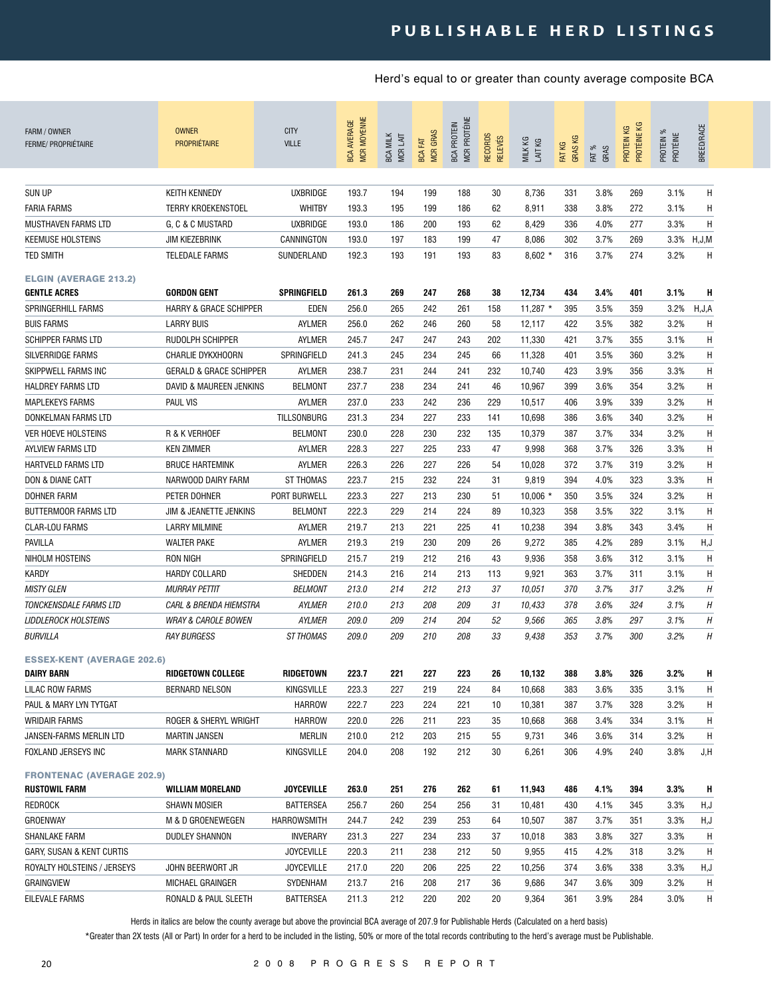| Η<br><b>SUN UP</b><br><b>KEITH KENNEDY</b><br><b>UXBRIDGE</b><br>193.7<br>194<br>199<br>188<br>30<br>8,736<br>331<br>3.8%<br>269<br>3.1%<br>193.3<br>195<br>199<br>8,911<br>272<br>3.1%<br>Η<br><b>FARIA FARMS</b><br><b>TERRY KROEKENSTOEL</b><br><b>WHITBY</b><br>186<br>62<br>338<br>3.8%<br>193.0<br>Η<br>MUSTHAVEN FARMS LTD<br>G. C & C MUSTARD<br><b>UXBRIDGE</b><br>186<br>200<br>193<br>8,429<br>277<br>3.3%<br>62<br>336<br>4.0%<br><b>KEEMUSE HOLSTEINS</b><br><b>JIM KIEZEBRINK</b><br>CANNINGTON<br>193.0<br>197<br>183<br>199<br>47<br>8,086<br>302<br>3.7%<br>269<br>3.3% H, J, M<br>192.3<br>193<br>191<br>193<br>$8,602*$<br>3.7%<br>3.2%<br>Η<br><b>TED SMITH</b><br><b>TELEDALE FARMS</b><br>SUNDERLAND<br>83<br>316<br>274<br><b>ELGIN (AVERAGE 213.2)</b><br>3.1%<br><b>GORDON GENT</b><br>SPRINGFIELD<br>261.3<br>269<br>247<br>268<br>38<br>12,734<br>434<br>3.4%<br>401<br>н<br><b>GENTLE ACRES</b><br>256.0<br>3.5%<br>3.2%<br>H, J, A<br>SPRINGERHILL FARMS<br><b>HARRY &amp; GRACE SCHIPPER</b><br>EDEN<br>265<br>242<br>261<br>11,287 $*$<br>395<br>359<br>158<br><b>BUIS FARMS</b><br><b>LARRY BUIS</b><br>AYLMER<br>256.0<br>262<br>246<br>260<br>422<br>3.5%<br>382<br>3.2%<br>Н<br>58<br>12,117<br><b>SCHIPPER FARMS LTD</b><br>RUDOLPH SCHIPPER<br>AYLMER<br>245.7<br>247<br>247<br>243<br>202<br>11,330<br>421<br>3.7%<br>3.1%<br>H<br>355<br>H<br><b>SILVERRIDGE FARMS</b><br>CHARLIE DYKXHOORN<br>SPRINGFIELD<br>241.3<br>245<br>234<br>245<br>11,328<br>401<br>3.5%<br>360<br>3.2%<br>66<br>231<br>3.9%<br>3.3%<br>Н<br>SKIPPWELL FARMS INC<br><b>GERALD &amp; GRACE SCHIPPER</b><br>AYLMER<br>238.7<br>244<br>241<br>232<br>10,740<br>423<br>356<br>237.7<br>Н<br><b>BELMONT</b><br>238<br>234<br>241<br>354<br>3.2%<br>HALDREY FARMS LTD<br>DAVID & MAUREEN JENKINS<br>46<br>10,967<br>399<br>3.6%<br>Η<br><b>PAUL VIS</b><br>237.0<br>233<br>242<br>236<br>229<br>3.9%<br>339<br>3.2%<br><b>MAPLEKEYS FARMS</b><br>AYLMER<br>10,517<br>406<br>233<br>H<br><b>TILLSONBURG</b><br>231.3<br>234<br>227<br>141<br>10,698<br>386<br>3.6%<br>340<br>3.2%<br>DONKELMAN FARMS LTD<br>228<br>230<br>232<br>3.7%<br>334<br>3.2%<br>H<br>R & K VERHOEF<br><b>BELMONT</b><br>230.0<br>135<br>10,379<br>387<br><b>VER HOEVE HOLSTEINS</b><br>233<br>H<br>228.3<br>227<br>225<br>47<br>9,998<br>368<br>3.7%<br>326<br>3.3%<br>AYLVIEW FARMS LTD<br><b>KEN ZIMMER</b><br>AYLMER<br>H<br>AYLMER<br>226.3<br>226<br>227<br>226<br>54<br>10,028<br>372<br>3.7%<br>319<br>3.2%<br>HARTVELD FARMS LTD<br><b>BRUCE HARTEMINK</b><br>215<br>232<br>224<br>H<br>DON & DIANE CATT<br>NARWOOD DAIRY FARM<br><b>ST THOMAS</b><br>223.7<br>31<br>9,819<br>394<br>4.0%<br>323<br>3.3%<br>Н<br>PORT BURWELL<br>223.3<br>227<br>213<br>230<br>324<br>3.2%<br>DOHNER FARM<br>PETER DOHNER<br>51<br>$10,006$ *<br>350<br>3.5%<br>H<br><b>BUTTERMOOR FARMS LTD</b><br>222.3<br>229<br>214<br>224<br>10,323<br>358<br>3.5%<br>322<br>3.1%<br>JIM & JEANETTE JENKINS<br><b>BELMONT</b><br>89<br>219.7<br>H<br><b>CLAR-LOU FARMS</b><br><b>LARRY MILMINE</b><br>AYLMER<br>213<br>221<br>225<br>41<br>10,238<br>394<br>3.8%<br>343<br>3.4%<br><b>WALTER PAKE</b><br>219.3<br>230<br>209<br>9,272<br>4.2%<br>289<br>3.1%<br>H, J<br>PAVILLA<br>AYLMER<br>219<br>26<br>385<br>SPRINGFIELD<br>H<br>NIHOLM HOSTEINS<br><b>RON NIGH</b><br>215.7<br>219<br>212<br>216<br>43<br>9,936<br>358<br>3.6%<br>312<br>3.1%<br>H<br><b>KARDY</b><br><b>HARDY COLLARD</b><br>SHEDDEN<br>214.3<br>216<br>214<br>213<br>113<br>9,921<br>363<br>3.7%<br>311<br>3.1%<br>Η<br><b>MISTY GLEN</b><br><b>MURRAY PETTIT</b><br><b>BELMONT</b><br>213.0<br>214<br>212<br>213<br>37<br>10,051<br>370<br>3.7%<br>317<br>3.2%<br>Η<br><b>TONCKENSDALE FARMS LTD</b><br><b>CARL &amp; BRENDA HIEMSTRA</b><br>210.0<br>213<br>208<br>209<br>3.6%<br>324<br>3.1%<br>AYLMER<br>31<br>10,433<br>378<br>H<br>209<br>214<br>3.1%<br><b>LIDDLEROCK HOLSTEINS</b><br><b>WRAY &amp; CAROLE BOWEN</b><br>AYLMER<br>209.0<br>204<br>52<br>9,566<br>365<br>3.8%<br>297<br>Η<br>BURVILLA<br><b>ST THOMAS</b><br>209.0<br>209<br>210<br>208<br>33<br>9,438<br>353<br>3.7%<br>300<br>3.2%<br><b>RAY BURGESS</b><br><b>ESSEX-KENT (AVERAGE 202.6)</b><br><b>DAIRY BARN</b><br><b>RIDGETOWN COLLEGE</b><br>RIDGETOWN<br>223.7<br>221<br>227<br>223<br>26<br>10,132<br>388<br>3.8%<br>326<br>3.2%<br>н<br>LILAC ROW FARMS<br><b>BERNARD NELSON</b><br><b>KINGSVILLE</b><br>223.3<br>227<br>219<br>224<br>84<br>10,668<br>383<br>3.6%<br>335<br>3.1%<br>Η<br>224<br>3.7%<br>3.2%<br>PAUL & MARY LYN TYTGAT<br><b>HARROW</b><br>222.7<br>223<br>221<br>10,381<br>387<br>328<br>Η<br>10<br>226<br>211<br>223<br>3.1%<br>Η<br>WRIDAIR FARMS<br>ROGER & SHERYL WRIGHT<br><b>HARROW</b><br>220.0<br>35<br>10,668<br>368<br>3.4%<br>334<br>210.0<br>212<br>203<br>215<br>9,731<br>3.6%<br>314<br>3.2%<br>H<br>JANSEN-FARMS MERLIN LTD<br><b>MARTIN JANSEN</b><br>MERLIN<br>55<br>346 | FARM / OWNER<br>FERME/ PROPRIÉTAIRE | <b>OWNER</b><br>PROPRIÉTAIRE | <b>CITY</b><br><b>VILLE</b> | <b>MCR MOYENNE</b><br><b>BCA AVERAGE</b> | <b>BCA MILK</b><br>MCR LAIT | <b>MCR GRAS</b><br><b>BCA FAT</b> | <b>MCR PROTÉINE</b><br><b>BCA PROTEIN</b> | RECORDS<br>RELEVÉS | MILK KG<br>LAIT KG | <b>GRASKG</b><br>FAT KG | FAT %<br>GRAS | PROTÉINE KG<br>PROTEIN KG | PROTEIN %<br>PROTÉINE | <b>BREED/RACE</b> |
|-----------------------------------------------------------------------------------------------------------------------------------------------------------------------------------------------------------------------------------------------------------------------------------------------------------------------------------------------------------------------------------------------------------------------------------------------------------------------------------------------------------------------------------------------------------------------------------------------------------------------------------------------------------------------------------------------------------------------------------------------------------------------------------------------------------------------------------------------------------------------------------------------------------------------------------------------------------------------------------------------------------------------------------------------------------------------------------------------------------------------------------------------------------------------------------------------------------------------------------------------------------------------------------------------------------------------------------------------------------------------------------------------------------------------------------------------------------------------------------------------------------------------------------------------------------------------------------------------------------------------------------------------------------------------------------------------------------------------------------------------------------------------------------------------------------------------------------------------------------------------------------------------------------------------------------------------------------------------------------------------------------------------------------------------------------------------------------------------------------------------------------------------------------------------------------------------------------------------------------------------------------------------------------------------------------------------------------------------------------------------------------------------------------------------------------------------------------------------------------------------------------------------------------------------------------------------------------------------------------------------------------------------------------------------------------------------------------------------------------------------------------------------------------------------------------------------------------------------------------------------------------------------------------------------------------------------------------------------------------------------------------------------------------------------------------------------------------------------------------------------------------------------------------------------------------------------------------------------------------------------------------------------------------------------------------------------------------------------------------------------------------------------------------------------------------------------------------------------------------------------------------------------------------------------------------------------------------------------------------------------------------------------------------------------------------------------------------------------------------------------------------------------------------------------------------------------------------------------------------------------------------------------------------------------------------------------------------------------------------------------------------------------------------------------------------------------------------------------------------------------------------------------------------------------------------------------------------------------------------------------------------------------------------------------------------------------------------------------------------------------------------------------------------------------------------------------------------------------------------------------------------------------------------------------------------------------------------------------------------------------------------------------------------------------------------------------------------------------------------------------------------------------------------------------------------------------------------------------------------------------------------------------------------------------------------|-------------------------------------|------------------------------|-----------------------------|------------------------------------------|-----------------------------|-----------------------------------|-------------------------------------------|--------------------|--------------------|-------------------------|---------------|---------------------------|-----------------------|-------------------|
|                                                                                                                                                                                                                                                                                                                                                                                                                                                                                                                                                                                                                                                                                                                                                                                                                                                                                                                                                                                                                                                                                                                                                                                                                                                                                                                                                                                                                                                                                                                                                                                                                                                                                                                                                                                                                                                                                                                                                                                                                                                                                                                                                                                                                                                                                                                                                                                                                                                                                                                                                                                                                                                                                                                                                                                                                                                                                                                                                                                                                                                                                                                                                                                                                                                                                                                                                                                                                                                                                                                                                                                                                                                                                                                                                                                                                                                                                                                                                                                                                                                                                                                                                                                                                                                                                                                                                                                                                                                                                                                                                                                                                                                                                                                                                                                                                                                                                                                                   |                                     |                              |                             |                                          |                             |                                   |                                           |                    |                    |                         |               |                           |                       |                   |
|                                                                                                                                                                                                                                                                                                                                                                                                                                                                                                                                                                                                                                                                                                                                                                                                                                                                                                                                                                                                                                                                                                                                                                                                                                                                                                                                                                                                                                                                                                                                                                                                                                                                                                                                                                                                                                                                                                                                                                                                                                                                                                                                                                                                                                                                                                                                                                                                                                                                                                                                                                                                                                                                                                                                                                                                                                                                                                                                                                                                                                                                                                                                                                                                                                                                                                                                                                                                                                                                                                                                                                                                                                                                                                                                                                                                                                                                                                                                                                                                                                                                                                                                                                                                                                                                                                                                                                                                                                                                                                                                                                                                                                                                                                                                                                                                                                                                                                                                   |                                     |                              |                             |                                          |                             |                                   |                                           |                    |                    |                         |               |                           |                       |                   |
|                                                                                                                                                                                                                                                                                                                                                                                                                                                                                                                                                                                                                                                                                                                                                                                                                                                                                                                                                                                                                                                                                                                                                                                                                                                                                                                                                                                                                                                                                                                                                                                                                                                                                                                                                                                                                                                                                                                                                                                                                                                                                                                                                                                                                                                                                                                                                                                                                                                                                                                                                                                                                                                                                                                                                                                                                                                                                                                                                                                                                                                                                                                                                                                                                                                                                                                                                                                                                                                                                                                                                                                                                                                                                                                                                                                                                                                                                                                                                                                                                                                                                                                                                                                                                                                                                                                                                                                                                                                                                                                                                                                                                                                                                                                                                                                                                                                                                                                                   |                                     |                              |                             |                                          |                             |                                   |                                           |                    |                    |                         |               |                           |                       |                   |
|                                                                                                                                                                                                                                                                                                                                                                                                                                                                                                                                                                                                                                                                                                                                                                                                                                                                                                                                                                                                                                                                                                                                                                                                                                                                                                                                                                                                                                                                                                                                                                                                                                                                                                                                                                                                                                                                                                                                                                                                                                                                                                                                                                                                                                                                                                                                                                                                                                                                                                                                                                                                                                                                                                                                                                                                                                                                                                                                                                                                                                                                                                                                                                                                                                                                                                                                                                                                                                                                                                                                                                                                                                                                                                                                                                                                                                                                                                                                                                                                                                                                                                                                                                                                                                                                                                                                                                                                                                                                                                                                                                                                                                                                                                                                                                                                                                                                                                                                   |                                     |                              |                             |                                          |                             |                                   |                                           |                    |                    |                         |               |                           |                       |                   |
|                                                                                                                                                                                                                                                                                                                                                                                                                                                                                                                                                                                                                                                                                                                                                                                                                                                                                                                                                                                                                                                                                                                                                                                                                                                                                                                                                                                                                                                                                                                                                                                                                                                                                                                                                                                                                                                                                                                                                                                                                                                                                                                                                                                                                                                                                                                                                                                                                                                                                                                                                                                                                                                                                                                                                                                                                                                                                                                                                                                                                                                                                                                                                                                                                                                                                                                                                                                                                                                                                                                                                                                                                                                                                                                                                                                                                                                                                                                                                                                                                                                                                                                                                                                                                                                                                                                                                                                                                                                                                                                                                                                                                                                                                                                                                                                                                                                                                                                                   |                                     |                              |                             |                                          |                             |                                   |                                           |                    |                    |                         |               |                           |                       |                   |
|                                                                                                                                                                                                                                                                                                                                                                                                                                                                                                                                                                                                                                                                                                                                                                                                                                                                                                                                                                                                                                                                                                                                                                                                                                                                                                                                                                                                                                                                                                                                                                                                                                                                                                                                                                                                                                                                                                                                                                                                                                                                                                                                                                                                                                                                                                                                                                                                                                                                                                                                                                                                                                                                                                                                                                                                                                                                                                                                                                                                                                                                                                                                                                                                                                                                                                                                                                                                                                                                                                                                                                                                                                                                                                                                                                                                                                                                                                                                                                                                                                                                                                                                                                                                                                                                                                                                                                                                                                                                                                                                                                                                                                                                                                                                                                                                                                                                                                                                   |                                     |                              |                             |                                          |                             |                                   |                                           |                    |                    |                         |               |                           |                       |                   |
|                                                                                                                                                                                                                                                                                                                                                                                                                                                                                                                                                                                                                                                                                                                                                                                                                                                                                                                                                                                                                                                                                                                                                                                                                                                                                                                                                                                                                                                                                                                                                                                                                                                                                                                                                                                                                                                                                                                                                                                                                                                                                                                                                                                                                                                                                                                                                                                                                                                                                                                                                                                                                                                                                                                                                                                                                                                                                                                                                                                                                                                                                                                                                                                                                                                                                                                                                                                                                                                                                                                                                                                                                                                                                                                                                                                                                                                                                                                                                                                                                                                                                                                                                                                                                                                                                                                                                                                                                                                                                                                                                                                                                                                                                                                                                                                                                                                                                                                                   |                                     |                              |                             |                                          |                             |                                   |                                           |                    |                    |                         |               |                           |                       |                   |
|                                                                                                                                                                                                                                                                                                                                                                                                                                                                                                                                                                                                                                                                                                                                                                                                                                                                                                                                                                                                                                                                                                                                                                                                                                                                                                                                                                                                                                                                                                                                                                                                                                                                                                                                                                                                                                                                                                                                                                                                                                                                                                                                                                                                                                                                                                                                                                                                                                                                                                                                                                                                                                                                                                                                                                                                                                                                                                                                                                                                                                                                                                                                                                                                                                                                                                                                                                                                                                                                                                                                                                                                                                                                                                                                                                                                                                                                                                                                                                                                                                                                                                                                                                                                                                                                                                                                                                                                                                                                                                                                                                                                                                                                                                                                                                                                                                                                                                                                   |                                     |                              |                             |                                          |                             |                                   |                                           |                    |                    |                         |               |                           |                       |                   |
|                                                                                                                                                                                                                                                                                                                                                                                                                                                                                                                                                                                                                                                                                                                                                                                                                                                                                                                                                                                                                                                                                                                                                                                                                                                                                                                                                                                                                                                                                                                                                                                                                                                                                                                                                                                                                                                                                                                                                                                                                                                                                                                                                                                                                                                                                                                                                                                                                                                                                                                                                                                                                                                                                                                                                                                                                                                                                                                                                                                                                                                                                                                                                                                                                                                                                                                                                                                                                                                                                                                                                                                                                                                                                                                                                                                                                                                                                                                                                                                                                                                                                                                                                                                                                                                                                                                                                                                                                                                                                                                                                                                                                                                                                                                                                                                                                                                                                                                                   |                                     |                              |                             |                                          |                             |                                   |                                           |                    |                    |                         |               |                           |                       |                   |
|                                                                                                                                                                                                                                                                                                                                                                                                                                                                                                                                                                                                                                                                                                                                                                                                                                                                                                                                                                                                                                                                                                                                                                                                                                                                                                                                                                                                                                                                                                                                                                                                                                                                                                                                                                                                                                                                                                                                                                                                                                                                                                                                                                                                                                                                                                                                                                                                                                                                                                                                                                                                                                                                                                                                                                                                                                                                                                                                                                                                                                                                                                                                                                                                                                                                                                                                                                                                                                                                                                                                                                                                                                                                                                                                                                                                                                                                                                                                                                                                                                                                                                                                                                                                                                                                                                                                                                                                                                                                                                                                                                                                                                                                                                                                                                                                                                                                                                                                   |                                     |                              |                             |                                          |                             |                                   |                                           |                    |                    |                         |               |                           |                       |                   |
|                                                                                                                                                                                                                                                                                                                                                                                                                                                                                                                                                                                                                                                                                                                                                                                                                                                                                                                                                                                                                                                                                                                                                                                                                                                                                                                                                                                                                                                                                                                                                                                                                                                                                                                                                                                                                                                                                                                                                                                                                                                                                                                                                                                                                                                                                                                                                                                                                                                                                                                                                                                                                                                                                                                                                                                                                                                                                                                                                                                                                                                                                                                                                                                                                                                                                                                                                                                                                                                                                                                                                                                                                                                                                                                                                                                                                                                                                                                                                                                                                                                                                                                                                                                                                                                                                                                                                                                                                                                                                                                                                                                                                                                                                                                                                                                                                                                                                                                                   |                                     |                              |                             |                                          |                             |                                   |                                           |                    |                    |                         |               |                           |                       |                   |
|                                                                                                                                                                                                                                                                                                                                                                                                                                                                                                                                                                                                                                                                                                                                                                                                                                                                                                                                                                                                                                                                                                                                                                                                                                                                                                                                                                                                                                                                                                                                                                                                                                                                                                                                                                                                                                                                                                                                                                                                                                                                                                                                                                                                                                                                                                                                                                                                                                                                                                                                                                                                                                                                                                                                                                                                                                                                                                                                                                                                                                                                                                                                                                                                                                                                                                                                                                                                                                                                                                                                                                                                                                                                                                                                                                                                                                                                                                                                                                                                                                                                                                                                                                                                                                                                                                                                                                                                                                                                                                                                                                                                                                                                                                                                                                                                                                                                                                                                   |                                     |                              |                             |                                          |                             |                                   |                                           |                    |                    |                         |               |                           |                       |                   |
|                                                                                                                                                                                                                                                                                                                                                                                                                                                                                                                                                                                                                                                                                                                                                                                                                                                                                                                                                                                                                                                                                                                                                                                                                                                                                                                                                                                                                                                                                                                                                                                                                                                                                                                                                                                                                                                                                                                                                                                                                                                                                                                                                                                                                                                                                                                                                                                                                                                                                                                                                                                                                                                                                                                                                                                                                                                                                                                                                                                                                                                                                                                                                                                                                                                                                                                                                                                                                                                                                                                                                                                                                                                                                                                                                                                                                                                                                                                                                                                                                                                                                                                                                                                                                                                                                                                                                                                                                                                                                                                                                                                                                                                                                                                                                                                                                                                                                                                                   |                                     |                              |                             |                                          |                             |                                   |                                           |                    |                    |                         |               |                           |                       |                   |
|                                                                                                                                                                                                                                                                                                                                                                                                                                                                                                                                                                                                                                                                                                                                                                                                                                                                                                                                                                                                                                                                                                                                                                                                                                                                                                                                                                                                                                                                                                                                                                                                                                                                                                                                                                                                                                                                                                                                                                                                                                                                                                                                                                                                                                                                                                                                                                                                                                                                                                                                                                                                                                                                                                                                                                                                                                                                                                                                                                                                                                                                                                                                                                                                                                                                                                                                                                                                                                                                                                                                                                                                                                                                                                                                                                                                                                                                                                                                                                                                                                                                                                                                                                                                                                                                                                                                                                                                                                                                                                                                                                                                                                                                                                                                                                                                                                                                                                                                   |                                     |                              |                             |                                          |                             |                                   |                                           |                    |                    |                         |               |                           |                       |                   |
|                                                                                                                                                                                                                                                                                                                                                                                                                                                                                                                                                                                                                                                                                                                                                                                                                                                                                                                                                                                                                                                                                                                                                                                                                                                                                                                                                                                                                                                                                                                                                                                                                                                                                                                                                                                                                                                                                                                                                                                                                                                                                                                                                                                                                                                                                                                                                                                                                                                                                                                                                                                                                                                                                                                                                                                                                                                                                                                                                                                                                                                                                                                                                                                                                                                                                                                                                                                                                                                                                                                                                                                                                                                                                                                                                                                                                                                                                                                                                                                                                                                                                                                                                                                                                                                                                                                                                                                                                                                                                                                                                                                                                                                                                                                                                                                                                                                                                                                                   |                                     |                              |                             |                                          |                             |                                   |                                           |                    |                    |                         |               |                           |                       |                   |
|                                                                                                                                                                                                                                                                                                                                                                                                                                                                                                                                                                                                                                                                                                                                                                                                                                                                                                                                                                                                                                                                                                                                                                                                                                                                                                                                                                                                                                                                                                                                                                                                                                                                                                                                                                                                                                                                                                                                                                                                                                                                                                                                                                                                                                                                                                                                                                                                                                                                                                                                                                                                                                                                                                                                                                                                                                                                                                                                                                                                                                                                                                                                                                                                                                                                                                                                                                                                                                                                                                                                                                                                                                                                                                                                                                                                                                                                                                                                                                                                                                                                                                                                                                                                                                                                                                                                                                                                                                                                                                                                                                                                                                                                                                                                                                                                                                                                                                                                   |                                     |                              |                             |                                          |                             |                                   |                                           |                    |                    |                         |               |                           |                       |                   |
|                                                                                                                                                                                                                                                                                                                                                                                                                                                                                                                                                                                                                                                                                                                                                                                                                                                                                                                                                                                                                                                                                                                                                                                                                                                                                                                                                                                                                                                                                                                                                                                                                                                                                                                                                                                                                                                                                                                                                                                                                                                                                                                                                                                                                                                                                                                                                                                                                                                                                                                                                                                                                                                                                                                                                                                                                                                                                                                                                                                                                                                                                                                                                                                                                                                                                                                                                                                                                                                                                                                                                                                                                                                                                                                                                                                                                                                                                                                                                                                                                                                                                                                                                                                                                                                                                                                                                                                                                                                                                                                                                                                                                                                                                                                                                                                                                                                                                                                                   |                                     |                              |                             |                                          |                             |                                   |                                           |                    |                    |                         |               |                           |                       |                   |
|                                                                                                                                                                                                                                                                                                                                                                                                                                                                                                                                                                                                                                                                                                                                                                                                                                                                                                                                                                                                                                                                                                                                                                                                                                                                                                                                                                                                                                                                                                                                                                                                                                                                                                                                                                                                                                                                                                                                                                                                                                                                                                                                                                                                                                                                                                                                                                                                                                                                                                                                                                                                                                                                                                                                                                                                                                                                                                                                                                                                                                                                                                                                                                                                                                                                                                                                                                                                                                                                                                                                                                                                                                                                                                                                                                                                                                                                                                                                                                                                                                                                                                                                                                                                                                                                                                                                                                                                                                                                                                                                                                                                                                                                                                                                                                                                                                                                                                                                   |                                     |                              |                             |                                          |                             |                                   |                                           |                    |                    |                         |               |                           |                       |                   |
|                                                                                                                                                                                                                                                                                                                                                                                                                                                                                                                                                                                                                                                                                                                                                                                                                                                                                                                                                                                                                                                                                                                                                                                                                                                                                                                                                                                                                                                                                                                                                                                                                                                                                                                                                                                                                                                                                                                                                                                                                                                                                                                                                                                                                                                                                                                                                                                                                                                                                                                                                                                                                                                                                                                                                                                                                                                                                                                                                                                                                                                                                                                                                                                                                                                                                                                                                                                                                                                                                                                                                                                                                                                                                                                                                                                                                                                                                                                                                                                                                                                                                                                                                                                                                                                                                                                                                                                                                                                                                                                                                                                                                                                                                                                                                                                                                                                                                                                                   |                                     |                              |                             |                                          |                             |                                   |                                           |                    |                    |                         |               |                           |                       |                   |
|                                                                                                                                                                                                                                                                                                                                                                                                                                                                                                                                                                                                                                                                                                                                                                                                                                                                                                                                                                                                                                                                                                                                                                                                                                                                                                                                                                                                                                                                                                                                                                                                                                                                                                                                                                                                                                                                                                                                                                                                                                                                                                                                                                                                                                                                                                                                                                                                                                                                                                                                                                                                                                                                                                                                                                                                                                                                                                                                                                                                                                                                                                                                                                                                                                                                                                                                                                                                                                                                                                                                                                                                                                                                                                                                                                                                                                                                                                                                                                                                                                                                                                                                                                                                                                                                                                                                                                                                                                                                                                                                                                                                                                                                                                                                                                                                                                                                                                                                   |                                     |                              |                             |                                          |                             |                                   |                                           |                    |                    |                         |               |                           |                       |                   |
|                                                                                                                                                                                                                                                                                                                                                                                                                                                                                                                                                                                                                                                                                                                                                                                                                                                                                                                                                                                                                                                                                                                                                                                                                                                                                                                                                                                                                                                                                                                                                                                                                                                                                                                                                                                                                                                                                                                                                                                                                                                                                                                                                                                                                                                                                                                                                                                                                                                                                                                                                                                                                                                                                                                                                                                                                                                                                                                                                                                                                                                                                                                                                                                                                                                                                                                                                                                                                                                                                                                                                                                                                                                                                                                                                                                                                                                                                                                                                                                                                                                                                                                                                                                                                                                                                                                                                                                                                                                                                                                                                                                                                                                                                                                                                                                                                                                                                                                                   |                                     |                              |                             |                                          |                             |                                   |                                           |                    |                    |                         |               |                           |                       |                   |
|                                                                                                                                                                                                                                                                                                                                                                                                                                                                                                                                                                                                                                                                                                                                                                                                                                                                                                                                                                                                                                                                                                                                                                                                                                                                                                                                                                                                                                                                                                                                                                                                                                                                                                                                                                                                                                                                                                                                                                                                                                                                                                                                                                                                                                                                                                                                                                                                                                                                                                                                                                                                                                                                                                                                                                                                                                                                                                                                                                                                                                                                                                                                                                                                                                                                                                                                                                                                                                                                                                                                                                                                                                                                                                                                                                                                                                                                                                                                                                                                                                                                                                                                                                                                                                                                                                                                                                                                                                                                                                                                                                                                                                                                                                                                                                                                                                                                                                                                   |                                     |                              |                             |                                          |                             |                                   |                                           |                    |                    |                         |               |                           |                       |                   |
|                                                                                                                                                                                                                                                                                                                                                                                                                                                                                                                                                                                                                                                                                                                                                                                                                                                                                                                                                                                                                                                                                                                                                                                                                                                                                                                                                                                                                                                                                                                                                                                                                                                                                                                                                                                                                                                                                                                                                                                                                                                                                                                                                                                                                                                                                                                                                                                                                                                                                                                                                                                                                                                                                                                                                                                                                                                                                                                                                                                                                                                                                                                                                                                                                                                                                                                                                                                                                                                                                                                                                                                                                                                                                                                                                                                                                                                                                                                                                                                                                                                                                                                                                                                                                                                                                                                                                                                                                                                                                                                                                                                                                                                                                                                                                                                                                                                                                                                                   |                                     |                              |                             |                                          |                             |                                   |                                           |                    |                    |                         |               |                           |                       |                   |
|                                                                                                                                                                                                                                                                                                                                                                                                                                                                                                                                                                                                                                                                                                                                                                                                                                                                                                                                                                                                                                                                                                                                                                                                                                                                                                                                                                                                                                                                                                                                                                                                                                                                                                                                                                                                                                                                                                                                                                                                                                                                                                                                                                                                                                                                                                                                                                                                                                                                                                                                                                                                                                                                                                                                                                                                                                                                                                                                                                                                                                                                                                                                                                                                                                                                                                                                                                                                                                                                                                                                                                                                                                                                                                                                                                                                                                                                                                                                                                                                                                                                                                                                                                                                                                                                                                                                                                                                                                                                                                                                                                                                                                                                                                                                                                                                                                                                                                                                   |                                     |                              |                             |                                          |                             |                                   |                                           |                    |                    |                         |               |                           |                       |                   |
|                                                                                                                                                                                                                                                                                                                                                                                                                                                                                                                                                                                                                                                                                                                                                                                                                                                                                                                                                                                                                                                                                                                                                                                                                                                                                                                                                                                                                                                                                                                                                                                                                                                                                                                                                                                                                                                                                                                                                                                                                                                                                                                                                                                                                                                                                                                                                                                                                                                                                                                                                                                                                                                                                                                                                                                                                                                                                                                                                                                                                                                                                                                                                                                                                                                                                                                                                                                                                                                                                                                                                                                                                                                                                                                                                                                                                                                                                                                                                                                                                                                                                                                                                                                                                                                                                                                                                                                                                                                                                                                                                                                                                                                                                                                                                                                                                                                                                                                                   |                                     |                              |                             |                                          |                             |                                   |                                           |                    |                    |                         |               |                           |                       |                   |
|                                                                                                                                                                                                                                                                                                                                                                                                                                                                                                                                                                                                                                                                                                                                                                                                                                                                                                                                                                                                                                                                                                                                                                                                                                                                                                                                                                                                                                                                                                                                                                                                                                                                                                                                                                                                                                                                                                                                                                                                                                                                                                                                                                                                                                                                                                                                                                                                                                                                                                                                                                                                                                                                                                                                                                                                                                                                                                                                                                                                                                                                                                                                                                                                                                                                                                                                                                                                                                                                                                                                                                                                                                                                                                                                                                                                                                                                                                                                                                                                                                                                                                                                                                                                                                                                                                                                                                                                                                                                                                                                                                                                                                                                                                                                                                                                                                                                                                                                   |                                     |                              |                             |                                          |                             |                                   |                                           |                    |                    |                         |               |                           |                       |                   |
|                                                                                                                                                                                                                                                                                                                                                                                                                                                                                                                                                                                                                                                                                                                                                                                                                                                                                                                                                                                                                                                                                                                                                                                                                                                                                                                                                                                                                                                                                                                                                                                                                                                                                                                                                                                                                                                                                                                                                                                                                                                                                                                                                                                                                                                                                                                                                                                                                                                                                                                                                                                                                                                                                                                                                                                                                                                                                                                                                                                                                                                                                                                                                                                                                                                                                                                                                                                                                                                                                                                                                                                                                                                                                                                                                                                                                                                                                                                                                                                                                                                                                                                                                                                                                                                                                                                                                                                                                                                                                                                                                                                                                                                                                                                                                                                                                                                                                                                                   |                                     |                              |                             |                                          |                             |                                   |                                           |                    |                    |                         |               |                           |                       |                   |
|                                                                                                                                                                                                                                                                                                                                                                                                                                                                                                                                                                                                                                                                                                                                                                                                                                                                                                                                                                                                                                                                                                                                                                                                                                                                                                                                                                                                                                                                                                                                                                                                                                                                                                                                                                                                                                                                                                                                                                                                                                                                                                                                                                                                                                                                                                                                                                                                                                                                                                                                                                                                                                                                                                                                                                                                                                                                                                                                                                                                                                                                                                                                                                                                                                                                                                                                                                                                                                                                                                                                                                                                                                                                                                                                                                                                                                                                                                                                                                                                                                                                                                                                                                                                                                                                                                                                                                                                                                                                                                                                                                                                                                                                                                                                                                                                                                                                                                                                   |                                     |                              |                             |                                          |                             |                                   |                                           |                    |                    |                         |               |                           |                       |                   |
|                                                                                                                                                                                                                                                                                                                                                                                                                                                                                                                                                                                                                                                                                                                                                                                                                                                                                                                                                                                                                                                                                                                                                                                                                                                                                                                                                                                                                                                                                                                                                                                                                                                                                                                                                                                                                                                                                                                                                                                                                                                                                                                                                                                                                                                                                                                                                                                                                                                                                                                                                                                                                                                                                                                                                                                                                                                                                                                                                                                                                                                                                                                                                                                                                                                                                                                                                                                                                                                                                                                                                                                                                                                                                                                                                                                                                                                                                                                                                                                                                                                                                                                                                                                                                                                                                                                                                                                                                                                                                                                                                                                                                                                                                                                                                                                                                                                                                                                                   |                                     |                              |                             |                                          |                             |                                   |                                           |                    |                    |                         |               |                           |                       |                   |
|                                                                                                                                                                                                                                                                                                                                                                                                                                                                                                                                                                                                                                                                                                                                                                                                                                                                                                                                                                                                                                                                                                                                                                                                                                                                                                                                                                                                                                                                                                                                                                                                                                                                                                                                                                                                                                                                                                                                                                                                                                                                                                                                                                                                                                                                                                                                                                                                                                                                                                                                                                                                                                                                                                                                                                                                                                                                                                                                                                                                                                                                                                                                                                                                                                                                                                                                                                                                                                                                                                                                                                                                                                                                                                                                                                                                                                                                                                                                                                                                                                                                                                                                                                                                                                                                                                                                                                                                                                                                                                                                                                                                                                                                                                                                                                                                                                                                                                                                   |                                     |                              |                             |                                          |                             |                                   |                                           |                    |                    |                         |               |                           |                       |                   |
|                                                                                                                                                                                                                                                                                                                                                                                                                                                                                                                                                                                                                                                                                                                                                                                                                                                                                                                                                                                                                                                                                                                                                                                                                                                                                                                                                                                                                                                                                                                                                                                                                                                                                                                                                                                                                                                                                                                                                                                                                                                                                                                                                                                                                                                                                                                                                                                                                                                                                                                                                                                                                                                                                                                                                                                                                                                                                                                                                                                                                                                                                                                                                                                                                                                                                                                                                                                                                                                                                                                                                                                                                                                                                                                                                                                                                                                                                                                                                                                                                                                                                                                                                                                                                                                                                                                                                                                                                                                                                                                                                                                                                                                                                                                                                                                                                                                                                                                                   |                                     |                              |                             |                                          |                             |                                   |                                           |                    |                    |                         |               |                           |                       |                   |
|                                                                                                                                                                                                                                                                                                                                                                                                                                                                                                                                                                                                                                                                                                                                                                                                                                                                                                                                                                                                                                                                                                                                                                                                                                                                                                                                                                                                                                                                                                                                                                                                                                                                                                                                                                                                                                                                                                                                                                                                                                                                                                                                                                                                                                                                                                                                                                                                                                                                                                                                                                                                                                                                                                                                                                                                                                                                                                                                                                                                                                                                                                                                                                                                                                                                                                                                                                                                                                                                                                                                                                                                                                                                                                                                                                                                                                                                                                                                                                                                                                                                                                                                                                                                                                                                                                                                                                                                                                                                                                                                                                                                                                                                                                                                                                                                                                                                                                                                   |                                     |                              |                             |                                          |                             |                                   |                                           |                    |                    |                         |               |                           |                       |                   |
|                                                                                                                                                                                                                                                                                                                                                                                                                                                                                                                                                                                                                                                                                                                                                                                                                                                                                                                                                                                                                                                                                                                                                                                                                                                                                                                                                                                                                                                                                                                                                                                                                                                                                                                                                                                                                                                                                                                                                                                                                                                                                                                                                                                                                                                                                                                                                                                                                                                                                                                                                                                                                                                                                                                                                                                                                                                                                                                                                                                                                                                                                                                                                                                                                                                                                                                                                                                                                                                                                                                                                                                                                                                                                                                                                                                                                                                                                                                                                                                                                                                                                                                                                                                                                                                                                                                                                                                                                                                                                                                                                                                                                                                                                                                                                                                                                                                                                                                                   |                                     |                              |                             |                                          |                             |                                   |                                           |                    |                    |                         |               |                           |                       |                   |
|                                                                                                                                                                                                                                                                                                                                                                                                                                                                                                                                                                                                                                                                                                                                                                                                                                                                                                                                                                                                                                                                                                                                                                                                                                                                                                                                                                                                                                                                                                                                                                                                                                                                                                                                                                                                                                                                                                                                                                                                                                                                                                                                                                                                                                                                                                                                                                                                                                                                                                                                                                                                                                                                                                                                                                                                                                                                                                                                                                                                                                                                                                                                                                                                                                                                                                                                                                                                                                                                                                                                                                                                                                                                                                                                                                                                                                                                                                                                                                                                                                                                                                                                                                                                                                                                                                                                                                                                                                                                                                                                                                                                                                                                                                                                                                                                                                                                                                                                   |                                     |                              |                             |                                          |                             |                                   |                                           |                    |                    |                         |               |                           |                       |                   |
|                                                                                                                                                                                                                                                                                                                                                                                                                                                                                                                                                                                                                                                                                                                                                                                                                                                                                                                                                                                                                                                                                                                                                                                                                                                                                                                                                                                                                                                                                                                                                                                                                                                                                                                                                                                                                                                                                                                                                                                                                                                                                                                                                                                                                                                                                                                                                                                                                                                                                                                                                                                                                                                                                                                                                                                                                                                                                                                                                                                                                                                                                                                                                                                                                                                                                                                                                                                                                                                                                                                                                                                                                                                                                                                                                                                                                                                                                                                                                                                                                                                                                                                                                                                                                                                                                                                                                                                                                                                                                                                                                                                                                                                                                                                                                                                                                                                                                                                                   |                                     |                              |                             |                                          |                             |                                   |                                           |                    |                    |                         |               |                           |                       |                   |
| KINGSVILLE<br>204.0<br>208<br>192<br>212<br>6,261<br>4.9%<br>240<br>3.8%<br>J,H<br>FOXLAND JERSEYS INC<br><b>MARK STANNARD</b><br>30<br>306                                                                                                                                                                                                                                                                                                                                                                                                                                                                                                                                                                                                                                                                                                                                                                                                                                                                                                                                                                                                                                                                                                                                                                                                                                                                                                                                                                                                                                                                                                                                                                                                                                                                                                                                                                                                                                                                                                                                                                                                                                                                                                                                                                                                                                                                                                                                                                                                                                                                                                                                                                                                                                                                                                                                                                                                                                                                                                                                                                                                                                                                                                                                                                                                                                                                                                                                                                                                                                                                                                                                                                                                                                                                                                                                                                                                                                                                                                                                                                                                                                                                                                                                                                                                                                                                                                                                                                                                                                                                                                                                                                                                                                                                                                                                                                                       |                                     |                              |                             |                                          |                             |                                   |                                           |                    |                    |                         |               |                           |                       |                   |
| <b>FRONTENAC (AVERAGE 202.9)</b><br><b>JOYCEVILLE</b><br>3.3%<br><b>RUSTOWIL FARM</b><br><b>WILLIAM MORELAND</b><br>263.0<br>251<br>276<br>262<br>61<br>11,943<br>486<br>4.1%<br>394<br>н                                                                                                                                                                                                                                                                                                                                                                                                                                                                                                                                                                                                                                                                                                                                                                                                                                                                                                                                                                                                                                                                                                                                                                                                                                                                                                                                                                                                                                                                                                                                                                                                                                                                                                                                                                                                                                                                                                                                                                                                                                                                                                                                                                                                                                                                                                                                                                                                                                                                                                                                                                                                                                                                                                                                                                                                                                                                                                                                                                                                                                                                                                                                                                                                                                                                                                                                                                                                                                                                                                                                                                                                                                                                                                                                                                                                                                                                                                                                                                                                                                                                                                                                                                                                                                                                                                                                                                                                                                                                                                                                                                                                                                                                                                                                         |                                     |                              |                             |                                          |                             |                                   |                                           |                    |                    |                         |               |                           |                       |                   |
| <b>BATTERSEA</b><br>256.7<br>260<br>254<br>256<br>31<br>10,481<br>430<br>4.1%<br>345<br>3.3%<br>H,J<br>REDROCK<br><b>SHAWN MOSIER</b>                                                                                                                                                                                                                                                                                                                                                                                                                                                                                                                                                                                                                                                                                                                                                                                                                                                                                                                                                                                                                                                                                                                                                                                                                                                                                                                                                                                                                                                                                                                                                                                                                                                                                                                                                                                                                                                                                                                                                                                                                                                                                                                                                                                                                                                                                                                                                                                                                                                                                                                                                                                                                                                                                                                                                                                                                                                                                                                                                                                                                                                                                                                                                                                                                                                                                                                                                                                                                                                                                                                                                                                                                                                                                                                                                                                                                                                                                                                                                                                                                                                                                                                                                                                                                                                                                                                                                                                                                                                                                                                                                                                                                                                                                                                                                                                             |                                     |                              |                             |                                          |                             |                                   |                                           |                    |                    |                         |               |                           |                       |                   |
| GROENWAY<br>242<br>239<br>253<br>3.3%<br>M & D GROENEWEGEN<br>HARROWSMITH<br>244.7<br>64<br>10,507<br>387<br>3.7%<br>351<br>H,J                                                                                                                                                                                                                                                                                                                                                                                                                                                                                                                                                                                                                                                                                                                                                                                                                                                                                                                                                                                                                                                                                                                                                                                                                                                                                                                                                                                                                                                                                                                                                                                                                                                                                                                                                                                                                                                                                                                                                                                                                                                                                                                                                                                                                                                                                                                                                                                                                                                                                                                                                                                                                                                                                                                                                                                                                                                                                                                                                                                                                                                                                                                                                                                                                                                                                                                                                                                                                                                                                                                                                                                                                                                                                                                                                                                                                                                                                                                                                                                                                                                                                                                                                                                                                                                                                                                                                                                                                                                                                                                                                                                                                                                                                                                                                                                                   |                                     |                              |                             |                                          |                             |                                   |                                           |                    |                    |                         |               |                           |                       |                   |
| 231.3<br>3.3%<br>SHANLAKE FARM<br><b>DUDLEY SHANNON</b><br><b>INVERARY</b><br>227<br>234<br>233<br>37<br>10,018<br>383<br>3.8%<br>327<br>H                                                                                                                                                                                                                                                                                                                                                                                                                                                                                                                                                                                                                                                                                                                                                                                                                                                                                                                                                                                                                                                                                                                                                                                                                                                                                                                                                                                                                                                                                                                                                                                                                                                                                                                                                                                                                                                                                                                                                                                                                                                                                                                                                                                                                                                                                                                                                                                                                                                                                                                                                                                                                                                                                                                                                                                                                                                                                                                                                                                                                                                                                                                                                                                                                                                                                                                                                                                                                                                                                                                                                                                                                                                                                                                                                                                                                                                                                                                                                                                                                                                                                                                                                                                                                                                                                                                                                                                                                                                                                                                                                                                                                                                                                                                                                                                        |                                     |                              |                             |                                          |                             |                                   |                                           |                    |                    |                         |               |                           |                       |                   |
| 4.2%                                                                                                                                                                                                                                                                                                                                                                                                                                                                                                                                                                                                                                                                                                                                                                                                                                                                                                                                                                                                                                                                                                                                                                                                                                                                                                                                                                                                                                                                                                                                                                                                                                                                                                                                                                                                                                                                                                                                                                                                                                                                                                                                                                                                                                                                                                                                                                                                                                                                                                                                                                                                                                                                                                                                                                                                                                                                                                                                                                                                                                                                                                                                                                                                                                                                                                                                                                                                                                                                                                                                                                                                                                                                                                                                                                                                                                                                                                                                                                                                                                                                                                                                                                                                                                                                                                                                                                                                                                                                                                                                                                                                                                                                                                                                                                                                                                                                                                                              |                                     |                              |                             |                                          |                             |                                   |                                           |                    |                    |                         |               |                           |                       |                   |
| <b>JOYCEVILLE</b><br>220.3<br>211<br>212<br>9,955<br>3.2%<br>H<br>GARY, SUSAN & KENT CURTIS<br>238<br>50<br>415<br>318<br>3.6%<br>338                                                                                                                                                                                                                                                                                                                                                                                                                                                                                                                                                                                                                                                                                                                                                                                                                                                                                                                                                                                                                                                                                                                                                                                                                                                                                                                                                                                                                                                                                                                                                                                                                                                                                                                                                                                                                                                                                                                                                                                                                                                                                                                                                                                                                                                                                                                                                                                                                                                                                                                                                                                                                                                                                                                                                                                                                                                                                                                                                                                                                                                                                                                                                                                                                                                                                                                                                                                                                                                                                                                                                                                                                                                                                                                                                                                                                                                                                                                                                                                                                                                                                                                                                                                                                                                                                                                                                                                                                                                                                                                                                                                                                                                                                                                                                                                             |                                     |                              |                             |                                          |                             |                                   |                                           |                    |                    |                         |               |                           |                       |                   |
| ROYALTY HOLSTEINS / JERSEYS<br>JOHN BEERWORT JR<br><b>JOYCEVILLE</b><br>217.0<br>220<br>206<br>225<br>10,256<br>3.3%<br>H,J<br>22<br>374<br><b>GRAINGVIEW</b><br>SYDENHAM<br>213.7<br>216<br>9,686<br>3.6%<br>3.2%<br>MICHAEL GRAINGER<br>208<br>217<br>36<br>347<br>309<br>H                                                                                                                                                                                                                                                                                                                                                                                                                                                                                                                                                                                                                                                                                                                                                                                                                                                                                                                                                                                                                                                                                                                                                                                                                                                                                                                                                                                                                                                                                                                                                                                                                                                                                                                                                                                                                                                                                                                                                                                                                                                                                                                                                                                                                                                                                                                                                                                                                                                                                                                                                                                                                                                                                                                                                                                                                                                                                                                                                                                                                                                                                                                                                                                                                                                                                                                                                                                                                                                                                                                                                                                                                                                                                                                                                                                                                                                                                                                                                                                                                                                                                                                                                                                                                                                                                                                                                                                                                                                                                                                                                                                                                                                     |                                     |                              |                             |                                          |                             |                                   |                                           |                    |                    |                         |               |                           |                       |                   |
| EILEVALE FARMS<br><b>BATTERSEA</b><br>211.3<br>212<br>220<br>202<br>9,364<br>3.9%<br>284<br>3.0%<br>RONALD & PAUL SLEETH<br>20<br>361<br>H                                                                                                                                                                                                                                                                                                                                                                                                                                                                                                                                                                                                                                                                                                                                                                                                                                                                                                                                                                                                                                                                                                                                                                                                                                                                                                                                                                                                                                                                                                                                                                                                                                                                                                                                                                                                                                                                                                                                                                                                                                                                                                                                                                                                                                                                                                                                                                                                                                                                                                                                                                                                                                                                                                                                                                                                                                                                                                                                                                                                                                                                                                                                                                                                                                                                                                                                                                                                                                                                                                                                                                                                                                                                                                                                                                                                                                                                                                                                                                                                                                                                                                                                                                                                                                                                                                                                                                                                                                                                                                                                                                                                                                                                                                                                                                                        |                                     |                              |                             |                                          |                             |                                   |                                           |                    |                    |                         |               |                           |                       |                   |

Herds in italics are below the county average but above the provincial BCA average of 207.9 for Publishable Herds (Calculated on a herd basis)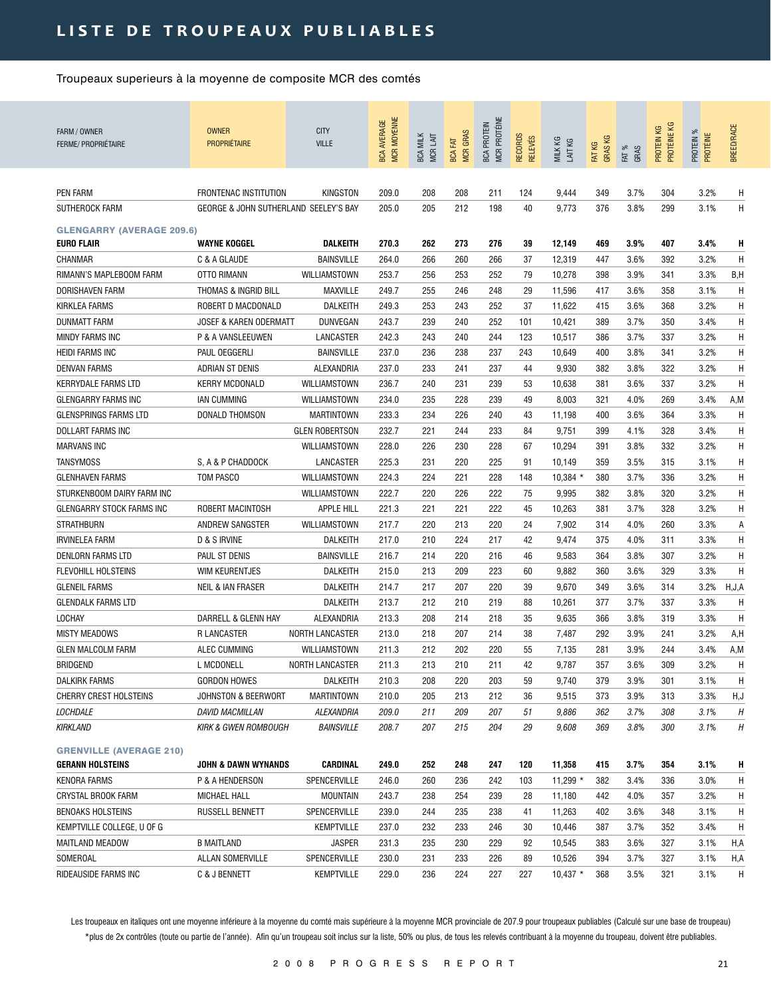| FARM / OWNER<br>FERME/ PROPRIÉTAIRE                   | <b>OWNER</b><br><b>PROPRIÉTAIRE</b>   | <b>CITY</b><br><b>VILLE</b> | MCR MOYENNE<br><b>BCA AVERAGE</b> | <b>BCA MILK</b><br>MCR LAIT | <b>MCR GRAS</b><br>BCA FAT | MCR PROTÉINE<br><b>BCA PROTEIN</b> | RECORDS<br><b>RELEVÉS</b> | MILK KG<br>LAIT KG | <b>GRASKG</b><br>FAT KG | FAT %<br>GRAS | PROTÉINE KG<br>PROTEIN KG | PROTEIN %<br>PROTÉINE | <b>BREED/RACE</b> |
|-------------------------------------------------------|---------------------------------------|-----------------------------|-----------------------------------|-----------------------------|----------------------------|------------------------------------|---------------------------|--------------------|-------------------------|---------------|---------------------------|-----------------------|-------------------|
| PEN FARM                                              | <b>FRONTENAC INSTITUTION</b>          | KINGSTON                    | 209.0                             | 208                         | 208                        | 211                                | 124                       | 9,444              | 349                     | 3.7%          | 304                       | 3.2%                  | Η                 |
| SUTHEROCK FARM                                        | GEORGE & JOHN SUTHERLAND SEELEY'S BAY |                             | 205.0                             | 205                         | 212                        | 198                                | 40                        | 9,773              | 376                     | 3.8%          | 299                       | 3.1%                  | Η                 |
|                                                       |                                       |                             |                                   |                             |                            |                                    |                           |                    |                         |               |                           |                       |                   |
| <b>GLENGARRY (AVERAGE 209.6)</b><br><b>EURO FLAIR</b> | <b>WAYNE KOGGEL</b>                   | <b>DALKEITH</b>             | 270.3                             | 262                         | 273                        | 276                                | 39                        | 12,149             | 469                     | 3.9%          | 407                       | 3.4%                  | Н                 |
| CHANMAR                                               | C & A GLAUDE                          | <b>BAINSVILLE</b>           | 264.0                             | 266                         | 260                        | 266                                | 37                        | 12,319             | 447                     | 3.6%          | 392                       | 3.2%                  | Н                 |
| RIMANN'S MAPLEBOOM FARM                               | OTTO RIMANN                           | WILLIAMSTOWN                | 253.7                             | 256                         | 253                        | 252                                | 79                        | 10,278             | 398                     | 3.9%          | 341                       | 3.3%                  | B,H               |
| <b>DORISHAVEN FARM</b>                                | THOMAS & INGRID BILL                  | MAXVILLE                    | 249.7                             | 255                         | 246                        | 248                                | 29                        | 11,596             | 417                     | 3.6%          | 358                       | 3.1%                  | H                 |
|                                                       |                                       |                             |                                   |                             |                            |                                    |                           |                    |                         |               | 368                       | 3.2%                  |                   |
| KIRKLEA FARMS                                         | ROBERT D MACDONALD                    | DALKEITH                    | 249.3                             | 253                         | 243                        | 252                                | 37                        | 11,622             | 415                     | 3.6%          |                           |                       | H                 |
| <b>DUNMATT FARM</b>                                   | <b>JOSEF &amp; KAREN ODERMATT</b>     | DUNVEGAN                    | 243.7                             | 239                         | 240                        | 252                                | 101                       | 10,421             | 389                     | 3.7%          | 350                       | 3.4%                  | H                 |
| MINDY FARMS INC                                       | P & A VANSLEEUWEN                     | LANCASTER                   | 242.3                             | 243                         | 240                        | 244                                | 123                       | 10,517             | 386                     | 3.7%          | 337                       | 3.2%                  | H                 |
| <b>HEIDI FARMS INC</b>                                | PAUL OEGGERLI                         | <b>BAINSVILLE</b>           | 237.0                             | 236                         | 238                        | 237                                | 243                       | 10,649             | 400                     | 3.8%          | 341                       | 3.2%                  | Η                 |
| <b>DENVAN FARMS</b>                                   | ADRIAN ST DENIS                       | ALEXANDRIA                  | 237.0                             | 233                         | 241                        | 237                                | 44                        | 9,930              | 382                     | 3.8%          | 322                       | 3.2%                  | Η                 |
| <b>KERRYDALE FARMS LTD</b>                            | <b>KERRY MCDONALD</b>                 | WILLIAMSTOWN                | 236.7                             | 240                         | 231                        | 239                                | 53                        | 10,638             | 381                     | 3.6%          | 337                       | 3.2%                  | Η                 |
| <b>GLENGARRY FARMS INC</b>                            | <b>IAN CUMMING</b>                    | WILLIAMSTOWN                | 234.0                             | 235                         | 228                        | 239                                | 49                        | 8,003              | 321                     | 4.0%          | 269                       | 3.4%                  | A,M               |
| <b>GLENSPRINGS FARMS LTD</b>                          | DONALD THOMSON                        | <b>MARTINTOWN</b>           | 233.3                             | 234                         | 226                        | 240                                | 43                        | 11,198             | 400                     | 3.6%          | 364                       | 3.3%                  | Η                 |
| DOLLART FARMS INC                                     |                                       | <b>GLEN ROBERTSON</b>       | 232.7                             | 221                         | 244                        | 233                                | 84                        | 9,751              | 399                     | 4.1%          | 328                       | 3.4%                  | H                 |
| <b>MARVANS INC</b>                                    |                                       | WILLIAMSTOWN                | 228.0                             | 226                         | 230                        | 228                                | 67                        | 10,294             | 391                     | 3.8%          | 332                       | 3.2%                  | H                 |
| <b>TANSYMOSS</b>                                      | S, A & P CHADDOCK                     | LANCASTER                   | 225.3                             | 231                         | 220                        | 225                                | 91                        | 10,149             | 359                     | 3.5%          | 315                       | 3.1%                  | H                 |
| <b>GLENHAVEN FARMS</b>                                | TOM PASCO                             | WILLIAMSTOWN                | 224.3                             | 224                         | 221                        | 228                                | 148                       | $10,384$ *         | 380                     | 3.7%          | 336                       | 3.2%                  | Н                 |
| STURKENBOOM DAIRY FARM INC                            |                                       | WILLIAMSTOWN                | 222.7                             | 220                         | 226                        | 222                                | 75                        | 9,995              | 382                     | 3.8%          | 320                       | 3.2%                  | H                 |
| GLENGARRY STOCK FARMS INC                             | ROBERT MACINTOSH                      | <b>APPLE HILL</b>           | 221.3                             | 221                         | 221                        | 222                                | 45                        | 10,263             | 381                     | 3.7%          | 328                       | 3.2%                  | Η                 |
| <b>STRATHBURN</b>                                     | ANDREW SANGSTER                       | WILLIAMSTOWN                | 217.7                             | 220                         | 213                        | 220                                | 24                        | 7,902              | 314                     | 4.0%          | 260                       | 3.3%                  | А                 |
| <b>IRVINELEA FARM</b>                                 | D & S IRVINE                          | DALKEITH                    | 217.0                             | 210                         | 224                        | 217                                | 42                        | 9,474              | 375                     | 4.0%          | 311                       | 3.3%                  | Η                 |
| DENLORN FARMS LTD                                     | PAUL ST DENIS                         | <b>BAINSVILLE</b>           | 216.7                             | 214                         | 220                        | 216                                | 46                        | 9,583              | 364                     | 3.8%          | 307                       | 3.2%                  | H                 |
| <b>FLEVOHILL HOLSTEINS</b>                            | WIM KEURENTJES                        | DALKEITH                    | 215.0                             | 213                         | 209                        | 223                                | 60                        | 9,882              | 360                     | 3.6%          | 329                       | 3.3%                  | H                 |
| <b>GLENEIL FARMS</b>                                  | <b>NEIL &amp; IAN FRASER</b>          | DALKEITH                    | 214.7                             | 217                         | 207                        | 220                                | 39                        | 9,670              | 349                     | 3.6%          | 314                       | 3.2%                  | H, J, A           |
| <b>GLENDALK FARMS LTD</b>                             |                                       | DALKEITH                    | 213.7                             | 212                         | 210                        | 219                                | 88                        | 10,261             | 377                     | 3.7%          | 337                       | 3.3%                  | Η                 |
| LOCHAY                                                | DARRELL & GLENN HAY                   | ALEXANDRIA                  | 213.3                             | 208                         | 214                        | 218                                | 35                        | 9,635              | 366                     | 3.8%          | 319                       | 3.3%                  | H                 |
| <b>MISTY MEADOWS</b>                                  | <b>R LANCASTER</b>                    | <b>NORTH LANCASTER</b>      | 213.0                             | 218                         | 207                        | 214                                | 38                        | 7,487              | 292                     | 3.9%          | 241                       | 3.2%                  | A,H               |
| <b>GLEN MALCOLM FARM</b>                              | ALEC CUMMING                          | WILLIAMSTOWN                | 211.3                             | 212                         | 202                        | 220                                | 55                        | 7,135              | 281                     | 3.9%          | 244                       | 3.4%                  | A,M               |
| <b>BRIDGEND</b>                                       | L MCDONELL                            | <b>NORTH LANCASTER</b>      | 211.3                             | 213                         | 210                        | 211                                | 42                        | 9,787              | 357                     | 3.6%          | 309                       | 3.2%                  | Η                 |
| <b>DALKIRK FARMS</b>                                  | GORDON HOWES                          | DALKEITH                    | 210.3                             | 208                         | 220                        | 203                                | 59                        | 9,740              | 379                     | 3.9%          | 301                       | 3.1%                  | H                 |
| <b>CHERRY CREST HOLSTEINS</b>                         | JOHNSTON & BEERWORT                   | <b>MARTINTOWN</b>           | 210.0                             | 205                         | 213                        | 212                                | 36                        | 9,515              | 373                     | 3.9%          | 313                       | 3.3%                  | H,J               |
| LOCHDALE                                              | <b>DAVID MACMILLAN</b>                | ALEXANDRIA                  | 209.0                             | 211                         | 209                        | 207                                | 51                        | 9,886              | 362                     | 3.7%          | 308                       | 3.1%                  | Н                 |
| KIRKLAND                                              | <b>KIRK &amp; GWEN ROMBOUGH</b>       | <b>BAINSVILLE</b>           | 208.7                             | 207                         | 215                        | 204                                | 29                        | 9,608              | 369                     | $3.8\%$       | 300                       | $3.1\%$               | Η                 |
| <b>GRENVILLE (AVERAGE 210)</b>                        |                                       |                             |                                   |                             |                            |                                    |                           |                    |                         |               |                           |                       |                   |
| <b>GERANN HOLSTEINS</b>                               | <b>JOHN &amp; DAWN WYNANDS</b>        | CARDINAL                    | 249.0                             | 252                         | 248                        | 247                                | 120                       | 11,358             | 415                     | 3.7%          | 354                       | 3.1%                  | H                 |
| KENORA FARMS                                          | P & A HENDERSON                       | SPENCERVILLE                | 246.0                             | 260                         | 236                        | 242                                | 103                       | $11,299*$          | 382                     | 3.4%          | 336                       | 3.0%                  | H                 |
| CRYSTAL BROOK FARM                                    | MICHAEL HALL                          | <b>MOUNTAIN</b>             | 243.7                             | 238                         | 254                        | 239                                | 28                        | 11,180             | 442                     | 4.0%          | 357                       | 3.2%                  | H                 |
| <b>BENOAKS HOLSTEINS</b>                              | RUSSELL BENNETT                       | SPENCERVILLE                | 239.0                             | 244                         | 235                        | 238                                | 41                        | 11,263             | 402                     | 3.6%          | 348                       | 3.1%                  | H                 |
| KEMPTVILLE COLLEGE, U OF G                            |                                       | <b>KEMPTVILLE</b>           | 237.0                             | 232                         | 233                        | 246                                | 30                        | 10,446             | 387                     | 3.7%          | 352                       | 3.4%                  | H                 |
| MAITLAND MEADOW                                       | <b>B MAITLAND</b>                     | <b>JASPER</b>               | 231.3                             | 235                         | 230                        | 229                                | 92                        | 10,545             | 383                     | 3.6%          | 327                       | 3.1%                  | H,A               |
| SOMEROAL                                              | ALLAN SOMERVILLE                      | SPENCERVILLE                | 230.0                             | 231                         | 233                        | 226                                | 89                        | 10,526             | 394                     | 3.7%          | 327                       | 3.1%                  | H,A               |
| RIDEAUSIDE FARMS INC                                  | C & J BENNETT                         | <b>KEMPTVILLE</b>           | 229.0                             | 236                         | 224                        | 227                                | 227                       | $10,437$ *         | 368                     | 3.5%          | 321                       | 3.1%                  | H                 |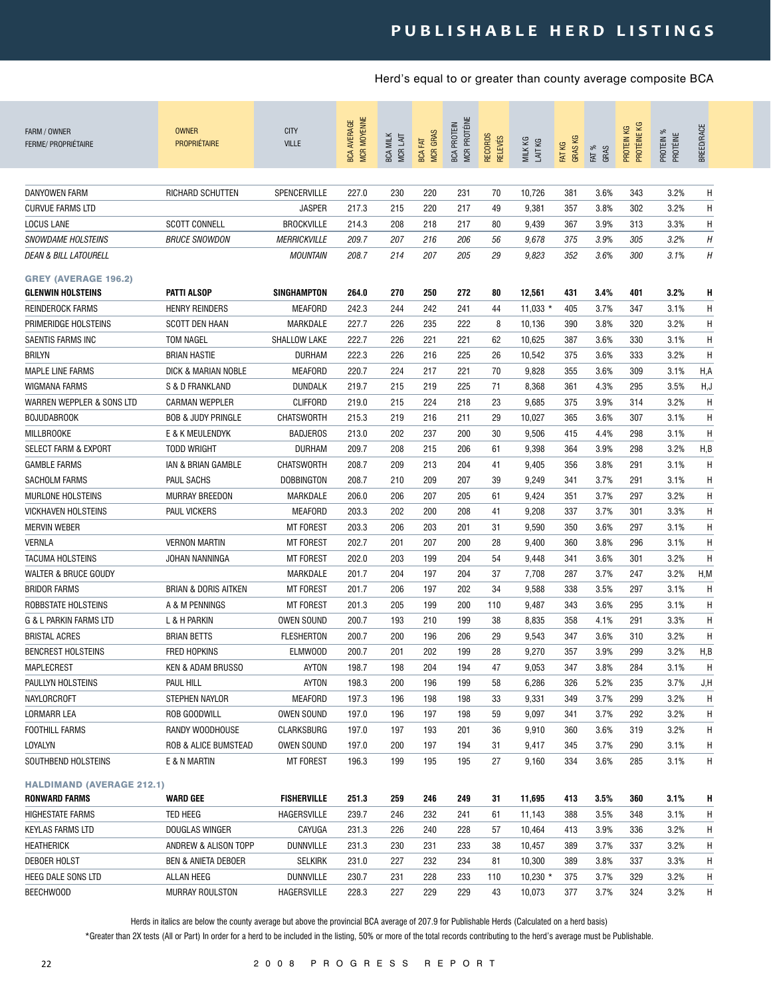| FARM / OWNER<br><b>FERME/ PROPRIÉTAIRE</b>                    | <b>OWNER</b><br><b>PROPRIÉTAIRE</b> | <b>CITY</b><br><b>VILLE</b>            | <b>MCR MOYENNE</b><br><b>BCA AVERAGE</b> | <b>BCA MILK</b><br>MCR LAIT | <b>MCR GRAS</b><br>区<br><b>BCA</b> | <b>MCR PROTÉINE</b><br><b>BCA PROTEIN</b> | <b>RECORDS</b><br><b>RELEVÉS</b> | MILK KG<br>LAIT KG | FAT KG<br>GRAS KG | FAT %<br>GRAS | PROTÉINE KG<br>KG<br>PROTEIN | ಕ್ಗ<br>PROTÉINE<br>PROTEIN | BREED/RACE |
|---------------------------------------------------------------|-------------------------------------|----------------------------------------|------------------------------------------|-----------------------------|------------------------------------|-------------------------------------------|----------------------------------|--------------------|-------------------|---------------|------------------------------|----------------------------|------------|
| DANYOWEN FARM                                                 | RICHARD SCHUTTEN                    | SPENCERVILLE                           | 227.0                                    | 230                         | 220                                | 231                                       | 70                               | 10,726             | 381               | 3.6%          | 343                          | 3.2%                       | Η          |
| <b>CURVUE FARMS LTD</b>                                       |                                     | <b>JASPER</b>                          | 217.3                                    | 215                         | 220                                | 217                                       | 49                               | 9,381              | 357               | 3.8%          | 302                          | 3.2%                       | H          |
|                                                               |                                     |                                        |                                          |                             |                                    |                                           |                                  |                    |                   |               |                              |                            |            |
| LOCUS LANE                                                    | <b>SCOTT CONNELL</b>                | <b>BROCKVILLE</b>                      | 214.3                                    | 208                         | 218                                | 217                                       | 80                               | 9,439              | 367               | 3.9%          | 313                          | 3.3%                       | Η          |
| <b>SNOWDAME HOLSTEINS</b><br><b>DEAN &amp; BILL LATOURELL</b> | <b>BRUCE SNOWDON</b>                | <b>MERRICKVILLE</b><br><b>MOUNTAIN</b> | 209.7<br>208.7                           | 207<br>214                  | 216<br>207                         | 206<br>205                                | 56<br>29                         | 9,678<br>9,823     | 375<br>352        | 3.9%<br>3.6%  | 305<br>300                   | 3.2%<br>3.1%               | Η<br>H     |
| <b>GREY (AVERAGE 196.2)</b>                                   |                                     |                                        |                                          |                             |                                    |                                           |                                  |                    |                   |               |                              |                            |            |
| <b>GLENWIN HOLSTEINS</b>                                      | <b>PATTI ALSOP</b>                  | SINGHAMPTON                            | 264.0                                    | 270                         | 250                                | 272                                       | 80                               | 12,561             | 431               | 3.4%          | 401                          | 3.2%                       | н          |
| <b>REINDEROCK FARMS</b>                                       | <b>HENRY REINDERS</b>               | <b>MEAFORD</b>                         | 242.3                                    | 244                         | 242                                | 241                                       | 44                               | $11,033$ *         | 405               | 3.7%          | 347                          | 3.1%                       | Н          |
| PRIMERIDGE HOLSTEINS                                          | <b>SCOTT DEN HAAN</b>               | MARKDALE                               | 227.7                                    | 226                         | 235                                | 222                                       | 8                                | 10,136             | 390               | 3.8%          | 320                          | 3.2%                       | H          |
| SAENTIS FARMS INC                                             | <b>TOM NAGEL</b>                    | SHALLOW LAKE                           | 222.7                                    | 226                         | 221                                | 221                                       | 62                               | 10,625             | 387               | 3.6%          | 330                          | 3.1%                       | H          |
| <b>BRILYN</b>                                                 | <b>BRIAN HASTIE</b>                 | <b>DURHAM</b>                          | 222.3                                    | 226                         | 216                                | 225                                       | 26                               | 10,542             | 375               | 3.6%          | 333                          | 3.2%                       | H          |
| <b>MAPLE LINE FARMS</b>                                       | DICK & MARIAN NOBLE                 | <b>MEAFORD</b>                         | 220.7                                    | 224                         | 217                                | 221                                       | 70                               | 9,828              | 355               | 3.6%          | 309                          | 3.1%                       | H,A        |
| <b>WIGMANA FARMS</b>                                          | S & D FRANKLAND                     | <b>DUNDALK</b>                         | 219.7                                    | 215                         | 219                                | 225                                       | 71                               | 8,368              | 361               | 4.3%          | 295                          | 3.5%                       | H,J        |
| WARREN WEPPLER & SONS LTD                                     | <b>CARMAN WEPPLER</b>               | <b>CLIFFORD</b>                        | 219.0                                    | 215                         | 224                                | 218                                       | 23                               | 9,685              | 375               | 3.9%          | 314                          | 3.2%                       | H          |
| <b>BOJUDABROOK</b>                                            | <b>BOB &amp; JUDY PRINGLE</b>       | <b>CHATSWORTH</b>                      | 215.3                                    | 219                         | 216                                | 211                                       | 29                               | 10,027             | 365               | 3.6%          | 307                          | 3.1%                       | H          |
| <b>MILLBROOKE</b>                                             | E & K MEULENDYK                     | <b>BADJEROS</b>                        | 213.0                                    | 202                         | 237                                | 200                                       | 30                               | 9,506              | 415               | 4.4%          | 298                          | 3.1%                       | H          |
| <b>SELECT FARM &amp; EXPORT</b>                               | <b>TODD WRIGHT</b>                  | <b>DURHAM</b>                          | 209.7                                    | 208                         | 215                                | 206                                       | 61                               | 9,398              | 364               | 3.9%          | 298                          | 3.2%                       | H,B        |
| <b>GAMBLE FARMS</b>                                           | IAN & BRIAN GAMBLE                  | <b>CHATSWORTH</b>                      | 208.7                                    | 209                         | 213                                | 204                                       | 41                               | 9,405              | 356               | 3.8%          | 291                          | 3.1%                       | H          |
| <b>SACHOLM FARMS</b>                                          | PAUL SACHS                          | <b>DOBBINGTON</b>                      | 208.7                                    | 210                         | 209                                | 207                                       | 39                               | 9,249              | 341               | 3.7%          | 291                          | 3.1%                       | Η          |
| <b>MURLONE HOLSTEINS</b>                                      | <b>MURRAY BREEDON</b>               | MARKDALE                               | 206.0                                    | 206                         | 207                                | 205                                       | 61                               | 9,424              | 351               | 3.7%          | 297                          | 3.2%                       | Η          |
| <b>VICKHAVEN HOLSTEINS</b>                                    | <b>PAUL VICKERS</b>                 | <b>MEAFORD</b>                         | 203.3                                    | 202                         | 200                                | 208                                       | 41                               | 9,208              | 337               | 3.7%          | 301                          | 3.3%                       | Η          |
| <b>MERVIN WEBER</b>                                           |                                     | <b>MT FOREST</b>                       | 203.3                                    | 206                         | 203                                | 201                                       | 31                               | 9,590              | 350               | 3.6%          | 297                          | 3.1%                       | Η          |
| <b>VERNLA</b>                                                 | <b>VERNON MARTIN</b>                | <b>MT FOREST</b>                       | 202.7                                    | 201                         | 207                                | 200                                       | 28                               | 9,400              | 360               | 3.8%          | 296                          | 3.1%                       | Η          |
| <b>TACUMA HOLSTEINS</b>                                       | JOHAN NANNINGA                      | <b>MT FOREST</b>                       | 202.0                                    | 203                         | 199                                | 204                                       | 54                               | 9,448              | 341               | 3.6%          | 301                          | 3.2%                       | H          |
| <b>WALTER &amp; BRUCE GOUDY</b>                               |                                     | MARKDALE                               | 201.7                                    | 204                         | 197                                | 204                                       | 37                               | 7,708              | 287               | 3.7%          | 247                          | 3.2%                       | H, M       |
| <b>BRIDOR FARMS</b>                                           | <b>BRIAN &amp; DORIS AITKEN</b>     | <b>MT FOREST</b>                       | 201.7                                    | 206                         | 197                                | 202                                       | 34                               | 9,588              | 338               | 3.5%          | 297                          | 3.1%                       | H          |
| ROBBSTATE HOLSTEINS                                           | A & M PENNINGS                      | <b>MT FOREST</b>                       | 201.3                                    | 205                         | 199                                | 200                                       | 110                              | 9,487              | 343               | 3.6%          | 295                          | 3.1%                       | H          |
| G & L PARKIN FARMS LTD                                        | L & H PARKIN                        | OWEN SOUND                             | 200.7                                    | 193                         | 210                                | 199                                       | 38                               | 8,835              | 358               | 4.1%          | 291                          | 3.3%                       | H          |
| <b>BRISTAL ACRES</b>                                          | <b>BRIAN BETTS</b>                  | <b>FLESHERTON</b>                      | 200.7                                    | 200                         | 196                                | 206                                       | 29                               | 9,543              | 347               | 3.6%          | 310                          | 3.2%                       | H          |
| <b>BENCREST HOLSTEINS</b>                                     | <b>FRED HOPKINS</b>                 | <b>ELMWOOD</b>                         | 200.7                                    | 201                         | 202                                | 199                                       | 28                               | 9,270              | 357               | 3.9%          | 299                          | 3.2%                       | H, B       |
| MAPLECREST                                                    | KEN & ADAM BRUSSO                   | AYTON                                  | 198.7                                    | 198                         | 204                                | 194                                       | 47                               | 9,053              | 347               | 3.8%          | 284                          | 3.1%                       | H          |
| PAULLYN HOLSTEINS                                             | PAUL HILL                           |                                        |                                          |                             | 196                                | 199                                       |                                  |                    | 326               |               | 235                          | 3.7%                       |            |
|                                                               |                                     | AYTON                                  | 198.3                                    | 200<br>196                  | 198                                | 198                                       | 58<br>33                         | 6,286<br>9,331     | 349               | 5.2%<br>3.7%  | 299                          | 3.2%                       | J,H        |
| NAYLORCROFT                                                   | STEPHEN NAYLOR                      | MEAFORD<br>OWEN SOUND                  | 197.3<br>197.0                           | 196                         | 197                                | 198                                       | 59                               | 9,097              |                   | 3.7%          | 292                          | 3.2%                       | H<br>Н     |
| LORMARR LEA                                                   | ROB GOODWILL                        |                                        |                                          |                             |                                    |                                           |                                  |                    | 341               |               |                              |                            |            |
| FOOTHILL FARMS                                                | RANDY WOODHOUSE                     | CLARKSBURG                             | 197.0                                    | 197                         | 193                                | 201                                       | 36                               | 9,910              | 360               | 3.6%          | 319                          | 3.2%                       | Н          |
| LOYALYN                                                       | ROB & ALICE BUMSTEAD                | OWEN SOUND                             | 197.0                                    | 200                         | 197                                | 194                                       | 31                               | 9,417              | 345               | 3.7%          | 290                          | 3.1%                       | Н          |
| SOUTHBEND HOLSTEINS                                           | E & N MARTIN                        | <b>MT FOREST</b>                       | 196.3                                    | 199                         | 195                                | 195                                       | 27                               | 9,160              | 334               | 3.6%          | 285                          | 3.1%                       | H          |
| <b>HALDIMAND (AVERAGE 212.1)</b>                              |                                     |                                        |                                          |                             |                                    |                                           |                                  |                    |                   |               |                              |                            |            |
| RONWARD FARMS                                                 | <b>WARD GEE</b>                     | <b>FISHERVILLE</b>                     | 251.3                                    | 259                         | 246                                | 249                                       | 31                               | 11,695             | 413               | 3.5%          | 360                          | 3.1%                       | н          |
| <b>HIGHESTATE FARMS</b>                                       | TED HEEG                            | HAGERSVILLE                            | 239.7                                    | 246                         | 232                                | 241                                       | 61                               | 11,143             | 388               | 3.5%          | 348                          | 3.1%                       | Н          |
| KEYLAS FARMS LTD                                              | DOUGLAS WINGER                      | CAYUGA                                 | 231.3                                    | 226                         | 240                                | 228                                       | 57                               | 10,464             | 413               | 3.9%          | 336                          | 3.2%                       | Н          |
| HEATHERICK                                                    | ANDREW & ALISON TOPP                | DUNNVILLE                              | 231.3                                    | 230                         | 231                                | 233                                       | 38                               | 10,457             | 389               | 3.7%          | 337                          | 3.2%                       | H          |
| DEBOER HOLST                                                  | <b>BEN &amp; ANIETA DEBOER</b>      | <b>SELKIRK</b>                         | 231.0                                    | 227                         | 232                                | 234                                       | 81                               | 10,300             | 389               | 3.8%          | 337                          | 3.3%                       | H          |
| HEEG DALE SONS LTD                                            | ALLAN HEEG                          | <b>DUNNVILLE</b>                       | 230.7                                    | 231                         | 228                                | 233                                       | 110                              | $10,230$ *         | 375               | 3.7%          | 329                          | 3.2%                       | H          |
| BEECHWOOD                                                     | <b>MURRAY ROULSTON</b>              | HAGERSVILLE                            | 228.3                                    | 227                         | 229                                | 229                                       | 43                               | 10,073             | 377               | 3.7%          | 324                          | 3.2%                       | H          |

Herds in italics are below the county average but above the provincial BCA average of 207.9 for Publishable Herds (Calculated on a herd basis)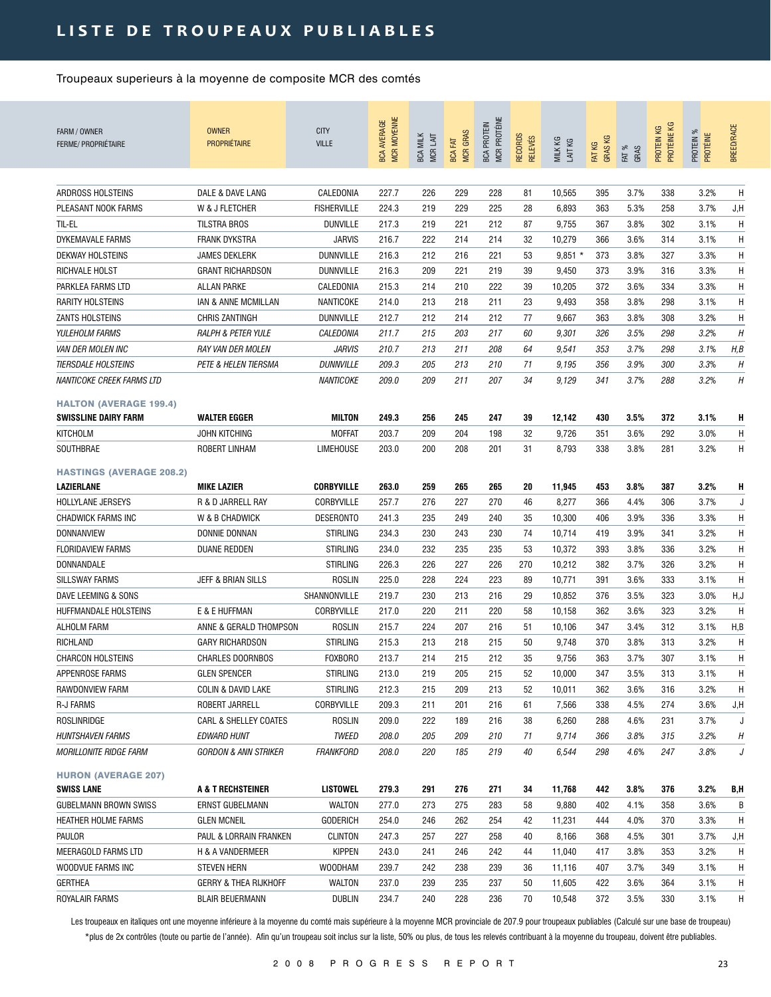## LISTE DE TROUPEAUX PUBLIABLES

Troupeaux superieurs à la moyenne de composite MCR des comtés

| <b>FERME/ PROPRIÉTAIRE</b>      | <b>OWNER</b><br><b>PROPRIÉTAIRE</b> | <b>CITY</b><br><b>VILLE</b> | MCR MOYENNE<br><b>BCA AVERAGE</b> | <b>BCA MILK</b><br>MCR LAIT | <b>MCR GRAS</b><br><b>BCA FAT</b> | <b>MCR PROTÉINE</b><br><b>BCA PROTEIN</b> | <b>RECORDS</b><br><b>RELEVÉS</b> | MILK KG<br>LAIT KG | <b>GRASKG</b><br>FAT KG | FAT %<br>GRAS | PROTÉINE KG<br>PROTEIN KG | PROTEIN %<br>PROTÉINE | <b>BREED/RACE</b> |
|---------------------------------|-------------------------------------|-----------------------------|-----------------------------------|-----------------------------|-----------------------------------|-------------------------------------------|----------------------------------|--------------------|-------------------------|---------------|---------------------------|-----------------------|-------------------|
|                                 |                                     |                             |                                   |                             |                                   |                                           |                                  |                    |                         |               |                           |                       |                   |
| ARDROSS HOLSTEINS               | DALE & DAVE LANG                    | CALEDONIA                   | 227.7                             | 226                         | 229                               | 228                                       | 81                               | 10,565             | 395                     | 3.7%          | 338                       | 3.2%                  | Η                 |
| PLEASANT NOOK FARMS             | W & J FLETCHER                      | <b>FISHERVILLE</b>          | 224.3                             | 219                         | 229                               | 225                                       | 28                               | 6,893              | 363                     | 5.3%          | 258                       | 3.7%                  | J,H               |
| til-el                          | <b>TILSTRA BROS</b>                 | <b>DUNVILLE</b>             | 217.3                             | 219                         | 221                               | 212                                       | 87                               | 9,755              | 367                     | 3.8%          | 302                       | 3.1%                  | H                 |
| DYKEMAVALE FARMS                | FRANK DYKSTRA                       | <b>JARVIS</b>               | 216.7                             | 222                         | 214                               | 214                                       | 32                               | 10,279             | 366                     | 3.6%          | 314                       | 3.1%                  | H                 |
| DEKWAY HOLSTEINS                | JAMES DEKLERK                       | DUNNVILLE                   | 216.3                             | 212                         | 216                               | 221                                       | 53                               | $9,851*$           | 373                     | 3.8%          | 327                       | 3.3%                  | Η                 |
| RICHVALE HOLST                  | <b>GRANT RICHARDSON</b>             | <b>DUNNVILLE</b>            | 216.3                             | 209                         | 221                               | 219                                       | 39                               | 9,450              | 373                     | 3.9%          | 316                       | 3.3%                  | Η                 |
| PARKLEA FARMS LTD               | <b>ALLAN PARKE</b>                  | CALEDONIA                   | 215.3                             | 214                         | 210                               | 222                                       | 39                               | 10,205             | 372                     | 3.6%          | 334                       | 3.3%                  | Η                 |
| <b>RARITY HOLSTEINS</b>         | IAN & ANNE MCMILLAN                 | NANTICOKE                   | 214.0                             | 213                         | 218                               | 211                                       | 23                               | 9,493              | 358                     | 3.8%          | 298                       | 3.1%                  | Η                 |
| <b>ZANTS HOLSTEINS</b>          | <b>CHRIS ZANTINGH</b>               | <b>DUNNVILLE</b>            | 212.7                             | 212                         | 214                               | 212                                       | 77                               | 9,667              | 363                     | 3.8%          | 308                       | 3.2%                  | H                 |
| YULEHOLM FARMS                  | <b>RALPH &amp; PETER YULE</b>       | CALEDONIA                   | 211.7                             | 215                         | 203                               | 217                                       | 60                               | 9,301              | 326                     | 3.5%          | 298                       | 3.2%                  | H                 |
| <b>VAN DER MOLEN INC</b>        | <b>RAY VAN DER MOLEN</b>            | <b>JARVIS</b>               | 210.7                             | 213                         | 211                               | 208                                       | 64                               | 9,541              | 353                     | 3.7%          | 298                       | 3.1%                  | H, B              |
| <b>TIERSDALE HOLSTEINS</b>      | PETE & HELEN TIERSMA                | <b>DUNNVILLE</b>            | 209.3                             | 205                         | 213                               | 210                                       | 71                               | 9,195              | 356                     | 3.9%          | 300                       | 3.3%                  | Н                 |
| NANTICOKE CREEK FARMS LTD       |                                     | <b>NANTICOKE</b>            | 209.0                             | 209                         | 211                               | 207                                       | 34                               | 9,129              | 341                     | 3.7%          | 288                       | 3.2%                  | H                 |
| <b>HALTON (AVERAGE 199.4)</b>   |                                     |                             |                                   |                             |                                   |                                           |                                  |                    |                         |               |                           |                       |                   |
| <b>SWISSLINE DAIRY FARM</b>     | <b>WALTER EGGER</b>                 | <b>MILTON</b>               | 249.3                             | 256                         | 245                               | 247                                       | 39                               | 12,142             | 430                     | 3.5%          | 372                       | 3.1%                  | H                 |
| KITCHOLM                        | <b>JOHN KITCHING</b>                | <b>MOFFAT</b>               | 203.7                             | 209                         | 204                               | 198                                       | 32                               | 9,726              | 351                     | 3.6%          | 292                       | 3.0%                  | Η                 |
| SOUTHBRAE                       | ROBERT LINHAM                       | <b>LIMEHOUSE</b>            | 203.0                             | 200                         | 208                               | 201                                       | 31                               | 8,793              | 338                     | 3.8%          | 281                       | 3.2%                  | Η                 |
| <b>HASTINGS (AVERAGE 208.2)</b> |                                     |                             |                                   |                             |                                   |                                           |                                  |                    |                         |               |                           |                       |                   |
| <b>LAZIERLANE</b>               | <b>MIKE LAZIER</b>                  | <b>CORBYVILLE</b>           | 263.0                             | 259                         | 265                               | 265                                       | 20                               | 11,945             | 453                     | 3.8%          | 387                       | 3.2%                  | H                 |
| HOLLYLANE JERSEYS               | R & D JARRELL RAY                   | CORBYVILLE                  | 257.7                             | 276                         | 227                               | 270                                       | 46                               | 8,277              | 366                     | 4.4%          | 306                       | 3.7%                  | J                 |
| <b>CHADWICK FARMS INC</b>       | W & B CHADWICK                      | <b>DESERONTO</b>            | 241.3                             | 235                         | 249                               | 240                                       | 35                               | 10,300             | 406                     | 3.9%          | 336                       | 3.3%                  | Η                 |
| <b>DONNANVIEW</b>               | DONNIE DONNAN                       | <b>STIRLING</b>             | 234.3                             | 230                         | 243                               | 230                                       | 74                               | 10,714             | 419                     | 3.9%          | 341                       | 3.2%                  | Η                 |
| <b>FLORIDAVIEW FARMS</b>        | DUANE REDDEN                        | <b>STIRLING</b>             | 234.0                             | 232                         | 235                               | 235                                       | 53                               | 10,372             | 393                     | 3.8%          | 336                       | 3.2%                  | Η                 |
| DONNANDALE                      |                                     | <b>STIRLING</b>             | 226.3                             | 226                         | 227                               | 226                                       | 270                              | 10,212             | 382                     | 3.7%          | 326                       | 3.2%                  | Η                 |
| <b>SILLSWAY FARMS</b>           | <b>JEFF &amp; BRIAN SILLS</b>       | ROSLIN                      | 225.0                             | 228                         | 224                               | 223                                       | 89                               | 10,771             | 391                     | 3.6%          | 333                       | 3.1%                  | Η                 |
| DAVE LEEMING & SONS             |                                     | SHANNONVILLE                | 219.7                             | 230                         | 213                               | 216                                       | 29                               | 10,852             | 376                     | 3.5%          | 323                       | 3.0%                  | H,J               |
| HUFFMANDALE HOLSTEINS           | E & E HUFFMAN                       | <b>CORBYVILLE</b>           | 217.0                             | 220                         | 211                               | 220                                       | 58                               | 10,158             | 362                     | 3.6%          | 323                       | 3.2%                  | H                 |
| ALHOLM FARM                     | ANNE & GERALD THOMPSON              | <b>ROSLIN</b>               | 215.7                             | 224                         | 207                               | 216                                       | 51                               | 10,106             | 347                     | 3.4%          | 312                       | 3.1%                  | H,B               |
| RICHLAND                        | <b>GARY RICHARDSON</b>              | <b>STIRLING</b>             | 215.3                             | 213                         | 218                               | 215                                       | 50                               | 9,748              | 370                     | 3.8%          | 313                       | 3.2%                  | Η                 |
| <b>CHARCON HOLSTEINS</b>        | <b>CHARLES DOORNBOS</b>             | FOXBORO                     | 213.7                             | 214                         | 215                               | 212                                       | 35                               | 9,756              | 363                     | 3.7%          | 307                       | 3.1%                  | Η                 |
| APPENROSE FARMS                 | <b>GLEN SPENCER</b>                 | <b>STIRLING</b>             | 213.0                             | 219                         | 205                               | 215                                       | 52                               | 10,000             | 347                     | 3.5%          | 313                       | 3.1%                  | H                 |
| RAWDONVIEW FARM                 | <b>COLIN &amp; DAVID LAKE</b>       | <b>STIRLING</b>             | 212.3                             | 215                         | 209                               | 213                                       | 52                               | 10,011             | 362                     | 3.6%          | 316                       | 3.2%                  | H                 |
| R-J FARMS                       | ROBERT JARRELL                      | CORBYVILLE                  | 209.3                             | 211                         | 201                               | 216                                       | 61                               | 7,566              | 338                     | 4.5%          | 274                       | 3.6%                  | J, H              |
| ROSLINRIDGE                     | CARL & SHELLEY COATES               | ROSLIN                      | 209.0                             | 222                         | 189                               | 216                                       | 38                               | 6,260              | 288                     | 4.6%          | 231                       | 3.7%                  | J                 |
| <b>HUNTSHAVEN FARMS</b>         | <b>EDWARD HUNT</b>                  | TWEED                       | 208.0                             | 205                         | 209                               | 210                                       | 71                               | 9,714              | 366                     | 3.8%          | 315                       | $3.2\%$               | Н                 |
| <b>MORILLONITE RIDGE FARM</b>   | <b>GORDON &amp; ANN STRIKER</b>     | <i>FRANKFORD</i>            | 208.0                             | 220                         | 185                               | 219                                       | 40                               | 6,544              | 298                     | 4.6%          | 247                       | 3.8%                  | J                 |
| <b>HURON (AVERAGE 207)</b>      |                                     |                             |                                   |                             |                                   |                                           |                                  |                    |                         |               |                           |                       |                   |
| <b>SWISS LANE</b>               | <b>A &amp; T RECHSTEINER</b>        | <b>LISTOWEL</b>             | 279.3                             | 291                         | 276                               | 271                                       | 34                               | 11,768             | 442                     | 3.8%          | 376                       | 3.2%                  | B,H               |
| <b>GUBELMANN BROWN SWISS</b>    | <b>ERNST GUBELMANN</b>              | WALTON                      | 277.0                             | 273                         | 275                               | 283                                       | 58                               | 9,880              | 402                     | 4.1%          | 358                       | 3.6%                  | B                 |
| <b>HEATHER HOLME FARMS</b>      | <b>GLEN MCNEIL</b>                  | <b>GODERICH</b>             | 254.0                             | 246                         | 262                               | 254                                       | 42                               | 11,231             | 444                     | 4.0%          | 370                       | 3.3%                  | H                 |
| PAULOR                          | PAUL & LORRAIN FRANKEN              | <b>CLINTON</b>              | 247.3                             | 257                         | 227                               | 258                                       | 40                               | 8,166              | 368                     | 4.5%          | 301                       | 3.7%                  | J,H               |
| MEERAGOLD FARMS LTD             | H & A VANDERMEER                    | <b>KIPPEN</b>               | 243.0                             | 241                         | 246                               | 242                                       | 44                               | 11,040             | 417                     | 3.8%          | 353                       | 3.2%                  | H                 |
| WOODVUE FARMS INC               | <b>STEVEN HERN</b>                  | <b>WOODHAM</b>              | 239.7                             | 242                         | 238                               | 239                                       | 36                               | 11,116             | 407                     | 3.7%          | 349                       | 3.1%                  | Η                 |
|                                 |                                     |                             |                                   | 239                         | 235                               | 237                                       | 50                               | 11,605             | 422                     | 3.6%          | 364                       | 3.1%                  | H                 |
| <b>GERTHEA</b>                  | <b>GERRY &amp; THEA RIJKHOFF</b>    | WALTON                      | 237.0                             |                             |                                   |                                           |                                  |                    |                         |               |                           |                       |                   |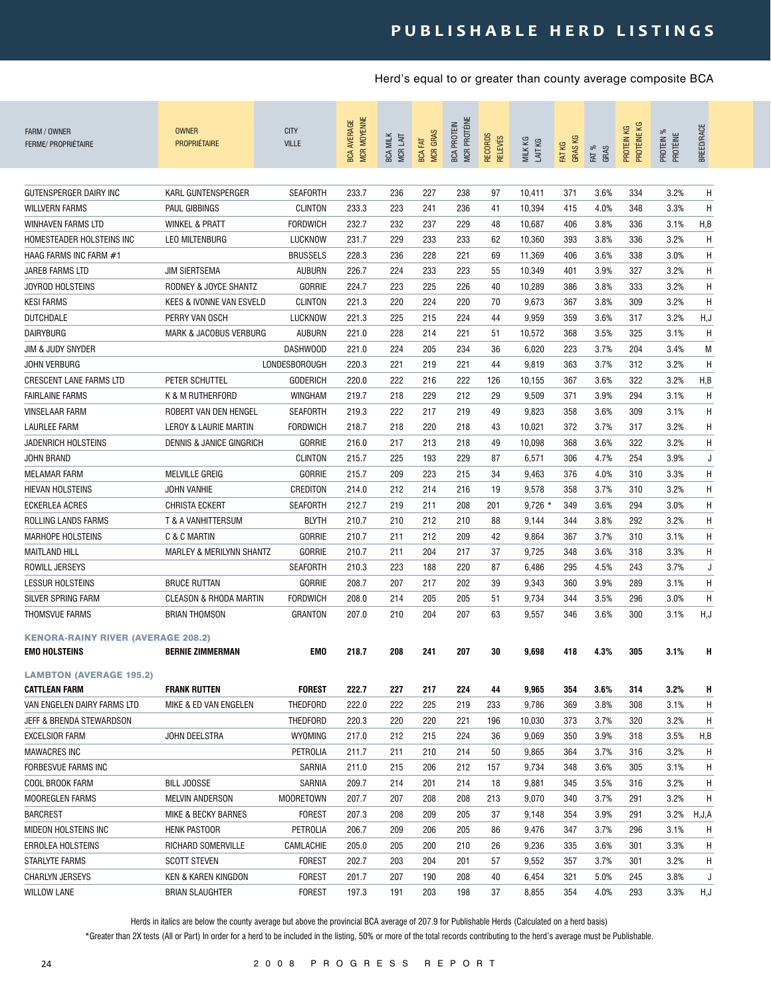### **p u b l i s h a b l e h e r d l i s t i n g s**

### Herd's equal to or greater than county average composite BCA

| FARM / OWNER<br><b>FERME/ PROPRIÉTAIRE</b>                        | <b>OWNER</b><br><b>PROPRIÉTAIRE</b> | <b>CITY</b><br><b>VILLE</b> | MCR MOYENNE<br><b>BCA AVERAGE</b> | <b>BCA MILK</b><br>MCR LAIT | <b>MCR GRAS</b><br>BCA FAT | MCR PROTÉINE<br><b>BCA PROTEIN</b> | RECORDS<br><b>RELEVÉS</b> | MILK KG<br>LAIT KG | <b>GRASKG</b><br>FAT KG | FAT %<br>GRAS | PROTÉINE KG<br>PROTEIN KG | PROTEIN %<br>PROTÉINE | BREED/RACE |
|-------------------------------------------------------------------|-------------------------------------|-----------------------------|-----------------------------------|-----------------------------|----------------------------|------------------------------------|---------------------------|--------------------|-------------------------|---------------|---------------------------|-----------------------|------------|
| GUTENSPERGER DAIRY INC                                            | KARL GUNTENSPERGER                  | <b>SEAFORTH</b>             | 233.7                             | 236                         | 227                        | 238                                | 97                        | 10,411             | 371                     | 3.6%          | 334                       | 3.2%                  | H          |
| <b>WILLVERN FARMS</b>                                             | <b>PAUL GIBBINGS</b>                | <b>CLINTON</b>              | 233.3                             | 223                         | 241                        | 236                                | 41                        | 10,394             | 415                     | 4.0%          | 348                       | 3.3%                  | H          |
| <b>WINHAVEN FARMS LTD</b>                                         | <b>WINKEL &amp; PRATT</b>           | <b>FORDWICH</b>             | 232.7                             | 232                         | 237                        | 229                                | 48                        | 10,687             | 406                     | 3.8%          | 336                       | 3.1%                  | H,B        |
| HOMESTEADER HOLSTEINS INC                                         | LEO MILTENBURG                      | LUCKNOW                     | 231.7                             | 229                         | 233                        | 233                                | 62                        | 10,360             | 393                     | 3.8%          | 336                       | 3.2%                  | Η          |
| HAAG FARMS INC FARM #1                                            |                                     | <b>BRUSSELS</b>             | 228.3                             | 236                         | 228                        | 221                                | 69                        | 11,369             | 406                     | 3.6%          | 338                       | 3.0%                  | H          |
| JAREB FARMS LTD                                                   | <b>JIM SIERTSEMA</b>                | <b>AUBURN</b>               | 226.7                             | 224                         | 233                        | 223                                | 55                        | 10,349             | 401                     | 3.9%          | 327                       | 3.2%                  | H          |
| <b>JOYROD HOLSTEINS</b>                                           | RODNEY & JOYCE SHANTZ               | <b>GORRIE</b>               | 224.7                             | 223                         | 225                        | 226                                | 40                        | 10,289             | 386                     | 3.8%          | 333                       | 3.2%                  | H          |
| <b>KESI FARMS</b>                                                 | KEES & IVONNE VAN ESVELD            | <b>CLINTON</b>              | 221.3                             | 220                         | 224                        | 220                                | 70                        | 9,673              | 367                     | 3.8%          | 309                       | 3.2%                  | H          |
| <b>DUTCHDALE</b>                                                  | PERRY VAN OSCH                      | LUCKNOW                     | 221.3                             | 225                         | 215                        | 224                                | 44                        | 9,959              | 359                     | 3.6%          | 317                       | 3.2%                  | H, J       |
| <b>DAIRYBURG</b>                                                  | <b>MARK &amp; JACOBUS VERBURG</b>   | <b>AUBURN</b>               | 221.0                             | 228                         | 214                        | 221                                | 51                        | 10,572             | 368                     | 3.5%          | 325                       | 3.1%                  | H          |
| JIM & JUDY SNYDER                                                 |                                     | DASHWOOD                    | 221.0                             | 224                         | 205                        | 234                                | 36                        | 6,020              | 223                     | 3.7%          | 204                       | 3.4%                  | M          |
| <b>JOHN VERBURG</b>                                               |                                     | LONDESBOROUGH               | 220.3                             | 221                         | 219                        | 221                                | 44                        | 9,819              | 363                     | 3.7%          | 312                       | 3.2%                  | H          |
| <b>CRESCENT LANE FARMS LTD</b>                                    | PETER SCHUTTEL                      | <b>GODERICH</b>             | 220.0                             | 222                         | 216                        | 222                                | 126                       | 10,155             | 367                     | 3.6%          | 322                       | 3.2%                  | H, B       |
| <b>FAIRLAINE FARMS</b>                                            | K & M RUTHERFORD                    | <b>WINGHAM</b>              | 219.7                             | 218                         | 229                        | 212                                | 29                        | 9,509              | 371                     | 3.9%          | 294                       | 3.1%                  | H          |
| <b>VINSELAAR FARM</b>                                             | ROBERT VAN DEN HENGEL               | <b>SEAFORTH</b>             | 219.3                             | 222                         | 217                        | 219                                | 49                        | 9,823              | 358                     | 3.6%          | 309                       | 3.1%                  | H          |
| LAURLEE FARM                                                      | LEROY & LAURIE MARTIN               | <b>FORDWICH</b>             | 218.7                             | 218                         | 220                        | 218                                | 43                        | 10,021             | 372                     | 3.7%          | 317                       | 3.2%                  | H          |
| JADENRICH HOLSTEINS                                               | <b>DENNIS &amp; JANICE GINGRICH</b> | <b>GORRIE</b>               | 216.0                             | 217                         | 213                        | 218                                | 49                        | 10,098             | 368                     | 3.6%          | 322                       | 3.2%                  | H          |
| JOHN BRAND                                                        |                                     | <b>CLINTON</b>              | 215.7                             | 225                         | 193                        | 229                                | 87                        | 6,571              | 306                     | 4.7%          | 254                       | 3.9%                  | J          |
| <b>MELAMAR FARM</b>                                               | <b>MELVILLE GREIG</b>               | <b>GORRIE</b>               | 215.7                             | 209                         | 223                        | 215                                | 34                        | 9,463              | 376                     | 4.0%          | 310                       | 3.3%                  | Η          |
| <b>HIEVAN HOLSTEINS</b>                                           | <b>JOHN VANHIE</b>                  | CREDITON                    | 214.0                             | 212                         | 214                        | 216                                | 19                        | 9,578              | 358                     | 3.7%          | 310                       | 3.2%                  | Η          |
| <b>ECKERLEA ACRES</b>                                             | <b>CHRISTA ECKERT</b>               | <b>SEAFORTH</b>             | 212.7                             | 219                         | 211                        | 208                                | 201                       | $9,726$ *          | 349                     | 3.6%          | 294                       | 3.0%                  | Η          |
| ROLLING LANDS FARMS                                               | T & A VANHITTERSUM                  | <b>BLYTH</b>                | 210.7                             | 210                         | 212                        | 210                                | 88                        | 9,144              | 344                     | 3.8%          | 292                       | 3.2%                  | Η          |
| <b>MARHOPE HOLSTEINS</b>                                          | C & C MARTIN                        | <b>GORRIE</b>               | 210.7                             | 211                         | 212                        | 209                                | 42                        | 9,864              | 367                     | 3.7%          | 310                       | 3.1%                  | Н          |
| <b>MAITLAND HILL</b>                                              | MARLEY & MERILYNN SHANTZ            | <b>GORRIE</b>               | 210.7                             | 211                         | 204                        | 217                                | 37                        | 9,725              | 348                     | 3.6%          | 318                       | 3.3%                  | Η          |
| <b>ROWILL JERSEYS</b>                                             |                                     | <b>SEAFORTH</b>             | 210.3                             | 223                         | 188                        | 220                                | 87                        | 6,486              | 295                     | 4.5%          | 243                       | 3.7%                  | J          |
| <b>LESSUR HOLSTEINS</b>                                           | <b>BRUCE RUTTAN</b>                 | <b>GORRIE</b>               | 208.7                             | 207                         | 217                        | 202                                | 39                        | 9,343              | 360                     | 3.9%          | 289                       | 3.1%                  | Η          |
| SILVER SPRING FARM                                                | <b>CLEASON &amp; RHODA MARTIN</b>   | <b>FORDWICH</b>             | 208.0                             | 214                         | 205                        | 205                                | 51                        | 9,734              | 344                     | 3.5%          | 296                       | 3.0%                  | H          |
| <b>THOMSVUE FARMS</b>                                             | <b>BRIAN THOMSON</b>                | <b>GRANTON</b>              | 207.0                             | 210                         | 204                        | 207                                | 63                        | 9,557              | 346                     | 3.6%          | 300                       | 3.1%                  | H, J       |
| <b>KENORA-RAINY RIVER (AVERAGE 208.2)</b><br><b>EMO HOLSTEINS</b> | <b>BERNIE ZIMMERMAN</b>             | EMO                         | 218.7                             | 208                         | 241                        | 207                                | 30                        | 9,698              | 418                     | 4.3%          | 305                       | 3.1%                  | н          |
| <b>LAMBTON (AVERAGE 195.2)</b>                                    |                                     |                             |                                   |                             |                            |                                    |                           |                    |                         |               |                           |                       |            |
| <b>CATTLEAN FARM</b>                                              | <b>FRANK RUTTEN</b>                 | <b>FOREST</b>               | 222.7                             | 227                         | 217                        | 224                                | 44                        | 9,965              | 354                     | 3.6%          | 314                       | 3.2%                  | H          |
| VAN ENGELEN DAIRY FARMS LTD                                       | MIKE & ED VAN ENGELEN               | THEDFORD                    | 222.0                             | 222                         | 225                        | 219                                | 233                       | 9,786              | 369                     | 3.8%          | 308                       | 3.1%                  | H          |
| JEFF & BRENDA STEWARDSON                                          |                                     | THEDFORD                    | 220.3                             | 220                         | 220                        | 221                                | 196                       | 10,030             | 373                     | 3.7%          | 320                       | 3.2%                  | H          |
| EXCELSIOR FARM                                                    | JOHN DEELSTRA                       | WYOMING                     | 217.0                             | 212                         | 215                        | 224                                | 36                        | 9,069              | 350                     | 3.9%          | 318                       | 3.5%                  | H,B        |
| <b>MAWACRES INC</b>                                               |                                     | PETROLIA                    | 211.7                             | 211                         | 210                        | 214                                | 50                        | 9,865              | 364                     | 3.7%          | 316                       | 3.2%                  | H          |
| FORBESVUE FARMS INC                                               |                                     | SARNIA                      | 211.0                             | 215                         | 206                        | 212                                | 157                       | 9,734              | 348                     | 3.6%          | 305                       | 3.1%                  | H          |
| COOL BROOK FARM                                                   | BILL JOOSSE                         | SARNIA                      | 209.7                             | 214                         | 201                        | 214                                | 18                        | 9,881              | 345                     | 3.5%          | 316                       | 3.2%                  | H          |
| MOOREGLEN FARMS                                                   | MELVIN ANDERSON                     | <b>MOORETOWN</b>            | 207.7                             | 207                         | 208                        | 208                                | 213                       | 9,070              | 340                     | 3.7%          | 291                       | 3.2%                  | H          |
| <b>BARCREST</b>                                                   | <b>MIKE &amp; BECKY BARNES</b>      | FOREST                      | 207.3                             | 208                         | 209                        | 205                                | 37                        | 9,148              | 354                     | 3.9%          | 291                       | 3.2%                  | H,J,A      |
| MIDEON HOLSTEINS INC                                              | <b>HENK PASTOOR</b>                 | PETROLIA                    | 206.7                             | 209                         | 206                        | 205                                | 86                        | 9,476              | 347                     | 3.7%          | 296                       | 3.1%                  | H          |
| ERROLEA HOLSTEINS                                                 | RICHARD SOMERVILLE                  | CAMLACHIE                   | 205.0                             | 205                         | 200                        | 210                                | 26                        | 9,236              | 335                     | 3.6%          | 301                       | 3.3%                  | H          |
| STARLYTE FARMS                                                    | <b>SCOTT STEVEN</b>                 | <b>FOREST</b>               | 202.7                             | 203                         | 204                        | 201                                | 57                        | 9,552              | 357                     | 3.7%          | 301                       | 3.2%                  | H          |
| <b>CHARLYN JERSEYS</b>                                            | KEN & KAREN KINGDON                 | <b>FOREST</b>               | 201.7                             | 207                         | 190                        | 208                                | 40                        | 6,454              | 321                     | 5.0%          | 245                       | 3.8%                  | J          |
| <b>WILLOW LANE</b>                                                | <b>BRIAN SLAUGHTER</b>              | <b>FOREST</b>               | 197.3                             | 191                         | 203                        | 198                                | 37                        | 8,855              | 354                     | 4.0%          | 293                       | 3.3%                  | H,J        |

Herds in italics are below the county average but above the provincial BCA average of 207.9 for Publishable Herds (Calculated on a herd basis)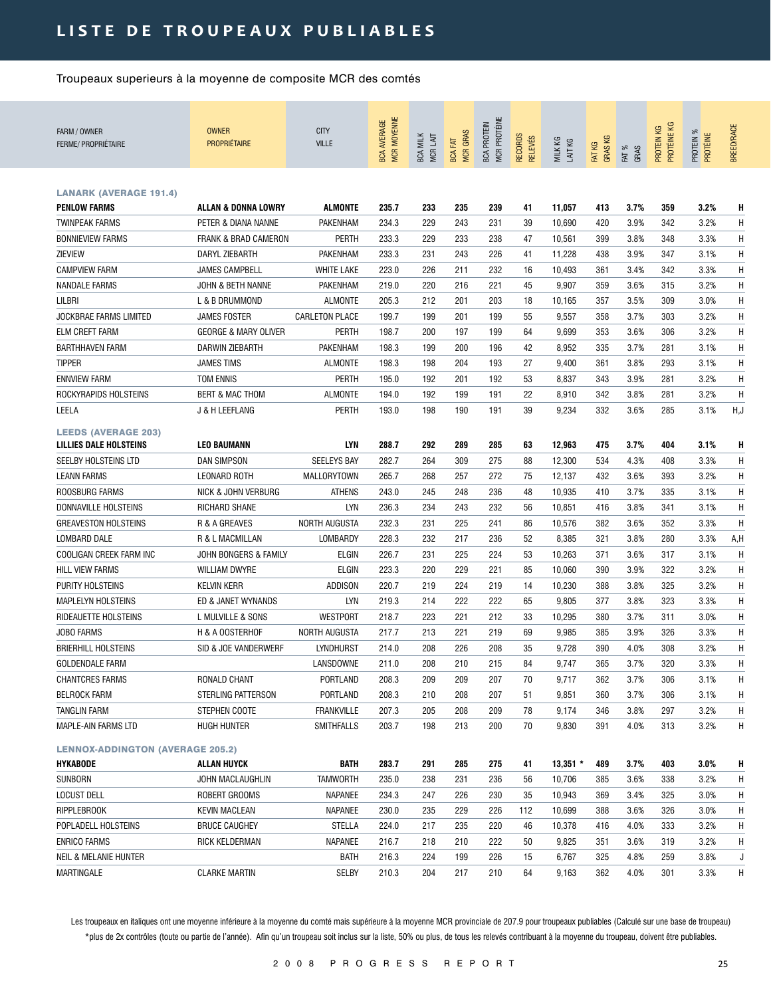## LISTE DE TROUPEAUX PUBLIABLES

Troupeaux superieurs à la moyenne de composite MCR des comtés

| FARM / OWNER<br><b>FERME/ PROPRIÉTAIRE</b>                  | <b>OWNER</b><br><b>PROPRIÉTAIRE</b> | <b>CITY</b><br><b>VILLE</b> | <b>MCR MOYENNE</b><br><b>BCA AVERAGE</b> | <b>BCA MILK</b><br>MCR LAIT | <b>MCR GRAS</b><br><b>BCA FAT</b> | MCR PROTÉINE<br><b>BCA PROTEIN</b> | RECORDS<br><b>RELEVÉS</b> | MILK KG<br>LAIT KG | GRAS KG<br>FAT KG | FAT %<br>GRAS | PROTÉINE KG<br>PROTEIN KG | PROTEIN %<br>PROTÉINE | <b>BREED/RACE</b> |
|-------------------------------------------------------------|-------------------------------------|-----------------------------|------------------------------------------|-----------------------------|-----------------------------------|------------------------------------|---------------------------|--------------------|-------------------|---------------|---------------------------|-----------------------|-------------------|
|                                                             |                                     |                             |                                          |                             |                                   |                                    |                           |                    |                   |               |                           |                       |                   |
| <b>LANARK (AVERAGE 191.4)</b>                               |                                     |                             |                                          |                             |                                   |                                    |                           |                    |                   |               |                           |                       |                   |
| <b>PENLOW FARMS</b>                                         | <b>ALLAN &amp; DONNA LOWRY</b>      | <b>ALMONTE</b>              | 235.7                                    | 233                         | 235                               | 239                                | 41                        | 11,057             | 413               | 3.7%          | 359                       | 3.2%                  | н                 |
| <b>TWINPEAK FARMS</b>                                       | PETER & DIANA NANNE                 | PAKENHAM                    | 234.3                                    | 229                         | 243                               | 231                                | 39                        | 10,690             | 420               | 3.9%          | 342                       | 3.2%                  | Н                 |
| <b>BONNIEVIEW FARMS</b>                                     | <b>FRANK &amp; BRAD CAMERON</b>     | <b>PERTH</b>                | 233.3                                    | 229                         | 233                               | 238                                | 47                        | 10,561             | 399               | 3.8%          | 348                       | 3.3%                  | Н                 |
| ZIEVIEW                                                     | DARYL ZIEBARTH                      | PAKENHAM                    | 233.3                                    | 231                         | 243                               | 226                                | 41                        | 11,228             | 438               | 3.9%          | 347                       | 3.1%                  | Н                 |
| <b>CAMPVIEW FARM</b>                                        | <b>JAMES CAMPBELL</b>               | <b>WHITE LAKE</b>           | 223.0                                    | 226                         | 211                               | 232                                | 16                        | 10,493             | 361               | 3.4%          | 342                       | 3.3%                  | H                 |
| <b>NANDALE FARMS</b>                                        | JOHN & BETH NANNE                   | PAKENHAM                    | 219.0                                    | 220                         | 216                               | 221                                | 45                        | 9,907              | 359               | 3.6%          | 315                       | 3.2%                  | Н                 |
| LILBRI                                                      | L & B DRUMMOND                      | <b>ALMONTE</b>              | 205.3                                    | 212                         | 201                               | 203                                | 18                        | 10,165             | 357               | 3.5%          | 309                       | 3.0%                  | Η                 |
| JOCKBRAE FARMS LIMITED                                      | <b>JAMES FOSTER</b>                 | <b>CARLETON PLACE</b>       | 199.7                                    | 199                         | 201                               | 199                                | 55                        | 9,557              | 358               | 3.7%          | 303                       | 3.2%                  | Η                 |
| ELM CREFT FARM                                              | <b>GEORGE &amp; MARY OLIVER</b>     | <b>PERTH</b>                | 198.7                                    | 200                         | 197                               | 199                                | 64                        | 9,699              | 353               | 3.6%          | 306                       | 3.2%                  | Η                 |
| <b>BARTHHAVEN FARM</b>                                      | DARWIN ZIEBARTH                     | PAKENHAM                    | 198.3                                    | 199                         | 200                               | 196                                | 42                        | 8,952              | 335               | 3.7%          | 281                       | 3.1%                  | H                 |
| <b>TIPPER</b>                                               | <b>JAMES TIMS</b>                   | <b>ALMONTE</b>              | 198.3                                    | 198                         | 204                               | 193                                | 27                        | 9,400              | 361               | 3.8%          | 293                       | 3.1%                  | H                 |
| <b>ENNVIEW FARM</b>                                         | TOM ENNIS                           | PERTH                       | 195.0                                    | 192                         | 201                               | 192                                | 53                        | 8,837              | 343               | 3.9%          | 281                       | 3.2%                  | Η                 |
| ROCKYRAPIDS HOLSTEINS                                       | <b>BERT &amp; MAC THOM</b>          | <b>ALMONTE</b>              | 194.0                                    | 192                         | 199                               | 191                                | 22                        | 8,910              | 342               | 3.8%          | 281                       | 3.2%                  | H                 |
| LEELA                                                       | J & H LEEFLANG                      | <b>PERTH</b>                | 193.0                                    | 198                         | 190                               | 191                                | 39                        | 9,234              | 332               | 3.6%          | 285                       | 3.1%                  | H,J               |
| <b>LEEDS (AVERAGE 203)</b><br><b>LILLIES DALE HOLSTEINS</b> | <b>LEO BAUMANN</b>                  | <b>LYN</b>                  | 288.7                                    | 292                         | 289                               | 285                                | 63                        | 12,963             | 475               | 3.7%          | 404                       | 3.1%                  | н                 |
| SEELBY HOLSTEINS LTD                                        | <b>DAN SIMPSON</b>                  | <b>SEELEYS BAY</b>          | 282.7                                    | 264                         | 309                               | 275                                | 88                        | 12,300             | 534               | 4.3%          | 408                       | 3.3%                  | Η                 |
| <b>LEANN FARMS</b>                                          | <b>LEONARD ROTH</b>                 | MALLORYTOWN                 | 265.7                                    | 268                         | 257                               | 272                                | 75                        | 12,137             | 432               | 3.6%          | 393                       | 3.2%                  | Η                 |
| ROOSBURG FARMS                                              | NICK & JOHN VERBURG                 | ATHENS                      | 243.0                                    | 245                         | 248                               | 236                                | 48                        | 10,935             | 410               | 3.7%          | 335                       | 3.1%                  | Η                 |
| DONNAVILLE HOLSTEINS                                        | RICHARD SHANE                       | <b>LYN</b>                  | 236.3                                    | 234                         | 243                               | 232                                | 56                        | 10,851             | 416               | 3.8%          | 341                       | 3.1%                  | H                 |
| <b>GREAVESTON HOLSTEINS</b>                                 | R & A GREAVES                       | <b>NORTH AUGUSTA</b>        | 232.3                                    | 231                         | 225                               | 241                                | 86                        | 10,576             | 382               | 3.6%          | 352                       | 3.3%                  | H                 |
| <b>LOMBARD DALE</b>                                         | R & L MACMILLAN                     | LOMBARDY                    | 228.3                                    | 232                         | 217                               | 236                                | 52                        | 8,385              | 321               | 3.8%          | 280                       | 3.3%                  | A,H               |
| COOLIGAN CREEK FARM INC                                     | JOHN BONGERS & FAMILY               | ELGIN                       | 226.7                                    | 231                         | 225                               | 224                                | 53                        | 10,263             | 371               | 3.6%          | 317                       | 3.1%                  | Η                 |
| <b>HILL VIEW FARMS</b>                                      | <b>WILLIAM DWYRE</b>                | <b>ELGIN</b>                | 223.3                                    | 220                         | 229                               | 221                                | 85                        | 10,060             | 390               | 3.9%          | 322                       | 3.2%                  | Η                 |
| PURITY HOLSTEINS                                            | <b>KELVIN KERR</b>                  | ADDISON                     | 220.7                                    | 219                         | 224                               | 219                                | 14                        | 10,230             | 388               | 3.8%          | 325                       | 3.2%                  | Н                 |
| <b>MAPLELYN HOLSTEINS</b>                                   | ED & JANET WYNANDS                  | <b>LYN</b>                  | 219.3                                    | 214                         | 222                               | 222                                | 65                        | 9,805              | 377               | 3.8%          | 323                       | 3.3%                  | Η                 |
| RIDEAUETTE HOLSTEINS                                        | L MULVILLE & SONS                   | WESTPORT                    | 218.7                                    | 223                         | 221                               | 212                                | 33                        | 10,295             | 380               | 3.7%          | 311                       | 3.0%                  | H                 |
| JOBO FARMS                                                  | H & A OOSTERHOF                     | <b>NORTH AUGUSTA</b>        | 217.7                                    | 213                         | 221                               | 219                                | 69                        | 9,985              | 385               | 3.9%          | 326                       | 3.3%                  | Η                 |
| <b>BRIERHILL HOLSTEINS</b>                                  | SID & JOE VANDERWERF                | LYNDHURST                   | 214.0                                    | 208                         | 226                               | 208                                | 35                        | 9,728              | 390               | 4.0%          | 308                       | 3.2%                  | Η                 |
| GOLDENDALE FARM                                             |                                     | LANSDOWNE                   | 211.0                                    | 208                         | 210                               | 215                                | 84                        | 9,747              | 365               | 3.7%          | 320                       | 3.3%                  | Η                 |
| <b>CHANTCRES FARMS</b>                                      | RONALD CHANT                        | PORTLAND                    | 208.3                                    | 209                         | 209                               | 207                                | 70                        | 9,717              | 362               | 3.7%          | 306                       | 3.1%                  | н                 |
| <b>BELROCK FARM</b>                                         | STERLING PATTERSON                  | PORTLAND                    | 208.3                                    | 210                         | 208                               | 207                                | 51                        | 9,851              | 360               | 3.7%          | 306                       | 3.1%                  | Η                 |
| TANGLIN FARM                                                | STEPHEN COOTE                       | <b>FRANKVILLE</b>           | 207.3                                    | 205                         | 208                               | 209                                | 78                        | 9,174              | 346               | 3.8%          | 297                       | 3.2%                  | H                 |
| MAPLE-AIN FARMS LTD                                         | HUGH HUNTER                         | SMITHFALLS                  | 203.7                                    | 198                         | 213                               | 200                                | 70                        | 9,830              | 391               | 4.0%          | 313                       | 3.2%                  | H                 |
| <b>LENNOX-ADDINGTON (AVERAGE 205.2)</b>                     |                                     |                             |                                          |                             |                                   |                                    |                           |                    |                   |               |                           |                       |                   |
| <b>HYKABODE</b>                                             | ALLAN HUYCK                         | <b>BATH</b>                 | 283.7                                    | 291                         | 285                               | 275                                | 41                        | $13,351$ *         | 489               | 3.7%          | 403                       | 3.0%                  | H                 |
| SUNBORN                                                     | JOHN MACLAUGHLIN                    | TAMWORTH                    | 235.0                                    | 238                         | 231                               | 236                                | 56                        | 10,706             | 385               | 3.6%          | 338                       | 3.2%                  | н                 |
| LOCUST DELL                                                 | ROBERT GROOMS                       | NAPANEE                     | 234.3                                    | 247                         | 226                               | 230                                | 35                        | 10,943             | 369               | 3.4%          | 325                       | 3.0%                  | Η                 |
| <b>RIPPLEBROOK</b>                                          | <b>KEVIN MACLEAN</b>                | NAPANEE                     | 230.0                                    | 235                         | 229                               | 226                                | 112                       | 10,699             | 388               | 3.6%          | 326                       | 3.0%                  | H                 |
| POPLADELL HOLSTEINS                                         | <b>BRUCE CAUGHEY</b>                | STELLA                      | 224.0                                    | 217                         | 235                               | 220                                | 46                        | 10,378             | 416               | 4.0%          | 333                       | 3.2%                  | Н                 |
| <b>ENRICO FARMS</b>                                         | RICK KELDERMAN                      | NAPANEE                     | 216.7                                    | 218                         | 210                               | 222                                | 50                        | 9,825              | 351               | 3.6%          | 319                       | 3.2%                  | H                 |
| NEIL & MELANIE HUNTER                                       |                                     | <b>BATH</b>                 | 216.3                                    | 224                         | 199                               | 226                                | 15                        | 6,767              | 325               | 4.8%          | 259                       | 3.8%                  | J                 |
| MARTINGALE                                                  | <b>CLARKE MARTIN</b>                | <b>SELBY</b>                | 210.3                                    | 204                         | 217                               | 210                                | 64                        | 9,163              | 362               | 4.0%          | 301                       | 3.3%                  | H                 |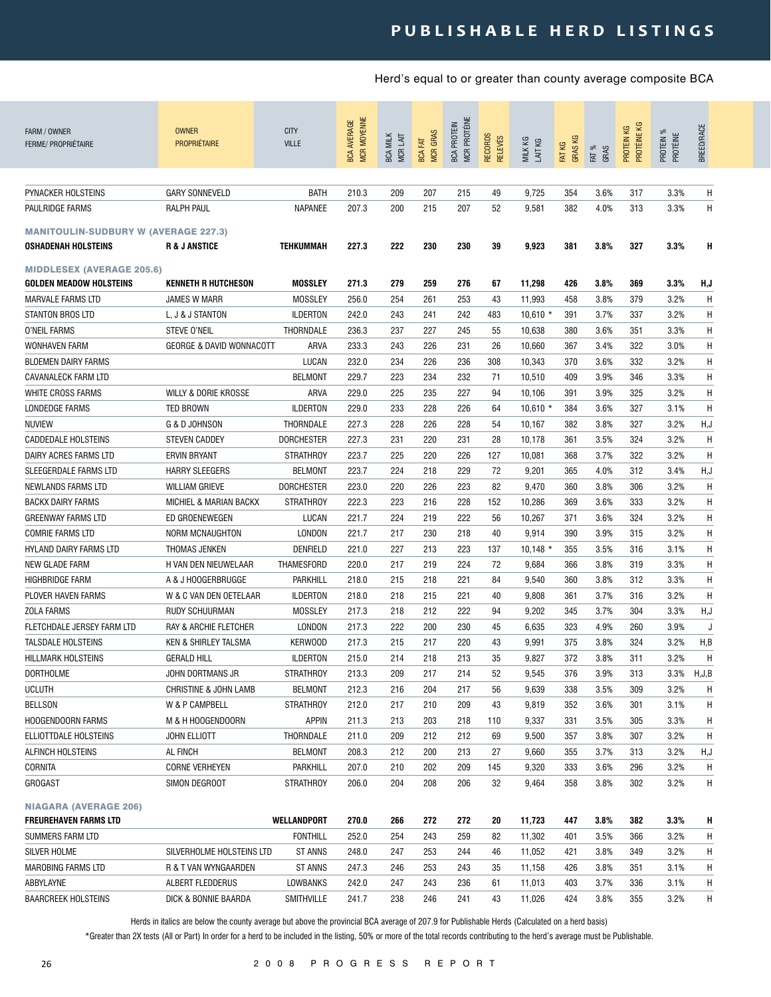| FARM / OWNER<br>FERME/ PROPRIÉTAIRE         | <b>OWNER</b><br><b>PROPRIÉTAIRE</b> | <b>CITY</b><br><b>VILLE</b> | <b>MCR MOYENNE</b><br><b>BCA AVERAGE</b> | <b>BCA MILK</b><br>MCR LAIT | <b>MCR GRAS</b><br>EXT<br><b>BCA</b> | MCR PROTÉINE<br><b>BCA PROTEIN</b> | RECORDS<br><b>RELEVÉS</b> | MILK KG<br>LAIT KG | FAT KG<br>GRAS KG | FAT %<br>GRAS | PROTÉINE KG<br>PROTEIN KG | ಕ್ಗ<br>PROTÉINE<br>PROTEIN | BREED/RACE   |
|---------------------------------------------|-------------------------------------|-----------------------------|------------------------------------------|-----------------------------|--------------------------------------|------------------------------------|---------------------------|--------------------|-------------------|---------------|---------------------------|----------------------------|--------------|
|                                             |                                     |                             |                                          |                             |                                      |                                    |                           |                    |                   |               |                           |                            |              |
| PYNACKER HOLSTEINS                          | <b>GARY SONNEVELD</b>               | BATH                        | 210.3                                    | 209                         | 207                                  | 215                                | 49                        | 9,725              | 354               | 3.6%          | 317                       | 3.3%                       | Н            |
| PAULRIDGE FARMS                             | <b>RALPH PAUL</b>                   | NAPANEE                     | 207.3                                    | 200                         | 215                                  | 207                                | 52                        | 9,581              | 382               | 4.0%          | 313                       | 3.3%                       | H            |
| <b>MANITOULIN-SUDBURY W (AVERAGE 227.3)</b> |                                     |                             |                                          |                             |                                      |                                    |                           |                    |                   |               |                           |                            |              |
| <b>OSHADENAH HOLSTEINS</b>                  | <b>R &amp; J ANSTICE</b>            | TEHKUMMAH                   | 227.3                                    | 222                         | 230                                  | 230                                | 39                        | 9,923              | 381               | 3.8%          | 327                       | 3.3%                       | н            |
| <b>MIDDLESEX (AVERAGE 205.6)</b>            |                                     |                             |                                          |                             |                                      |                                    |                           |                    |                   |               |                           |                            |              |
| <b>GOLDEN MEADOW HOLSTEINS</b>              | <b>KENNETH R HUTCHESON</b>          | <b>MOSSLEY</b>              | 271.3                                    | 279                         | 259                                  | 276                                | 67                        | 11,298             | 426               | 3.8%          | 369                       | 3.3%                       | H,J          |
| <b>MARVALE FARMS LTD</b>                    | <b>JAMES W MARR</b>                 | <b>MOSSLEY</b>              | 256.0                                    | 254                         | 261                                  | 253                                | 43                        | 11,993             | 458               | 3.8%          | 379                       | 3.2%                       | H            |
| <b>STANTON BROS LTD</b>                     | L, J & J STANTON                    | <b>ILDERTON</b>             | 242.0                                    | 243                         | 241                                  | 242                                | 483                       | $10,610 *$         | 391               | 3.7%          | 337                       | 3.2%                       | H            |
| O'NEIL FARMS                                | <b>STEVE O'NEIL</b>                 | THORNDALE                   | 236.3                                    | 237                         | 227                                  | 245                                | 55                        | 10,638             | 380               | 3.6%          | 351                       | 3.3%                       | Η            |
| <b>WONHAVEN FARM</b>                        | <b>GEORGE &amp; DAVID WONNACOTT</b> | ARVA                        | 233.3                                    | 243                         | 226                                  | 231                                | 26                        | 10,660             | 367               | 3.4%          | 322                       | 3.0%                       | Η            |
| <b>BLOEMEN DAIRY FARMS</b>                  |                                     | LUCAN                       | 232.0                                    | 234                         | 226                                  | 236                                | 308                       | 10,343             | 370               | 3.6%          | 332                       | 3.2%                       | Н            |
| <b>CAVANALECK FARM LTD</b>                  |                                     | <b>BELMONT</b>              | 229.7                                    | 223                         | 234                                  | 232                                | 71                        | 10,510             | 409               | 3.9%          | 346                       | 3.3%                       | H            |
| WHITE CROSS FARMS                           | <b>WILLY &amp; DORIE KROSSE</b>     | ARVA                        | 229.0                                    | 225                         | 235                                  | 227                                | 94                        | 10,106             | 391               | 3.9%          | 325                       | 3.2%                       | Η            |
| LONDEDGE FARMS                              | <b>TED BROWN</b>                    | <b>ILDERTON</b>             | 229.0                                    | 233                         | 228                                  | 226                                | 64                        | $10,610*$          | 384               | 3.6%          | 327                       | 3.1%                       | H            |
| <b>NUVIEW</b>                               | G & D JOHNSON                       | <b>THORNDALE</b>            | 227.3                                    | 228                         | 226                                  | 228                                | 54                        | 10,167             | 382               | 3.8%          | 327                       | 3.2%                       | H, J         |
| <b>CADDEDALE HOLSTEINS</b>                  | <b>STEVEN CADDEY</b>                | <b>DORCHESTER</b>           | 227.3                                    | 231                         | 220                                  | 231                                | 28                        | 10,178             | 361               | 3.5%          | 324                       | 3.2%                       | H            |
| DAIRY ACRES FARMS LTD                       | ERVIN BRYANT                        | <b>STRATHROY</b>            | 223.7                                    | 225                         | 220                                  | 226                                | 127                       | 10,081             | 368               | 3.7%          | 322                       | 3.2%                       | H            |
| SLEEGERDALE FARMS LTD                       | <b>HARRY SLEEGERS</b>               | <b>BELMONT</b>              | 223.7                                    | 224                         | 218                                  | 229                                | 72                        | 9,201              | 365               | 4.0%          | 312                       | 3.4%                       | H, J         |
| NEWLANDS FARMS LTD                          | <b>WILLIAM GRIEVE</b>               | <b>DORCHESTER</b>           | 223.0                                    | 220                         | 226                                  | 223                                | 82                        | 9,470              | 360               | 3.8%          | 306                       | 3.2%                       | H            |
| <b>BACKX DAIRY FARMS</b>                    | MICHIEL & MARIAN BACKX              | <b>STRATHROY</b>            | 222.3                                    | 223                         | 216                                  | 228                                | 152                       | 10,286             | 369               | 3.6%          | 333                       | 3.2%                       | H            |
| <b>GREENWAY FARMS LTD</b>                   | ED GROENEWEGEN                      | LUCAN                       | 221.7                                    | 224                         | 219                                  | 222                                | 56                        | 10,267             | 371               | 3.6%          | 324                       | 3.2%                       | Η            |
| <b>COMRIE FARMS LTD</b>                     | <b>NORM MCNAUGHTON</b>              | LONDON                      | 221.7                                    | 217                         | 230                                  | 218                                | 40                        | 9,914              | 390               | 3.9%          | 315                       | 3.2%                       | Η            |
| HYLAND DAIRY FARMS LTD                      | THOMAS JENKEN                       | <b>DENFIELD</b>             | 221.0                                    | 227                         | 213                                  | 223                                | 137                       | $10,148$ *         | 355               | 3.5%          | 316                       | 3.1%                       | H            |
| NEW GLADE FARM                              | H VAN DEN NIEUWELAAR                | THAMESFORD                  | 220.0                                    | 217                         |                                      | 224                                |                           |                    |                   | 3.8%          | 319                       | 3.3%                       |              |
|                                             |                                     |                             |                                          |                             | 219                                  |                                    | 72                        | 9,684              | 366               |               |                           |                            | Η            |
| <b>HIGHBRIDGE FARM</b>                      | A & J HOOGERBRUGGE                  | PARKHILL                    | 218.0                                    | 215                         | 218                                  | 221                                | 84                        | 9,540              | 360               | 3.8%          | 312                       | 3.3%                       | H            |
| PLOVER HAVEN FARMS                          | W & C VAN DEN OETELAAR              | <b>ILDERTON</b>             | 218.0                                    | 218                         | 215                                  | 221                                | 40                        | 9,808              | 361               | 3.7%          | 316                       | 3.2%                       | H            |
| <b>ZOLA FARMS</b>                           | RUDY SCHUURMAN                      | <b>MOSSLEY</b>              | 217.3                                    | 218                         | 212                                  | 222                                | 94                        | 9,202              | 345               | 3.7%          | 304                       | 3.3%                       | H, J         |
| FLETCHDALE JERSEY FARM LTD                  | RAY & ARCHIE FLETCHER               | LONDON                      | 217.3                                    | 222                         | 200                                  | 230                                | 45                        | 6,635              | 323               | 4.9%          | 260                       | 3.9%                       | J            |
| TALSDALE HOLSTEINS                          | <b>KEN &amp; SHIRLEY TALSMA</b>     | <b>KERWOOD</b>              | 217.3                                    | 215                         | 217                                  | 220                                | 43                        | 9,991              | 375               | 3.8%          | 324                       | 3.2%                       | H, B         |
| <b>HILLMARK HOLSTEINS</b>                   | <b>GERALD HILL</b>                  | <b>ILDERTON</b>             | 215.0                                    | 214                         | 218                                  | 213                                | 35                        | 9,827              | 372               | 3.8%          | 311                       | 3.2%                       | Н            |
| <b>DORTHOLME</b>                            | JOHN DORTMANS JR                    | <b>STRATHROY</b>            | 213.3                                    | 209                         | 217                                  | 214                                | 52                        | 9,545              | 376               | 3.9%          | 313                       |                            | 3.3% H, J, B |
| <b>UCLUTH</b>                               | <b>CHRISTINE &amp; JOHN LAMB</b>    | <b>BELMONT</b>              | 212.3                                    | 216                         | 204                                  | 217                                | 56                        | 9,639              | 338               | 3.5%          | 309                       | 3.2%                       | Н            |
| <b>BELLSON</b>                              | W & P CAMPBELL                      | <b>STRATHROY</b>            | 212.0                                    | 217                         | 210                                  | 209                                | 43                        | 9,819              | 352               | 3.6%          | 301                       | 3.1%                       | H            |
| HOOGENDOORN FARMS                           | M & H HOOGENDOORN                   | <b>APPIN</b>                | 211.3                                    | 213                         | 203                                  | 218                                | 110                       | 9,337              | 331               | 3.5%          | 305                       | 3.3%                       | Н            |
| ELLIOTTDALE HOLSTEINS                       | JOHN ELLIOTT                        | THORNDALE                   | 211.0                                    | 209                         | 212                                  | 212                                | 69                        | 9,500              | 357               | 3.8%          | 307                       | 3.2%                       | H            |
| ALFINCH HOLSTEINS                           | AL FINCH                            | <b>BELMONT</b>              | 208.3                                    | 212                         | 200                                  | 213                                | 27                        | 9,660              | 355               | 3.7%          | 313                       | 3.2%                       | H,J          |
| CORNITA                                     | <b>CORNE VERHEYEN</b>               | PARKHILL                    | 207.0                                    | 210                         | 202                                  | 209                                | 145                       | 9,320              | 333               | 3.6%          | 296                       | 3.2%                       | H            |
| GROGAST                                     | SIMON DEGROOT                       | <b>STRATHROY</b>            | 206.0                                    | 204                         | 208                                  | 206                                | 32                        | 9,464              | 358               | 3.8%          | 302                       | 3.2%                       | H            |
| <b>NIAGARA (AVERAGE 206)</b>                |                                     |                             |                                          |                             |                                      |                                    |                           |                    |                   |               |                           |                            |              |
| <b>FREUREHAVEN FARMS LTD</b>                |                                     | <b>WELLANDPORT</b>          | 270.0                                    | 266                         | 272                                  | 272                                | 20                        | 11,723             | 447               | 3.8%          | 382                       | 3.3%                       | н            |
| SUMMERS FARM LTD                            |                                     | <b>FONTHILL</b>             | 252.0                                    | 254                         | 243                                  | 259                                | 82                        | 11,302             | 401               | 3.5%          | 366                       | 3.2%                       | H            |
| SILVER HOLME                                | SILVERHOLME HOLSTEINS LTD           | <b>ST ANNS</b>              | 248.0                                    | 247                         | 253                                  | 244                                | 46                        | 11,052             | 421               | 3.8%          | 349                       | 3.2%                       | Н            |
| <b>MAROBING FARMS LTD</b>                   | R & T VAN WYNGAARDEN                | <b>ST ANNS</b>              | 247.3                                    | 246                         | 253                                  | 243                                | 35                        | 11,158             | 426               | 3.8%          | 351                       | 3.1%                       | H            |
| ABBYLAYNE                                   | ALBERT FLEDDERUS                    | LOWBANKS                    | 242.0                                    | 247                         | 243                                  | 236                                | 61                        | 11,013             | 403               | 3.7%          | 336                       | 3.1%                       | Н.           |
| <b>BAARCREEK HOLSTEINS</b>                  | DICK & BONNIE BAARDA                | <b>SMITHVILLE</b>           | 241.7                                    | 238                         | 246                                  | 241                                | 43                        | 11,026             | 424               | 3.8%          | 355                       | 3.2%                       | H            |

Herds in italics are below the county average but above the provincial BCA average of 207.9 for Publishable Herds (Calculated on a herd basis)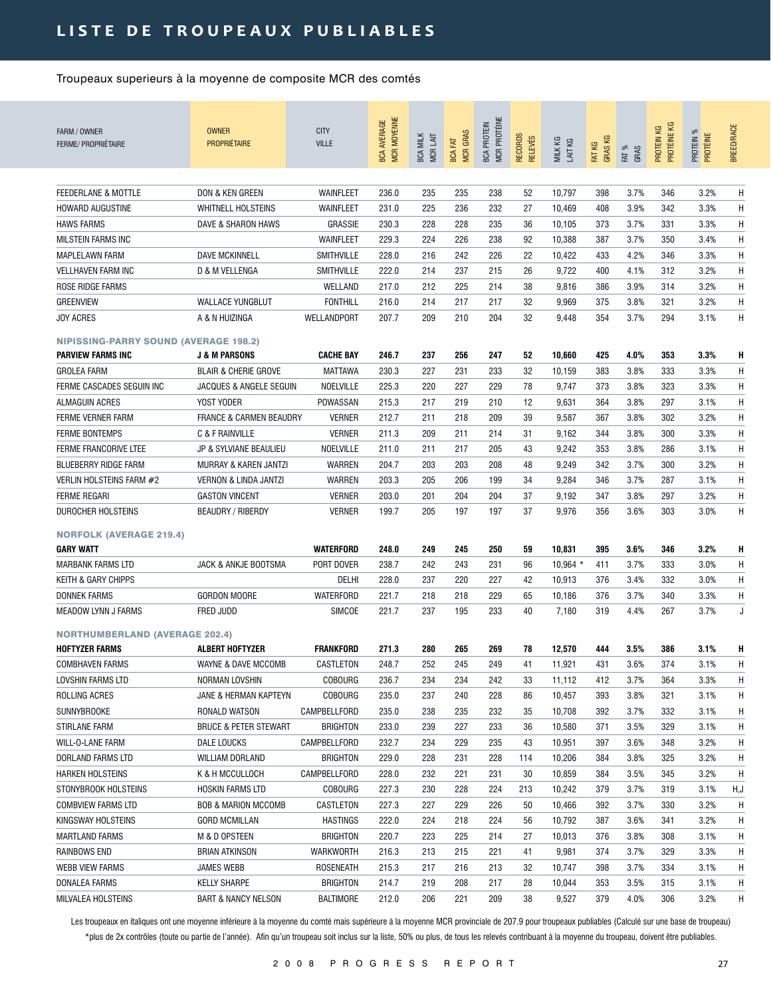## LISTE DE TROUPEAUX PUBLIABLES

Troupeaux superieurs à la moyenne de composite MCR des comtés

| FARM / OWNER<br><b>FERME/ PROPRIÉTAIRE</b>   | <b>OWNER</b><br><b>PROPRIÉTAIRE</b> | <b>CITY</b><br><b>VILLE</b> | MCR MOYENNE<br><b>BCA AVERAGE</b> | <b>BCA MILK</b><br>MCR LAIT | <b>MCR GRAS</b><br><b>BCA FAT</b> | MCR PROTÉINE<br><b>BCA PROTEIN</b> | <b>RECORDS</b><br><b>RELEVÉS</b> | MILK KG<br>LAIT KG | <b>GRASKG</b><br>FAT KG | FAT %<br>GRAS | PROTÉINE KG<br>PROTEIN KG | PROTEIN %<br>PROTÉINE | <b>BREED/RACE</b> |
|----------------------------------------------|-------------------------------------|-----------------------------|-----------------------------------|-----------------------------|-----------------------------------|------------------------------------|----------------------------------|--------------------|-------------------------|---------------|---------------------------|-----------------------|-------------------|
| FEEDERLANE & MOTTLE                          | DON & KEN GREEN                     | WAINFLEET                   | 236.0                             | 235                         | 235                               | 238                                | 52                               | 10,797             | 398                     | 3.7%          | 346                       | 3.2%                  | H                 |
|                                              |                                     |                             |                                   |                             |                                   |                                    |                                  |                    |                         |               |                           |                       |                   |
| <b>HOWARD AUGUSTINE</b>                      | <b>WHITNELL HOLSTEINS</b>           | WAINFLEET                   | 231.0                             | 225                         | 236                               | 232                                | 27                               | 10,469             | 408                     | 3.9%          | 342                       | 3.3%                  | Η                 |
| <b>HAWS FARMS</b>                            | DAVE & SHARON HAWS                  | <b>GRASSIE</b>              | 230.3                             | 228                         | 228                               | 235                                | 36                               | 10,105             | 373                     | 3.7%          | 331                       | 3.3%                  | Η                 |
| <b>MILSTEIN FARMS INC</b>                    |                                     | WAINFLEET                   | 229.3                             | 224                         | 226                               | 238                                | 92                               | 10,388             | 387                     | 3.7%          | 350                       | 3.4%                  | Η                 |
| <b>MAPLELAWN FARM</b>                        | DAVE MCKINNELL                      | <b>SMITHVILLE</b>           | 228.0                             | 216                         | 242                               | 226                                | 22                               | 10,422             | 433                     | 4.2%          | 346                       | 3.3%                  | Η                 |
| <b>VELLHAVEN FARM INC</b>                    | D & M VELLENGA                      | <b>SMITHVILLE</b>           | 222.0                             | 214                         | 237                               | 215                                | 26                               | 9,722              | 400                     | 4.1%          | 312                       | 3.2%                  | Η                 |
| ROSE RIDGE FARMS                             |                                     | WELLAND                     | 217.0                             | 212                         | 225                               | 214                                | 38                               | 9,816              | 386                     | 3.9%          | 314                       | 3.2%                  | Η                 |
| <b>GREENVIEW</b>                             | <b>WALLACE YUNGBLUT</b>             | <b>FONTHILL</b>             | 216.0                             | 214                         | 217                               | 217                                | 32                               | 9,969              | 375                     | 3.8%          | 321                       | 3.2%                  | Η                 |
| <b>JOY ACRES</b>                             | A & N HUIZINGA                      | WELLANDPORT                 | 207.7                             | 209                         | 210                               | 204                                | 32                               | 9,448              | 354                     | 3.7%          | 294                       | 3.1%                  | Η                 |
| <b>NIPISSING-PARRY SOUND (AVERAGE 198.2)</b> |                                     |                             |                                   |                             |                                   |                                    |                                  |                    |                         |               |                           |                       |                   |
| <b>PARVIEW FARMS INC</b>                     | <b>J &amp; M PARSONS</b>            | <b>CACHE BAY</b>            | 246.7                             | 237                         | 256                               | 247                                | 52                               | 10,660             | 425                     | 4.0%          | 353                       | 3.3%                  | H                 |
| <b>GROLEA FARM</b>                           | <b>BLAIR &amp; CHERIE GROVE</b>     | <b>MATTAWA</b>              | 230.3                             | 227                         | 231                               | 233                                | 32                               | 10,159             | 383                     | 3.8%          | 333                       | 3.3%                  | H                 |
| FERME CASCADES SEGUIN INC                    | JACQUES & ANGELE SEGUIN             | NOELVILLE                   | 225.3                             | 220                         | 227                               | 229                                | 78                               | 9,747              | 373                     | 3.8%          | 323                       | 3.3%                  | Η                 |
| <b>ALMAGUIN ACRES</b>                        | YOST YODER                          | POWASSAN                    | 215.3                             | 217                         | 219                               | 210                                | 12                               | 9,631              | 364                     | 3.8%          | 297                       | 3.1%                  | Η                 |
| FERME VERNER FARM                            | <b>FRANCE &amp; CARMEN BEAUDRY</b>  | <b>VERNER</b>               | 212.7                             | 211                         | 218                               | 209                                | 39                               | 9,587              | 367                     | 3.8%          | 302                       | 3.2%                  | Η                 |
| <b>FERME BONTEMPS</b>                        | C & F RAINVILLE                     | <b>VERNER</b>               | 211.3                             | 209                         | 211                               | 214                                | 31                               | 9,162              | 344                     | 3.8%          | 300                       | 3.3%                  | Η                 |
| <b>FERME FRANCORIVE LTEE</b>                 | JP & SYLVIANE BEAULIEU              | NOELVILLE                   | 211.0                             | 211                         | 217                               | 205                                | 43                               | 9,242              | 353                     | 3.8%          | 286                       | 3.1%                  | Η                 |
| BLUEBERRY RIDGE FARM                         | MURRAY & KAREN JANTZI               | WARREN                      | 204.7                             | 203                         | 203                               | 208                                | 48                               | 9,249              | 342                     | 3.7%          | 300                       | 3.2%                  | Η                 |
| VERLIN HOLSTEINS FARM #2                     | <b>VERNON &amp; LINDA JANTZI</b>    | WARREN                      | 203.3                             | 205                         | 206                               | 199                                | 34                               | 9,284              | 346                     | 3.7%          | 287                       | 3.1%                  | Η                 |
| <b>FERME REGARI</b>                          | <b>GASTON VINCENT</b>               | <b>VERNER</b>               | 203.0                             | 201                         | 204                               | 204                                | 37                               | 9,192              | 347                     | 3.8%          | 297                       | 3.2%                  | Η                 |
| DUROCHER HOLSTEINS                           | <b>BEAUDRY / RIBERDY</b>            | <b>VERNER</b>               | 199.7                             | 205                         | 197                               | 197                                | 37                               | 9,976              | 356                     | 3.6%          | 303                       | 3.0%                  | Η                 |
| <b>NORFOLK (AVERAGE 219.4)</b>               |                                     |                             |                                   |                             |                                   |                                    |                                  |                    |                         |               |                           |                       |                   |
| <b>GARY WATT</b>                             |                                     | <b>WATERFORD</b>            | 248.0                             | 249                         | 245                               | 250                                | 59                               | 10,831             | 395                     | 3.6%          | 346                       | 3.2%                  | H                 |
| MARBANK FARMS LTD                            | JACK & ANKJE BOOTSMA                | PORT DOVER                  | 238.7                             | 242                         | 243                               | 231                                | 96                               | $10,964$ *         | 411                     | 3.7%          | 333                       | 3.0%                  | Η                 |
| KEITH & GARY CHIPPS                          |                                     | DELHI                       | 228.0                             | 237                         | 220                               | 227                                | 42                               | 10,913             | 376                     | 3.4%          | 332                       | 3.0%                  | Η                 |
| <b>DONNEK FARMS</b>                          | <b>GORDON MOORE</b>                 | WATERFORD                   | 221.7                             | 218                         | 218                               | 229                                | 65                               | 10,186             | 376                     | 3.7%          | 340                       | 3.3%                  | Η                 |
| <b>MEADOW LYNN J FARMS</b>                   | FRED JUDD                           | SIMCOE                      | 221.7                             | 237                         | 195                               | 233                                | 40                               | 7,180              | 319                     | 4.4%          | 267                       | 3.7%                  | J                 |
| <b>NORTHUMBERLAND (AVERAGE 202.4)</b>        |                                     |                             |                                   |                             |                                   |                                    |                                  |                    |                         |               |                           |                       |                   |
| <b>HOFTYZER FARMS</b>                        | <b>ALBERT HOFTYZER</b>              | <b>FRANKFORD</b>            | 271.3                             | 280                         | 265                               | 269                                | 78                               | 12,570             | 444                     | 3.5%          | 386                       | 3.1%                  | н                 |
| <b>COMBHAVEN FARMS</b>                       | WAYNE & DAVE MCCOMB                 | CASTLETON                   | 248.7                             | 252                         | 245                               | 249                                | 41                               | 11,921             | 431                     | 3.6%          | 374                       | 3.1%                  | Η                 |
| LOVSHIN FARMS LTD                            | NORMAN LOVSHIN                      | <b>COBOURG</b>              | 236.7                             | 234                         | 234                               | 242                                | 33                               | 11,112             | 412                     | 3.7%          | 364                       | 3.3%                  | H                 |
| ROLLING ACRES                                | JANE & HERMAN KAPTEYN               | <b>COBOURG</b>              | 235.0                             | 237                         | 240                               | 228                                | 86                               | 10,457             | 393                     | 3.8%          | 321                       | 3.1%                  | H                 |
| SUNNYBROOKE                                  | RONALD WATSON                       | CAMPBELLFORD                | 235.0                             | 238                         | 235                               | 232                                | 35                               | 10,708             | 392                     | 3.7%          | 332                       | 3.1%                  | H                 |
| STIRLANE FARM                                | <b>BRUCE &amp; PETER STEWART</b>    | BRIGHTON                    | 233.0                             | 239                         | 227                               | 233                                | 36                               | 10,580             | 371                     | 3.5%          | 329                       | 3.1%                  | Η                 |
| WILL-O-LANE FARM                             | DALE LOUCKS                         | CAMPBELLFORD                | 232.7                             | 234                         | 229                               | 235                                | 43                               | 10,951             | 397                     | 3.6%          | 348                       | 3.2%                  | Η                 |
| DORLAND FARMS LTD                            | WILLIAM DORLAND                     | <b>BRIGHTON</b>             | 229.0                             | 228                         | 231                               | 228                                | 114                              | 10,206             | 384                     | 3.8%          | 325                       | 3.2%                  | Η                 |
| <b>HARKEN HOLSTEINS</b>                      | K & H MCCULLOCH                     | CAMPBELLFORD                | 228.0                             | 232                         | 221                               | 231                                | 30                               | 10,859             | 384                     | 3.5%          | 345                       | 3.2%                  | Η                 |
| STONYBROOK HOLSTEINS                         | HOSKIN FARMS LTD                    | COBOURG                     | 227.3                             | 230                         | 228                               | 224                                | 213                              | 10,242             | 379                     | 3.7%          | 319                       | 3.1%                  | H,J               |
| <b>COMBVIEW FARMS LTD</b>                    | <b>BOB &amp; MARION MCCOMB</b>      | CASTLETON                   | 227.3                             | 227                         | 229                               | 226                                | 50                               | 10,466             | 392                     | 3.7%          | 330                       | 3.2%                  | H                 |
|                                              |                                     |                             |                                   |                             |                                   |                                    |                                  |                    |                         |               |                           |                       |                   |
| KINGSWAY HOLSTEINS                           | <b>GORD MCMILLAN</b>                | HASTINGS                    | 222.0                             | 224                         | 218                               | 224                                | 56                               | 10,792             | 387                     | 3.6%          | 341                       | 3.2%                  | H<br>Η            |
| <b>MARTLAND FARMS</b>                        | M & D OPSTEEN                       | BRIGHTON                    | 220.7                             | 223                         | 225                               | 214                                | 27                               | 10,013             | 376                     | 3.8%          | 308                       | 3.1%                  |                   |
| RAINBOWS END                                 | <b>BRIAN ATKINSON</b>               | WARKWORTH                   | 216.3                             | 213                         | 215                               | 221                                | 41                               | 9,981              | 374                     | 3.7%          | 329                       | 3.3%                  | Η                 |
| WEBB VIEW FARMS                              | JAMES WEBB                          | ROSENEATH                   | 215.3                             | 217                         | 216                               | 213                                | 32                               | 10,747             | 398                     | 3.7%          | 334                       | 3.1%                  | Η                 |
| DONALEA FARMS                                | KELLY SHARPE                        | <b>BRIGHTON</b>             | 214.7                             | 219                         | 208                               | 217                                | 28                               | 10,044             | 353                     | 3.5%          | 315                       | 3.1%                  | Η                 |
| MILVALEA HOLSTEINS                           | <b>BART &amp; NANCY NELSON</b>      | <b>BALTIMORE</b>            | 212.0                             | 206                         | 221                               | 209                                | 38                               | 9,527              | 379                     | 4.0%          | 306                       | 3.2%                  | Η                 |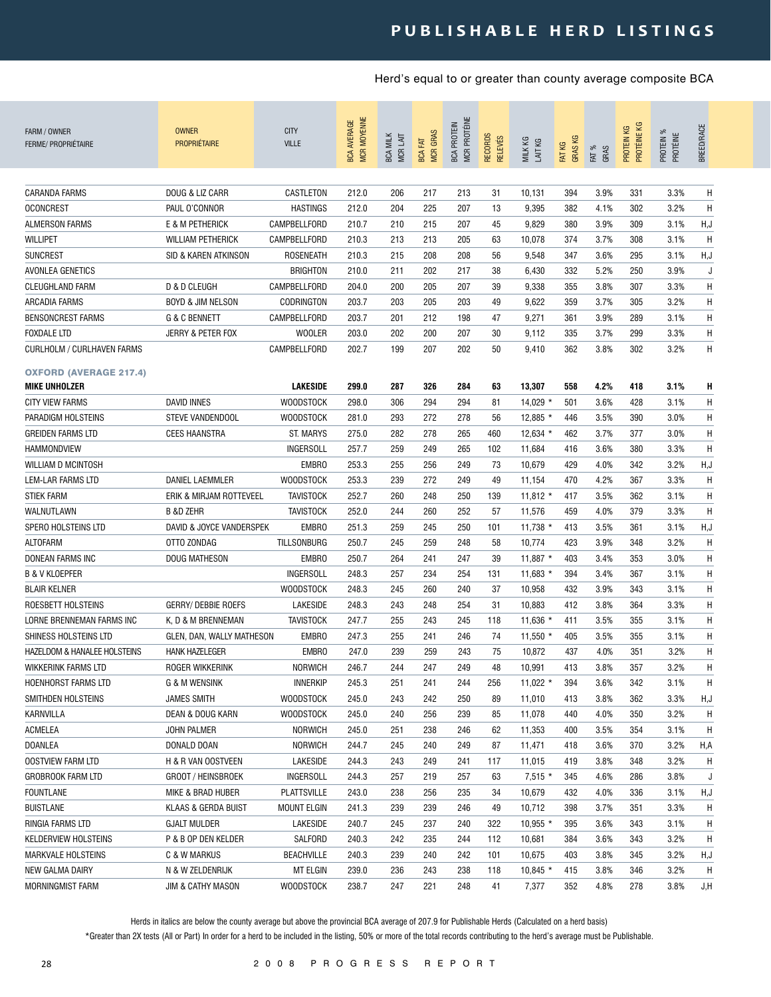| FARM / OWNER<br><b>FERME/ PROPRIÉTAIRE</b>            | <b>OWNER</b><br><b>PROPRIÉTAIRE</b> | <b>CITY</b><br><b>VILLE</b> | MCR MOYENNE<br><b>BCA AVERAGE</b> | <b>BCA MILK</b><br>MCR LAIT | <b>MCR GRAS</b><br><b>BCA FAT</b> | <b>MCR PROTÉINE</b><br><b>BCA PROTEIN</b> | <b>RECORDS</b><br><b>RELEVÉS</b> | MILK KG<br>LAIT KG | <b>GRASKG</b><br>FAT KG | FAT %<br>GRAS | PROTÉINE KG<br>KG<br>PROTEIN I | PROTEIN %<br>PROTÉINE | <b>BREED/RACE</b> |
|-------------------------------------------------------|-------------------------------------|-----------------------------|-----------------------------------|-----------------------------|-----------------------------------|-------------------------------------------|----------------------------------|--------------------|-------------------------|---------------|--------------------------------|-----------------------|-------------------|
| <b>CARANDA FARMS</b>                                  | DOUG & LIZ CARR                     | CASTLETON                   | 212.0                             | 206                         | 217                               | 213                                       | 31                               | 10,131             | 394                     | 3.9%          | 331                            | 3.3%                  | H                 |
| <b>OCONCREST</b>                                      | PAUL O'CONNOR                       | <b>HASTINGS</b>             | 212.0                             | 204                         | 225                               | 207                                       | 13                               | 9,395              | 382                     | 4.1%          | 302                            | 3.2%                  | H                 |
| <b>ALMERSON FARMS</b>                                 | E & M PETHERICK                     | CAMPBELLFORD                | 210.7                             | 210                         | 215                               | 207                                       | 45                               | 9,829              | 380                     | 3.9%          | 309                            | 3.1%                  | H, J              |
| <b>WILLIPET</b>                                       | <b>WILLIAM PETHERICK</b>            | CAMPBELLFORD                | 210.3                             | 213                         | 213                               | 205                                       | 63                               | 10,078             | 374                     | 3.7%          | 308                            | 3.1%                  | H                 |
| <b>SUNCREST</b>                                       | SID & KAREN ATKINSON                | ROSENEATH                   | 210.3                             | 215                         | 208                               | 208                                       | 56                               | 9,548              | 347                     | 3.6%          | 295                            | 3.1%                  | H, J              |
| AVONLEA GENETICS                                      |                                     | <b>BRIGHTON</b>             | 210.0                             | 211                         | 202                               | 217                                       | 38                               | 6,430              | 332                     | 5.2%          | 250                            | 3.9%                  | J                 |
| <b>CLEUGHLAND FARM</b>                                | <b>D &amp; D CLEUGH</b>             | CAMPBELLFORD                | 204.0                             | 200                         | 205                               | 207                                       | 39                               | 9,338              | 355                     | 3.8%          | 307                            | 3.3%                  | H                 |
| ARCADIA FARMS                                         | <b>BOYD &amp; JIM NELSON</b>        | CODRINGTON                  | 203.7                             | 203                         | 205                               | 203                                       | 49                               | 9,622              | 359                     | 3.7%          | 305                            | 3.2%                  | Н                 |
| <b>BENSONCREST FARMS</b>                              | <b>G &amp; C BENNETT</b>            | CAMPBELLFORD                | 203.7                             | 201                         | 212                               | 198                                       | 47                               | 9,271              | 361                     | 3.9%          | 289                            | 3.1%                  | Н                 |
| <b>FOXDALE LTD</b>                                    | JERRY & PETER FOX                   | <b>WOOLER</b>               | 203.0                             | 202                         | 200                               | 207                                       | 30                               | 9,112              | 335                     | 3.7%          | 299                            | 3.3%                  | H                 |
| CURLHOLM / CURLHAVEN FARMS                            |                                     | CAMPBELLFORD                | 202.7                             | 199                         | 207                               | 202                                       | 50                               | 9,410              | 362                     | 3.8%          | 302                            | 3.2%                  | H                 |
| <b>OXFORD (AVERAGE 217.4)</b><br><b>MIKE UNHOLZER</b> |                                     | <b>LAKESIDE</b>             | 299.0                             | 287                         | 326                               | 284                                       | 63                               | 13,307             | 558                     | 4.2%          | 418                            | 3.1%                  | н                 |
| <b>CITY VIEW FARMS</b>                                | <b>DAVID INNES</b>                  | <b>WOODSTOCK</b>            | 298.0                             | 306                         | 294                               | 294                                       | 81                               | $14,029$ *         | 501                     | 3.6%          | 428                            | 3.1%                  | H                 |
| PARADIGM HOLSTEINS                                    | STEVE VANDENDOOL                    | <b>WOODSTOCK</b>            | 281.0                             | 293                         | 272                               | 278                                       | 56                               | $12,885$ *         | 446                     | 3.5%          | 390                            | 3.0%                  | Н                 |
| <b>GREIDEN FARMS LTD</b>                              | <b>CEES HAANSTRA</b>                | <b>ST. MARYS</b>            | 275.0                             | 282                         | 278                               | 265                                       | 460                              | $12.634*$          | 462                     | 3.7%          | 377                            | 3.0%                  | Η                 |
| HAMMONDVIEW                                           |                                     | INGERSOLL                   | 257.7                             | 259                         | 249                               | 265                                       | 102                              | 11,684             | 416                     | 3.6%          | 380                            | 3.3%                  | H                 |
| WILLIAM D MCINTOSH                                    |                                     | <b>EMBRO</b>                | 253.3                             | 255                         | 256                               | 249                                       | 73                               | 10,679             | 429                     | 4.0%          | 342                            | 3.2%                  | H, J              |
| LEM-LAR FARMS LTD                                     | DANIEL LAEMMLER                     | <b>WOODSTOCK</b>            | 253.3                             | 239                         | 272                               | 249                                       | 49                               | 11,154             | 470                     | 4.2%          | 367                            | 3.3%                  | H                 |
| <b>STIEK FARM</b>                                     | ERIK & MIRJAM ROTTEVEEL             | <b>TAVISTOCK</b>            | 252.7                             | 260                         | 248                               | 250                                       | 139                              | $11,812$ *         | 417                     | 3.5%          | 362                            | 3.1%                  | H                 |
| WALNUTLAWN                                            | <b>B &amp;D ZEHR</b>                | <b>TAVISTOCK</b>            | 252.0                             | 244                         | 260                               | 252                                       | 57                               | 11,576             | 459                     | 4.0%          | 379                            | 3.3%                  | Η                 |
| SPERO HOLSTEINS LTD                                   | DAVID & JOYCE VANDERSPEK            | <b>EMBRO</b>                | 251.3                             | 259                         | 245                               | 250                                       | 101                              | $11,738$ *         | 413                     | 3.5%          | 361                            | 3.1%                  | H, J              |
| ALTOFARM                                              | OTTO ZONDAG                         | <b>TILLSONBURG</b>          | 250.7                             | 245                         | 259                               | 248                                       | 58                               | 10,774             | 423                     | 3.9%          | 348                            | 3.2%                  | Н                 |
| <b>DONEAN FARMS INC</b>                               | DOUG MATHESON                       | <b>EMBRO</b>                | 250.7                             | 264                         | 241                               | 247                                       | 39                               | 11,887 *           | 403                     | 3.4%          | 353                            | 3.0%                  | H                 |
| <b>B &amp; V KLOEPFER</b>                             |                                     | INGERSOLL                   | 248.3                             | 257                         | 234                               | 254                                       | 131                              | $11,683*$          | 394                     | 3.4%          | 367                            | 3.1%                  | H                 |
| <b>BLAIR KELNER</b>                                   |                                     | <b>WOODSTOCK</b>            | 248.3                             | 245                         | 260                               | 240                                       | 37                               | 10,958             | 432                     | 3.9%          | 343                            | 3.1%                  | Н                 |
| ROESBETT HOLSTEINS                                    | <b>GERRY/ DEBBIE ROEFS</b>          | <b>LAKESIDE</b>             | 248.3                             | 243                         | 248                               | 254                                       | 31                               | 10,883             | 412                     | 3.8%          | 364                            | 3.3%                  | Н                 |
| LORNE BRENNEMAN FARMS INC                             | K, D & M BRENNEMAN                  | <b>TAVISTOCK</b>            | 247.7                             | 255                         | 243                               | 245                                       | 118                              | 11,636 *           | 411                     | 3.5%          | 355                            | 3.1%                  | Н                 |
| SHINESS HOLSTEINS LTD                                 | GLEN, DAN, WALLY MATHESON           | <b>EMBRO</b>                | 247.3                             | 255                         | 241                               | 246                                       | 74                               | $11,550$ *         | 405                     | 3.5%          | 355                            | 3.1%                  | Н                 |
| <b>HAZELDOM &amp; HANALEE HOLSTEINS</b>               | <b>HANK HAZELEGER</b>               | <b>EMBRO</b>                | 247.0                             | 239                         | 259                               | 243                                       | 75                               | 10,872             | 437                     | 4.0%          | 351                            | 3.2%                  | Н                 |
| WIKKERINK FARMS LTD                                   | ROGER WIKKERINK                     | NORWICH                     | 246.7                             | 244                         | 247                               | 249                                       | 48                               | 10,991             | 413                     | 3.8%          | 357                            | 3.2%                  | Η                 |
| HOENHORST FARMS LTD                                   | G & M WENSINK                       | <b>INNERKIP</b>             | 245.3                             | 251                         | 241                               | 244                                       | 256                              | 11,022 $*$         | 394                     | 3.6%          | 342                            | 3.1%                  | H                 |
| SMITHDEN HOLSTEINS                                    | <b>JAMES SMITH</b>                  | <b>WOODSTOCK</b>            | 245.0                             | 243                         | 242                               | 250                                       | 89                               | 11,010             | 413                     | 3.8%          | 362                            | 3.3%                  | H,J               |
| KARNVILLA                                             | DEAN & DOUG KARN                    | <b>WOODSTOCK</b>            | 245.0                             | 240                         | 256                               | 239                                       | 85                               | 11,078             | 440                     | 4.0%          | 350                            | 3.2%                  | H                 |
| ACMELEA                                               | JOHN PALMER                         | <b>NORWICH</b>              | 245.0                             | 251                         | 238                               | 246                                       | 62                               | 11,353             | 400                     | 3.5%          | 354                            | 3.1%                  | H                 |
| <b>DOANLEA</b>                                        | DONALD DOAN                         | <b>NORWICH</b>              | 244.7                             | 245                         | 240                               | 249                                       | 87                               | 11,471             | 418                     | 3.6%          | 370                            | 3.2%                  | H,A               |
| <b>OOSTVIEW FARM LTD</b>                              | H & R VAN OOSTVEEN                  | LAKESIDE                    | 244.3                             | 243                         | 249                               | 241                                       | 117                              | 11,015             | 419                     | 3.8%          | 348                            | 3.2%                  | H                 |
| <b>GROBROOK FARM LTD</b>                              | GROOT / HEINSBROEK                  | <b>INGERSOLL</b>            | 244.3                             | 257                         | 219                               | 257                                       | 63                               | $7,515*$           | 345                     | 4.6%          | 286                            | 3.8%                  | J                 |
| <b>FOUNTLANE</b>                                      | MIKE & BRAD HUBER                   | <b>PLATTSVILLE</b>          | 243.0                             | 238                         | 256                               | 235                                       | 34                               | 10,679             | 432                     | 4.0%          | 336                            | 3.1%                  | H,J               |
| <b>BUISTLANE</b>                                      | <b>KLAAS &amp; GERDA BUIST</b>      | <b>MOUNT ELGIN</b>          | 241.3                             | 239                         | 239                               | 246                                       | 49                               | 10,712             | 398                     | 3.7%          | 351                            | 3.3%                  | H                 |
| RINGIA FARMS LTD                                      | <b>GJALT MULDER</b>                 | LAKESIDE                    | 240.7                             | 245                         | 237                               | 240                                       | 322                              | $10,955$ *         | 395                     | 3.6%          | 343                            | 3.1%                  | H                 |
| <b>KELDERVIEW HOLSTEINS</b>                           | P & B OP DEN KELDER                 | SALFORD                     | 240.3                             | 242                         | 235                               | 244                                       | 112                              | 10,681             | 384                     | 3.6%          | 343                            | 3.2%                  | H                 |
| <b>MARKVALE HOLSTEINS</b>                             | C & W MARKUS                        | <b>BEACHVILLE</b>           | 240.3                             | 239                         | 240                               | 242                                       | 101                              | 10,675             | 403                     | 3.8%          | 345                            | 3.2%                  | H,J               |
| NEW GALMA DAIRY                                       | N & W ZELDENRIJK                    | <b>MT ELGIN</b>             | 239.0                             | 236                         | 243                               | 238                                       | 118                              | $10,845$ *         | 415                     | 3.8%          | 346                            | 3.2%                  | H                 |
| MORNINGMIST FARM                                      | JIM & CATHY MASON                   | <b>WOODSTOCK</b>            | 238.7                             | 247                         | 221                               | 248                                       | 41                               | 7,377              | 352                     | 4.8%          | 278                            | 3.8%                  | J,H               |

Herds in italics are below the county average but above the provincial BCA average of 207.9 for Publishable Herds (Calculated on a herd basis)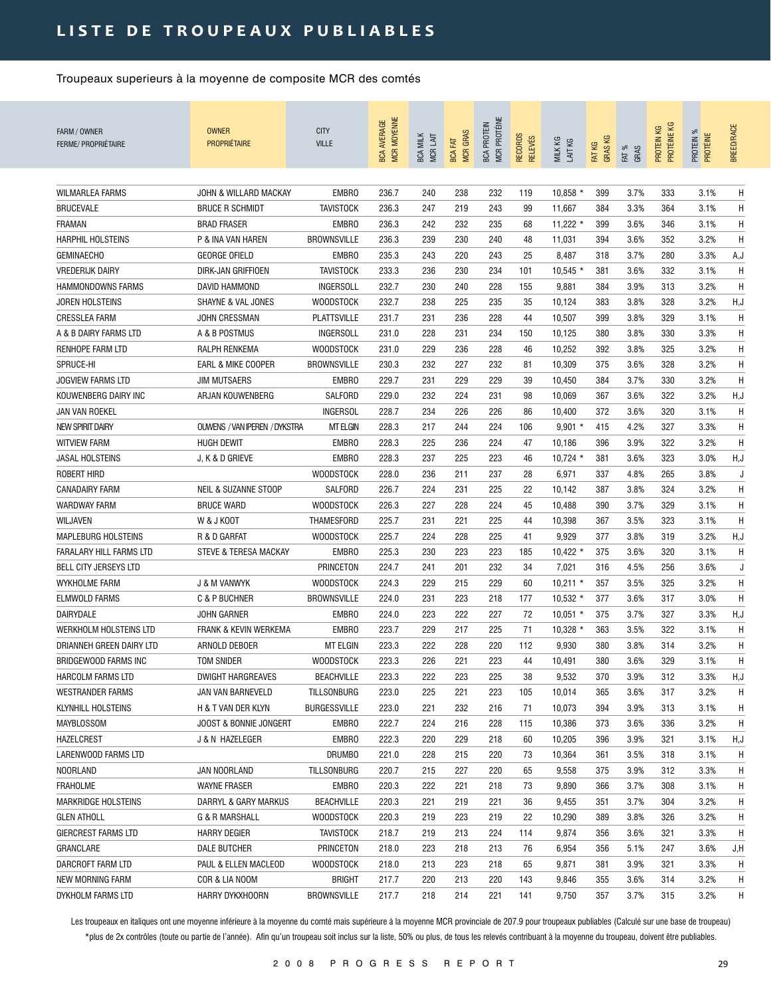## LISTE DE TROUPEAUX PUBLIABLES

Troupeaux superieurs à la moyenne de composite MCR des comtés

| <b>WILMARLEA FARMS</b><br>JOHN & WILLARD MACKAY<br><b>EMBRO</b><br>236.7<br>238<br>232<br>$10,858$ *<br>399<br>3.7%<br>333<br>Н<br>240<br>119<br>3.1%<br><b>BRUCEVALE</b><br><b>BRUCE R SCHMIDT</b><br><b>TAVISTOCK</b><br>236.3<br>247<br>219<br>243<br>99<br>384<br>3.3%<br>364<br>3.1%<br>Η<br>11,667<br><b>FRAMAN</b><br><b>BRAD FRASER</b><br><b>EMBRO</b><br>236.3<br>242<br>232<br>235<br>68<br>$11,222$ *<br>399<br>3.6%<br>346<br>3.1%<br>Η<br>239<br>3.2%<br>H<br><b>HARPHIL HOLSTEINS</b><br>P & INA VAN HAREN<br><b>BROWNSVILLE</b><br>236.3<br>230<br>240<br>48<br>394<br>3.6%<br>352<br>11,031<br>235.3<br>243<br>220<br>243<br>3.7%<br>280<br>3.3%<br>A,J<br><b>GEMINAECHO</b><br><b>GEORGE OFIELD</b><br><b>EMBRO</b><br>25<br>8,487<br>318<br><b>TAVISTOCK</b><br>233.3<br>236<br>230<br>234<br>101<br>10,545<br>381<br>3.6%<br>332<br>3.1%<br>H<br><b>VREDERIJK DAIRY</b><br>DIRK-JAN GRIFFIOEN<br>232.7<br>HAMMONDOWNS FARMS<br>INGERSOLL<br>230<br>240<br>228<br>155<br>9,881<br>384<br>3.9%<br>313<br>3.2%<br>H<br>DAVID HAMMOND<br>232.7<br>225<br>H,J<br><b>SHAYNE &amp; VAL JONES</b><br><b>WOODSTOCK</b><br>238<br>235<br>35<br>383<br>3.8%<br>328<br>3.2%<br>JOREN HOLSTEINS<br>10,124<br><b>CRESSLEA FARM</b><br>JOHN CRESSMAN<br><b>PLATTSVILLE</b><br>231.7<br>231<br>236<br>228<br>10,507<br>399<br>3.8%<br>329<br>3.1%<br>Η<br>44<br>A & B DAIRY FARMS LTD<br>A & B POSTMUS<br>INGERSOLL<br>231.0<br>228<br>231<br>234<br>150<br>10,125<br>380<br>3.8%<br>330<br>3.3%<br>Η<br>Η<br>RENHOPE FARM LTD<br>RALPH RENKEMA<br><b>WOODSTOCK</b><br>231.0<br>229<br>236<br>228<br>46<br>10,252<br>392<br>3.8%<br>325<br>3.2%<br>Η<br>SPRUCE-HI<br>EARL & MIKE COOPER<br><b>BROWNSVILLE</b><br>230.3<br>232<br>227<br>232<br>10,309<br>375<br>3.6%<br>328<br>3.2%<br>81<br><b>JOGVIEW FARMS LTD</b><br><b>JIM MUTSAERS</b><br><b>EMBRO</b><br>229.7<br>231<br>229<br>229<br>39<br>384<br>3.7%<br>330<br>3.2%<br>H<br>10,450<br>KOUWENBERG DAIRY INC<br>ARJAN KOUWENBERG<br>SALFORD<br>229.0<br>232<br>224<br>231<br>98<br>10,069<br>367<br>3.6%<br>322<br>3.2%<br>H,J<br>228.7<br>234<br>3.6%<br>320<br>H<br><b>JAN VAN ROEKEL</b><br><b>INGERSOL</b><br>226<br>226<br>86<br>10,400<br>372<br>3.1%<br><b>NEW SPIRIT DAIRY</b><br>OUWENS / VAN IPEREN / DYKSTRA<br><b>MT ELGIN</b><br>228.3<br>217<br>244<br>224<br>4.2%<br>327<br>3.3%<br>H<br>106<br>$9,901$ *<br>415<br>H<br><b>EMBRO</b><br>228.3<br>225<br>236<br>224<br>47<br>396<br>3.9%<br>322<br>3.2%<br><b>WITVIEW FARM</b><br><b>HUGH DEWIT</b><br>10,186<br><b>JASAL HOLSTEINS</b><br>J, K & D GRIEVE<br><b>EMBRO</b><br>228.3<br>237<br>225<br>223<br>46<br>$10,724$ *<br>381<br>3.6%<br>323<br>3.0%<br>H,J<br>236<br>237<br>337<br>4.8%<br>3.8%<br>ROBERT HIRD<br><b>WOODSTOCK</b><br>228.0<br>211<br>28<br>6,971<br>265<br>J<br><b>NEIL &amp; SUZANNE STOOP</b><br>226.7<br>224<br>231<br>225<br>22<br>387<br>3.8%<br>324<br>3.2%<br>Η<br><b>CANADAIRY FARM</b><br>SALFORD<br>10,142<br>226.3<br>227<br>228<br>224<br>45<br>390<br>3.7%<br>329<br>3.1%<br>H<br>WARDWAY FARM<br><b>BRUCE WARD</b><br><b>WOODSTOCK</b><br>10,488<br>W & J KOOT<br>THAMESFORD<br>225.7<br>231<br>221<br>225<br>10,398<br>367<br>3.5%<br>323<br>3.1%<br>H<br>WILJAVEN<br>44<br>225.7<br>228<br><b>MAPLEBURG HOLSTEINS</b><br><b>WOODSTOCK</b><br>224<br>225<br>41<br>9,929<br>377<br>3.8%<br>319<br>3.2%<br>H,J<br>R & D GARFAT<br>225.3<br>STEVE & TERESA MACKAY<br><b>EMBRO</b><br>230<br>223<br>223<br>$10,422$ *<br>375<br>3.6%<br>3.1%<br>Η<br>FARALARY HILL FARMS LTD<br>185<br>320<br><b>BELL CITY JERSEYS LTD</b><br>PRINCETON<br>224.7<br>241<br>201<br>232<br>34<br>7,021<br>316<br>4.5%<br>256<br>3.6%<br>J<br><b>WOODSTOCK</b><br>Η<br><b>WYKHOLME FARM</b><br>J & M VANWYK<br>224.3<br>229<br>215<br>229<br>60<br>$10,211$ *<br>357<br>3.5%<br>325<br>3.2%<br>Η<br><b>ELMWOLD FARMS</b><br><b>C &amp; P BUCHNER</b><br><b>BROWNSVILLE</b><br>224.0<br>223<br>218<br>177<br>$10,532$ *<br>377<br>3.6%<br>317<br>3.0%<br>231<br>DAIRYDALE<br><b>JOHN GARNER</b><br><b>EMBRO</b><br>224.0<br>222<br>227<br>$10,051$ *<br>375<br>3.7%<br>3.3%<br>H,J<br>223<br>72<br>327<br>WERKHOLM HOLSTEINS LTD<br><b>FRANK &amp; KEVIN WERKEMA</b><br><b>EMBRO</b><br>223.7<br>229<br>217<br>225<br>71<br>$10,328$ *<br>363<br>3.5%<br>322<br>3.1%<br>H<br>ARNOLD DEBOER<br><b>MT ELGIN</b><br>223.3<br>222<br>228<br>220<br>112<br>9,930<br>380<br>3.8%<br>314<br>3.2%<br>Н<br>DRIANNEH GREEN DAIRY LTD<br>223.3<br><b>WOODSTOCK</b><br>226<br>221<br>223<br>380<br>3.6%<br>329<br>3.1%<br>Н<br><b>BRIDGEWOOD FARMS INC</b><br><b>TOM SNIDER</b><br>44<br>10,491<br>HARCOLM FARMS LTD<br><b>DWIGHT HARGREAVES</b><br><b>BEACHVILLE</b><br>223.3<br>222<br>223<br>225<br>38<br>9,532<br>370<br>3.9%<br>312<br>3.3%<br>H,J<br><b>WESTRANDER FARMS</b><br>JAN VAN BARNEVELD<br><b>TILLSONBURG</b><br>223.0<br>225<br>221<br>223<br>105<br>10,014<br>365<br>3.6%<br>317<br>3.2%<br>H<br><b>BURGESSVILLE</b><br>223.0<br>221<br>232<br><b>KLYNHILL HOLSTEINS</b><br>216<br>71<br>10,073<br>394<br>3.9%<br>313<br>3.1%<br>H<br>H & T VAN DER KLYN<br>H<br>MAYBLOSSOM<br><b>EMBRO</b><br>222.7<br>224<br>216<br>228<br>115<br>10,386<br>373<br>3.6%<br>336<br>3.2%<br>JOOST & BONNIE JONGERT<br>HAZELCREST<br>J & N HAZELEGER<br><b>EMBRO</b><br>222.3<br>220<br>229<br>218<br>60<br>10,205<br>396<br>3.9%<br>321<br>3.1%<br>H,J<br>LARENWOOD FARMS LTD<br><b>DRUMBO</b><br>221.0<br>228<br>215<br>220<br>10,364<br>361<br>3.5%<br>318<br>3.1%<br>H<br>73<br><b>TILLSONBURG</b><br>220.7<br>215<br>227<br>220<br>9,558<br>3.9%<br>3.3%<br>Н<br>NOORLAND<br>JAN NOORLAND<br>65<br>375<br>312<br><b>FRAHOLME</b><br><b>EMBRO</b><br>220.3<br>9,890<br>3.1%<br><b>WAYNE FRASER</b><br>222<br>221<br>218<br>73<br>366<br>3.7%<br>308<br>H<br>MARKRIDGE HOLSTEINS<br>DARRYL & GARY MARKUS<br><b>BEACHVILLE</b><br>220.3<br>221<br>219<br>221<br>9,455<br>3.7%<br>3.2%<br>36<br>351<br>304<br>H<br><b>GLEN ATHOLL</b><br>G & R MARSHALL<br><b>WOODSTOCK</b><br>220.3<br>219<br>223<br>219<br>22<br>10,290<br>389<br>3.8%<br>3.2%<br>Н<br>326<br><b>GIERCREST FARMS LTD</b><br><b>HARRY DEGIER</b><br><b>TAVISTOCK</b><br>218.7<br>219<br>9,874<br>3.6%<br>321<br>3.3%<br>H<br>213<br>224<br>114<br>356<br>GRANCLARE<br><b>DALE BUTCHER</b><br>PRINCETON<br>218.0<br>6,954<br>223<br>218<br>213<br>76<br>356<br>5.1%<br>247<br>3.6%<br>J,H<br>DARCROFT FARM LTD<br>PAUL & ELLEN MACLEOD<br><b>WOODSTOCK</b><br>218.0<br>213<br>223<br>218<br>9,871<br>381<br>3.9%<br>321<br>3.3%<br>H<br>65<br>NEW MORNING FARM<br>COR & LIA NOOM<br><b>BRIGHT</b><br>220<br>213<br>220<br>143<br>9,846<br>3.6%<br>314<br>3.2%<br>217.7<br>355<br>H | FARM / OWNER<br><b>FERME/ PROPRIÉTAIRE</b> | <b>OWNER</b><br><b>PROPRIÉTAIRE</b> | <b>CITY</b><br><b>VILLE</b> | <b>MCR MOYENNE</b><br><b>BCA AVERAGE</b> | <b>BCA MILK</b><br>MCR LAIT | <b>MCR GRAS</b><br><b>BCA FAT</b> | MCR PROTÉINE<br><b>BCA PROTEIN</b> | RECORDS<br><b>RELEVÉS</b> | MILK KG<br>KG<br>LAIT | <b>GRASKG</b><br>FAT KG | FAT %<br>GRAS | PROTÉINE KG<br>KG<br>PROTEIN I | PROTEIN %<br>PROTÉINE | <b>BREED/RACE</b> |
|-------------------------------------------------------------------------------------------------------------------------------------------------------------------------------------------------------------------------------------------------------------------------------------------------------------------------------------------------------------------------------------------------------------------------------------------------------------------------------------------------------------------------------------------------------------------------------------------------------------------------------------------------------------------------------------------------------------------------------------------------------------------------------------------------------------------------------------------------------------------------------------------------------------------------------------------------------------------------------------------------------------------------------------------------------------------------------------------------------------------------------------------------------------------------------------------------------------------------------------------------------------------------------------------------------------------------------------------------------------------------------------------------------------------------------------------------------------------------------------------------------------------------------------------------------------------------------------------------------------------------------------------------------------------------------------------------------------------------------------------------------------------------------------------------------------------------------------------------------------------------------------------------------------------------------------------------------------------------------------------------------------------------------------------------------------------------------------------------------------------------------------------------------------------------------------------------------------------------------------------------------------------------------------------------------------------------------------------------------------------------------------------------------------------------------------------------------------------------------------------------------------------------------------------------------------------------------------------------------------------------------------------------------------------------------------------------------------------------------------------------------------------------------------------------------------------------------------------------------------------------------------------------------------------------------------------------------------------------------------------------------------------------------------------------------------------------------------------------------------------------------------------------------------------------------------------------------------------------------------------------------------------------------------------------------------------------------------------------------------------------------------------------------------------------------------------------------------------------------------------------------------------------------------------------------------------------------------------------------------------------------------------------------------------------------------------------------------------------------------------------------------------------------------------------------------------------------------------------------------------------------------------------------------------------------------------------------------------------------------------------------------------------------------------------------------------------------------------------------------------------------------------------------------------------------------------------------------------------------------------------------------------------------------------------------------------------------------------------------------------------------------------------------------------------------------------------------------------------------------------------------------------------------------------------------------------------------------------------------------------------------------------------------------------------------------------------------------------------------------------------------------------------------------------------------------------------------------------------------------------------------------------------------------------------------------------------------------------------------------------------------------------------------------------------------------------------------------------------------------------------------------------------------------------------------------------------------------------------------------------------------------------------------------------------------------------------------------------------------------------------------------------------------------------------------------------------------------------------------------------------------------------------------------------------------------------------------------------------------------------------------------------------------------------------------------------------------------------------------------------------------------------------------------------------------------------------------------------------------------------------------------------------------------------------------------------------------------------------------------------------------------------------------------------------------------------------------------------------------------------------------------------------------------------------------------------------------------------------------------------------------------------------------------------------------------------------------------------------------------------------------------------------------------------------------------------------------------------------------------------------------------------------------------------------------------------------------------------------------------------------------------------------------------------------------------|--------------------------------------------|-------------------------------------|-----------------------------|------------------------------------------|-----------------------------|-----------------------------------|------------------------------------|---------------------------|-----------------------|-------------------------|---------------|--------------------------------|-----------------------|-------------------|
|                                                                                                                                                                                                                                                                                                                                                                                                                                                                                                                                                                                                                                                                                                                                                                                                                                                                                                                                                                                                                                                                                                                                                                                                                                                                                                                                                                                                                                                                                                                                                                                                                                                                                                                                                                                                                                                                                                                                                                                                                                                                                                                                                                                                                                                                                                                                                                                                                                                                                                                                                                                                                                                                                                                                                                                                                                                                                                                                                                                                                                                                                                                                                                                                                                                                                                                                                                                                                                                                                                                                                                                                                                                                                                                                                                                                                                                                                                                                                                                                                                                                                                                                                                                                                                                                                                                                                                                                                                                                                                                                                                                                                                                                                                                                                                                                                                                                                                                                                                                                                                                                                                                                                                                                                                                                                                                                                                                                                                                                                                                                                                                                                                                                                                                                                                                                                                                                                                                                                                                                                                                                                                                                                                                                                                                                                                                                                                                                                                                                                                                                                                                                                                                                                     |                                            |                                     |                             |                                          |                             |                                   |                                    |                           |                       |                         |               |                                |                       |                   |
|                                                                                                                                                                                                                                                                                                                                                                                                                                                                                                                                                                                                                                                                                                                                                                                                                                                                                                                                                                                                                                                                                                                                                                                                                                                                                                                                                                                                                                                                                                                                                                                                                                                                                                                                                                                                                                                                                                                                                                                                                                                                                                                                                                                                                                                                                                                                                                                                                                                                                                                                                                                                                                                                                                                                                                                                                                                                                                                                                                                                                                                                                                                                                                                                                                                                                                                                                                                                                                                                                                                                                                                                                                                                                                                                                                                                                                                                                                                                                                                                                                                                                                                                                                                                                                                                                                                                                                                                                                                                                                                                                                                                                                                                                                                                                                                                                                                                                                                                                                                                                                                                                                                                                                                                                                                                                                                                                                                                                                                                                                                                                                                                                                                                                                                                                                                                                                                                                                                                                                                                                                                                                                                                                                                                                                                                                                                                                                                                                                                                                                                                                                                                                                                                                     |                                            |                                     |                             |                                          |                             |                                   |                                    |                           |                       |                         |               |                                |                       |                   |
|                                                                                                                                                                                                                                                                                                                                                                                                                                                                                                                                                                                                                                                                                                                                                                                                                                                                                                                                                                                                                                                                                                                                                                                                                                                                                                                                                                                                                                                                                                                                                                                                                                                                                                                                                                                                                                                                                                                                                                                                                                                                                                                                                                                                                                                                                                                                                                                                                                                                                                                                                                                                                                                                                                                                                                                                                                                                                                                                                                                                                                                                                                                                                                                                                                                                                                                                                                                                                                                                                                                                                                                                                                                                                                                                                                                                                                                                                                                                                                                                                                                                                                                                                                                                                                                                                                                                                                                                                                                                                                                                                                                                                                                                                                                                                                                                                                                                                                                                                                                                                                                                                                                                                                                                                                                                                                                                                                                                                                                                                                                                                                                                                                                                                                                                                                                                                                                                                                                                                                                                                                                                                                                                                                                                                                                                                                                                                                                                                                                                                                                                                                                                                                                                                     |                                            |                                     |                             |                                          |                             |                                   |                                    |                           |                       |                         |               |                                |                       |                   |
|                                                                                                                                                                                                                                                                                                                                                                                                                                                                                                                                                                                                                                                                                                                                                                                                                                                                                                                                                                                                                                                                                                                                                                                                                                                                                                                                                                                                                                                                                                                                                                                                                                                                                                                                                                                                                                                                                                                                                                                                                                                                                                                                                                                                                                                                                                                                                                                                                                                                                                                                                                                                                                                                                                                                                                                                                                                                                                                                                                                                                                                                                                                                                                                                                                                                                                                                                                                                                                                                                                                                                                                                                                                                                                                                                                                                                                                                                                                                                                                                                                                                                                                                                                                                                                                                                                                                                                                                                                                                                                                                                                                                                                                                                                                                                                                                                                                                                                                                                                                                                                                                                                                                                                                                                                                                                                                                                                                                                                                                                                                                                                                                                                                                                                                                                                                                                                                                                                                                                                                                                                                                                                                                                                                                                                                                                                                                                                                                                                                                                                                                                                                                                                                                                     |                                            |                                     |                             |                                          |                             |                                   |                                    |                           |                       |                         |               |                                |                       |                   |
|                                                                                                                                                                                                                                                                                                                                                                                                                                                                                                                                                                                                                                                                                                                                                                                                                                                                                                                                                                                                                                                                                                                                                                                                                                                                                                                                                                                                                                                                                                                                                                                                                                                                                                                                                                                                                                                                                                                                                                                                                                                                                                                                                                                                                                                                                                                                                                                                                                                                                                                                                                                                                                                                                                                                                                                                                                                                                                                                                                                                                                                                                                                                                                                                                                                                                                                                                                                                                                                                                                                                                                                                                                                                                                                                                                                                                                                                                                                                                                                                                                                                                                                                                                                                                                                                                                                                                                                                                                                                                                                                                                                                                                                                                                                                                                                                                                                                                                                                                                                                                                                                                                                                                                                                                                                                                                                                                                                                                                                                                                                                                                                                                                                                                                                                                                                                                                                                                                                                                                                                                                                                                                                                                                                                                                                                                                                                                                                                                                                                                                                                                                                                                                                                                     |                                            |                                     |                             |                                          |                             |                                   |                                    |                           |                       |                         |               |                                |                       |                   |
|                                                                                                                                                                                                                                                                                                                                                                                                                                                                                                                                                                                                                                                                                                                                                                                                                                                                                                                                                                                                                                                                                                                                                                                                                                                                                                                                                                                                                                                                                                                                                                                                                                                                                                                                                                                                                                                                                                                                                                                                                                                                                                                                                                                                                                                                                                                                                                                                                                                                                                                                                                                                                                                                                                                                                                                                                                                                                                                                                                                                                                                                                                                                                                                                                                                                                                                                                                                                                                                                                                                                                                                                                                                                                                                                                                                                                                                                                                                                                                                                                                                                                                                                                                                                                                                                                                                                                                                                                                                                                                                                                                                                                                                                                                                                                                                                                                                                                                                                                                                                                                                                                                                                                                                                                                                                                                                                                                                                                                                                                                                                                                                                                                                                                                                                                                                                                                                                                                                                                                                                                                                                                                                                                                                                                                                                                                                                                                                                                                                                                                                                                                                                                                                                                     |                                            |                                     |                             |                                          |                             |                                   |                                    |                           |                       |                         |               |                                |                       |                   |
|                                                                                                                                                                                                                                                                                                                                                                                                                                                                                                                                                                                                                                                                                                                                                                                                                                                                                                                                                                                                                                                                                                                                                                                                                                                                                                                                                                                                                                                                                                                                                                                                                                                                                                                                                                                                                                                                                                                                                                                                                                                                                                                                                                                                                                                                                                                                                                                                                                                                                                                                                                                                                                                                                                                                                                                                                                                                                                                                                                                                                                                                                                                                                                                                                                                                                                                                                                                                                                                                                                                                                                                                                                                                                                                                                                                                                                                                                                                                                                                                                                                                                                                                                                                                                                                                                                                                                                                                                                                                                                                                                                                                                                                                                                                                                                                                                                                                                                                                                                                                                                                                                                                                                                                                                                                                                                                                                                                                                                                                                                                                                                                                                                                                                                                                                                                                                                                                                                                                                                                                                                                                                                                                                                                                                                                                                                                                                                                                                                                                                                                                                                                                                                                                                     |                                            |                                     |                             |                                          |                             |                                   |                                    |                           |                       |                         |               |                                |                       |                   |
|                                                                                                                                                                                                                                                                                                                                                                                                                                                                                                                                                                                                                                                                                                                                                                                                                                                                                                                                                                                                                                                                                                                                                                                                                                                                                                                                                                                                                                                                                                                                                                                                                                                                                                                                                                                                                                                                                                                                                                                                                                                                                                                                                                                                                                                                                                                                                                                                                                                                                                                                                                                                                                                                                                                                                                                                                                                                                                                                                                                                                                                                                                                                                                                                                                                                                                                                                                                                                                                                                                                                                                                                                                                                                                                                                                                                                                                                                                                                                                                                                                                                                                                                                                                                                                                                                                                                                                                                                                                                                                                                                                                                                                                                                                                                                                                                                                                                                                                                                                                                                                                                                                                                                                                                                                                                                                                                                                                                                                                                                                                                                                                                                                                                                                                                                                                                                                                                                                                                                                                                                                                                                                                                                                                                                                                                                                                                                                                                                                                                                                                                                                                                                                                                                     |                                            |                                     |                             |                                          |                             |                                   |                                    |                           |                       |                         |               |                                |                       |                   |
|                                                                                                                                                                                                                                                                                                                                                                                                                                                                                                                                                                                                                                                                                                                                                                                                                                                                                                                                                                                                                                                                                                                                                                                                                                                                                                                                                                                                                                                                                                                                                                                                                                                                                                                                                                                                                                                                                                                                                                                                                                                                                                                                                                                                                                                                                                                                                                                                                                                                                                                                                                                                                                                                                                                                                                                                                                                                                                                                                                                                                                                                                                                                                                                                                                                                                                                                                                                                                                                                                                                                                                                                                                                                                                                                                                                                                                                                                                                                                                                                                                                                                                                                                                                                                                                                                                                                                                                                                                                                                                                                                                                                                                                                                                                                                                                                                                                                                                                                                                                                                                                                                                                                                                                                                                                                                                                                                                                                                                                                                                                                                                                                                                                                                                                                                                                                                                                                                                                                                                                                                                                                                                                                                                                                                                                                                                                                                                                                                                                                                                                                                                                                                                                                                     |                                            |                                     |                             |                                          |                             |                                   |                                    |                           |                       |                         |               |                                |                       |                   |
|                                                                                                                                                                                                                                                                                                                                                                                                                                                                                                                                                                                                                                                                                                                                                                                                                                                                                                                                                                                                                                                                                                                                                                                                                                                                                                                                                                                                                                                                                                                                                                                                                                                                                                                                                                                                                                                                                                                                                                                                                                                                                                                                                                                                                                                                                                                                                                                                                                                                                                                                                                                                                                                                                                                                                                                                                                                                                                                                                                                                                                                                                                                                                                                                                                                                                                                                                                                                                                                                                                                                                                                                                                                                                                                                                                                                                                                                                                                                                                                                                                                                                                                                                                                                                                                                                                                                                                                                                                                                                                                                                                                                                                                                                                                                                                                                                                                                                                                                                                                                                                                                                                                                                                                                                                                                                                                                                                                                                                                                                                                                                                                                                                                                                                                                                                                                                                                                                                                                                                                                                                                                                                                                                                                                                                                                                                                                                                                                                                                                                                                                                                                                                                                                                     |                                            |                                     |                             |                                          |                             |                                   |                                    |                           |                       |                         |               |                                |                       |                   |
|                                                                                                                                                                                                                                                                                                                                                                                                                                                                                                                                                                                                                                                                                                                                                                                                                                                                                                                                                                                                                                                                                                                                                                                                                                                                                                                                                                                                                                                                                                                                                                                                                                                                                                                                                                                                                                                                                                                                                                                                                                                                                                                                                                                                                                                                                                                                                                                                                                                                                                                                                                                                                                                                                                                                                                                                                                                                                                                                                                                                                                                                                                                                                                                                                                                                                                                                                                                                                                                                                                                                                                                                                                                                                                                                                                                                                                                                                                                                                                                                                                                                                                                                                                                                                                                                                                                                                                                                                                                                                                                                                                                                                                                                                                                                                                                                                                                                                                                                                                                                                                                                                                                                                                                                                                                                                                                                                                                                                                                                                                                                                                                                                                                                                                                                                                                                                                                                                                                                                                                                                                                                                                                                                                                                                                                                                                                                                                                                                                                                                                                                                                                                                                                                                     |                                            |                                     |                             |                                          |                             |                                   |                                    |                           |                       |                         |               |                                |                       |                   |
|                                                                                                                                                                                                                                                                                                                                                                                                                                                                                                                                                                                                                                                                                                                                                                                                                                                                                                                                                                                                                                                                                                                                                                                                                                                                                                                                                                                                                                                                                                                                                                                                                                                                                                                                                                                                                                                                                                                                                                                                                                                                                                                                                                                                                                                                                                                                                                                                                                                                                                                                                                                                                                                                                                                                                                                                                                                                                                                                                                                                                                                                                                                                                                                                                                                                                                                                                                                                                                                                                                                                                                                                                                                                                                                                                                                                                                                                                                                                                                                                                                                                                                                                                                                                                                                                                                                                                                                                                                                                                                                                                                                                                                                                                                                                                                                                                                                                                                                                                                                                                                                                                                                                                                                                                                                                                                                                                                                                                                                                                                                                                                                                                                                                                                                                                                                                                                                                                                                                                                                                                                                                                                                                                                                                                                                                                                                                                                                                                                                                                                                                                                                                                                                                                     |                                            |                                     |                             |                                          |                             |                                   |                                    |                           |                       |                         |               |                                |                       |                   |
|                                                                                                                                                                                                                                                                                                                                                                                                                                                                                                                                                                                                                                                                                                                                                                                                                                                                                                                                                                                                                                                                                                                                                                                                                                                                                                                                                                                                                                                                                                                                                                                                                                                                                                                                                                                                                                                                                                                                                                                                                                                                                                                                                                                                                                                                                                                                                                                                                                                                                                                                                                                                                                                                                                                                                                                                                                                                                                                                                                                                                                                                                                                                                                                                                                                                                                                                                                                                                                                                                                                                                                                                                                                                                                                                                                                                                                                                                                                                                                                                                                                                                                                                                                                                                                                                                                                                                                                                                                                                                                                                                                                                                                                                                                                                                                                                                                                                                                                                                                                                                                                                                                                                                                                                                                                                                                                                                                                                                                                                                                                                                                                                                                                                                                                                                                                                                                                                                                                                                                                                                                                                                                                                                                                                                                                                                                                                                                                                                                                                                                                                                                                                                                                                                     |                                            |                                     |                             |                                          |                             |                                   |                                    |                           |                       |                         |               |                                |                       |                   |
|                                                                                                                                                                                                                                                                                                                                                                                                                                                                                                                                                                                                                                                                                                                                                                                                                                                                                                                                                                                                                                                                                                                                                                                                                                                                                                                                                                                                                                                                                                                                                                                                                                                                                                                                                                                                                                                                                                                                                                                                                                                                                                                                                                                                                                                                                                                                                                                                                                                                                                                                                                                                                                                                                                                                                                                                                                                                                                                                                                                                                                                                                                                                                                                                                                                                                                                                                                                                                                                                                                                                                                                                                                                                                                                                                                                                                                                                                                                                                                                                                                                                                                                                                                                                                                                                                                                                                                                                                                                                                                                                                                                                                                                                                                                                                                                                                                                                                                                                                                                                                                                                                                                                                                                                                                                                                                                                                                                                                                                                                                                                                                                                                                                                                                                                                                                                                                                                                                                                                                                                                                                                                                                                                                                                                                                                                                                                                                                                                                                                                                                                                                                                                                                                                     |                                            |                                     |                             |                                          |                             |                                   |                                    |                           |                       |                         |               |                                |                       |                   |
|                                                                                                                                                                                                                                                                                                                                                                                                                                                                                                                                                                                                                                                                                                                                                                                                                                                                                                                                                                                                                                                                                                                                                                                                                                                                                                                                                                                                                                                                                                                                                                                                                                                                                                                                                                                                                                                                                                                                                                                                                                                                                                                                                                                                                                                                                                                                                                                                                                                                                                                                                                                                                                                                                                                                                                                                                                                                                                                                                                                                                                                                                                                                                                                                                                                                                                                                                                                                                                                                                                                                                                                                                                                                                                                                                                                                                                                                                                                                                                                                                                                                                                                                                                                                                                                                                                                                                                                                                                                                                                                                                                                                                                                                                                                                                                                                                                                                                                                                                                                                                                                                                                                                                                                                                                                                                                                                                                                                                                                                                                                                                                                                                                                                                                                                                                                                                                                                                                                                                                                                                                                                                                                                                                                                                                                                                                                                                                                                                                                                                                                                                                                                                                                                                     |                                            |                                     |                             |                                          |                             |                                   |                                    |                           |                       |                         |               |                                |                       |                   |
|                                                                                                                                                                                                                                                                                                                                                                                                                                                                                                                                                                                                                                                                                                                                                                                                                                                                                                                                                                                                                                                                                                                                                                                                                                                                                                                                                                                                                                                                                                                                                                                                                                                                                                                                                                                                                                                                                                                                                                                                                                                                                                                                                                                                                                                                                                                                                                                                                                                                                                                                                                                                                                                                                                                                                                                                                                                                                                                                                                                                                                                                                                                                                                                                                                                                                                                                                                                                                                                                                                                                                                                                                                                                                                                                                                                                                                                                                                                                                                                                                                                                                                                                                                                                                                                                                                                                                                                                                                                                                                                                                                                                                                                                                                                                                                                                                                                                                                                                                                                                                                                                                                                                                                                                                                                                                                                                                                                                                                                                                                                                                                                                                                                                                                                                                                                                                                                                                                                                                                                                                                                                                                                                                                                                                                                                                                                                                                                                                                                                                                                                                                                                                                                                                     |                                            |                                     |                             |                                          |                             |                                   |                                    |                           |                       |                         |               |                                |                       |                   |
|                                                                                                                                                                                                                                                                                                                                                                                                                                                                                                                                                                                                                                                                                                                                                                                                                                                                                                                                                                                                                                                                                                                                                                                                                                                                                                                                                                                                                                                                                                                                                                                                                                                                                                                                                                                                                                                                                                                                                                                                                                                                                                                                                                                                                                                                                                                                                                                                                                                                                                                                                                                                                                                                                                                                                                                                                                                                                                                                                                                                                                                                                                                                                                                                                                                                                                                                                                                                                                                                                                                                                                                                                                                                                                                                                                                                                                                                                                                                                                                                                                                                                                                                                                                                                                                                                                                                                                                                                                                                                                                                                                                                                                                                                                                                                                                                                                                                                                                                                                                                                                                                                                                                                                                                                                                                                                                                                                                                                                                                                                                                                                                                                                                                                                                                                                                                                                                                                                                                                                                                                                                                                                                                                                                                                                                                                                                                                                                                                                                                                                                                                                                                                                                                                     |                                            |                                     |                             |                                          |                             |                                   |                                    |                           |                       |                         |               |                                |                       |                   |
|                                                                                                                                                                                                                                                                                                                                                                                                                                                                                                                                                                                                                                                                                                                                                                                                                                                                                                                                                                                                                                                                                                                                                                                                                                                                                                                                                                                                                                                                                                                                                                                                                                                                                                                                                                                                                                                                                                                                                                                                                                                                                                                                                                                                                                                                                                                                                                                                                                                                                                                                                                                                                                                                                                                                                                                                                                                                                                                                                                                                                                                                                                                                                                                                                                                                                                                                                                                                                                                                                                                                                                                                                                                                                                                                                                                                                                                                                                                                                                                                                                                                                                                                                                                                                                                                                                                                                                                                                                                                                                                                                                                                                                                                                                                                                                                                                                                                                                                                                                                                                                                                                                                                                                                                                                                                                                                                                                                                                                                                                                                                                                                                                                                                                                                                                                                                                                                                                                                                                                                                                                                                                                                                                                                                                                                                                                                                                                                                                                                                                                                                                                                                                                                                                     |                                            |                                     |                             |                                          |                             |                                   |                                    |                           |                       |                         |               |                                |                       |                   |
|                                                                                                                                                                                                                                                                                                                                                                                                                                                                                                                                                                                                                                                                                                                                                                                                                                                                                                                                                                                                                                                                                                                                                                                                                                                                                                                                                                                                                                                                                                                                                                                                                                                                                                                                                                                                                                                                                                                                                                                                                                                                                                                                                                                                                                                                                                                                                                                                                                                                                                                                                                                                                                                                                                                                                                                                                                                                                                                                                                                                                                                                                                                                                                                                                                                                                                                                                                                                                                                                                                                                                                                                                                                                                                                                                                                                                                                                                                                                                                                                                                                                                                                                                                                                                                                                                                                                                                                                                                                                                                                                                                                                                                                                                                                                                                                                                                                                                                                                                                                                                                                                                                                                                                                                                                                                                                                                                                                                                                                                                                                                                                                                                                                                                                                                                                                                                                                                                                                                                                                                                                                                                                                                                                                                                                                                                                                                                                                                                                                                                                                                                                                                                                                                                     |                                            |                                     |                             |                                          |                             |                                   |                                    |                           |                       |                         |               |                                |                       |                   |
|                                                                                                                                                                                                                                                                                                                                                                                                                                                                                                                                                                                                                                                                                                                                                                                                                                                                                                                                                                                                                                                                                                                                                                                                                                                                                                                                                                                                                                                                                                                                                                                                                                                                                                                                                                                                                                                                                                                                                                                                                                                                                                                                                                                                                                                                                                                                                                                                                                                                                                                                                                                                                                                                                                                                                                                                                                                                                                                                                                                                                                                                                                                                                                                                                                                                                                                                                                                                                                                                                                                                                                                                                                                                                                                                                                                                                                                                                                                                                                                                                                                                                                                                                                                                                                                                                                                                                                                                                                                                                                                                                                                                                                                                                                                                                                                                                                                                                                                                                                                                                                                                                                                                                                                                                                                                                                                                                                                                                                                                                                                                                                                                                                                                                                                                                                                                                                                                                                                                                                                                                                                                                                                                                                                                                                                                                                                                                                                                                                                                                                                                                                                                                                                                                     |                                            |                                     |                             |                                          |                             |                                   |                                    |                           |                       |                         |               |                                |                       |                   |
|                                                                                                                                                                                                                                                                                                                                                                                                                                                                                                                                                                                                                                                                                                                                                                                                                                                                                                                                                                                                                                                                                                                                                                                                                                                                                                                                                                                                                                                                                                                                                                                                                                                                                                                                                                                                                                                                                                                                                                                                                                                                                                                                                                                                                                                                                                                                                                                                                                                                                                                                                                                                                                                                                                                                                                                                                                                                                                                                                                                                                                                                                                                                                                                                                                                                                                                                                                                                                                                                                                                                                                                                                                                                                                                                                                                                                                                                                                                                                                                                                                                                                                                                                                                                                                                                                                                                                                                                                                                                                                                                                                                                                                                                                                                                                                                                                                                                                                                                                                                                                                                                                                                                                                                                                                                                                                                                                                                                                                                                                                                                                                                                                                                                                                                                                                                                                                                                                                                                                                                                                                                                                                                                                                                                                                                                                                                                                                                                                                                                                                                                                                                                                                                                                     |                                            |                                     |                             |                                          |                             |                                   |                                    |                           |                       |                         |               |                                |                       |                   |
|                                                                                                                                                                                                                                                                                                                                                                                                                                                                                                                                                                                                                                                                                                                                                                                                                                                                                                                                                                                                                                                                                                                                                                                                                                                                                                                                                                                                                                                                                                                                                                                                                                                                                                                                                                                                                                                                                                                                                                                                                                                                                                                                                                                                                                                                                                                                                                                                                                                                                                                                                                                                                                                                                                                                                                                                                                                                                                                                                                                                                                                                                                                                                                                                                                                                                                                                                                                                                                                                                                                                                                                                                                                                                                                                                                                                                                                                                                                                                                                                                                                                                                                                                                                                                                                                                                                                                                                                                                                                                                                                                                                                                                                                                                                                                                                                                                                                                                                                                                                                                                                                                                                                                                                                                                                                                                                                                                                                                                                                                                                                                                                                                                                                                                                                                                                                                                                                                                                                                                                                                                                                                                                                                                                                                                                                                                                                                                                                                                                                                                                                                                                                                                                                                     |                                            |                                     |                             |                                          |                             |                                   |                                    |                           |                       |                         |               |                                |                       |                   |
|                                                                                                                                                                                                                                                                                                                                                                                                                                                                                                                                                                                                                                                                                                                                                                                                                                                                                                                                                                                                                                                                                                                                                                                                                                                                                                                                                                                                                                                                                                                                                                                                                                                                                                                                                                                                                                                                                                                                                                                                                                                                                                                                                                                                                                                                                                                                                                                                                                                                                                                                                                                                                                                                                                                                                                                                                                                                                                                                                                                                                                                                                                                                                                                                                                                                                                                                                                                                                                                                                                                                                                                                                                                                                                                                                                                                                                                                                                                                                                                                                                                                                                                                                                                                                                                                                                                                                                                                                                                                                                                                                                                                                                                                                                                                                                                                                                                                                                                                                                                                                                                                                                                                                                                                                                                                                                                                                                                                                                                                                                                                                                                                                                                                                                                                                                                                                                                                                                                                                                                                                                                                                                                                                                                                                                                                                                                                                                                                                                                                                                                                                                                                                                                                                     |                                            |                                     |                             |                                          |                             |                                   |                                    |                           |                       |                         |               |                                |                       |                   |
|                                                                                                                                                                                                                                                                                                                                                                                                                                                                                                                                                                                                                                                                                                                                                                                                                                                                                                                                                                                                                                                                                                                                                                                                                                                                                                                                                                                                                                                                                                                                                                                                                                                                                                                                                                                                                                                                                                                                                                                                                                                                                                                                                                                                                                                                                                                                                                                                                                                                                                                                                                                                                                                                                                                                                                                                                                                                                                                                                                                                                                                                                                                                                                                                                                                                                                                                                                                                                                                                                                                                                                                                                                                                                                                                                                                                                                                                                                                                                                                                                                                                                                                                                                                                                                                                                                                                                                                                                                                                                                                                                                                                                                                                                                                                                                                                                                                                                                                                                                                                                                                                                                                                                                                                                                                                                                                                                                                                                                                                                                                                                                                                                                                                                                                                                                                                                                                                                                                                                                                                                                                                                                                                                                                                                                                                                                                                                                                                                                                                                                                                                                                                                                                                                     |                                            |                                     |                             |                                          |                             |                                   |                                    |                           |                       |                         |               |                                |                       |                   |
|                                                                                                                                                                                                                                                                                                                                                                                                                                                                                                                                                                                                                                                                                                                                                                                                                                                                                                                                                                                                                                                                                                                                                                                                                                                                                                                                                                                                                                                                                                                                                                                                                                                                                                                                                                                                                                                                                                                                                                                                                                                                                                                                                                                                                                                                                                                                                                                                                                                                                                                                                                                                                                                                                                                                                                                                                                                                                                                                                                                                                                                                                                                                                                                                                                                                                                                                                                                                                                                                                                                                                                                                                                                                                                                                                                                                                                                                                                                                                                                                                                                                                                                                                                                                                                                                                                                                                                                                                                                                                                                                                                                                                                                                                                                                                                                                                                                                                                                                                                                                                                                                                                                                                                                                                                                                                                                                                                                                                                                                                                                                                                                                                                                                                                                                                                                                                                                                                                                                                                                                                                                                                                                                                                                                                                                                                                                                                                                                                                                                                                                                                                                                                                                                                     |                                            |                                     |                             |                                          |                             |                                   |                                    |                           |                       |                         |               |                                |                       |                   |
|                                                                                                                                                                                                                                                                                                                                                                                                                                                                                                                                                                                                                                                                                                                                                                                                                                                                                                                                                                                                                                                                                                                                                                                                                                                                                                                                                                                                                                                                                                                                                                                                                                                                                                                                                                                                                                                                                                                                                                                                                                                                                                                                                                                                                                                                                                                                                                                                                                                                                                                                                                                                                                                                                                                                                                                                                                                                                                                                                                                                                                                                                                                                                                                                                                                                                                                                                                                                                                                                                                                                                                                                                                                                                                                                                                                                                                                                                                                                                                                                                                                                                                                                                                                                                                                                                                                                                                                                                                                                                                                                                                                                                                                                                                                                                                                                                                                                                                                                                                                                                                                                                                                                                                                                                                                                                                                                                                                                                                                                                                                                                                                                                                                                                                                                                                                                                                                                                                                                                                                                                                                                                                                                                                                                                                                                                                                                                                                                                                                                                                                                                                                                                                                                                     |                                            |                                     |                             |                                          |                             |                                   |                                    |                           |                       |                         |               |                                |                       |                   |
|                                                                                                                                                                                                                                                                                                                                                                                                                                                                                                                                                                                                                                                                                                                                                                                                                                                                                                                                                                                                                                                                                                                                                                                                                                                                                                                                                                                                                                                                                                                                                                                                                                                                                                                                                                                                                                                                                                                                                                                                                                                                                                                                                                                                                                                                                                                                                                                                                                                                                                                                                                                                                                                                                                                                                                                                                                                                                                                                                                                                                                                                                                                                                                                                                                                                                                                                                                                                                                                                                                                                                                                                                                                                                                                                                                                                                                                                                                                                                                                                                                                                                                                                                                                                                                                                                                                                                                                                                                                                                                                                                                                                                                                                                                                                                                                                                                                                                                                                                                                                                                                                                                                                                                                                                                                                                                                                                                                                                                                                                                                                                                                                                                                                                                                                                                                                                                                                                                                                                                                                                                                                                                                                                                                                                                                                                                                                                                                                                                                                                                                                                                                                                                                                                     |                                            |                                     |                             |                                          |                             |                                   |                                    |                           |                       |                         |               |                                |                       |                   |
|                                                                                                                                                                                                                                                                                                                                                                                                                                                                                                                                                                                                                                                                                                                                                                                                                                                                                                                                                                                                                                                                                                                                                                                                                                                                                                                                                                                                                                                                                                                                                                                                                                                                                                                                                                                                                                                                                                                                                                                                                                                                                                                                                                                                                                                                                                                                                                                                                                                                                                                                                                                                                                                                                                                                                                                                                                                                                                                                                                                                                                                                                                                                                                                                                                                                                                                                                                                                                                                                                                                                                                                                                                                                                                                                                                                                                                                                                                                                                                                                                                                                                                                                                                                                                                                                                                                                                                                                                                                                                                                                                                                                                                                                                                                                                                                                                                                                                                                                                                                                                                                                                                                                                                                                                                                                                                                                                                                                                                                                                                                                                                                                                                                                                                                                                                                                                                                                                                                                                                                                                                                                                                                                                                                                                                                                                                                                                                                                                                                                                                                                                                                                                                                                                     |                                            |                                     |                             |                                          |                             |                                   |                                    |                           |                       |                         |               |                                |                       |                   |
|                                                                                                                                                                                                                                                                                                                                                                                                                                                                                                                                                                                                                                                                                                                                                                                                                                                                                                                                                                                                                                                                                                                                                                                                                                                                                                                                                                                                                                                                                                                                                                                                                                                                                                                                                                                                                                                                                                                                                                                                                                                                                                                                                                                                                                                                                                                                                                                                                                                                                                                                                                                                                                                                                                                                                                                                                                                                                                                                                                                                                                                                                                                                                                                                                                                                                                                                                                                                                                                                                                                                                                                                                                                                                                                                                                                                                                                                                                                                                                                                                                                                                                                                                                                                                                                                                                                                                                                                                                                                                                                                                                                                                                                                                                                                                                                                                                                                                                                                                                                                                                                                                                                                                                                                                                                                                                                                                                                                                                                                                                                                                                                                                                                                                                                                                                                                                                                                                                                                                                                                                                                                                                                                                                                                                                                                                                                                                                                                                                                                                                                                                                                                                                                                                     |                                            |                                     |                             |                                          |                             |                                   |                                    |                           |                       |                         |               |                                |                       |                   |
|                                                                                                                                                                                                                                                                                                                                                                                                                                                                                                                                                                                                                                                                                                                                                                                                                                                                                                                                                                                                                                                                                                                                                                                                                                                                                                                                                                                                                                                                                                                                                                                                                                                                                                                                                                                                                                                                                                                                                                                                                                                                                                                                                                                                                                                                                                                                                                                                                                                                                                                                                                                                                                                                                                                                                                                                                                                                                                                                                                                                                                                                                                                                                                                                                                                                                                                                                                                                                                                                                                                                                                                                                                                                                                                                                                                                                                                                                                                                                                                                                                                                                                                                                                                                                                                                                                                                                                                                                                                                                                                                                                                                                                                                                                                                                                                                                                                                                                                                                                                                                                                                                                                                                                                                                                                                                                                                                                                                                                                                                                                                                                                                                                                                                                                                                                                                                                                                                                                                                                                                                                                                                                                                                                                                                                                                                                                                                                                                                                                                                                                                                                                                                                                                                     |                                            |                                     |                             |                                          |                             |                                   |                                    |                           |                       |                         |               |                                |                       |                   |
|                                                                                                                                                                                                                                                                                                                                                                                                                                                                                                                                                                                                                                                                                                                                                                                                                                                                                                                                                                                                                                                                                                                                                                                                                                                                                                                                                                                                                                                                                                                                                                                                                                                                                                                                                                                                                                                                                                                                                                                                                                                                                                                                                                                                                                                                                                                                                                                                                                                                                                                                                                                                                                                                                                                                                                                                                                                                                                                                                                                                                                                                                                                                                                                                                                                                                                                                                                                                                                                                                                                                                                                                                                                                                                                                                                                                                                                                                                                                                                                                                                                                                                                                                                                                                                                                                                                                                                                                                                                                                                                                                                                                                                                                                                                                                                                                                                                                                                                                                                                                                                                                                                                                                                                                                                                                                                                                                                                                                                                                                                                                                                                                                                                                                                                                                                                                                                                                                                                                                                                                                                                                                                                                                                                                                                                                                                                                                                                                                                                                                                                                                                                                                                                                                     |                                            |                                     |                             |                                          |                             |                                   |                                    |                           |                       |                         |               |                                |                       |                   |
|                                                                                                                                                                                                                                                                                                                                                                                                                                                                                                                                                                                                                                                                                                                                                                                                                                                                                                                                                                                                                                                                                                                                                                                                                                                                                                                                                                                                                                                                                                                                                                                                                                                                                                                                                                                                                                                                                                                                                                                                                                                                                                                                                                                                                                                                                                                                                                                                                                                                                                                                                                                                                                                                                                                                                                                                                                                                                                                                                                                                                                                                                                                                                                                                                                                                                                                                                                                                                                                                                                                                                                                                                                                                                                                                                                                                                                                                                                                                                                                                                                                                                                                                                                                                                                                                                                                                                                                                                                                                                                                                                                                                                                                                                                                                                                                                                                                                                                                                                                                                                                                                                                                                                                                                                                                                                                                                                                                                                                                                                                                                                                                                                                                                                                                                                                                                                                                                                                                                                                                                                                                                                                                                                                                                                                                                                                                                                                                                                                                                                                                                                                                                                                                                                     |                                            |                                     |                             |                                          |                             |                                   |                                    |                           |                       |                         |               |                                |                       |                   |
|                                                                                                                                                                                                                                                                                                                                                                                                                                                                                                                                                                                                                                                                                                                                                                                                                                                                                                                                                                                                                                                                                                                                                                                                                                                                                                                                                                                                                                                                                                                                                                                                                                                                                                                                                                                                                                                                                                                                                                                                                                                                                                                                                                                                                                                                                                                                                                                                                                                                                                                                                                                                                                                                                                                                                                                                                                                                                                                                                                                                                                                                                                                                                                                                                                                                                                                                                                                                                                                                                                                                                                                                                                                                                                                                                                                                                                                                                                                                                                                                                                                                                                                                                                                                                                                                                                                                                                                                                                                                                                                                                                                                                                                                                                                                                                                                                                                                                                                                                                                                                                                                                                                                                                                                                                                                                                                                                                                                                                                                                                                                                                                                                                                                                                                                                                                                                                                                                                                                                                                                                                                                                                                                                                                                                                                                                                                                                                                                                                                                                                                                                                                                                                                                                     |                                            |                                     |                             |                                          |                             |                                   |                                    |                           |                       |                         |               |                                |                       |                   |
|                                                                                                                                                                                                                                                                                                                                                                                                                                                                                                                                                                                                                                                                                                                                                                                                                                                                                                                                                                                                                                                                                                                                                                                                                                                                                                                                                                                                                                                                                                                                                                                                                                                                                                                                                                                                                                                                                                                                                                                                                                                                                                                                                                                                                                                                                                                                                                                                                                                                                                                                                                                                                                                                                                                                                                                                                                                                                                                                                                                                                                                                                                                                                                                                                                                                                                                                                                                                                                                                                                                                                                                                                                                                                                                                                                                                                                                                                                                                                                                                                                                                                                                                                                                                                                                                                                                                                                                                                                                                                                                                                                                                                                                                                                                                                                                                                                                                                                                                                                                                                                                                                                                                                                                                                                                                                                                                                                                                                                                                                                                                                                                                                                                                                                                                                                                                                                                                                                                                                                                                                                                                                                                                                                                                                                                                                                                                                                                                                                                                                                                                                                                                                                                                                     |                                            |                                     |                             |                                          |                             |                                   |                                    |                           |                       |                         |               |                                |                       |                   |
|                                                                                                                                                                                                                                                                                                                                                                                                                                                                                                                                                                                                                                                                                                                                                                                                                                                                                                                                                                                                                                                                                                                                                                                                                                                                                                                                                                                                                                                                                                                                                                                                                                                                                                                                                                                                                                                                                                                                                                                                                                                                                                                                                                                                                                                                                                                                                                                                                                                                                                                                                                                                                                                                                                                                                                                                                                                                                                                                                                                                                                                                                                                                                                                                                                                                                                                                                                                                                                                                                                                                                                                                                                                                                                                                                                                                                                                                                                                                                                                                                                                                                                                                                                                                                                                                                                                                                                                                                                                                                                                                                                                                                                                                                                                                                                                                                                                                                                                                                                                                                                                                                                                                                                                                                                                                                                                                                                                                                                                                                                                                                                                                                                                                                                                                                                                                                                                                                                                                                                                                                                                                                                                                                                                                                                                                                                                                                                                                                                                                                                                                                                                                                                                                                     |                                            |                                     |                             |                                          |                             |                                   |                                    |                           |                       |                         |               |                                |                       |                   |
|                                                                                                                                                                                                                                                                                                                                                                                                                                                                                                                                                                                                                                                                                                                                                                                                                                                                                                                                                                                                                                                                                                                                                                                                                                                                                                                                                                                                                                                                                                                                                                                                                                                                                                                                                                                                                                                                                                                                                                                                                                                                                                                                                                                                                                                                                                                                                                                                                                                                                                                                                                                                                                                                                                                                                                                                                                                                                                                                                                                                                                                                                                                                                                                                                                                                                                                                                                                                                                                                                                                                                                                                                                                                                                                                                                                                                                                                                                                                                                                                                                                                                                                                                                                                                                                                                                                                                                                                                                                                                                                                                                                                                                                                                                                                                                                                                                                                                                                                                                                                                                                                                                                                                                                                                                                                                                                                                                                                                                                                                                                                                                                                                                                                                                                                                                                                                                                                                                                                                                                                                                                                                                                                                                                                                                                                                                                                                                                                                                                                                                                                                                                                                                                                                     |                                            |                                     |                             |                                          |                             |                                   |                                    |                           |                       |                         |               |                                |                       |                   |
|                                                                                                                                                                                                                                                                                                                                                                                                                                                                                                                                                                                                                                                                                                                                                                                                                                                                                                                                                                                                                                                                                                                                                                                                                                                                                                                                                                                                                                                                                                                                                                                                                                                                                                                                                                                                                                                                                                                                                                                                                                                                                                                                                                                                                                                                                                                                                                                                                                                                                                                                                                                                                                                                                                                                                                                                                                                                                                                                                                                                                                                                                                                                                                                                                                                                                                                                                                                                                                                                                                                                                                                                                                                                                                                                                                                                                                                                                                                                                                                                                                                                                                                                                                                                                                                                                                                                                                                                                                                                                                                                                                                                                                                                                                                                                                                                                                                                                                                                                                                                                                                                                                                                                                                                                                                                                                                                                                                                                                                                                                                                                                                                                                                                                                                                                                                                                                                                                                                                                                                                                                                                                                                                                                                                                                                                                                                                                                                                                                                                                                                                                                                                                                                                                     |                                            |                                     |                             |                                          |                             |                                   |                                    |                           |                       |                         |               |                                |                       |                   |
|                                                                                                                                                                                                                                                                                                                                                                                                                                                                                                                                                                                                                                                                                                                                                                                                                                                                                                                                                                                                                                                                                                                                                                                                                                                                                                                                                                                                                                                                                                                                                                                                                                                                                                                                                                                                                                                                                                                                                                                                                                                                                                                                                                                                                                                                                                                                                                                                                                                                                                                                                                                                                                                                                                                                                                                                                                                                                                                                                                                                                                                                                                                                                                                                                                                                                                                                                                                                                                                                                                                                                                                                                                                                                                                                                                                                                                                                                                                                                                                                                                                                                                                                                                                                                                                                                                                                                                                                                                                                                                                                                                                                                                                                                                                                                                                                                                                                                                                                                                                                                                                                                                                                                                                                                                                                                                                                                                                                                                                                                                                                                                                                                                                                                                                                                                                                                                                                                                                                                                                                                                                                                                                                                                                                                                                                                                                                                                                                                                                                                                                                                                                                                                                                                     |                                            |                                     |                             |                                          |                             |                                   |                                    |                           |                       |                         |               |                                |                       |                   |
|                                                                                                                                                                                                                                                                                                                                                                                                                                                                                                                                                                                                                                                                                                                                                                                                                                                                                                                                                                                                                                                                                                                                                                                                                                                                                                                                                                                                                                                                                                                                                                                                                                                                                                                                                                                                                                                                                                                                                                                                                                                                                                                                                                                                                                                                                                                                                                                                                                                                                                                                                                                                                                                                                                                                                                                                                                                                                                                                                                                                                                                                                                                                                                                                                                                                                                                                                                                                                                                                                                                                                                                                                                                                                                                                                                                                                                                                                                                                                                                                                                                                                                                                                                                                                                                                                                                                                                                                                                                                                                                                                                                                                                                                                                                                                                                                                                                                                                                                                                                                                                                                                                                                                                                                                                                                                                                                                                                                                                                                                                                                                                                                                                                                                                                                                                                                                                                                                                                                                                                                                                                                                                                                                                                                                                                                                                                                                                                                                                                                                                                                                                                                                                                                                     |                                            |                                     |                             |                                          |                             |                                   |                                    |                           |                       |                         |               |                                |                       |                   |
|                                                                                                                                                                                                                                                                                                                                                                                                                                                                                                                                                                                                                                                                                                                                                                                                                                                                                                                                                                                                                                                                                                                                                                                                                                                                                                                                                                                                                                                                                                                                                                                                                                                                                                                                                                                                                                                                                                                                                                                                                                                                                                                                                                                                                                                                                                                                                                                                                                                                                                                                                                                                                                                                                                                                                                                                                                                                                                                                                                                                                                                                                                                                                                                                                                                                                                                                                                                                                                                                                                                                                                                                                                                                                                                                                                                                                                                                                                                                                                                                                                                                                                                                                                                                                                                                                                                                                                                                                                                                                                                                                                                                                                                                                                                                                                                                                                                                                                                                                                                                                                                                                                                                                                                                                                                                                                                                                                                                                                                                                                                                                                                                                                                                                                                                                                                                                                                                                                                                                                                                                                                                                                                                                                                                                                                                                                                                                                                                                                                                                                                                                                                                                                                                                     |                                            |                                     |                             |                                          |                             |                                   |                                    |                           |                       |                         |               |                                |                       |                   |
|                                                                                                                                                                                                                                                                                                                                                                                                                                                                                                                                                                                                                                                                                                                                                                                                                                                                                                                                                                                                                                                                                                                                                                                                                                                                                                                                                                                                                                                                                                                                                                                                                                                                                                                                                                                                                                                                                                                                                                                                                                                                                                                                                                                                                                                                                                                                                                                                                                                                                                                                                                                                                                                                                                                                                                                                                                                                                                                                                                                                                                                                                                                                                                                                                                                                                                                                                                                                                                                                                                                                                                                                                                                                                                                                                                                                                                                                                                                                                                                                                                                                                                                                                                                                                                                                                                                                                                                                                                                                                                                                                                                                                                                                                                                                                                                                                                                                                                                                                                                                                                                                                                                                                                                                                                                                                                                                                                                                                                                                                                                                                                                                                                                                                                                                                                                                                                                                                                                                                                                                                                                                                                                                                                                                                                                                                                                                                                                                                                                                                                                                                                                                                                                                                     |                                            |                                     |                             |                                          |                             |                                   |                                    |                           |                       |                         |               |                                |                       |                   |
|                                                                                                                                                                                                                                                                                                                                                                                                                                                                                                                                                                                                                                                                                                                                                                                                                                                                                                                                                                                                                                                                                                                                                                                                                                                                                                                                                                                                                                                                                                                                                                                                                                                                                                                                                                                                                                                                                                                                                                                                                                                                                                                                                                                                                                                                                                                                                                                                                                                                                                                                                                                                                                                                                                                                                                                                                                                                                                                                                                                                                                                                                                                                                                                                                                                                                                                                                                                                                                                                                                                                                                                                                                                                                                                                                                                                                                                                                                                                                                                                                                                                                                                                                                                                                                                                                                                                                                                                                                                                                                                                                                                                                                                                                                                                                                                                                                                                                                                                                                                                                                                                                                                                                                                                                                                                                                                                                                                                                                                                                                                                                                                                                                                                                                                                                                                                                                                                                                                                                                                                                                                                                                                                                                                                                                                                                                                                                                                                                                                                                                                                                                                                                                                                                     |                                            |                                     |                             |                                          |                             |                                   |                                    |                           |                       |                         |               |                                |                       |                   |
|                                                                                                                                                                                                                                                                                                                                                                                                                                                                                                                                                                                                                                                                                                                                                                                                                                                                                                                                                                                                                                                                                                                                                                                                                                                                                                                                                                                                                                                                                                                                                                                                                                                                                                                                                                                                                                                                                                                                                                                                                                                                                                                                                                                                                                                                                                                                                                                                                                                                                                                                                                                                                                                                                                                                                                                                                                                                                                                                                                                                                                                                                                                                                                                                                                                                                                                                                                                                                                                                                                                                                                                                                                                                                                                                                                                                                                                                                                                                                                                                                                                                                                                                                                                                                                                                                                                                                                                                                                                                                                                                                                                                                                                                                                                                                                                                                                                                                                                                                                                                                                                                                                                                                                                                                                                                                                                                                                                                                                                                                                                                                                                                                                                                                                                                                                                                                                                                                                                                                                                                                                                                                                                                                                                                                                                                                                                                                                                                                                                                                                                                                                                                                                                                                     |                                            |                                     |                             |                                          |                             |                                   |                                    |                           |                       |                         |               |                                |                       |                   |
|                                                                                                                                                                                                                                                                                                                                                                                                                                                                                                                                                                                                                                                                                                                                                                                                                                                                                                                                                                                                                                                                                                                                                                                                                                                                                                                                                                                                                                                                                                                                                                                                                                                                                                                                                                                                                                                                                                                                                                                                                                                                                                                                                                                                                                                                                                                                                                                                                                                                                                                                                                                                                                                                                                                                                                                                                                                                                                                                                                                                                                                                                                                                                                                                                                                                                                                                                                                                                                                                                                                                                                                                                                                                                                                                                                                                                                                                                                                                                                                                                                                                                                                                                                                                                                                                                                                                                                                                                                                                                                                                                                                                                                                                                                                                                                                                                                                                                                                                                                                                                                                                                                                                                                                                                                                                                                                                                                                                                                                                                                                                                                                                                                                                                                                                                                                                                                                                                                                                                                                                                                                                                                                                                                                                                                                                                                                                                                                                                                                                                                                                                                                                                                                                                     |                                            |                                     |                             |                                          |                             |                                   |                                    |                           |                       |                         |               |                                |                       |                   |
|                                                                                                                                                                                                                                                                                                                                                                                                                                                                                                                                                                                                                                                                                                                                                                                                                                                                                                                                                                                                                                                                                                                                                                                                                                                                                                                                                                                                                                                                                                                                                                                                                                                                                                                                                                                                                                                                                                                                                                                                                                                                                                                                                                                                                                                                                                                                                                                                                                                                                                                                                                                                                                                                                                                                                                                                                                                                                                                                                                                                                                                                                                                                                                                                                                                                                                                                                                                                                                                                                                                                                                                                                                                                                                                                                                                                                                                                                                                                                                                                                                                                                                                                                                                                                                                                                                                                                                                                                                                                                                                                                                                                                                                                                                                                                                                                                                                                                                                                                                                                                                                                                                                                                                                                                                                                                                                                                                                                                                                                                                                                                                                                                                                                                                                                                                                                                                                                                                                                                                                                                                                                                                                                                                                                                                                                                                                                                                                                                                                                                                                                                                                                                                                                                     |                                            |                                     |                             |                                          |                             |                                   |                                    |                           |                       |                         |               |                                |                       |                   |
|                                                                                                                                                                                                                                                                                                                                                                                                                                                                                                                                                                                                                                                                                                                                                                                                                                                                                                                                                                                                                                                                                                                                                                                                                                                                                                                                                                                                                                                                                                                                                                                                                                                                                                                                                                                                                                                                                                                                                                                                                                                                                                                                                                                                                                                                                                                                                                                                                                                                                                                                                                                                                                                                                                                                                                                                                                                                                                                                                                                                                                                                                                                                                                                                                                                                                                                                                                                                                                                                                                                                                                                                                                                                                                                                                                                                                                                                                                                                                                                                                                                                                                                                                                                                                                                                                                                                                                                                                                                                                                                                                                                                                                                                                                                                                                                                                                                                                                                                                                                                                                                                                                                                                                                                                                                                                                                                                                                                                                                                                                                                                                                                                                                                                                                                                                                                                                                                                                                                                                                                                                                                                                                                                                                                                                                                                                                                                                                                                                                                                                                                                                                                                                                                                     |                                            |                                     |                             |                                          |                             |                                   |                                    |                           |                       |                         |               |                                |                       |                   |
| <b>BROWNSVILLE</b><br>221<br>3.7%<br>3.2%<br>DYKHOLM FARMS LTD<br>HARRY DYKXHOORN<br>217.7<br>218<br>214<br>141<br>9,750<br>357<br>315<br>H                                                                                                                                                                                                                                                                                                                                                                                                                                                                                                                                                                                                                                                                                                                                                                                                                                                                                                                                                                                                                                                                                                                                                                                                                                                                                                                                                                                                                                                                                                                                                                                                                                                                                                                                                                                                                                                                                                                                                                                                                                                                                                                                                                                                                                                                                                                                                                                                                                                                                                                                                                                                                                                                                                                                                                                                                                                                                                                                                                                                                                                                                                                                                                                                                                                                                                                                                                                                                                                                                                                                                                                                                                                                                                                                                                                                                                                                                                                                                                                                                                                                                                                                                                                                                                                                                                                                                                                                                                                                                                                                                                                                                                                                                                                                                                                                                                                                                                                                                                                                                                                                                                                                                                                                                                                                                                                                                                                                                                                                                                                                                                                                                                                                                                                                                                                                                                                                                                                                                                                                                                                                                                                                                                                                                                                                                                                                                                                                                                                                                                                                         |                                            |                                     |                             |                                          |                             |                                   |                                    |                           |                       |                         |               |                                |                       |                   |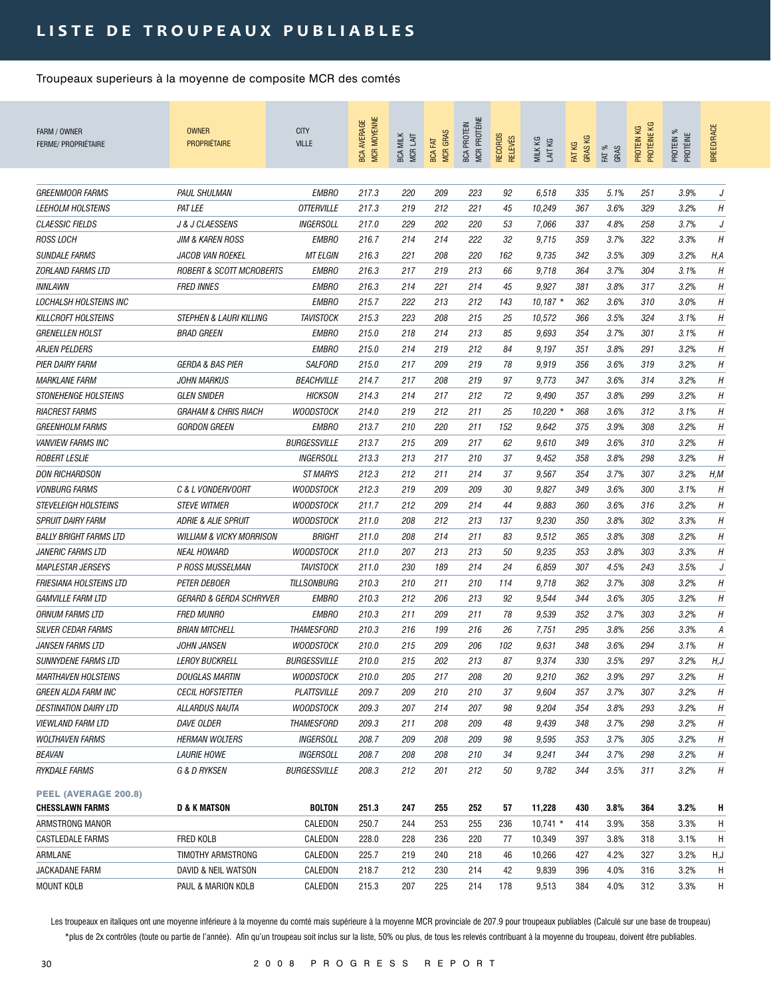| FARM / OWNER<br><b>FERME/ PROPRIÉTAIRE</b>      | <b>OWNER</b><br><b>PROPRIÉTAIRE</b>            | <b>CITY</b><br><b>VILLE</b>      | <b>MCR MOYENNE</b><br><b>BCA AVERAGE</b> | <b>BCA MILK</b><br>MCR LAIT | <b>MCR GRAS</b><br><b>BCA FAT</b> | MCR PROTÉINE<br><b>BCA PROTEIN</b> | RECORDS<br><b>RELEVÉS</b> | MILK KG<br>LAIT KG | <b>GRASKG</b><br>FAT KG | FAT %<br>GRAS | PROTÉINE KG<br>КG<br>PROTEIN | PROTEIN %<br>PROTÉINE | <b>BREED/RACE</b>        |
|-------------------------------------------------|------------------------------------------------|----------------------------------|------------------------------------------|-----------------------------|-----------------------------------|------------------------------------|---------------------------|--------------------|-------------------------|---------------|------------------------------|-----------------------|--------------------------|
| <b>GREENMOOR FARMS</b>                          |                                                |                                  |                                          |                             |                                   |                                    |                           |                    |                         |               |                              |                       |                          |
|                                                 | <b>PAUL SHULMAN</b>                            | <b>EMBRO</b>                     | 217.3                                    | 220                         | 209                               | 223                                | 92                        | 6,518              | 335                     | 5.1%          | 251                          | 3.9%                  | J                        |
| <b>LEEHOLM HOLSTEINS</b>                        | <b>PAT LEE</b>                                 | <b>OTTERVILLE</b>                | 217.3                                    | 219                         | 212                               | 221                                | 45                        | 10,249             | 367                     | 3.6%          | 329                          | 3.2%                  | Н                        |
| <b>CLAESSIC FIELDS</b><br><b>ROSS LOCH</b>      | J & J CLAESSENS<br><b>JIM &amp; KAREN ROSS</b> | <b>INGERSOLL</b><br><b>EMBRO</b> | 217.0<br>216.7                           | 229<br>214                  | 202<br>214                        | 220<br>222                         | 53<br>32                  | 7,066<br>9,715     | 337<br>359              | 4.8%<br>3.7%  | 258<br>322                   | 3.7%<br>3.3%          | J<br>H                   |
| <b>SUNDALE FARMS</b>                            | <b>JACOB VAN ROEKEL</b>                        | <b>MT ELGIN</b>                  | 216.3                                    | 221                         | 208                               | 220                                | 162                       |                    | 342                     | 3.5%          | 309                          | 3.2%                  |                          |
| <i>ZORLAND FARMS LTD</i>                        | <b>ROBERT &amp; SCOTT MCROBERTS</b>            | <b>EMBRO</b>                     | 216.3                                    | 217                         | 219                               | 213                                | 66                        | 9,735<br>9,718     | 364                     | 3.7%          | 304                          | 3.1%                  | H, A<br>$\boldsymbol{H}$ |
|                                                 |                                                |                                  |                                          |                             |                                   |                                    |                           |                    |                         |               |                              |                       |                          |
| <b>INNLAWN</b><br><b>LOCHALSH HOLSTEINS INC</b> | <b>FRED INNES</b>                              | <b>EMBRO</b>                     | 216.3                                    | 214                         | 221                               | 214                                | 45                        | 9,927              | 381<br>362              | 3.8%<br>3.6%  | 317                          | 3.2%                  | H                        |
|                                                 |                                                | <b>EMBRO</b>                     | 215.7                                    | 222                         | 213                               | 212                                | 143                       | $10,187$ *         |                         |               | 310                          | 3.0%                  | H                        |
| <b>KILLCROFT HOLSTEINS</b>                      | <b>STEPHEN &amp; LAURI KILLING</b>             | <b>TAVISTOCK</b>                 | 215.3                                    | 223                         | 208                               | 215                                | 25                        | 10,572             | 366                     | 3.5%          | 324                          | 3.1%                  | H                        |
| <i><b>GRENELLEN HOLST</b></i>                   | <b>BRAD GREEN</b>                              | <b>EMBRO</b>                     | 215.0                                    | 218                         | 214                               | 213                                | 85                        | 9,693              | 354                     | 3.7%          | 301                          | 3.1%                  | H                        |
| ARJEN PELDERS                                   |                                                | <b>EMBRO</b>                     | 215.0                                    | 214                         | 219                               | 212                                | 84                        | 9,197              | 351                     | 3.8%          | 291                          | 3.2%                  | H                        |
| PIER DAIRY FARM                                 | GERDA & BAS PIER                               | <b>SALFORD</b>                   | 215.0                                    | 217                         | 209                               | 219                                | 78                        | 9,919              | 356                     | 3.6%          | 319                          | 3.2%                  | H                        |
| <b>MARKLANE FARM</b>                            | <b>JOHN MARKUS</b>                             | <b>BEACHVILLE</b>                | 214.7                                    | 217                         | 208                               | 219                                | 97                        | 9,773              | 347                     | 3.6%          | 314                          | 3.2%                  | H                        |
| <i><b>STONEHENGE HOLSTEINS</b></i>              | <b>GLEN SNIDER</b>                             | <b>HICKSON</b>                   | 214.3                                    | 214                         | 217                               | 212                                | 72                        | 9,490              | 357                     | 3.8%          | 299                          | 3.2%                  | H                        |
| <b>RIACREST FARMS</b>                           | <b>GRAHAM &amp; CHRIS RIACH</b>                | <b>WOODSTOCK</b>                 | 214.0                                    | 219                         | 212                               | 211                                | 25                        | $10,220$ *         | 368                     | 3.6%          | 312                          | 3.1%                  | H                        |
| <b>GREENHOLM FARMS</b>                          | <b>GORDON GREEN</b>                            | <b>EMBRO</b>                     | 213.7                                    | 210                         | 220                               | 211                                | 152                       | 9,642              | 375                     | 3.9%          | 308                          | 3.2%                  | H                        |
| <b>VANVIEW FARMS INC</b>                        |                                                | <b>BURGESSVILLE</b>              | 213.7                                    | 215                         | 209                               | 217                                | 62                        | 9,610              | 349                     | 3.6%          | 310                          | 3.2%                  | Н                        |
| <i>ROBERT LESLIE</i>                            |                                                | <b>INGERSOLL</b>                 | 213.3                                    | 213                         | 217                               | 210                                | 37                        | 9,452              | 358                     | 3.8%          | 298                          | 3.2%                  | Н                        |
| <b>DON RICHARDSON</b>                           |                                                | <b>ST MARYS</b>                  | 212.3                                    | 212                         | 211                               | 214                                | 37                        | 9,567              | 354                     | 3.7%          | 307                          | 3.2%                  | H, M                     |
| <b>VONBURG FARMS</b>                            | C & L VONDERVOORT                              | <b>WOODSTOCK</b>                 | 212.3                                    | 219                         | 209                               | 209                                | 30                        | 9,827              | 349                     | 3.6%          | 300                          | 3.1%                  | H                        |
| <b>STEVELEIGH HOLSTEINS</b>                     | <b>STEVE WITMER</b>                            | <b>WOODSTOCK</b>                 | 211.7                                    | 212                         | 209                               | 214                                | 44                        | 9,883              | 360                     | 3.6%          | 316                          | 3.2%                  | H                        |
| <b>SPRUIT DAIRY FARM</b>                        | <b>ADRIE &amp; ALIE SPRUIT</b>                 | WOODSTOCK                        | 211.0                                    | 208                         | 212                               | 213                                | 137                       | 9,230              | 350                     | 3.8%          | 302                          | 3.3%                  | H                        |
| <b>BALLY BRIGHT FARMS LTD</b>                   | <b>WILLIAM &amp; VICKY MORRISON</b>            | BRIGHT                           | 211.0                                    | 208                         | 214                               | 211                                | 83                        | 9,512              | 365                     | 3.8%          | 308                          | 3.2%                  | H                        |
| <i>JANERIC FARMS LTD</i>                        | <b>NEAL HOWARD</b>                             | <b>WOODSTOCK</b>                 | 211.0                                    | 207                         | 213                               | 213                                | 50                        | 9,235              | 353                     | 3.8%          | 303                          | 3.3%                  | H                        |
| <b>MAPLESTAR JERSEYS</b>                        | P ROSS MUSSELMAN                               | <b>TAVISTOCK</b>                 | 211.0                                    | 230                         | 189                               | 214                                | 24                        | 6,859              | 307                     | 4.5%          | 243                          | 3.5%                  | J                        |
| FRIESIANA HOLSTEINS LTD                         | <b>PETER DEBOER</b>                            | <b>TILLSONBURG</b>               | 210.3                                    | 210                         | 211                               | 210                                | 114                       | 9,718              | 362                     | 3.7%          | 308                          | 3.2%                  | H                        |
| <b>GAMVILLE FARM LTD</b>                        | <b>GERARD &amp; GERDA SCHRYVER</b>             | <b>EMBRO</b>                     | 210.3                                    | 212                         | 206                               | 213                                | 92                        | 9,544              | 344                     | 3.6%          | 305                          | 3.2%                  | H                        |
| ORNUM FARMS LTD                                 | <b>FRED MUNRO</b>                              | <b>EMBRO</b>                     | 210.3                                    | 211                         | 209                               | 211                                | 78                        | 9,539              | 352                     | 3.7%          | 303                          | 3.2%                  | H                        |
| <b>SILVER CEDAR FARMS</b>                       | <b>BRIAN MITCHELL</b>                          | <i><b>THAMESFORD</b></i>         | 210.3                                    | 216                         | 199                               | 216                                | 26                        | 7,751              | 295                     | 3.8%          | 256                          | 3.3%                  | А                        |
| <i>JANSEN FARMS LTD</i>                         | <i><b>JOHN JANSEN</b></i>                      | <b>WOODSTOCK</b>                 | 210.0                                    | 215                         | 209                               | 206                                | 102                       | 9,631              | 348                     | 3.6%          | 294                          | 3.1%                  | H                        |
| <i>SUNNYDENE FARMS LTD</i>                      | <b>LEROY BUCKRELL</b>                          | <b>BURGESSVILLE</b>              | 210.0                                    | 215                         | 202                               | 213                                | 87                        | 9.374              | 330                     | 3.5%          | 297                          | 3.2%                  | H, J                     |
| <i><b>MARTHAVEN HOLSTEINS</b></i>               | <b>DOUGLAS MARTIN</b>                          | <b>WOODSTOCK</b>                 | 210.0                                    | 205                         | 217                               | 208                                | 20                        | 9,210              | 362                     | 3.9%          | 297                          | 3.2%                  | Η                        |
| <i>GREEN ALDA FARM INC</i>                      | <b>CECIL HOFSTETTER</b>                        | <b>PLATTSVILLE</b>               | 209.7                                    | 209                         | 210                               | 210                                | 37                        | 9,604              | 357                     | 3.7%          | 307                          | 3.2%                  | Η                        |
| <i><b>DESTINATION DAIRY LTD</b></i>             | ALLARDUS NAUTA                                 | <b>WOODSTOCK</b>                 | 209.3                                    | 207                         | 214                               | 207                                | 98                        | 9,204              | 354                     | 3.8%          | 293                          | 3.2%                  | Η                        |
| <b>VIEWLAND FARM LTD</b>                        | DAVE OLDER                                     | <b>THAMESFORD</b>                | 209.3                                    | 211                         | 208                               | 209                                | 48                        | 9,439              | 348                     | 3.7%          | 298                          | 3.2%                  | Н                        |
| <b>WOLTHAVEN FARMS</b>                          | <b>HERMAN WOLTERS</b>                          | INGERSOLL                        | 208.7                                    | 209                         | 208                               | 209                                | 98                        | 9,595              | 353                     | 3.7%          | 305                          | 3.2%                  | Η                        |
| <i>BEAVAN</i>                                   | <b>LAURIE HOWE</b>                             | INGERSOLL                        | 208.7                                    | 208                         | 208                               | 210                                | 34                        | 9,241              | 344                     | 3.7%          | 298                          | 3.2%                  | Η                        |
| RYKDALE FARMS                                   | G & D RYKSEN                                   | <b>BURGESSVILLE</b>              | 208.3                                    | 212                         | 201                               | 212                                | 50                        | 9,782              | 344                     | 3.5%          | 311                          | 3.2%                  | Η                        |
| PEEL (AVERAGE 200.8)                            |                                                |                                  |                                          |                             |                                   |                                    |                           |                    |                         |               |                              |                       |                          |
| <b>CHESSLAWN FARMS</b>                          | <b>D &amp; K MATSON</b>                        | <b>BOLTON</b>                    | 251.3                                    | 247                         | 255                               | 252                                | 57                        | 11,228             | 430                     | 3.8%          | 364                          | 3.2%                  | H                        |
| ARMSTRONG MANOR                                 |                                                | CALEDON                          | 250.7                                    | 244                         | 253                               | 255                                | 236                       | $10,741$ *         | 414                     | 3.9%          | 358                          | 3.3%                  | H                        |
| CASTLEDALE FARMS                                | FRED KOLB                                      | CALEDON                          | 228.0                                    | 228                         | 236                               | 220                                | 77                        | 10,349             | 397                     | 3.8%          | 318                          | 3.1%                  | H                        |
| ARMLANE                                         | TIMOTHY ARMSTRONG                              | CALEDON                          | 225.7                                    | 219                         | 240                               | 218                                | 46                        | 10,266             | 427                     | 4.2%          | 327                          | 3.2%                  | H,J                      |
| JACKADANE FARM                                  | DAVID & NEIL WATSON                            | CALEDON                          | 218.7                                    | 212                         | 230                               | 214                                | 42                        | 9,839              | 396                     | 4.0%          | 316                          | 3.2%                  | H                        |
| <b>MOUNT KOLB</b>                               | PAUL & MARION KOLB                             | CALEDON                          | 215.3                                    | 207                         | 225                               | 214                                | 178                       | 9,513              | 384                     | 4.0%          | 312                          | 3.3%                  | H                        |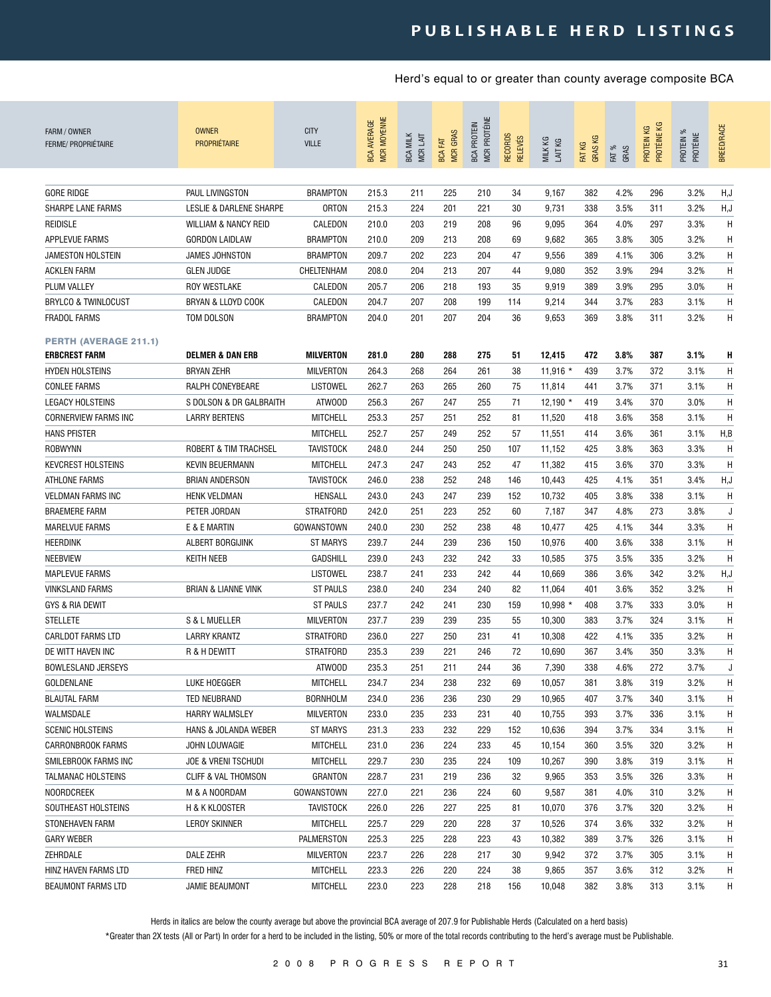| FARM / OWNER<br><b>FERME/ PROPRIÉTAIRE</b> | <b>OWNER</b><br><b>PROPRIÉTAIRE</b> | <b>CITY</b><br><b>VILLE</b> | <b>MCR MOYENNE</b><br><b>BCA AVERAGE</b> | <b>BCA MILK</b><br>MCR LAIT | <b>MCR GRAS</b><br>EAT<br><b>BCA</b> | MCR PROTÉINE<br><b>BCA PROTEIN</b> | RECORDS<br><b>RELEVÉS</b> | MILK KG<br>LAIT KG | <b>GRASKG</b><br>FAT KG | FAT %<br>GRAS | PROTÉINE KG<br>КG<br>PROTEIN | PROTEIN %<br>PROTÉINE | BREED/RACE |
|--------------------------------------------|-------------------------------------|-----------------------------|------------------------------------------|-----------------------------|--------------------------------------|------------------------------------|---------------------------|--------------------|-------------------------|---------------|------------------------------|-----------------------|------------|
|                                            |                                     | <b>BRAMPTON</b>             |                                          |                             |                                      |                                    |                           |                    |                         |               |                              |                       |            |
| <b>GORE RIDGE</b>                          | PAUL LIVINGSTON                     |                             | 215.3                                    | 211                         | 225                                  | 210                                | 34                        | 9,167              | 382                     | 4.2%          | 296                          | 3.2%                  | H,J        |
| SHARPE LANE FARMS                          | LESLIE & DARLENE SHARPE             | <b>ORTON</b>                | 215.3                                    | 224                         | 201                                  | 221                                | 30                        | 9,731              | 338                     | 3.5%          | 311                          | 3.2%                  | H,J        |
| <b>REIDISLE</b>                            | WILLIAM & NANCY REID                | CALEDON                     | 210.0                                    | 203                         | 219                                  | 208                                | 96                        | 9,095              | 364                     | 4.0%          | 297                          | 3.3%                  | H          |
| APPLEVUE FARMS                             | <b>GORDON LAIDLAW</b>               | <b>BRAMPTON</b>             | 210.0                                    | 209                         | 213                                  | 208                                | 69                        | 9,682              | 365                     | 3.8%          | 305                          | 3.2%                  | H          |
| <b>JAMESTON HOLSTEIN</b>                   | <b>JAMES JOHNSTON</b>               | <b>BRAMPTON</b>             | 209.7                                    | 202                         | 223                                  | 204                                | 47                        | 9,556              | 389                     | 4.1%          | 306                          | 3.2%                  | H          |
| <b>ACKLEN FARM</b>                         | <b>GLEN JUDGE</b>                   | CHELTENHAM                  | 208.0                                    | 204                         | 213                                  | 207                                | 44                        | 9,080              | 352                     | 3.9%          | 294                          | 3.2%                  | H          |
| <b>PLUM VALLEY</b>                         | <b>ROY WESTLAKE</b>                 | CALEDON                     | 205.7                                    | 206                         | 218                                  | 193                                | 35                        | 9,919              | 389                     | 3.9%          | 295                          | 3.0%                  | H          |
| <b>BRYLCO &amp; TWINLOCUST</b>             | BRYAN & LLOYD COOK                  | CALEDON                     | 204.7                                    | 207                         | 208                                  | 199                                | 114                       | 9,214              | 344                     | 3.7%          | 283                          | 3.1%                  | H          |
| <b>FRADOL FARMS</b>                        | TOM DOLSON                          | <b>BRAMPTON</b>             | 204.0                                    | 201                         | 207                                  | 204                                | 36                        | 9,653              | 369                     | 3.8%          | 311                          | 3.2%                  | H          |
| <b>PERTH (AVERAGE 211.1)</b>               |                                     |                             |                                          |                             |                                      |                                    |                           |                    |                         |               |                              |                       |            |
| <b>ERBCREST FARM</b>                       | <b>DELMER &amp; DAN ERB</b>         | <b>MILVERTON</b>            | 281.0                                    | 280                         | 288                                  | 275                                | 51                        | 12,415             | 472                     | 3.8%          | 387                          | 3.1%                  | H          |
| <b>HYDEN HOLSTEINS</b>                     | <b>BRYAN ZEHR</b>                   | <b>MILVERTON</b>            | 264.3                                    | 268                         | 264                                  | 261                                | 38                        | $11,916$ *         | 439                     | 3.7%          | 372                          | 3.1%                  | H          |
| <b>CONLEE FARMS</b>                        | RALPH CONEYBEARE                    | LISTOWEL                    | 262.7                                    | 263                         | 265                                  | 260                                | 75                        | 11,814             | 441                     | 3.7%          | 371                          | 3.1%                  | H          |
| <b>LEGACY HOLSTEINS</b>                    | S DOLSON & DR GALBRAITH             | ATWOOD                      | 256.3                                    | 267                         | 247                                  | 255                                | 71                        | $12.190*$          | 419                     | 3.4%          | 370                          | 3.0%                  | H          |
| <b>CORNERVIEW FARMS INC</b>                | <b>LARRY BERTENS</b>                | <b>MITCHELL</b>             | 253.3                                    | 257                         | 251                                  | 252                                | 81                        | 11,520             | 418                     | 3.6%          | 358                          | 3.1%                  | H          |
| <b>HANS PFISTER</b>                        |                                     | <b>MITCHELL</b>             | 252.7                                    | 257                         | 249                                  | 252                                | 57                        | 11,551             | 414                     | 3.6%          | 361                          | 3.1%                  | H, B       |
| ROBWYNN                                    | ROBERT & TIM TRACHSEL               | TAVISTOCK                   | 248.0                                    | 244                         | 250                                  | 250                                | 107                       | 11,152             | 425                     | 3.8%          | 363                          | 3.3%                  | H          |
| <b>KEVCREST HOLSTEINS</b>                  | <b>KEVIN BEUERMANN</b>              | <b>MITCHELL</b>             | 247.3                                    | 247                         | 243                                  | 252                                | 47                        | 11,382             | 415                     | 3.6%          | 370                          | 3.3%                  | H          |
| ATHLONE FARMS                              | <b>BRIAN ANDERSON</b>               | <b>TAVISTOCK</b>            | 246.0                                    | 238                         | 252                                  | 248                                | 146                       | 10,443             | 425                     | 4.1%          | 351                          | 3.4%                  | H, J       |
| <b>VELDMAN FARMS INC</b>                   | <b>HENK VELDMAN</b>                 | HENSALL                     | 243.0                                    | 243                         | 247                                  | 239                                | 152                       | 10,732             | 405                     | 3.8%          | 338                          | 3.1%                  | H          |
| <b>BRAEMERE FARM</b>                       | PETER JORDAN                        | <b>STRATFORD</b>            | 242.0                                    | 251                         | 223                                  | 252                                | 60                        | 7,187              | 347                     | 4.8%          | 273                          | 3.8%                  | J          |
| <b>MARELVUE FARMS</b>                      | E & E MARTIN                        | GOWANSTOWN                  | 240.0                                    | 230                         | 252                                  | 238                                | 48                        | 10,477             | 425                     | 4.1%          | 344                          | 3.3%                  | H          |
| <b>HEERDINK</b>                            | ALBERT BORGIJINK                    | <b>ST MARYS</b>             | 239.7                                    | 244                         | 239                                  | 236                                | 150                       | 10,976             | 400                     | 3.6%          | 338                          | 3.1%                  | H          |
| <b>NEEBVIEW</b>                            | <b>KEITH NEEB</b>                   | <b>GADSHILL</b>             | 239.0                                    | 243                         | 232                                  | 242                                | 33                        | 10,585             | 375                     | 3.5%          | 335                          | 3.2%                  | H          |
| <b>MAPLEVUE FARMS</b>                      |                                     | LISTOWEL                    | 238.7                                    | 241                         | 233                                  | 242                                | 44                        | 10,669             | 386                     | 3.6%          | 342                          | 3.2%                  | H,J        |
| <b>VINKSLAND FARMS</b>                     | <b>BRIAN &amp; LIANNE VINK</b>      | <b>ST PAULS</b>             | 238.0                                    | 240                         | 234                                  | 240                                | 82                        | 11,064             | 401                     | 3.6%          | 352                          | 3.2%                  | H          |
| GYS & RIA DEWIT                            |                                     | <b>ST PAULS</b>             | 237.7                                    | 242                         | 241                                  | 230                                | 159                       | $10,998$ *         | 408                     | 3.7%          | 333                          | 3.0%                  | H          |
| <b>STELLETE</b>                            | S & L MUELLER                       | <b>MILVERTON</b>            | 237.7                                    | 239                         | 239                                  | 235                                | 55                        | 10,300             | 383                     | 3.7%          | 324                          | 3.1%                  | H          |
| <b>CARLDOT FARMS LTD</b>                   | LARRY KRANTZ                        | <b>STRATFORD</b>            | 236.0                                    | 227                         | 250                                  | 231                                | 41                        | 10,308             | 422                     | 4.1%          | 335                          | 3.2%                  | H          |
| DE WITT HAVEN INC                          | R & H DEWITT                        | <b>STRATFORD</b>            | 235.3                                    | 239                         | 221                                  | 246                                | 72                        | 10,690             | 367                     | 3.4%          | 350                          | 3.3%                  | H          |
| <b>BOWLESLAND JERSEYS</b>                  |                                     | ATWOOD                      | 235.3                                    | 251                         | 211                                  | 244                                | 36                        | 7,390              | 338                     | 4.6%          | 272                          | 3.7%                  |            |
| GOLDENLANE                                 | LUKE HOEGGER                        | <b>MITCHELL</b>             | 234.7                                    | 234                         | 238                                  | 232                                | 69                        | 10,057             | 381                     | 3.8%          | 319                          | 3.2%                  | H          |
| <b>BLAUTAL FARM</b>                        | TED NEUBRAND                        | <b>BORNHOLM</b>             | 234.0                                    | 236                         | 236                                  | 230                                | 29                        | 10,965             | 407                     | 3.7%          | 340                          | 3.1%                  | H          |
| WALMSDALE                                  | <b>HARRY WALMSLEY</b>               | MILVERTON                   | 233.0                                    | 235                         | 233                                  | 231                                | 40                        | 10,755             | 393                     | 3.7%          | 336                          | 3.1%                  | H          |
| <b>SCENIC HOLSTEINS</b>                    | HANS & JOLANDA WEBER                | ST MARYS                    | 231.3                                    | 233                         | 232                                  | 229                                | 152                       | 10,636             | 394                     | 3.7%          | 334                          | 3.1%                  | H          |
| CARRONBROOK FARMS                          | JOHN LOUWAGIE                       | <b>MITCHELL</b>             | 231.0                                    | 236                         | 224                                  | 233                                | 45                        | 10,154             | 360                     | 3.5%          | 320                          | 3.2%                  | H          |
| SMILEBROOK FARMS INC                       | <b>JOE &amp; VRENI TSCHUDI</b>      | <b>MITCHELL</b>             | 229.7                                    | 230                         | 235                                  | 224                                | 109                       | 10,267             | 390                     | 3.8%          | 319                          | 3.1%                  | Η          |
| TALMANAC HOLSTEINS                         | <b>CLIFF &amp; VAL THOMSON</b>      | GRANTON                     | 228.7                                    | 231                         | 219                                  | 236                                | 32                        | 9,965              | 353                     | 3.5%          | 326                          | 3.3%                  | Η          |
| <b>NOORDCREEK</b>                          | M & A NOORDAM                       | GOWANSTOWN                  | 227.0                                    | 221                         | 236                                  | 224                                | 60                        | 9,587              | 381                     | 4.0%          | 310                          | 3.2%                  | Η          |
| SOUTHEAST HOLSTEINS                        | H & K KLOOSTER                      | <b>TAVISTOCK</b>            | 226.0                                    | 226                         | 227                                  | 225                                | 81                        | 10,070             | 376                     | 3.7%          | 320                          | 3.2%                  | H          |
| STONEHAVEN FARM                            | LEROY SKINNER                       | <b>MITCHELL</b>             | 225.7                                    | 229                         | 220                                  | 228                                | 37                        | 10,526             | 374                     | 3.6%          | 332                          | 3.2%                  | Η          |
| <b>GARY WEBER</b>                          |                                     | PALMERSTON                  | 225.3                                    | 225                         | 228                                  | 223                                | 43                        | 10,382             | 389                     | 3.7%          | 326                          | 3.1%                  | H          |
| ZEHRDALE                                   | DALE ZEHR                           | MILVERTON                   | 223.7                                    | 226                         | 228                                  | 217                                | 30                        | 9,942              | 372                     | 3.7%          | 305                          | 3.1%                  | Η          |
| HINZ HAVEN FARMS LTD                       | FRED HINZ                           | <b>MITCHELL</b>             | 223.3                                    | 226                         | 220                                  | 224                                | 38                        | 9,865              | 357                     | 3.6%          | 312                          | 3.2%                  | Η          |
| BEAUMONT FARMS LTD                         | JAMIE BEAUMONT                      | <b>MITCHELL</b>             | 223.0                                    | 223                         | 228                                  | 218                                | 156                       | 10,048             | 382                     | 3.8%          | 313                          | 3.1%                  | H          |

Herds in italics are below the county average but above the provincial BCA average of 207.9 for Publishable Herds (Calculated on a herd basis)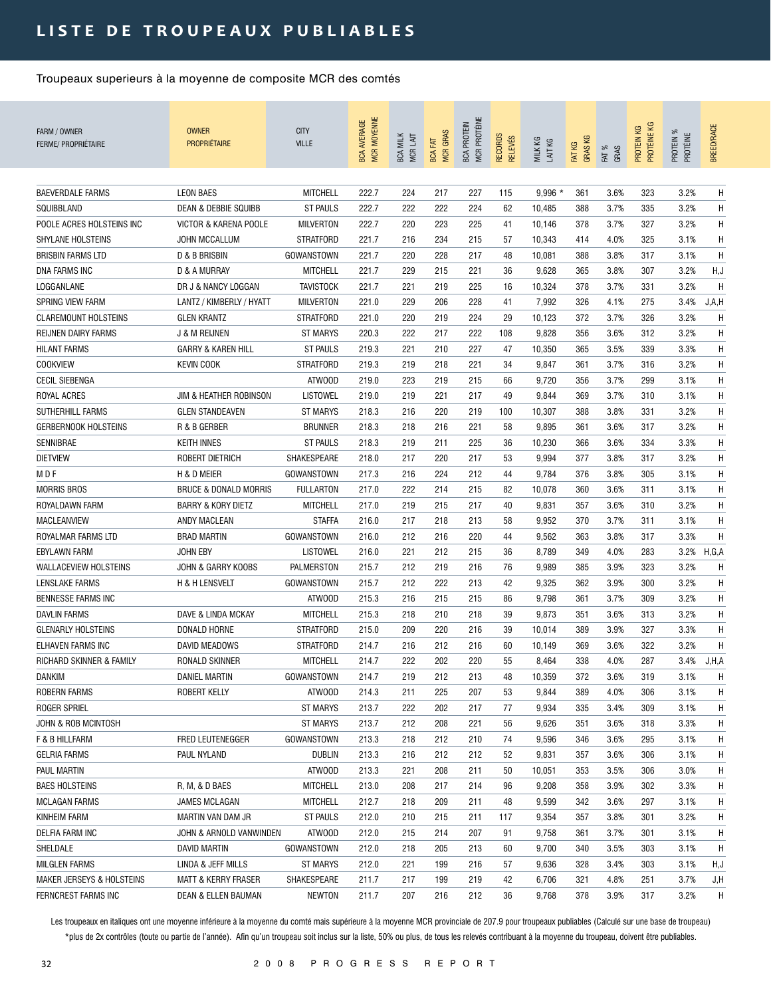| FARM / OWNER<br><b>FERME/ PROPRIÉTAIRE</b> | <b>OWNER</b><br><b>PROPRIÉTAIRE</b> | <b>CITY</b><br><b>VILLE</b> | <b>MCR MOYENNE</b><br><b>BCA AVERAGE</b> | <b>BCA MILK</b><br>MCR LAIT | <b>MCR GRAS</b><br><b>BCA FAT</b> | MCR PROTÉINE<br><b>BCA PROTEIN</b> | <b>RECORDS</b><br><b>RELEVÉS</b> | MILK KG<br>LAIT KG | <b>GRASKG</b><br>FAT KG | FAT %<br>GRAS | PROTÉINE KG<br>PROTEIN KG | PROTEIN %<br>PROTÉINE | BREED/RACE |
|--------------------------------------------|-------------------------------------|-----------------------------|------------------------------------------|-----------------------------|-----------------------------------|------------------------------------|----------------------------------|--------------------|-------------------------|---------------|---------------------------|-----------------------|------------|
| <b>BAEVERDALE FARMS</b>                    | <b>LEON BAES</b>                    | <b>MITCHELL</b>             | 222.7                                    | 224                         | 217                               | 227                                | 115                              | $9,996$ *          | 361                     | 3.6%          | 323                       | 3.2%                  | Η          |
| SQUIBBLAND                                 | <b>DEAN &amp; DEBBIE SQUIBB</b>     | <b>ST PAULS</b>             | 222.7                                    | 222                         | 222                               | 224                                | 62                               | 10,485             | 388                     | 3.7%          | 335                       | 3.2%                  | Η          |
| POOLE ACRES HOLSTEINS INC                  | VICTOR & KARENA POOLE               | <b>MILVERTON</b>            | 222.7                                    | 220                         | 223                               | 225                                | 41                               | 10,146             | 378                     | 3.7%          | 327                       | 3.2%                  | H          |
| <b>SHYLANE HOLSTEINS</b>                   | <b>JOHN MCCALLUM</b>                | <b>STRATFORD</b>            | 221.7                                    | 216                         | 234                               | 215                                | 57                               | 10,343             | 414                     | 4.0%          | 325                       | 3.1%                  | Η          |
| <b>BRISBIN FARMS LTD</b>                   | D & B BRISBIN                       | GOWANSTOWN                  | 221.7                                    | 220                         | 228                               | 217                                | 48                               | 10,081             | 388                     | 3.8%          | 317                       | 3.1%                  | Η          |
| <b>DNA FARMS INC</b>                       | D & A MURRAY                        | <b>MITCHELL</b>             | 221.7                                    | 229                         | 215                               | 221                                | 36                               | 9,628              | 365                     | 3.8%          | 307                       | 3.2%                  | H,J        |
| LOGGANLANE                                 | DR J & NANCY LOGGAN                 | <b>TAVISTOCK</b>            | 221.7                                    | 221                         | 219                               | 225                                | 16                               | 10,324             | 378                     | 3.7%          | 331                       | 3.2%                  | H          |
| SPRING VIEW FARM                           | LANTZ / KIMBERLY / HYATT            | <b>MILVERTON</b>            | 221.0                                    | 229                         | 206                               | 228                                | 41                               | 7,992              | 326                     | 4.1%          | 275                       | 3.4%                  | J, A, H    |
| <b>CLAREMOUNT HOLSTEINS</b>                | <b>GLEN KRANTZ</b>                  | <b>STRATFORD</b>            | 221.0                                    | 220                         | 219                               | 224                                | 29                               | 10,123             | 372                     | 3.7%          | 326                       | 3.2%                  | Η          |
| REIJNEN DAIRY FARMS                        | J & M REIJNEN                       | <b>ST MARYS</b>             | 220.3                                    | 222                         | 217                               | 222                                | 108                              | 9,828              | 356                     | 3.6%          | 312                       | 3.2%                  | Η          |
| <b>HILANT FARMS</b>                        | <b>GARRY &amp; KAREN HILL</b>       | <b>ST PAULS</b>             | 219.3                                    | 221                         | 210                               | 227                                | 47                               | 10,350             | 365                     | 3.5%          | 339                       | 3.3%                  | Η          |
| <b>COOKVIEW</b>                            | <b>KEVIN COOK</b>                   | <b>STRATFORD</b>            | 219.3                                    | 219                         | 218                               | 221                                | 34                               | 9,847              | 361                     | 3.7%          | 316                       | 3.2%                  | Η          |
| <b>CECIL SIEBENGA</b>                      |                                     | ATWOOD                      | 219.0                                    | 223                         | 219                               | 215                                | 66                               | 9,720              | 356                     | 3.7%          | 299                       | 3.1%                  | Η          |
| ROYAL ACRES                                | JIM & HEATHER ROBINSON              | <b>LISTOWEL</b>             | 219.0                                    | 219                         | 221                               | 217                                | 49                               | 9,844              | 369                     | 3.7%          | 310                       | 3.1%                  | H          |
| SUTHERHILL FARMS                           | <b>GLEN STANDEAVEN</b>              | <b>ST MARYS</b>             | 218.3                                    | 216                         | 220                               | 219                                | 100                              | 10,307             | 388                     | 3.8%          | 331                       | 3.2%                  | H          |
| <b>GERBERNOOK HOLSTEINS</b>                | R & B GERBER                        | <b>BRUNNER</b>              | 218.3                                    | 218                         | 216                               | 221                                | 58                               | 9,895              | 361                     | 3.6%          | 317                       | 3.2%                  | H          |
| SENNIBRAE                                  | <b>KEITH INNES</b>                  | <b>ST PAULS</b>             | 218.3                                    | 219                         | 211                               | 225                                | 36                               | 10,230             | 366                     | 3.6%          | 334                       | 3.3%                  | H          |
| <b>DIETVIEW</b>                            | ROBERT DIETRICH                     | SHAKESPEARE                 | 218.0                                    | 217                         | 220                               | 217                                | 53                               | 9,994              | 377                     | 3.8%          | 317                       | 3.2%                  | Η          |
| M D F                                      | H & D MEIER                         | GOWANSTOWN                  | 217.3                                    | 216                         | 224                               | 212                                | 44                               | 9,784              | 376                     | 3.8%          | 305                       | 3.1%                  | Η          |
| <b>MORRIS BROS</b>                         | <b>BRUCE &amp; DONALD MORRIS</b>    | <b>FULLARTON</b>            | 217.0                                    | 222                         | 214                               | 215                                | 82                               | 10,078             | 360                     | 3.6%          | 311                       | 3.1%                  | Η          |
| ROYALDAWN FARM                             | <b>BARRY &amp; KORY DIETZ</b>       | <b>MITCHELL</b>             | 217.0                                    | 219                         | 215                               | 217                                | 40                               | 9,831              | 357                     | 3.6%          | 310                       | 3.2%                  | Η          |
| <b>MACLEANVIEW</b>                         | ANDY MACLEAN                        | <b>STAFFA</b>               | 216.0                                    | 217                         | 218                               | 213                                | 58                               | 9,952              | 370                     | 3.7%          | 311                       | 3.1%                  | Η          |
| ROYALMAR FARMS LTD                         | <b>BRAD MARTIN</b>                  | GOWANSTOWN                  | 216.0                                    | 212                         | 216                               | 220                                | 44                               | 9,562              | 363                     | 3.8%          | 317                       | 3.3%                  | Η          |
| <b>EBYLAWN FARM</b>                        | <b>JOHN EBY</b>                     | <b>LISTOWEL</b>             | 216.0                                    | 221                         | 212                               | 215                                | 36                               | 8,789              | 349                     | 4.0%          | 283                       | 3.2%                  | H,G,A      |
| <b>WALLACEVIEW HOLSTEINS</b>               | <b>JOHN &amp; GARRY KOOBS</b>       | PALMERSTON                  | 215.7                                    | 212                         | 219                               | 216                                | 76                               | 9,989              | 385                     | 3.9%          | 323                       | 3.2%                  | Η          |
| LENSLAKE FARMS                             | H & H LENSVELT                      | GOWANSTOWN                  | 215.7                                    | 212                         | 222                               | 213                                | 42                               | 9,325              | 362                     | 3.9%          | 300                       | 3.2%                  | Η          |
| BENNESSE FARMS INC                         |                                     | ATWOOD                      | 215.3                                    | 216                         | 215                               | 215                                | 86                               | 9,798              | 361                     | 3.7%          | 309                       | 3.2%                  | Η          |
| <b>DAVLIN FARMS</b>                        | DAVE & LINDA MCKAY                  | <b>MITCHELL</b>             | 215.3                                    | 218                         | 210                               | 218                                | 39                               | 9,873              | 351                     | 3.6%          | 313                       | 3.2%                  | Η          |
| <b>GLENARLY HOLSTEINS</b>                  | <b>DONALD HORNE</b>                 | <b>STRATFORD</b>            | 215.0                                    | 209                         | 220                               | 216                                | 39                               | 10,014             | 389                     | 3.9%          | 327                       | 3.3%                  | H          |
| ELHAVEN FARMS INC                          | DAVID MEADOWS                       | <b>STRATFORD</b>            | 214.7                                    | 216                         | 212                               | 216                                | 60                               | 10,149             | 369                     | 3.6%          | 322                       | 3.2%                  | H          |
| RICHARD SKINNER & FAMILY                   | RONALD SKINNER                      | <b>MITCHELL</b>             | 214.7                                    | 222                         | 202                               | 220                                | 55                               | 8,464              | 338                     | 4.0%          | 287                       | 3.4%                  | J,H,A      |
| <b>DANKIM</b>                              | DANIEL MARTIN                       | GOWANSTOWN                  | 214.7                                    | 219                         | 212                               | 213                                | 48                               | 10,359             | 372                     | 3.6%          | 319                       | 3.1%                  | H          |
| ROBERN FARMS                               | ROBERT KELLY                        | ATWOOD                      | 214.3                                    | 211                         | 225                               | 207                                | 53                               | 9,844              | 389                     | 4.0%          | 306                       | 3.1%                  | Η          |
| ROGER SPRIEL                               |                                     | <b>ST MARYS</b>             | 213.7                                    | 222                         | 202                               | 217                                | 77                               | 9,934              | 335                     | 3.4%          | 309                       | 3.1%                  | Η          |
| JOHN & ROB MCINTOSH                        |                                     | <b>ST MARYS</b>             | 213.7                                    | 212                         | 208                               | 221                                | 56                               | 9,626              | 351                     | 3.6%          | 318                       | 3.3%                  | Η          |
| F & B HILLFARM                             | FRED LEUTENEGGER                    | GOWANSTOWN                  | 213.3                                    | 218                         | 212                               | 210                                | 74                               | 9,596              | 346                     | 3.6%          | 295                       | 3.1%                  | Η          |
| GELRIA FARMS                               | PAUL NYLAND                         | <b>DUBLIN</b>               | 213.3                                    | 216                         | 212                               | 212                                | 52                               | 9,831              | 357                     | 3.6%          | 306                       | 3.1%                  | Н          |
| PAUL MARTIN                                |                                     | ATWOOD                      | 213.3                                    | 221                         | 208                               | 211                                | 50                               | 10,051             | 353                     | 3.5%          | 306                       | 3.0%                  | Η          |
| <b>BAES HOLSTEINS</b>                      | R, M, & D BAES                      | <b>MITCHELL</b>             | 213.0                                    | 208                         | 217                               | 214                                | 96                               | 9,208              | 358                     | 3.9%          | 302                       | 3.3%                  | Η          |
| <b>MCLAGAN FARMS</b>                       | JAMES MCLAGAN                       | <b>MITCHELL</b>             | 212.7                                    | 218                         | 209                               | 211                                | 48                               | 9,599              | 342                     | 3.6%          | 297                       | 3.1%                  | Η          |
| <b>KINHEIM FARM</b>                        | MARTIN VAN DAM JR                   | <b>ST PAULS</b>             | 212.0                                    | 210                         | 215                               | 211                                | 117                              | 9,354              | 357                     | 3.8%          | 301                       | 3.2%                  | Η          |
| DELFIA FARM INC                            | JOHN & ARNOLD VANWINDEN             | ATWOOD                      | 212.0                                    | 215                         | 214                               | 207                                | 91                               | 9,758              | 361                     | 3.7%          | 301                       | 3.1%                  | Η          |
| SHELDALE                                   | DAVID MARTIN                        | GOWANSTOWN                  | 212.0                                    | 218                         | 205                               | 213                                | 60                               | 9,700              | 340                     | 3.5%          | 303                       | 3.1%                  | Η          |
| MILGLEN FARMS                              | LINDA & JEFF MILLS                  | <b>ST MARYS</b>             | 212.0                                    | 221                         | 199                               | 216                                | 57                               | 9,636              | 328                     | 3.4%          | 303                       | 3.1%                  | H, J       |
| <b>MAKER JERSEYS &amp; HOLSTEINS</b>       | <b>MATT &amp; KERRY FRASER</b>      | SHAKESPEARE                 | 211.7                                    | 217                         | 199                               | 219                                | 42                               | 6,706              | 321                     | 4.8%          | 251                       | 3.7%                  | J,H        |
| FERNCREST FARMS INC                        | DEAN & ELLEN BAUMAN                 | NEWTON                      | 211.7                                    | 207                         | 216                               | 212                                | 36                               | 9,768              | 378                     | 3.9%          | 317                       | 3.2%                  | H          |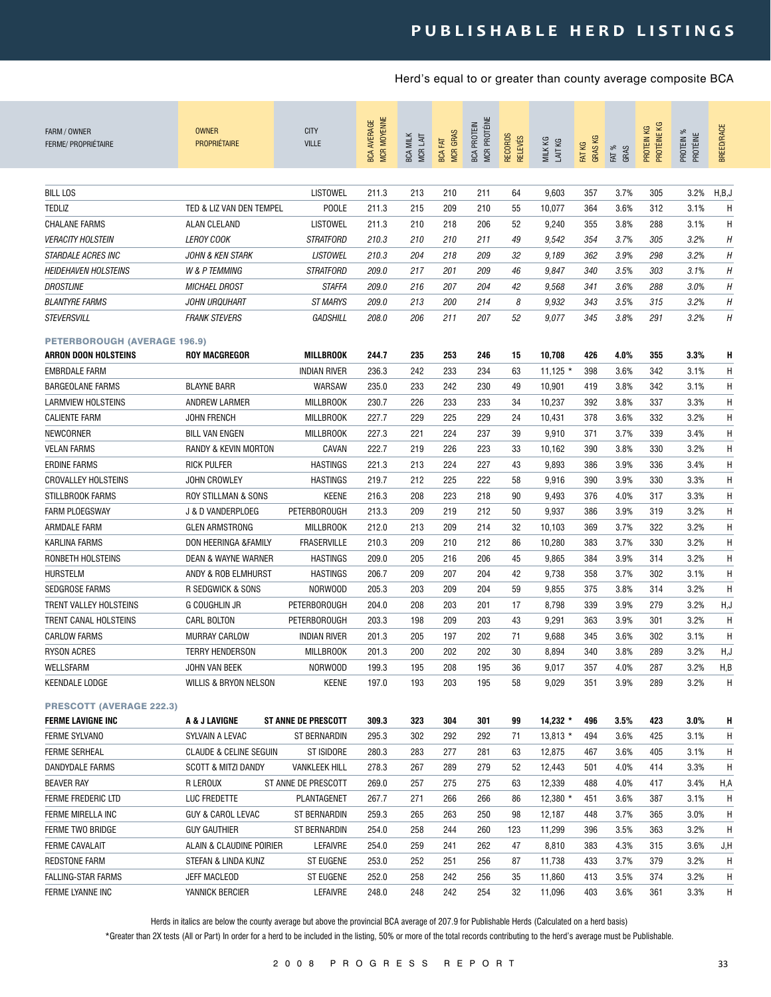| FARM / OWNER<br><b>FERME/ PROPRIÉTAIRE</b>                  | <b>OWNER</b><br><b>PROPRIÉTAIRE</b> | <b>CITY</b><br><b>VILLE</b> | <b>MCR MOYENNE</b><br><b>BCA AVERAGE</b> | <b>BCA MILK</b><br>MCR LAIT | <b>MCR GRAS</b><br><b>BCA FAT</b> | MCR PROTÉINE<br><b>BCA PROTEIN</b> | <b>RECORDS</b><br><b>RELEVÉS</b> | MILK KG<br>LAIT KG | <b>GRASKG</b><br>FAT KG | FAT %<br>GRAS | PROTÉINE KG<br>КG<br>PROTEIN I | PROTEIN %<br>PROTÉINE | <b>BREED/RACE</b> |
|-------------------------------------------------------------|-------------------------------------|-----------------------------|------------------------------------------|-----------------------------|-----------------------------------|------------------------------------|----------------------------------|--------------------|-------------------------|---------------|--------------------------------|-----------------------|-------------------|
| <b>BILL LOS</b>                                             |                                     | <b>LISTOWEL</b>             |                                          |                             |                                   | 211                                | 64                               | 9,603              | 357                     | 3.7%          | 305                            | 3.2%                  | H,B,J             |
|                                                             |                                     |                             | 211.3                                    | 213                         | 210                               |                                    |                                  |                    |                         |               |                                |                       |                   |
| <b>TEDLIZ</b>                                               | TED & LIZ VAN DEN TEMPEL            | <b>POOLE</b>                | 211.3                                    | 215                         | 209                               | 210                                | 55                               | 10,077             | 364                     | 3.6%          | 312                            | 3.1%                  | H                 |
| <b>CHALANE FARMS</b>                                        | ALAN CLELAND                        | <b>LISTOWEL</b>             | 211.3                                    | 210                         | 218                               | 206                                | 52                               | 9,240              | 355                     | 3.8%          | 288                            | 3.1%                  | H                 |
| <b>VERACITY HOLSTEIN</b>                                    | <b>LEROY COOK</b>                   | <b>STRATFORD</b>            | 210.3                                    | 210                         | 210                               | 211                                | 49                               | 9,542              | 354                     | 3.7%          | 305                            | 3.2%                  | H                 |
| <i><b>STARDALE ACRES INC</b></i>                            | <b>JOHN &amp; KEN STARK</b>         | <b>LISTOWEL</b>             | 210.3                                    | 204                         | 218                               | 209                                | 32                               | 9,189              | 362                     | 3.9%          | 298                            | 3.2%                  | H                 |
| <b>HEIDEHAVEN HOLSTEINS</b>                                 | W & P TEMMING                       | <i><b>STRATFORD</b></i>     | 209.0                                    | 217                         | 201                               | 209                                | 46                               | 9,847              | 340                     | 3.5%          | 303                            | 3.1%                  | H                 |
| <b>DROSTLINE</b>                                            | <b>MICHAEL DROST</b>                | <b>STAFFA</b>               | 209.0                                    | 216                         | 207                               | 204                                | 42                               | 9,568              | 341                     | 3.6%          | 288                            | 3.0%                  | H                 |
| <b>BLANTYRE FARMS</b>                                       | <b>JOHN URQUHART</b>                | <b>ST MARYS</b>             | 209.0                                    | 213                         | 200                               | 214                                | 8                                | 9,932              | 343                     | 3.5%          | 315                            | 3.2%                  | H                 |
| STEVERSVILL                                                 | <b>FRANK STEVERS</b>                | <b>GADSHILL</b>             | 208.0                                    | 206                         | 211                               | 207                                | 52                               | 9,077              | 345                     | 3.8%          | 291                            | 3.2%                  | H                 |
| <b>PETERBOROUGH (AVERAGE 196.9)</b>                         |                                     |                             |                                          |                             |                                   |                                    |                                  |                    |                         |               |                                |                       |                   |
| <b>ARRON DOON HOLSTEINS</b>                                 | <b>ROY MACGREGOR</b>                | MILLBROOK                   | 244.7                                    | 235                         | 253                               | 246                                | 15                               | 10,708             | 426                     | 4.0%          | 355                            | 3.3%                  | Н                 |
| <b>EMBRDALE FARM</b>                                        |                                     | <b>INDIAN RIVER</b>         | 236.3                                    | 242                         | 233                               | 234                                | 63                               | $11,125$ *         | 398                     | 3.6%          | 342                            | 3.1%                  | H                 |
| <b>BARGEOLANE FARMS</b>                                     | <b>BLAYNE BARR</b>                  | WARSAW                      | 235.0                                    | 233                         | 242                               | 230                                | 49                               | 10,901             | 419                     | 3.8%          | 342                            | 3.1%                  | H                 |
| <b>LARMVIEW HOLSTEINS</b>                                   | ANDREW LARMER                       | <b>MILLBROOK</b>            | 230.7                                    | 226                         | 233                               | 233                                | 34                               | 10,237             | 392                     | 3.8%          | 337                            | 3.3%                  | H                 |
| <b>CALIENTE FARM</b>                                        | <b>JOHN FRENCH</b>                  | <b>MILLBROOK</b>            | 227.7                                    | 229                         | 225                               | 229                                | 24                               | 10,431             | 378                     | 3.6%          | 332                            | 3.2%                  | H                 |
| NEWCORNER                                                   | <b>BILL VAN ENGEN</b>               | <b>MILLBROOK</b>            | 227.3                                    | 221                         | 224                               | 237                                | 39                               | 9,910              | 371                     | 3.7%          | 339                            | 3.4%                  | H                 |
| <b>VELAN FARMS</b>                                          | RANDY & KEVIN MORTON                | CAVAN                       | 222.7                                    | 219                         | 226                               | 223                                | 33                               | 10,162             | 390                     | 3.8%          | 330                            | 3.2%                  | H                 |
| ERDINE FARMS                                                | <b>RICK PULFER</b>                  | <b>HASTINGS</b>             | 221.3                                    | 213                         | 224                               | 227                                | 43                               | 9,893              | 386                     | 3.9%          | 336                            | 3.4%                  | H                 |
| <b>CROVALLEY HOLSTEINS</b>                                  | JOHN CROWLEY                        | <b>HASTINGS</b>             | 219.7                                    | 212                         | 225                               | 222                                | 58                               | 9,916              | 390                     | 3.9%          | 330                            | 3.3%                  | H                 |
| STILLBROOK FARMS                                            | ROY STILLMAN & SONS                 | <b>KEENE</b>                | 216.3                                    | 208                         | 223                               | 218                                | 90                               | 9,493              | 376                     | 4.0%          | 317                            | 3.3%                  | H                 |
| <b>FARM PLOEGSWAY</b>                                       | J & D VANDERPLOEG                   | <b>PETERBOROUGH</b>         | 213.3                                    | 209                         | 219                               | 212                                | 50                               | 9,937              | 386                     | 3.9%          | 319                            | 3.2%                  | H                 |
| ARMDALE FARM                                                | <b>GLEN ARMSTRONG</b>               | <b>MILLBROOK</b>            | 212.0                                    | 213                         | 209                               | 214                                | 32                               | 10,103             | 369                     | 3.7%          | 322                            | 3.2%                  | H                 |
| KARLINA FARMS                                               | DON HEERINGA &FAMILY                | <b>FRASERVILLE</b>          | 210.3                                    | 209                         | 210                               | 212                                | 86                               | 10,280             | 383                     | 3.7%          | 330                            | 3.2%                  | H                 |
| RONBETH HOLSTEINS                                           | DEAN & WAYNE WARNER                 | <b>HASTINGS</b>             | 209.0                                    | 205                         | 216                               | 206                                | 45                               | 9,865              | 384                     | 3.9%          | 314                            | 3.2%                  | H                 |
| <b>HURSTELM</b>                                             | ANDY & ROB ELMHURST                 | <b>HASTINGS</b>             | 206.7                                    | 209                         | 207                               | 204                                | 42                               | 9,738              | 358                     | 3.7%          | 302                            | 3.1%                  | H                 |
| <b>SEDGROSE FARMS</b>                                       | R SEDGWICK & SONS                   | NORWOOD                     | 205.3                                    | 203                         | 209                               | 204                                | 59                               | 9,855              | 375                     | 3.8%          | 314                            | 3.2%                  | H                 |
| TRENT VALLEY HOLSTEINS                                      | G COUGHLIN JR                       | <b>PETERBOROUGH</b>         | 204.0                                    | 208                         | 203                               | 201                                | 17                               | 8,798              | 339                     | 3.9%          | 279                            | 3.2%                  | H,J               |
| TRENT CANAL HOLSTEINS                                       | <b>CARL BOLTON</b>                  | <b>PETERBOROUGH</b>         | 203.3                                    | 198                         | 209                               | 203                                | 43                               | 9,291              | 363                     | 3.9%          | 301                            | 3.2%                  | H                 |
| <b>CARLOW FARMS</b>                                         | <b>MURRAY CARLOW</b>                | <b>INDIAN RIVER</b>         | 201.3                                    | 205                         | 197                               | 202                                | 71                               | 9,688              | 345                     | 3.6%          | 302                            | 3.1%                  | H                 |
| <b>RYSON ACRES</b>                                          | <b>TERRY HENDERSON</b>              | <b>MILLBROOK</b>            | 201.3                                    | 200                         | 202                               | 202                                | 30                               | 8,894              | 340                     | 3.8%          | 289                            | 3.2%                  | H,J               |
| WELLSFARM                                                   | JOHN VAN BEEK                       | NORWOOD                     | 199.3                                    | 195                         | 208                               | 195                                | 36                               | 9,017              | 357                     | 4.0%          | 287                            | 3.2%                  | H,B               |
| <b>KEENDALE LODGE</b>                                       | WILLIS & BRYON NELSON               | <b>KEENE</b>                | 197.0                                    | 193                         | 203                               | 195                                | 58                               | 9,029              | 351                     | 3.9%          | 289                            | 3.2%                  | H                 |
| <b>PRESCOTT (AVERAGE 222.3)</b><br><b>FERME LAVIGNE INC</b> | A & J LAVIGNE                       | <b>ST ANNE DE PRESCOTT</b>  | 309.3                                    | 323                         | 304                               | 301                                | 99                               | $14,232$ *         | 496                     | 3.5%          | 423                            | $3.0\%$               | Н                 |
| FERME SYLVANO                                               | SYLVAIN A LEVAC                     | ST BERNARDIN                | 295.3                                    | 302                         | 292                               | 292                                | 71                               | 13,813 *           | 494                     | 3.6%          | 425                            | 3.1%                  | H                 |
| <b>FERME SERHEAL</b>                                        | <b>CLAUDE &amp; CELINE SEGUIN</b>   | <b>ST ISIDORE</b>           | 280.3                                    | 283                         | 277                               | 281                                | 63                               | 12,875             | 467                     | 3.6%          | 405                            | 3.1%                  | H                 |
| DANDYDALE FARMS                                             | <b>SCOTT &amp; MITZI DANDY</b>      | <b>VANKLEEK HILL</b>        | 278.3                                    | 267                         | 289                               | 279                                | 52                               | 12,443             | 501                     | 4.0%          | 414                            | 3.3%                  | H                 |
| <b>BEAVER RAY</b>                                           | R LEROUX                            | ST ANNE DE PRESCOTT         | 269.0                                    | 257                         | 275                               | 275                                | 63                               | 12,339             | 488                     | 4.0%          | 417                            | 3.4%                  | H,A               |
| FERME FREDERIC LTD                                          | LUC FREDETTE                        | PLANTAGENET                 | 267.7                                    | 271                         | 266                               | 266                                | 86                               | 12,380 *           | 451                     | 3.6%          | 387                            | 3.1%                  | H                 |
| FERME MIRELLA INC                                           | GUY & CAROL LEVAC                   | ST BERNARDIN                | 259.3                                    | 265                         | 263                               | 250                                | 98                               | 12,187             | 448                     | 3.7%          | 365                            | 3.0%                  | H                 |
| FERME TWO BRIDGE                                            | <b>GUY GAUTHIER</b>                 | <b>ST BERNARDIN</b>         | 254.0                                    | 258                         | 244                               | 260                                | 123                              | 11,299             | 396                     | 3.5%          | 363                            | 3.2%                  | H                 |
| FERME CAVALAIT                                              | ALAIN & CLAUDINE POIRIER            | LEFAIVRE                    | 254.0                                    | 259                         | 241                               | 262                                | 47                               | 8,810              | 383                     | 4.3%          | 315                            | 3.6%                  | J,H               |
| <b>REDSTONE FARM</b>                                        | STEFAN & LINDA KUNZ                 | ST EUGENE                   | 253.0                                    | 252                         | 251                               | 256                                | 87                               | 11,738             | 433                     | 3.7%          | 379                            | 3.2%                  | H                 |
| FALLING-STAR FARMS                                          | JEFF MACLEOD                        | ST EUGENE                   | 252.0                                    | 258                         | 242                               | 256                                | 35                               | 11,860             | 413                     | 3.5%          | 374                            | 3.2%                  | H                 |
| FERME LYANNE INC                                            | YANNICK BERCIER                     | LEFAIVRE                    | 248.0                                    | 248                         | 242                               | 254                                | 32                               | 11,096             | 403                     | 3.6%          | 361                            | 3.3%                  | H                 |
|                                                             |                                     |                             |                                          |                             |                                   |                                    |                                  |                    |                         |               |                                |                       |                   |

Herds in italics are below the county average but above the provincial BCA average of 207.9 for Publishable Herds (Calculated on a herd basis)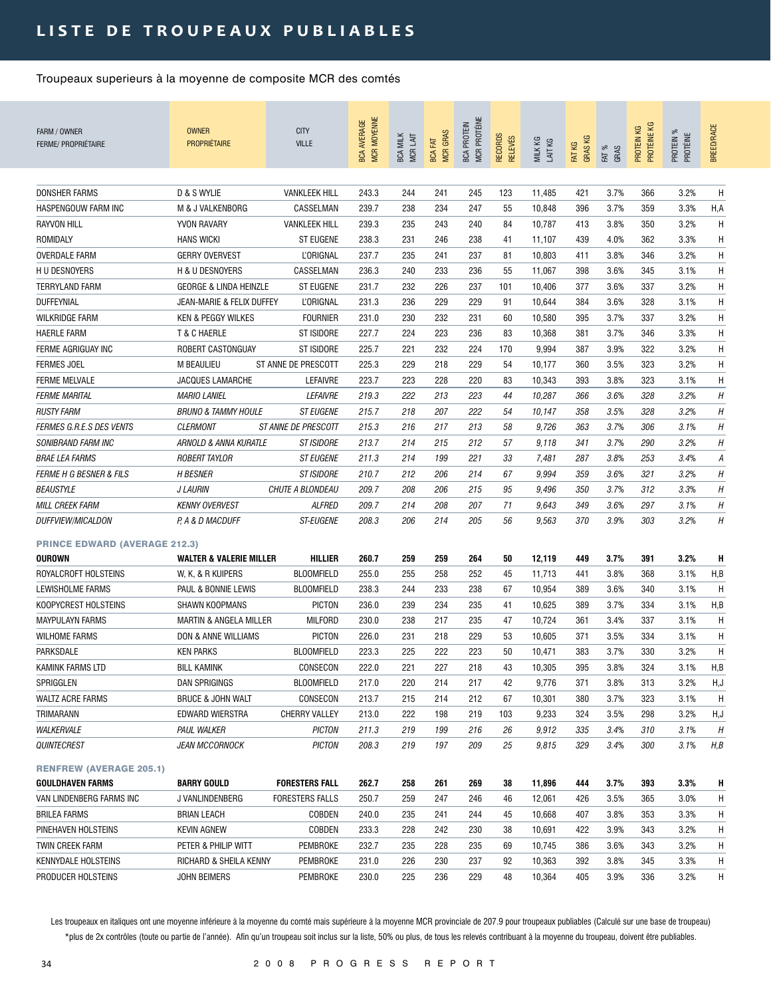## LISTE DE TROUPEAUX PUBLIABLES

### Troupeaux superieurs à la moyenne de composite MCR des comtés

| FARM / OWNER<br><b>FERME/ PROPRIÉTAIRE</b>            | <b>OWNER</b><br><b>PROPRIÉTAIRE</b> | <b>CITY</b><br><b>VILLE</b> | <b>MCR MOYENNE</b><br><b>BCA AVERAGE</b> | <b>BCA MILK</b><br>MCR LAIT | <b>MCR GRAS</b><br><b>BCA FAT</b> | MCR PROTÉINE<br><b>BCA PROTEIN</b> | RECORDS<br><b>RELEVÉS</b> | MILK KG<br>LAIT KG | GRAS KG<br>FAT KG | FAT %<br>GRAS | PROTÉINE KG<br>PROTEIN KG | PROTEIN %<br>PROTÉINE | <b>BREED/RACE</b> |
|-------------------------------------------------------|-------------------------------------|-----------------------------|------------------------------------------|-----------------------------|-----------------------------------|------------------------------------|---------------------------|--------------------|-------------------|---------------|---------------------------|-----------------------|-------------------|
| DONSHER FARMS                                         | D & S WYLIE                         | <b>VANKLEEK HILL</b>        | 243.3                                    | 244                         | 241                               | 245                                | 123                       | 11,485             | 421               | 3.7%          | 366                       | 3.2%                  | Η                 |
| HASPENGOUW FARM INC                                   | M & J VALKENBORG                    | CASSELMAN                   | 239.7                                    | 238                         | 234                               | 247                                | 55                        | 10,848             | 396               | 3.7%          | 359                       | 3.3%                  | H,A               |
| <b>RAYVON HILL</b>                                    | YVON RAVARY                         | <b>VANKLEEK HILL</b>        | 239.3                                    | 235                         | 243                               | 240                                | 84                        | 10,787             | 413               | 3.8%          | 350                       | 3.2%                  | Η                 |
| ROMIDALY                                              | <b>HANS WICKI</b>                   | <b>ST EUGENE</b>            | 238.3                                    | 231                         | 246                               | 238                                | 41                        | 11,107             | 439               | 4.0%          | 362                       | 3.3%                  | Н                 |
| OVERDALE FARM                                         | <b>GERRY OVERVEST</b>               | <b>L'ORIGNAL</b>            | 237.7                                    | 235                         | 241                               | 237                                | 81                        | 10,803             | 411               | 3.8%          | 346                       | 3.2%                  | H                 |
| H U DESNOYERS                                         | H & U DESNOYERS                     | CASSELMAN                   | 236.3                                    | 240                         | 233                               | 236                                | 55                        | 11,067             | 398               | 3.6%          | 345                       | 3.1%                  | H                 |
| <b>TERRYLAND FARM</b>                                 | <b>GEORGE &amp; LINDA HEINZLE</b>   | <b>ST EUGENE</b>            | 231.7                                    | 232                         | 226                               | 237                                | 101                       | 10,406             | 377               | 3.6%          | 337                       | 3.2%                  | Н                 |
| DUFFEYNIAL                                            | JEAN-MARIE & FELIX DUFFEY           | <b>L'ORIGNAL</b>            | 231.3                                    | 236                         | 229                               | 229                                | 91                        | 10,644             | 384               | 3.6%          | 328                       | 3.1%                  | H                 |
| <b>WILKRIDGE FARM</b>                                 | <b>KEN &amp; PEGGY WILKES</b>       | <b>FOURNIER</b>             | 231.0                                    | 230                         | 232                               | 231                                | 60                        | 10,580             | 395               | 3.7%          | 337                       | 3.2%                  | Н                 |
| <b>HAERLE FARM</b>                                    | T & C HAERLE                        | <b>ST ISIDORE</b>           | 227.7                                    | 224                         | 223                               | 236                                | 83                        | 10,368             | 381               | 3.7%          | 346                       | 3.3%                  | н                 |
| FERME AGRIGUAY INC                                    | ROBERT CASTONGUAY                   | <b>ST ISIDORE</b>           | 225.7                                    | 221                         | 232                               | 224                                | 170                       | 9,994              | 387               | 3.9%          | 322                       | 3.2%                  | н                 |
| <b>FERMES JOEL</b>                                    | <b>M BEAULIEU</b>                   | ST ANNE DE PRESCOTT         | 225.3                                    | 229                         | 218                               | 229                                | 54                        | 10,177             | 360               | 3.5%          | 323                       | 3.2%                  | H                 |
| <b>FERME MELVALE</b>                                  | <b>JACQUES LAMARCHE</b>             | LEFAIVRE                    | 223.7                                    | 223                         | 228                               | 220                                | 83                        | 10,343             | 393               | 3.8%          | 323                       | 3.1%                  | Н                 |
| <b>FERME MARITAL</b>                                  | <b>MARIO LANIEL</b>                 | LEFAIVRE                    | 219.3                                    | 222                         | 213                               | 223                                | 44                        | 10,287             | 366               | 3.6%          | 328                       | 3.2%                  | Η                 |
| <b>RUSTY FARM</b>                                     | <b>BRUNO &amp; TAMMY HOULE</b>      | <b>ST EUGENE</b>            | 215.7                                    | 218                         | 207                               | 222                                | 54                        | 10,147             | 358               | 3.5%          | 328                       | 3.2%                  | Н                 |
| <b>FERMES G.R.E.S DES VENTS</b>                       | <b>CLERMONT</b>                     | <i>ST ANNE DE PRESCOTT</i>  | 215.3                                    | 216                         | 217                               | 213                                | 58                        | 9,726              | 363               | 3.7%          | 306                       | 3.1%                  | Н                 |
| <b>SONIBRAND FARM INC</b>                             | ARNOLD & ANNA KURATLE               | <i><b>ST ISIDORE</b></i>    | 213.7                                    | 214                         | 215                               | 212                                | 57                        | 9,118              | 341               | 3.7%          | 290                       | 3.2%                  | Η                 |
| <b>BRAE LEA FARMS</b>                                 | <b>ROBERT TAYLOR</b>                | <b>ST EUGENE</b>            | 211.3                                    | 214                         | 199                               | 221                                | 33                        | 7,481              | 287               | 3.8%          | 253                       | 3.4%                  | А                 |
| <b>FERME H G BESNER &amp; FILS</b>                    | <b>H BESNER</b>                     | <b>ST ISIDORE</b>           | 210.7                                    | 212                         | 206                               | 214                                | 67                        | 9,994              | 359               | 3.6%          | 321                       | 3.2%                  | Н                 |
| <b>BEAUSTYLE</b>                                      | <b>J LAURIN</b>                     | CHUTE A BLONDEAU            | 209.7                                    | 208                         | 206                               | 215                                | 95                        | 9,496              | 350               | 3.7%          | 312                       | 3.3%                  | Η                 |
| MILL CREEK FARM                                       | <b>KENNY OVERVEST</b>               | <b>ALFRED</b>               | 209.7                                    | 214                         | 208                               | 207                                | 71                        | 9,643              | 349               | 3.6%          | 297                       | 3.1%                  | Η                 |
| <b>DUFFVIEW/MICALDON</b>                              | P, A & D MACDUFF                    | <b>ST-EUGENE</b>            | 208.3                                    | 206                         | 214                               | 205                                | 56                        | 9,563              | 370               | 3.9%          | 303                       | 3.2%                  | Η                 |
| <b>PRINCE EDWARD (AVERAGE 212.3)</b><br><b>OUROWN</b> | <b>WALTER &amp; VALERIE MILLER</b>  | HILLIER                     | 260.7                                    | 259                         | 259                               | 264                                | 50                        | 12,119             | 449               | 3.7%          | 391                       | 3.2%                  | H                 |
| ROYALCROFT HOLSTEINS                                  | W. K. & R KUIPERS                   | <b>BLOOMFIELD</b>           | 255.0                                    | 255                         | 258                               | 252                                | 45                        | 11,713             | 441               | 3.8%          | 368                       | 3.1%                  | H,B               |
| LEWISHOLME FARMS                                      | PAUL & BONNIE LEWIS                 | <b>BLOOMFIELD</b>           | 238.3                                    | 244                         | 233                               | 238                                | 67                        | 10,954             | 389               | 3.6%          | 340                       | 3.1%                  | Н                 |
| KOOPYCREST HOLSTEINS                                  | <b>SHAWN KOOPMANS</b>               | <b>PICTON</b>               | 236.0                                    | 239                         | 234                               | 235                                | 41                        | 10,625             | 389               | 3.7%          | 334                       | 3.1%                  | H,B               |
| <b>MAYPULAYN FARMS</b>                                | MARTIN & ANGELA MILLER              | <b>MILFORD</b>              | 230.0                                    | 238                         | 217                               | 235                                | 47                        | 10,724             | 361               | 3.4%          | 337                       | 3.1%                  | Н                 |
| <b>WILHOME FARMS</b>                                  | DON & ANNE WILLIAMS                 | <b>PICTON</b>               | 226.0                                    | 231                         | 218                               | 229                                | 53                        | 10,605             | 371               | 3.5%          | 334                       | 3.1%                  | Н                 |
| PARKSDALE                                             | <b>KEN PARKS</b>                    | <b>BLOOMFIELD</b>           | 223.3                                    | 225                         | 222                               | 223                                | 50                        | 10,471             | 383               | 3.7%          | 330                       | 3.2%                  | Η                 |
| KAMINK FARMS LTD                                      | <b>BILL KAMINK</b>                  | CONSECON                    | 222.0                                    | 221                         | 227                               | 218                                | 43                        | 10,305             | 395               | 3.8%          | 324                       | 3.1%                  | H,B               |
| SPRIGGLEN                                             | DAN SPRIGINGS                       | <b>BLOOMFIELD</b>           | 217.0                                    | 220                         | 214                               | 217                                | 42                        | 9,776              | 371               | 3.8%          | 313                       | 3.2%                  | H,J               |
| <b>WALTZ ACRE FARMS</b>                               | <b>BRUCE &amp; JOHN WALT</b>        | CONSECON                    | 213.7                                    | 215                         | 214                               | 212                                | 67                        | 10,301             | 380               | 3.7%          | 323                       | 3.1%                  | H                 |
| TRIMARANN                                             | EDWARD WIERSTRA                     | <b>CHERRY VALLEY</b>        | 213.0                                    | 222                         | 198                               | 219                                | 103                       | 9,233              | 324               | 3.5%          | 298                       | 3.2%                  | H,J               |
| WALKERVALE                                            | PAUL WALKER                         | <b>PICTON</b>               | 211.3                                    | 219                         | 199                               | 216                                | 26                        | 9,912              | 335               | 3.4%          | 310                       | 3.1%                  | Н                 |
| QUINTECREST                                           | <b>JEAN MCCORNOCK</b>               | <b>PICTON</b>               | 208.3                                    | 219                         | 197                               | 209                                | 25                        | 9,815              | 329               | 3.4%          | 300                       | 3.1%                  | H,B               |
| <b>RENFREW (AVERAGE 205.1)</b>                        |                                     |                             |                                          |                             |                                   |                                    |                           |                    |                   |               |                           |                       |                   |
| <b>GOULDHAVEN FARMS</b>                               | <b>BARRY GOULD</b>                  | <b>FORESTERS FALL</b>       | 262.7                                    | 258                         | 261                               | 269                                | 38                        | 11,896             | 444               | 3.7%          | 393                       | 3.3%                  | н                 |
| VAN LINDENBERG FARMS INC                              | J VANLINDENBERG                     | <b>FORESTERS FALLS</b>      | 250.7                                    | 259                         | 247                               | 246                                | 46                        | 12,061             | 426               | 3.5%          | 365                       | 3.0%                  | Н.                |
| <b>BRILEA FARMS</b>                                   | BRIAN LEACH                         | COBDEN                      | 240.0                                    | 235                         | 241                               | 244                                | 45                        | 10,668             | 407               | 3.8%          | 353                       | 3.3%                  | H                 |
| PINEHAVEN HOLSTEINS                                   | <b>KEVIN AGNEW</b>                  | COBDEN                      | 233.3                                    | 228                         | 242                               | 230                                | 38                        | 10,691             | 422               | 3.9%          | 343                       | 3.2%                  | H                 |
| TWIN CREEK FARM                                       | PETER & PHILIP WITT                 | PEMBROKE                    | 232.7                                    | 235                         | 228                               | 235                                | 69                        | 10,745             | 386               | 3.6%          | 343                       | 3.2%                  | H                 |
| KENNYDALE HOLSTEINS                                   | RICHARD & SHEILA KENNY              | PEMBROKE                    | 231.0                                    | 226                         | 230                               | 237                                | 92                        | 10,363             | 392               | 3.8%          | 345                       | 3.3%                  | Н.                |
| PRODUCER HOLSTEINS                                    | JOHN BEIMERS                        | PEMBROKE                    | 230.0                                    | 225                         | 236                               | 229                                | 48                        | 10,364             | 405               | 3.9%          | 336                       | 3.2%                  | H                 |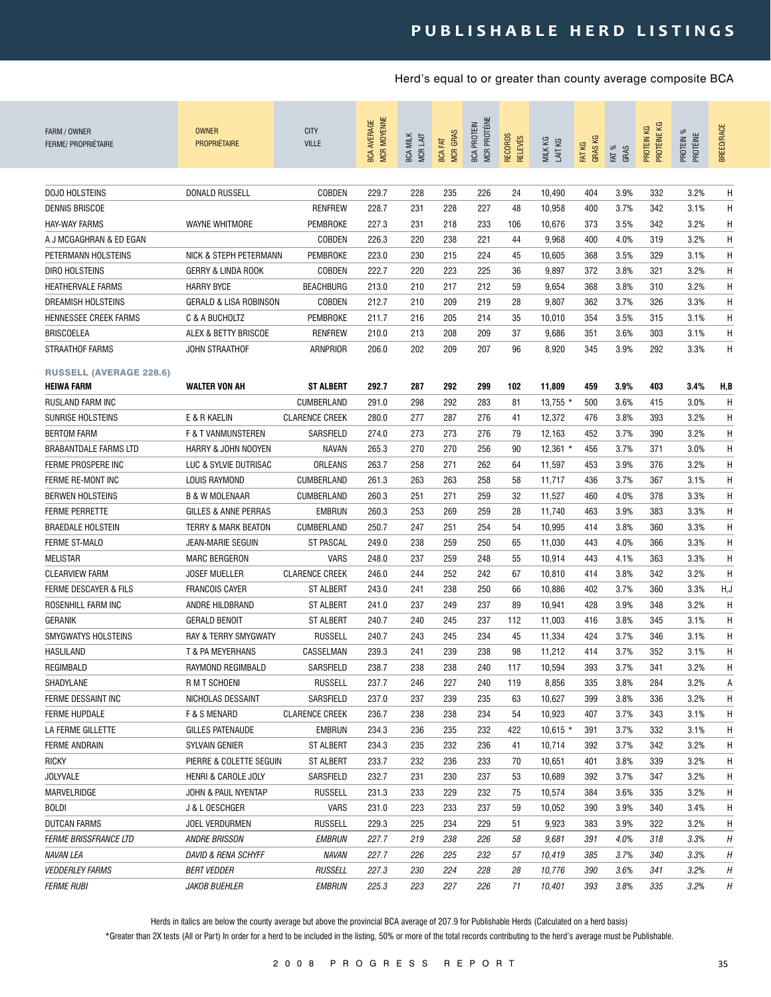| FARM / OWNER<br><b>FERME/ PROPRIÉTAIRE</b>          | <b>OWNER</b><br><b>PROPRIÉTAIRE</b> | <b>CITY</b><br><b>VILLE</b> | <b>MCR MOYENNE</b><br><b>BCA AVERAGE</b> | <b>BCA MILK</b><br>MCR LAIT | <b>MCR GRAS</b><br><b>BCA FAT</b> | <b>MCR PROTÉINE</b><br><b>BCA PROTEIN</b> | <b>RECORDS</b><br><b>RELEVÉS</b> | MILK KG<br>LAIT KG | <b>GRASKG</b><br>FAT KG | FAT %<br>GRAS | PROTÉINE KG<br>PROTEIN KG | PROTEIN %<br>PROTÉINE | BREED/RACE |
|-----------------------------------------------------|-------------------------------------|-----------------------------|------------------------------------------|-----------------------------|-----------------------------------|-------------------------------------------|----------------------------------|--------------------|-------------------------|---------------|---------------------------|-----------------------|------------|
| DOJO HOLSTEINS                                      | DONALD RUSSELL                      | COBDEN                      | 229.7                                    | 228                         | 235                               | 226                                       | 24                               | 10,490             | 404                     | 3.9%          | 332                       | 3.2%                  | H          |
| DENNIS BRISCOE                                      |                                     | <b>RENFREW</b>              | 228.7                                    | 231                         | 228                               | 227                                       | 48                               | 10,958             | 400                     | 3.7%          | 342                       | 3.1%                  | H          |
| <b>HAY-WAY FARMS</b>                                | <b>WAYNE WHITMORE</b>               | PEMBROKE                    | 227.3                                    | 231                         | 218                               | 233                                       | 106                              | 10,676             | 373                     | 3.5%          | 342                       | 3.2%                  | H          |
| A J MCGAGHRAN & ED EGAN                             |                                     | COBDEN                      | 226.3                                    | 220                         | 238                               | 221                                       | 44                               | 9,968              | 400                     | 4.0%          | 319                       | 3.2%                  | H          |
| PETERMANN HOLSTEINS                                 | NICK & STEPH PETERMANN              | PEMBROKE                    | 223.0                                    | 230                         | 215                               | 224                                       | 45                               | 10,605             | 368                     | 3.5%          | 329                       | 3.1%                  | H          |
| DIRO HOLSTEINS                                      | GERRY & LINDA ROOK                  | COBDEN                      | 222.7                                    | 220                         | 223                               | 225                                       | 36                               | 9,897              | 372                     | 3.8%          | 321                       | 3.2%                  | Н          |
| <b>HEATHERVALE FARMS</b>                            | <b>HARRY BYCE</b>                   | <b>BEACHBURG</b>            | 213.0                                    | 210                         | 217                               | 212                                       | 59                               | 9,654              | 368                     | 3.8%          | 310                       | 3.2%                  | Н          |
| <b>DREAMISH HOLSTEINS</b>                           | GERALD & LISA ROBINSON              | COBDEN                      | 212.7                                    | 210                         | 209                               | 219                                       | 28                               | 9,807              | 362                     | 3.7%          | 326                       | 3.3%                  | Н          |
| <b>HENNESSEE CREEK FARMS</b>                        | C & A BUCHOLTZ                      | PEMBROKE                    | 211.7                                    | 216                         | 205                               | 214                                       | 35                               | 10,010             | 354                     | 3.5%          | 315                       | 3.1%                  | Н          |
| <b>BRISCOELEA</b>                                   | ALEX & BETTY BRISCOE                | <b>RENFREW</b>              | 210.0                                    | 213                         | 208                               | 209                                       | 37                               | 9,686              | 351                     | 3.6%          | 303                       | 3.1%                  | Н          |
| STRAATHOF FARMS                                     | <b>JOHN STRAATHOF</b>               | ARNPRIOR                    | 206.0                                    | 202                         | 209                               | 207                                       | 96                               | 8,920              | 345                     | 3.9%          | 292                       | 3.3%                  | Н          |
| <b>RUSSELL (AVERAGE 228.6)</b><br><b>HEIWA FARM</b> | <b>WALTER VON AH</b>                | <b>ST ALBERT</b>            | 292.7                                    | 287                         | 292                               | 299                                       | 102                              | 11,809             | 459                     | 3.9%          | 403                       | 3.4%                  | H,B        |
| RUSLAND FARM INC                                    |                                     | CUMBERLAND                  | 291.0                                    | 298                         | 292                               | 283                                       | 81                               | $13,755$ *         | 500                     | 3.6%          | 415                       | 3.0%                  | Н          |
| <b>SUNRISE HOLSTEINS</b>                            | E & R KAELIN                        | <b>CLARENCE CREEK</b>       | 280.0                                    | 277                         | 287                               | 276                                       | 41                               | 12,372             | 476                     | 3.8%          | 393                       | 3.2%                  | Н          |
| <b>BERTOM FARM</b>                                  | <b>F &amp; T VANMUNSTEREN</b>       | SARSFIELD                   | 274.0                                    | 273                         | 273                               | 276                                       | 79                               | 12,163             | 452                     | 3.7%          | 390                       | 3.2%                  | Н          |
| <b>BRABANTDALE FARMS LTD</b>                        | HARRY & JOHN NOOYEN                 | NAVAN                       | 265.3                                    | 270                         | 270                               | 256                                       | 90                               | $12,361$ *         | 456                     | 3.7%          | 371                       | 3.0%                  | Н          |
| FERME PROSPERE INC                                  | LUC & SYLVIE DUTRISAC               | ORLEANS                     | 263.7                                    | 258                         | 271                               | 262                                       | 64                               | 11,597             | 453                     | 3.9%          | 376                       | 3.2%                  | Η          |
| FERME RE-MONT INC                                   | LOUIS RAYMOND                       | CUMBERLAND                  | 261.3                                    | 263                         | 263                               | 258                                       | 58                               | 11,717             | 436                     | 3.7%          | 367                       | 3.1%                  | H          |
| <b>BERWEN HOLSTEINS</b>                             | <b>B &amp; W MOLENAAR</b>           | CUMBERLAND                  | 260.3                                    | 251                         | 271                               | 259                                       | 32                               | 11,527             | 460                     | 4.0%          | 378                       | 3.3%                  | Н          |
| <b>FERME PERRETTE</b>                               | GILLES & ANNE PERRAS                | <b>EMBRUN</b>               | 260.3                                    | 253                         | 269                               | 259                                       | 28                               | 11,740             | 463                     | 3.9%          | 383                       | 3.3%                  | H          |
| <b>BRAEDALE HOLSTEIN</b>                            | <b>TERRY &amp; MARK BEATON</b>      | CUMBERLAND                  | 250.7                                    | 247                         | 251                               | 254                                       | 54                               | 10,995             | 414                     | 3.8%          | 360                       | 3.3%                  | Η          |
| <b>FERME ST-MALO</b>                                | JEAN-MARIE SEGUIN                   | ST PASCAL                   | 249.0                                    | 238                         | 259                               | 250                                       | 65                               | 11,030             | 443                     | 4.0%          | 366                       | 3.3%                  | Н          |
| <b>MELISTAR</b>                                     | <b>MARC BERGERON</b>                | <b>VARS</b>                 | 248.0                                    | 237                         | 259                               | 248                                       | 55                               | 10,914             | 443                     | 4.1%          | 363                       | 3.3%                  | Н          |
| <b>CLEARVIEW FARM</b>                               | <b>JOSEF MUELLER</b>                | <b>CLARENCE CREEK</b>       | 246.0                                    | 244                         | 252                               | 242                                       | 67                               | 10,810             | 414                     | 3.8%          | 342                       | 3.2%                  | Н          |
| <b>FERME DESCAYER &amp; FILS</b>                    | <b>FRANCOIS CAYER</b>               | <b>ST ALBERT</b>            | 243.0                                    | 241                         | 238                               | 250                                       | 66                               | 10,886             | 402                     | 3.7%          | 360                       | 3.3%                  | H,J        |
| <b>ROSENHILL FARM INC</b>                           | ANDRE HILDBRAND                     | <b>ST ALBERT</b>            | 241.0                                    | 237                         | 249                               | 237                                       | 89                               | 10,941             | 428                     | 3.9%          | 348                       | 3.2%                  | Н          |
| <b>GERANIK</b>                                      | <b>GERALD BENOIT</b>                | <b>ST ALBERT</b>            | 240.7                                    | 240                         | 245                               | 237                                       | 112                              | 11,003             | 416                     | 3.8%          | 345                       | 3.1%                  | Н          |
| SMYGWATYS HOLSTEINS                                 | <b>RAY &amp; TERRY SMYGWATY</b>     | <b>RUSSELL</b>              | 240.7                                    | 243                         | 245                               | 234                                       | 45                               | 11,334             | 424                     | 3.7%          | 346                       | 3.1%                  | Н          |
| HASLILAND                                           | T & PA MEYERHANS                    | CASSELMAN                   | 239.3                                    | 241                         | 239                               | 238                                       | 98                               | 11,212             | 414                     | 3.7%          | 352                       | 3.1%                  | Н          |
| REGIMBALD                                           | RAYMOND REGIMBALD                   | SARSFIELD                   | 238.7                                    | 238                         | 238                               | 240                                       | 117                              | 10,594             | 393                     | 3.7%          | 341                       | 3.2%                  | н          |
| SHADYLANE                                           | R M T SCHOENI                       | <b>RUSSELL</b>              | 237.7                                    | 246                         | 227                               | 240                                       | 119                              | 8,856              | 335                     | 3.8%          | 284                       | 3.2%                  | А          |
| FERME DESSAINT INC                                  | NICHOLAS DESSAINT                   | SARSFIELD                   | 237.0                                    | 237                         | 239                               | 235                                       | 63                               | 10,627             | 399                     | 3.8%          | 336                       | 3.2%                  | Н          |
| <b>FERME HUPDALE</b>                                | F & S MENARD                        | <b>CLARENCE CREEK</b>       | 236.7                                    | 238                         | 238                               | 234                                       | 54                               | 10,923             | 407                     | 3.7%          | 343                       | 3.1%                  | Н          |
| LA FERME GILLETTE                                   | GILLES PATENAUDE                    | <b>EMBRUN</b>               | 234.3                                    | 236                         | 235                               | 232                                       | 422                              | $10,615$ *         | 391                     | 3.7%          | 332                       | 3.1%                  | Н          |
| FERME ANDRAIN                                       | SYLVAIN GENIER                      | ST ALBERT                   | 234.3                                    | 235                         | 232                               | 236                                       | 41                               | 10,714             | 392                     | 3.7%          | 342                       | 3.2%                  | Н          |
| RICKY                                               | PIERRE & COLETTE SEGUIN             | ST ALBERT                   | 233.7                                    | 232                         | 236                               | 233                                       | 70                               | 10,651             | 401                     | 3.8%          | 339                       | 3.2%                  | Н          |
| <b>JOLYVALE</b>                                     | HENRI & CAROLE JOLY                 | SARSFIELD                   | 232.7                                    | 231                         | 230                               | 237                                       | 53                               | 10,689             | 392                     | 3.7%          | 347                       | 3.2%                  | Н          |
| MARVELRIDGE                                         | JOHN & PAUL NYENTAP                 | <b>RUSSELL</b>              | 231.3                                    | 233                         | 229                               | 232                                       | 75                               | 10,574             | 384                     | 3.6%          | 335                       | 3.2%                  | Н          |
| <b>BOLDI</b>                                        | J & L OESCHGER                      | <b>VARS</b>                 | 231.0                                    | 223                         | 233                               | 237                                       | 59                               | 10,052             | 390                     | 3.9%          | 340                       | 3.4%                  | Н          |
| <b>DUTCAN FARMS</b>                                 | <b>JOEL VERDURMEN</b>               | <b>RUSSELL</b>              | 229.3                                    | 225                         | 234                               | 229                                       | 51                               | 9,923              | 383                     | 3.9%          | 322                       | 3.2%                  | Н          |
| <b>FERME BRISSFRANCE LTD</b>                        | <b>ANDRE BRISSON</b>                | EMBRUN                      | 227.7                                    | 219                         | 238                               | 226                                       | 58                               | 9,681              | 391                     | 4.0%          | 318                       | 3.3%                  | Н          |
| NAVAN LEA                                           | <b>DAVID &amp; RENA SCHYFF</b>      | NAVAN                       | 227.7                                    | 226                         | 225                               | 232                                       | 57                               | 10,419             | 385                     | 3.7%          | 340                       | 3.3%                  | Η          |
| <b>VEDDERLEY FARMS</b>                              | <b>BERT VEDDER</b>                  | <b>RUSSELL</b>              | 227.3                                    | 230                         | 224                               | 228                                       | 28                               | 10,776             | 390                     | 3.6%          | 341                       | 3.2%                  | Η          |
| <b>FERME RUBI</b>                                   | <i>JAKOB BUEHLER</i>                | EMBRUN                      | 225.3                                    | 223                         | 227                               | 226                                       | 71                               | 10,401             | 393                     | 3.8%          | 335                       | 3.2%                  | Η          |

Herds in italics are below the county average but above the provincial BCA average of 207.9 for Publishable Herds (Calculated on a herd basis)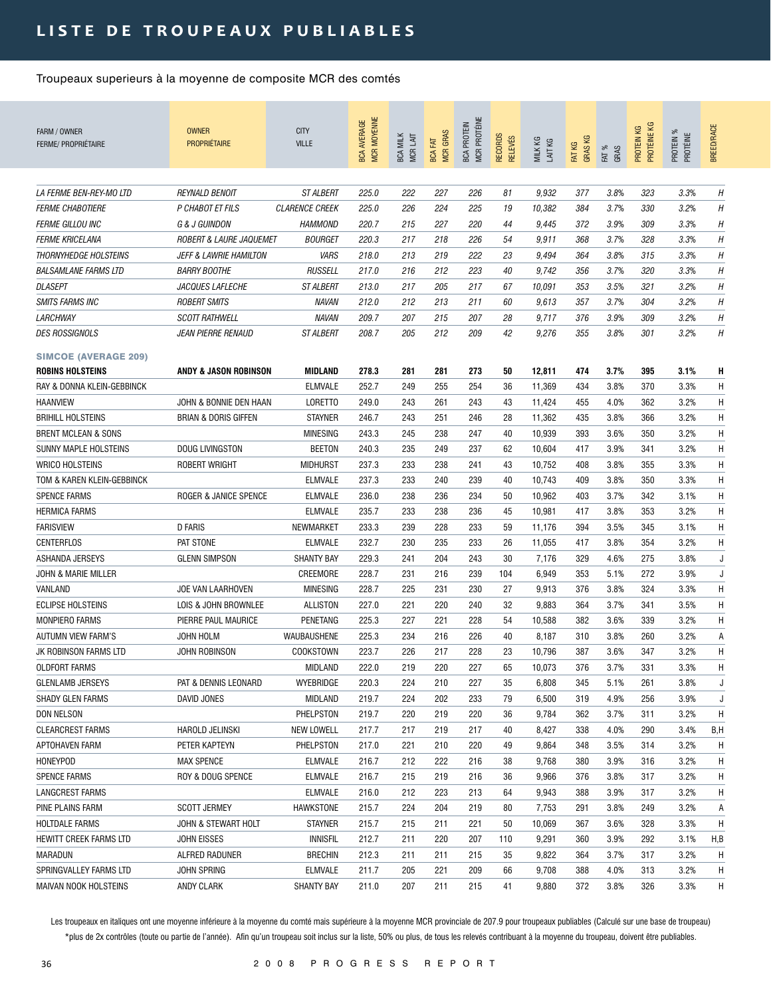| FARM / OWNER<br><b>FERME/ PROPRIÉTAIRE</b>                  | <b>OWNER</b><br><b>PROPRIÉTAIRE</b>       | <b>CITY</b><br><b>VILLE</b>               | <b>MCR MOYENNE</b><br><b>BCA AVERAGE</b> | <b>BCA MILK</b><br>MCR LAIT | <b>MCR GRAS</b><br>BCA FAT | MCR PROTÉINE<br><b>BCA PROTEIN</b> | <b>RECORDS</b><br><b>RELEVÉS</b> | MILK KG<br>LAIT KG | <b>GRASKG</b><br>FAT KG | FAT %<br>GRAS | PROTÉINE KG<br>ΚG<br>PROTEIN | PROTEIN %<br>PROTÉINE | BREED/RACE |
|-------------------------------------------------------------|-------------------------------------------|-------------------------------------------|------------------------------------------|-----------------------------|----------------------------|------------------------------------|----------------------------------|--------------------|-------------------------|---------------|------------------------------|-----------------------|------------|
| LA FERME BEN-REY-MO LTD                                     |                                           |                                           |                                          |                             |                            | 226                                |                                  |                    |                         |               |                              |                       | Н          |
|                                                             | <b>REYNALD BENOIT</b><br>P CHABOT ET FILS | <b>ST ALBERT</b><br><b>CLARENCE CREEK</b> | 225.0<br>225.0                           | 222<br>226                  | 227<br>224                 | 225                                | 81                               | 9,932              | 377                     | 3.8%<br>3.7%  | 323<br>330                   | 3.3%                  | H          |
| <b>FERME CHABOTIERE</b>                                     |                                           |                                           |                                          |                             |                            |                                    | 19                               | 10,382             | 384                     |               |                              | 3.2%                  |            |
| <b>FERME GILLOU INC</b><br><b>FERME KRICELANA</b>           | G & J GUINDON<br>ROBERT & LAURE JAQUEMET  | <b>HAMMOND</b><br><b>BOURGET</b>          | 220.7<br>220.3                           | 215<br>217                  | 227<br>218                 | 220<br>226                         | 44<br>54                         | 9,445              | 372<br>368              | 3.9%<br>3.7%  | 309<br>328                   | 3.3%<br>3.3%          | H<br>H     |
|                                                             | <b>JEFF &amp; LAWRIE HAMILTON</b>         |                                           |                                          |                             |                            |                                    |                                  | 9,911              |                         |               |                              | 3.3%                  |            |
| <b>THORNYHEDGE HOLSTEINS</b><br><b>BALSAMLANE FARMS LTD</b> |                                           | VARS                                      | 218.0                                    | 213                         | 219                        | 222                                | 23                               | 9,494              | 364                     | 3.8%          | 315                          |                       | H          |
|                                                             | <b>BARRY BOOTHE</b>                       | <b>RUSSELL</b>                            | 217.0                                    | 216                         | 212                        | 223                                | 40                               | 9,742              | 356                     | 3.7%          | 320                          | 3.3%                  | Η          |
| <b>DLASEPT</b>                                              | JACQUES LAFLECHE                          | <b>ST ALBERT</b>                          | 213.0                                    | 217                         | 205                        | 217                                | 67                               | 10,091             | 353                     | 3.5%          | 321                          | 3.2%                  | H          |
| <b>SMITS FARMS INC</b>                                      | <b>ROBERT SMITS</b>                       | <b>NAVAN</b>                              | 212.0                                    | 212                         | 213                        | 211                                | 60                               | 9,613              | 357                     | 3.7%          | 304                          | 3.2%                  | H          |
| <i>LARCHWAY</i>                                             | <b>SCOTT RATHWELL</b>                     | NAVAN                                     | 209.7                                    | 207                         | 215                        | 207                                | 28                               | 9,717              | 376                     | 3.9%          | 309                          | 3.2%                  | H          |
| <i>DES ROSSIGNOLS</i>                                       | <i>JEAN PIERRE RENAUD</i>                 | <i><b>ST ALBERT</b></i>                   | 208.7                                    | 205                         | 212                        | 209                                | 42                               | 9,276              | 355                     | 3.8%          | 301                          | 3.2%                  | H          |
| <b>SIMCOE (AVERAGE 209)</b>                                 |                                           |                                           |                                          |                             |                            |                                    |                                  |                    |                         |               |                              |                       |            |
| <b>ROBINS HOLSTEINS</b>                                     | <b>ANDY &amp; JASON ROBINSON</b>          | <b>MIDLAND</b>                            | 278.3                                    | 281                         | 281                        | 273                                | 50                               | 12,811             | 474                     | 3.7%          | 395                          | 3.1%                  | H          |
| RAY & DONNA KLEIN-GEBBINCK                                  |                                           | <b>ELMVALE</b>                            | 252.7                                    | 249                         | 255                        | 254                                | 36                               | 11,369             | 434                     | 3.8%          | 370                          | 3.3%                  | Η          |
| <b>HAANVIEW</b>                                             | JOHN & BONNIE DEN HAAN                    | LORETTO                                   | 249.0                                    | 243                         | 261                        | 243                                | 43                               | 11,424             | 455                     | 4.0%          | 362                          | 3.2%                  | Η          |
| <b>BRIHILL HOLSTEINS</b>                                    | <b>BRIAN &amp; DORIS GIFFEN</b>           | <b>STAYNER</b>                            | 246.7                                    | 243                         | 251                        | 246                                | 28                               | 11,362             | 435                     | 3.8%          | 366                          | 3.2%                  | H          |
| <b>BRENT MCLEAN &amp; SONS</b>                              |                                           | <b>MINESING</b>                           | 243.3                                    | 245                         | 238                        | 247                                | 40                               | 10,939             | 393                     | 3.6%          | 350                          | 3.2%                  | H          |
| <b>SUNNY MAPLE HOLSTEINS</b>                                | <b>DOUG LIVINGSTON</b>                    | <b>BEETON</b>                             | 240.3                                    | 235                         | 249                        | 237                                | 62                               | 10,604             | 417                     | 3.9%          | 341                          | 3.2%                  | H          |
| <b>WRICO HOLSTEINS</b>                                      | <b>ROBERT WRIGHT</b>                      | <b>MIDHURST</b>                           | 237.3                                    | 233                         | 238                        | 241                                | 43                               | 10,752             | 408                     | 3.8%          | 355                          | 3.3%                  | H          |
| TOM & KAREN KLEIN-GEBBINCK                                  |                                           | <b>ELMVALE</b>                            | 237.3                                    | 233                         | 240                        | 239                                | 40                               | 10,743             | 409                     | 3.8%          | 350                          | 3.3%                  | H          |
| <b>SPENCE FARMS</b>                                         | ROGER & JANICE SPENCE                     | <b>ELMVALE</b>                            | 236.0                                    | 238                         | 236                        | 234                                | 50                               | 10,962             | 403                     | 3.7%          | 342                          | 3.1%                  | Η          |
| <b>HERMICA FARMS</b>                                        |                                           | <b>ELMVALE</b>                            | 235.7                                    | 233                         | 238                        | 236                                | 45                               | 10,981             | 417                     | 3.8%          | 353                          | 3.2%                  | H          |
| <b>FARISVIEW</b>                                            | <b>D FARIS</b>                            | NEWMARKET                                 | 233.3                                    | 239                         | 228                        | 233                                | 59                               | 11,176             | 394                     | 3.5%          | 345                          | 3.1%                  | H          |
| CENTERFLOS                                                  | PAT STONE                                 | <b>ELMVALE</b>                            | 232.7                                    | 230                         | 235                        | 233                                | 26                               | 11,055             | 417                     | 3.8%          | 354                          | 3.2%                  | Η          |
| ASHANDA JERSEYS                                             | <b>GLENN SIMPSON</b>                      | <b>SHANTY BAY</b>                         | 229.3                                    | 241                         | 204                        | 243                                | 30                               | 7,176              | 329                     | 4.6%          | 275                          | 3.8%                  | J          |
| JOHN & MARIE MILLER                                         |                                           | CREEMORE                                  | 228.7                                    | 231                         | 216                        | 239                                | 104                              | 6,949              | 353                     | 5.1%          | 272                          | 3.9%                  | J          |
| VANLAND                                                     | JOE VAN LAARHOVEN                         | <b>MINESING</b>                           | 228.7                                    | 225                         | 231                        | 230                                | 27                               | 9,913              | 376                     | 3.8%          | 324                          | 3.3%                  | Η          |
| <b>ECLIPSE HOLSTEINS</b>                                    | LOIS & JOHN BROWNLEE                      | ALLISTON                                  | 227.0                                    | 221                         | 220                        | 240                                | 32                               | 9,883              | 364                     | 3.7%          | 341                          | 3.5%                  | Η          |
| <b>MONPIERO FARMS</b>                                       | PIERRE PAUL MAURICE                       | PENETANG                                  | 225.3                                    | 227                         | 221                        | 228                                | 54                               | 10,588             | 382                     | 3.6%          | 339                          | 3.2%                  | H          |
| <b>AUTUMN VIEW FARM'S</b>                                   | JOHN HOLM                                 | WAUBAUSHENE                               | 225.3                                    | 234                         | 216                        | 226                                | 40                               | 8,187              | 310                     | 3.8%          | 260                          | 3.2%                  | Α          |
| JK ROBINSON FARMS LTD                                       | <b>JOHN ROBINSON</b>                      | COOKSTOWN                                 | 223.7                                    | 226                         | 217                        | 228                                | 23                               | 10,796             | 387                     | 3.6%          | 347                          | 3.2%                  | Η          |
| <b>OLDFORT FARMS</b>                                        |                                           | MIDLAND                                   | 222.0                                    | 219                         | 220                        | 227                                | 65                               | 10,073             | 376                     | 3.7%          | 331                          | 3.3%                  | Н          |
| <b>GLENLAMB JERSEYS</b>                                     | PAT & DENNIS LEONARD                      | WYEBRIDGE                                 | 220.3                                    | 224                         | 210                        | 227                                | 35                               | 6,808              | 345                     | 5.1%          | 261                          | 3.8%                  | J          |
| <b>SHADY GLEN FARMS</b>                                     | DAVID JONES                               | MIDLAND                                   | 219.7                                    | 224                         | 202                        | 233                                | 79                               | 6,500              | 319                     | 4.9%          | 256                          | 3.9%                  | J          |
| DON NELSON                                                  |                                           | PHELPSTON                                 | 219.7                                    | 220                         | 219                        | 220                                | 36                               | 9,784              | 362                     | 3.7%          | 311                          | 3.2%                  | Η          |
| <b>CLEARCREST FARMS</b>                                     | HAROLD JELINSKI                           | NEW LOWELL                                | 217.7                                    | 217                         | 219                        | 217                                | 40                               | 8,427              | 338                     | 4.0%          | 290                          | 3.4%                  | B,H        |
| APTOHAVEN FARM                                              | PETER KAPTEYN                             | PHELPSTON                                 | 217.0                                    | 221                         | 210                        | 220                                | 49                               | 9,864              | 348                     | 3.5%          | 314                          | 3.2%                  | Η          |
| <b>HONEYPOD</b>                                             | <b>MAX SPENCE</b>                         | <b>ELMVALE</b>                            | 216.7                                    | 212                         | 222                        | 216                                | 38                               | 9,768              | 380                     | 3.9%          | 316                          | 3.2%                  | Η          |
| <b>SPENCE FARMS</b>                                         | ROY & DOUG SPENCE                         | ELMVALE                                   | 216.7                                    | 215                         | 219                        | 216                                | 36                               | 9,966              | 376                     | 3.8%          | 317                          | 3.2%                  | Η          |
| <b>LANGCREST FARMS</b>                                      |                                           | <b>ELMVALE</b>                            | 216.0                                    | 212                         | 223                        | 213                                | 64                               | 9,943              | 388                     | 3.9%          | 317                          | 3.2%                  | Η          |
| PINE PLAINS FARM                                            | <b>SCOTT JERMEY</b>                       | HAWKSTONE                                 | 215.7                                    | 224                         | 204                        | 219                                | 80                               | 7,753              | 291                     | 3.8%          | 249                          | 3.2%                  | А          |
| <b>HOLTDALE FARMS</b>                                       | JOHN & STEWART HOLT                       | <b>STAYNER</b>                            | 215.7                                    | 215                         | 211                        | 221                                | 50                               | 10,069             | 367                     | 3.6%          | 328                          | 3.3%                  | H          |
| HEWITT CREEK FARMS LTD                                      | JOHN EISSES                               | <b>INNISFIL</b>                           | 212.7                                    | 211                         | 220                        | 207                                | 110                              | 9,291              | 360                     | 3.9%          | 292                          | 3.1%                  | H,B        |
| MARADUN                                                     | ALFRED RADUNER                            | <b>BRECHIN</b>                            | 212.3                                    | 211                         | 211                        | 215                                | 35                               | 9,822              | 364                     | 3.7%          | 317                          | 3.2%                  | Η          |
| SPRINGVALLEY FARMS LTD                                      | JOHN SPRING                               | <b>ELMVALE</b>                            | 211.7                                    | 205                         | 221                        | 209                                | 66                               | 9,708              | 388                     | 4.0%          | 313                          | 3.2%                  | Η          |
| MAIVAN NOOK HOLSTEINS                                       | ANDY CLARK                                | <b>SHANTY BAY</b>                         | 211.0                                    | 207                         | 211                        | 215                                | 41                               | 9,880              | 372                     | 3.8%          | 326                          | 3.3%                  | Н.         |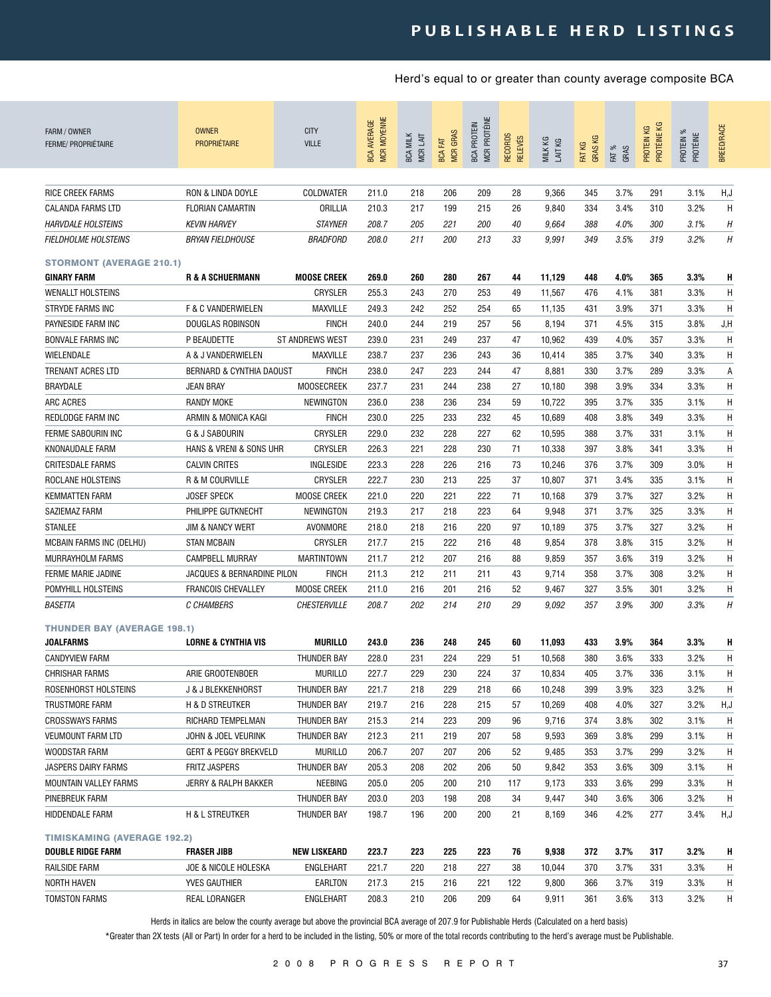| FARM / OWNER<br>FERME/ PROPRIÉTAIRE                            | <b>OWNER</b><br><b>PROPRIÉTAIRE</b> | <b>CITY</b><br><b>VILLE</b> | <b>MCR MOYENNE</b><br><b>BCA AVERAGE</b> | <b>BCA MILK</b><br>MCR LAIT | <b>MCR GRAS</b><br><b>BCA FAT</b> | MCR PROTÉINE<br><b>BCA PROTEIN</b> | <b>RECORDS</b><br><b>RELEVÉS</b> | MILK KG<br>LAIT KG | <b>GRASKG</b><br>FAT KG | FAT %<br>GRAS | PROTÉINE KG<br>PROTEIN KG | PROTEIN %<br>PROTÉINE | <b>BREED/RACE</b> |
|----------------------------------------------------------------|-------------------------------------|-----------------------------|------------------------------------------|-----------------------------|-----------------------------------|------------------------------------|----------------------------------|--------------------|-------------------------|---------------|---------------------------|-----------------------|-------------------|
| <b>RICE CREEK FARMS</b>                                        | <b>RON &amp; LINDA DOYLE</b>        | COLDWATER                   | 211.0                                    | 218                         | 206                               | 209                                | 28                               | 9,366              | 345                     | 3.7%          | 291                       | 3.1%                  | H,J               |
| <b>CALANDA FARMS LTD</b>                                       | <b>FLORIAN CAMARTIN</b>             | ORILLIA                     | 210.3                                    | 217                         | 199                               | 215                                | 26                               | 9,840              | 334                     | 3.4%          | 310                       | 3.2%                  | H                 |
| <b>HARVDALE HOLSTEINS</b>                                      | <b>KEVIN HARVEY</b>                 | <b>STAYNER</b>              | 208.7                                    | 205                         | 221                               | 200                                | 40                               | 9,664              | 388                     | 4.0%          | 300                       | 3.1%                  | H                 |
| <b>FIELDHOLME HOLSTEINS</b>                                    | <b>BRYAN FIELDHOUSE</b>             | <b>BRADFORD</b>             | 208.0                                    | 211                         | 200                               | 213                                | 33                               | 9,991              | 349                     | 3.5%          | 319                       | 3.2%                  | Η                 |
| <b>STORMONT (AVERAGE 210.1)</b>                                |                                     |                             |                                          |                             |                                   |                                    |                                  |                    |                         |               |                           |                       |                   |
| <b>GINARY FARM</b>                                             | <b>R &amp; A SCHUERMANN</b>         | <b>MOOSE CREEK</b>          | 269.0                                    | 260                         | 280                               | 267                                | 44                               | 11,129             | 448                     | 4.0%          | 365                       | 3.3%                  | H                 |
| <b>WENALLT HOLSTEINS</b>                                       |                                     | <b>CRYSLER</b>              | 255.3                                    | 243                         | 270                               | 253                                | 49                               | 11,567             | 476                     | 4.1%          | 381                       | 3.3%                  | H                 |
| <b>STRYDE FARMS INC</b>                                        | F & C VANDERWIELEN                  | <b>MAXVILLE</b>             | 249.3                                    | 242                         | 252                               | 254                                | 65                               | 11,135             | 431                     | 3.9%          | 371                       | 3.3%                  | H                 |
| PAYNESIDE FARM INC                                             | DOUGLAS ROBINSON                    | <b>FINCH</b>                | 240.0                                    | 244                         | 219                               | 257                                | 56                               | 8,194              | 371                     | 4.5%          | 315                       | 3.8%                  | J, H              |
| <b>BONVALE FARMS INC</b>                                       | P BEAUDETTE                         | <b>ST ANDREWS WEST</b>      | 239.0                                    | 231                         | 249                               | 237                                | 47                               | 10,962             | 439                     | 4.0%          | 357                       | 3.3%                  | H                 |
| WIELENDALE                                                     | A & J VANDERWIELEN                  | MAXVILLE                    | 238.7                                    | 237                         | 236                               | 243                                | 36                               | 10,414             | 385                     | 3.7%          | 340                       | 3.3%                  | H                 |
| <b>TRENANT ACRES LTD</b>                                       | <b>BERNARD &amp; CYNTHIA DAOUST</b> | <b>FINCH</b>                | 238.0                                    | 247                         | 223                               | 244                                | 47                               | 8,881              | 330                     | 3.7%          | 289                       | 3.3%                  | Α                 |
| <b>BRAYDALE</b>                                                | <b>JEAN BRAY</b>                    | <b>MOOSECREEK</b>           | 237.7                                    | 231                         | 244                               | 238                                | 27                               | 10,180             | 398                     | 3.9%          | 334                       | 3.3%                  | H                 |
| ARC ACRES                                                      | <b>RANDY MOKE</b>                   | NEWINGTON                   | 236.0                                    | 238                         | 236                               | 234                                | 59                               | 10,722             | 395                     | 3.7%          | 335                       | 3.1%                  | Η                 |
| REDLODGE FARM INC                                              | ARMIN & MONICA KAGI                 | <b>FINCH</b>                | 230.0                                    | 225                         | 233                               | 232                                | 45                               | 10,689             | 408                     | 3.8%          | 349                       | 3.3%                  | Η                 |
| <b>FERME SABOURIN INC</b>                                      | G & J SABOURIN                      | CRYSLER                     | 229.0                                    | 232                         | 228                               | 227                                | 62                               | 10,595             | 388                     | 3.7%          | 331                       | 3.1%                  | Η                 |
| KNONAUDALE FARM                                                | HANS & VRENI & SONS UHR             | CRYSLER                     | 226.3                                    | 221                         | 228                               | 230                                | 71                               | 10,338             | 397                     | 3.8%          | 341                       | 3.3%                  | Η                 |
| <b>CRITESDALE FARMS</b>                                        | <b>CALVIN CRITES</b>                | INGLESIDE                   | 223.3                                    | 228                         | 226                               | 216                                | 73                               | 10,246             | 376                     | 3.7%          | 309                       | 3.0%                  | Η                 |
| ROCLANE HOLSTEINS                                              | R & M COURVILLE                     | CRYSLER                     | 222.7                                    | 230                         | 213                               | 225                                | 37                               | 10,807             | 371                     | 3.4%          | 335                       | 3.1%                  | Η                 |
| <b>KEMMATTEN FARM</b>                                          | <b>JOSEF SPECK</b>                  | <b>MOOSE CREEK</b>          | 221.0                                    | 220                         | 221                               | 222                                | 71                               | 10,168             | 379                     | 3.7%          | 327                       | 3.2%                  | Н                 |
| SAZIEMAZ FARM                                                  | PHILIPPE GUTKNECHT                  | <b>NEWINGTON</b>            | 219.3                                    | 217                         | 218                               | 223                                | 64                               | 9,948              | 371                     | 3.7%          | 325                       | 3.3%                  | H                 |
| <b>STANLEE</b>                                                 | <b>JIM &amp; NANCY WERT</b>         | AVONMORE                    | 218.0                                    | 218                         | 216                               | 220                                | 97                               | 10,189             | 375                     | 3.7%          | 327                       | 3.2%                  | H                 |
| <b>MCBAIN FARMS INC (DELHU)</b>                                | <b>STAN MCBAIN</b>                  | CRYSLER                     | 217.7                                    | 215                         | 222                               | 216                                | 48                               | 9,854              | 378                     | 3.8%          | 315                       | 3.2%                  | Η                 |
| MURRAYHOLM FARMS                                               | <b>CAMPBELL MURRAY</b>              | <b>MARTINTOWN</b>           | 211.7                                    | 212                         | 207                               | 216                                | 88                               | 9,859              | 357                     | 3.6%          | 319                       | 3.2%                  | Η                 |
| FERME MARIE JADINE                                             | JACQUES & BERNARDINE PILON          | <b>FINCH</b>                | 211.3                                    | 212                         | 211                               | 211                                | 43                               | 9,714              | 358                     | 3.7%          | 308                       | 3.2%                  | Η                 |
| POMYHILL HOLSTEINS                                             | <b>FRANCOIS CHEVALLEY</b>           | <b>MOOSE CREEK</b>          | 211.0                                    | 216                         | 201                               | 216                                | 52                               | 9,467              | 327                     | 3.5%          | 301                       | 3.2%                  | H                 |
| BASETTA                                                        | C CHAMBERS                          | <b>CHESTERVILLE</b>         | 208.7                                    | 202                         | 214                               | 210                                | 29                               | 9,092              | 357                     | 3.9%          | 300                       | 3.3%                  | H                 |
|                                                                |                                     |                             |                                          |                             |                                   |                                    |                                  |                    |                         |               |                           |                       |                   |
| <b>THUNDER BAY (AVERAGE 198.1)</b>                             |                                     |                             |                                          |                             |                                   |                                    |                                  |                    |                         |               |                           |                       |                   |
| JOALFARMS                                                      | <b>LORNE &amp; CYNTHIA VIS</b>      | <b>MURILLO</b>              | 243.0                                    | 236                         | 248                               | 245                                | 60                               | 11,093             | 433                     | 3.9%          | 364                       | 3.3%                  | Н                 |
| <b>CANDYVIEW FARM</b>                                          |                                     | THUNDER BAY                 | 228.0                                    | 231                         | 224                               | 229                                | 51                               | 10,568             | 380                     | 3.6%          | 333                       | 3.2%                  | Η                 |
| <b>CHRISHAR FARMS</b>                                          | ARIE GROOTENBOER                    | <b>MURILLO</b>              | 227.7                                    | 229                         | 230                               | 224                                | 37                               | 10,834             | 405                     | 3.7%          | 336                       | 3.1%                  | H                 |
| ROSENHORST HOLSTEINS                                           | <b>J &amp; J BLEKKENHORST</b>       | THUNDER BAY                 | 221.7                                    | 218                         | 229                               | 218                                | 66                               | 10,248             | 399                     | 3.9%          | 323                       | 3.2%                  | H                 |
| TRUSTMORE FARM                                                 | H & D STREUTKER                     | THUNDER BAY                 | 219.7                                    | 216                         | 228                               | 215                                | 57                               | 10,269             | 408                     | 4.0%          | 327                       | 3.2%                  | H,J               |
| <b>CROSSWAYS FARMS</b>                                         | RICHARD TEMPELMAN                   | THUNDER BAY                 | 215.3                                    | 214                         | 223                               | 209                                | 96                               | 9,716              | 374                     | 3.8%          | 302                       | 3.1%                  | H                 |
| <b>VEUMOUNT FARM LTD</b>                                       | JOHN & JOEL VEURINK                 | THUNDER BAY                 | 212.3                                    | 211                         | 219                               | 207                                | 58                               | 9,593              | 369                     | 3.8%          | 299                       | 3.1%                  | Н                 |
| WOODSTAR FARM                                                  | GERT & PEGGY BREKVELD               | <b>MURILLO</b>              | 206.7                                    | 207                         | 207                               | 206                                | 52                               | 9,485              | 353                     | 3.7%          | 299                       | 3.2%                  | H                 |
| JASPERS DAIRY FARMS                                            | <b>FRITZ JASPERS</b>                | THUNDER BAY                 | 205.3                                    | 208                         | 202                               | 206                                | 50                               | 9,842              | 353                     | 3.6%          | 309                       | 3.1%                  | H                 |
| MOUNTAIN VALLEY FARMS                                          | JERRY & RALPH BAKKER                | NEEBING                     | 205.0                                    | 205                         | 200                               | 210                                | 117                              | 9,173              | 333                     | 3.6%          | 299                       | 3.3%                  | H                 |
| PINEBREUK FARM                                                 |                                     | THUNDER BAY                 | 203.0                                    | 203                         | 198                               | 208                                | 34                               | 9,447              | 340                     | 3.6%          | 306                       | 3.2%                  | H                 |
| HIDDENDALE FARM                                                | <b>H &amp; L STREUTKER</b>          | THUNDER BAY                 | 198.7                                    | 196                         | 200                               | 200                                | 21                               | 8,169              | 346                     | 4.2%          | 277                       | 3.4%                  | H,J               |
| <b>TIMISKAMING (AVERAGE 192.2)</b><br><b>DOUBLE RIDGE FARM</b> | <b>FRASER JIBB</b>                  | <b>NEW LISKEARD</b>         | 223.7                                    | 223                         | 225                               | 223                                | 76                               | 9,938              |                         | 3.7%          | 317                       | 3.2%                  |                   |
| RAILSIDE FARM                                                  | JOE & NICOLE HOLESKA                | ENGLEHART                   | 221.7                                    | 220                         | 218                               | 227                                | 38                               | 10,044             | 372<br>370              | 3.7%          | 331                       | 3.3%                  | H<br>H            |
| <b>NORTH HAVEN</b>                                             | YVES GAUTHIER                       | EARLTON                     | 217.3                                    | 215                         | 216                               | 221                                | 122                              | 9,800              | 366                     | 3.7%          | 319                       | 3.3%                  | H                 |
| TOMSTON FARMS                                                  | REAL LORANGER                       | ENGLEHART                   | 208.3                                    | 210                         | 206                               | 209                                | 64                               | 9,911              | 361                     | 3.6%          | 313                       | 3.2%                  | H                 |
|                                                                |                                     |                             |                                          |                             |                                   |                                    |                                  |                    |                         |               |                           |                       |                   |

Herds in italics are below the county average but above the provincial BCA average of 207.9 for Publishable Herds (Calculated on a herd basis)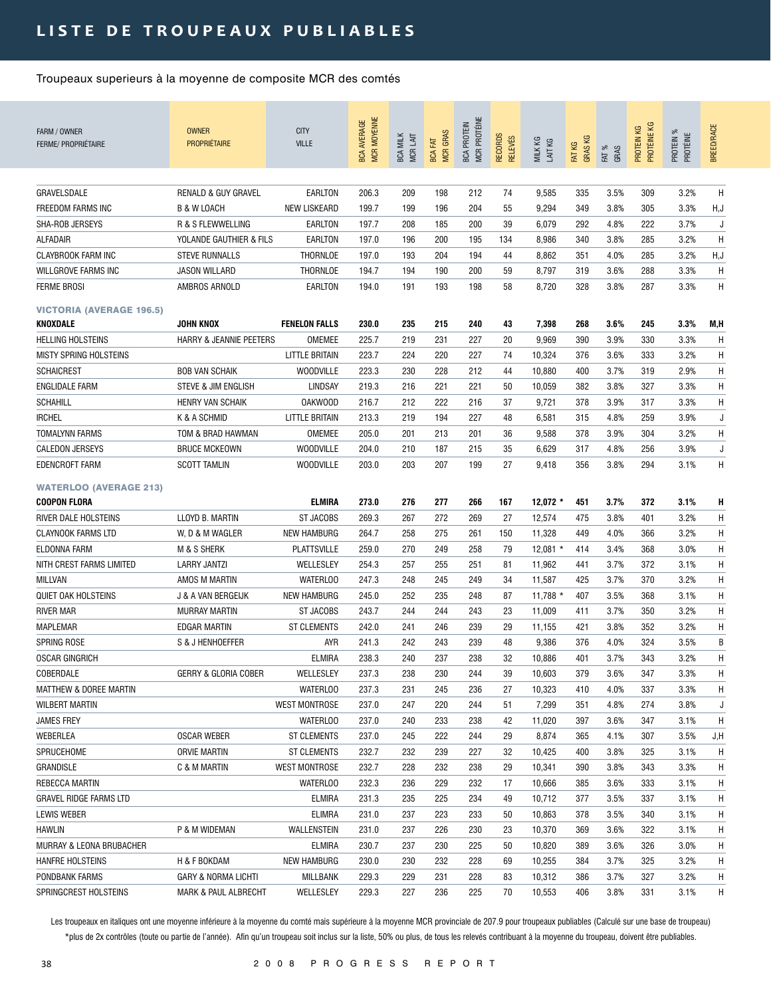| FARM / OWNER<br><b>FERME/ PROPRIÉTAIRE</b>                                    | <b>OWNER</b><br><b>PROPRIÉTAIRE</b> | <b>CITY</b><br><b>VILLE</b>       | MCR MOYENNE<br><b>BCA AVERAGE</b> | <b>BCA MILK</b><br>MCR LAIT | <b>MCR GRAS</b><br><b>BCA FAT</b> | MCR PROTÉINE<br><b>BCA PROTEIN</b> | RECORDS<br><b>RELEVÉS</b> | MILK KG<br>LAIT KG  | <b>GRASKG</b><br>FAT KG | FAT %<br>GRAS | PROTÉINE KG<br>PROTEIN KG | PROTEIN %<br>PROTÉINE | <b>BREED/RACE</b> |
|-------------------------------------------------------------------------------|-------------------------------------|-----------------------------------|-----------------------------------|-----------------------------|-----------------------------------|------------------------------------|---------------------------|---------------------|-------------------------|---------------|---------------------------|-----------------------|-------------------|
| GRAVELSDALE                                                                   | <b>RENALD &amp; GUY GRAVEL</b>      | EARLTON                           | 206.3                             | 209                         | 198                               | 212                                | 74                        | 9,585               | 335                     | 3.5%          | 309                       | 3.2%                  | Η                 |
| <b>FREEDOM FARMS INC</b>                                                      | B & W LOACH                         | <b>NEW LISKEARD</b>               | 199.7                             | 199                         | 196                               | 204                                | 55                        | 9,294               | 349                     | 3.8%          | 305                       | 3.3%                  | H,J               |
| SHA-ROB JERSEYS                                                               | R & S FLEWWELLING                   | EARLTON                           | 197.7                             | 208                         | 185                               | 200                                | 39                        | 6,079               | 292                     | 4.8%          | 222                       | 3.7%                  | J                 |
| ALFADAIR                                                                      | YOLANDE GAUTHIER & FILS             | EARLTON                           | 197.0                             | 196                         | 200                               | 195                                | 134                       | 8,986               | 340                     | 3.8%          | 285                       | 3.2%                  | Н                 |
| <b>CLAYBROOK FARM INC</b>                                                     | <b>STEVE RUNNALLS</b>               | THORNLOE                          | 197.0                             | 193                         | 204                               | 194                                | 44                        | 8,862               | 351                     | 4.0%          | 285                       | 3.2%                  | H,J               |
| WILLGROVE FARMS INC                                                           | JASON WILLARD                       | THORNLOE                          | 194.7                             | 194                         | 190                               | 200                                | 59                        | 8,797               | 319                     | 3.6%          | 288                       | 3.3%                  | Η                 |
| <b>FERME BROSI</b>                                                            | AMBROS ARNOLD                       | EARLTON                           | 194.0                             | 191                         | 193                               | 198                                | 58                        | 8,720               | 328                     | 3.8%          | 287                       | 3.3%                  | H                 |
|                                                                               |                                     |                                   |                                   |                             |                                   |                                    |                           |                     |                         |               |                           |                       |                   |
| <b>VICTORIA (AVERAGE 196.5)</b>                                               |                                     |                                   |                                   |                             |                                   |                                    |                           |                     |                         |               |                           |                       |                   |
| KNOXDALE                                                                      | JOHN KNOX                           | <b>FENELON FALLS</b>              | 230.0                             | 235                         | 215                               | 240                                | 43                        | 7,398               | 268                     | 3.6%          | 245                       | 3.3%                  | M,H               |
| <b>HELLING HOLSTEINS</b>                                                      | HARRY & JEANNIE PEETERS             | OMEMEE                            | 225.7                             | 219                         | 231                               | 227                                | 20                        | 9,969               | 390                     | 3.9%          | 330                       | 3.3%                  | H                 |
| <b>MISTY SPRING HOLSTEINS</b>                                                 |                                     | <b>LITTLE BRITAIN</b>             | 223.7                             | 224                         | 220                               | 227                                | 74                        | 10,324              | 376                     | 3.6%          | 333                       | 3.2%                  | H                 |
| <b>SCHAICREST</b>                                                             | <b>BOB VAN SCHAIK</b>               | <b>WOODVILLE</b>                  | 223.3                             | 230                         | 228                               | 212                                | 44                        | 10,880              | 400                     | 3.7%          | 319                       | 2.9%                  | H                 |
| ENGLIDALE FARM                                                                | <b>STEVE &amp; JIM ENGLISH</b>      | LINDSAY                           | 219.3                             | 216                         | 221                               | 221                                | 50                        | 10,059              | 382                     | 3.8%          | 327                       | 3.3%                  | H                 |
| <b>SCHAHILL</b>                                                               | HENRY VAN SCHAIK                    | OAKWOOD                           | 216.7                             | 212                         | 222                               | 216                                | 37                        | 9,721               | 378                     | 3.9%          | 317                       | 3.3%                  | H                 |
| <b>IRCHEL</b>                                                                 | K & A SCHMID                        | <b>LITTLE BRITAIN</b>             | 213.3                             | 219                         | 194                               | 227                                | 48                        | 6,581               | 315                     | 4.8%          | 259                       | 3.9%                  | J                 |
| TOMALYNN FARMS                                                                | TOM & BRAD HAWMAN                   | OMEMEE                            | 205.0                             | 201                         | 213                               | 201                                | 36                        | 9,588               | 378                     | 3.9%          | 304                       | 3.2%                  | Η                 |
| <b>CALEDON JERSEYS</b>                                                        | <b>BRUCE MCKEOWN</b>                | <b>WOODVILLE</b>                  | 204.0                             | 210                         | 187                               | 215                                | 35                        | 6,629               | 317                     | 4.8%          | 256                       | 3.9%                  | J                 |
| <b>EDENCROFT FARM</b><br><b>WATERLOO (AVERAGE 213)</b><br><b>COOPON FLORA</b> | <b>SCOTT TAMLIN</b>                 | <b>WOODVILLE</b><br><b>ELMIRA</b> | 203.0<br>273.0                    | 203<br>276                  | 207<br>277                        | 199<br>266                         | 27<br>167                 | 9,418<br>$12,072$ * | 356<br>451              | 3.8%<br>3.7%  | 294<br>372                | 3.1%<br>3.1%          | H<br>H            |
| <b>RIVER DALE HOLSTEINS</b>                                                   | LLOYD B. MARTIN                     | <b>ST JACOBS</b>                  | 269.3                             | 267                         | 272                               | 269                                | 27                        | 12,574              | 475                     | 3.8%          | 401                       | 3.2%                  | H                 |
| <b>CLAYNOOK FARMS LTD</b>                                                     | W, D & M WAGLER                     | <b>NEW HAMBURG</b>                | 264.7                             | 258                         | 275                               | 261                                | 150                       | 11,328              | 449                     | 4.0%          | 366                       | 3.2%                  | Н                 |
|                                                                               |                                     |                                   |                                   |                             |                                   |                                    |                           |                     |                         |               |                           |                       |                   |
| ELDONNA FARM                                                                  | <b>M &amp; S SHERK</b>              | <b>PLATTSVILLE</b>                | 259.0                             | 270                         | 249                               | 258                                | 79                        | $12,081$ *          | 414                     | 3.4%          | 368                       | 3.0%                  | Н                 |
| NITH CREST FARMS LIMITED                                                      | <b>LARRY JANTZI</b>                 | WELLESLEY                         | 254.3                             | 257                         | 255                               | 251                                | 81                        | 11,962              | 441                     | 3.7%          | 372                       | 3.1%                  | Н                 |
| <b>MILLVAN</b>                                                                | AMOS M MARTIN                       | <b>WATERLOO</b>                   | 247.3                             | 248                         | 245                               | 249                                | 34                        | 11,587              | 425                     | 3.7%          | 370                       | 3.2%                  | H                 |
| <b>QUIET OAK HOLSTEINS</b>                                                    | J & A VAN BERGEIJK                  | <b>NEW HAMBURG</b>                | 245.0                             | 252                         | 235                               | 248                                | 87                        | $11,788$ *          | 407                     | 3.5%          | 368                       | 3.1%                  | Н                 |
| <b>RIVER MAR</b>                                                              | <b>MURRAY MARTIN</b>                | <b>ST JACOBS</b>                  | 243.7                             | 244                         | 244                               | 243                                | 23                        | 11,009              | 411                     | 3.7%          | 350                       | 3.2%                  | H                 |
| MAPLEMAR                                                                      | <b>EDGAR MARTIN</b>                 | <b>ST CLEMENTS</b>                | 242.0                             | 241                         | 246                               | 239                                | 29                        | 11,155              | 421                     | 3.8%          | 352                       | 3.2%                  | Н                 |
| <b>SPRING ROSE</b>                                                            | S & J HENHOEFFER                    | <b>AYR</b>                        | 241.3                             | 242                         | 243                               | 239                                | 48                        | 9,386               | 376                     | 4.0%          | 324                       | 3.5%                  | B                 |
| OSCAR GINGRICH                                                                |                                     | <b>ELMIRA</b>                     | 238.3                             | 240                         | 237                               | 238                                | 32                        | 10,886              | 401                     | 3.7%          | 343                       | 3.2%                  | Η                 |
| COBERDALE                                                                     | GERRY & GLORIA COBER                | WELLESLEY                         | 237.3                             | 238                         | 230                               | 244                                | 39                        | 10,603              | 379                     | 3.6%          | 347                       | 3.3%                  | H                 |
| MATTHEW & DOREE MARTIN                                                        |                                     | <b>WATERLOO</b>                   | 237.3                             | 231                         | 245                               | 236                                | 27                        | 10,323              | 410                     | 4.0%          | 337                       | 3.3%                  | H                 |
| WILBERT MARTIN                                                                |                                     | <b>WEST MONTROSE</b>              | 237.0                             | 247                         | 220                               | 244                                | 51                        | 7,299               | 351                     | 4.8%          | 274                       | 3.8%                  | J                 |
| JAMES FREY                                                                    |                                     | WATERLOO                          | 237.0                             | 240                         | 233                               | 238                                | 42                        | 11,020              | 397                     | 3.6%          | 347                       | 3.1%                  | H                 |
| WEBERLEA                                                                      | OSCAR WEBER                         | <b>ST CLEMENTS</b>                | 237.0                             | 245                         | 222                               | 244                                | 29                        | 8,874               | 365                     | 4.1%          | 307                       | 3.5%                  | J,H               |
| SPRUCEHOME                                                                    | <b>ORVIE MARTIN</b>                 | <b>ST CLEMENTS</b>                | 232.7                             | 232                         | 239                               | 227                                | 32                        | 10,425              | 400                     | 3.8%          | 325                       | 3.1%                  | Н                 |
| GRANDISLE                                                                     | C & M MARTIN                        | <b>WEST MONTROSE</b>              | 232.7                             | 228                         | 232                               | 238                                | 29                        | 10,341              | 390                     | 3.8%          | 343                       | 3.3%                  | H                 |
| REBECCA MARTIN                                                                |                                     | <b>WATERLOO</b>                   | 232.3                             | 236                         | 229                               | 232                                | 17                        | 10,666              | 385                     | 3.6%          | 333                       | 3.1%                  | H                 |
| <b>GRAVEL RIDGE FARMS LTD</b>                                                 |                                     | ELMIRA                            | 231.3                             | 235                         | 225                               | 234                                | 49                        | 10,712              | 377                     | 3.5%          | 337                       | 3.1%                  | H                 |
| LEWIS WEBER                                                                   |                                     | <b>ELIMRA</b>                     | 231.0                             | 237                         | 223                               | 233                                | 50                        | 10,863              | 378                     | 3.5%          | 340                       | 3.1%                  | H                 |
| <b>HAWLIN</b>                                                                 | P & M WIDEMAN                       | WALLENSTEIN                       | 231.0                             | 237                         | 226                               | 230                                | 23                        | 10,370              | 369                     | 3.6%          | 322                       | 3.1%                  | H                 |
| MURRAY & LEONA BRUBACHER                                                      |                                     | ELMIRA                            | 230.7                             | 237                         | 230                               | 225                                | 50                        | 10,820              | 389                     | 3.6%          | 326                       | 3.0%                  | H                 |
| <b>HANFRE HOLSTEINS</b>                                                       | H & F BOKDAM                        | NEW HAMBURG                       | 230.0                             | 230                         | 232                               | 228                                | 69                        | 10,255              | 384                     | 3.7%          | 325                       | 3.2%                  | H                 |
| PONDBANK FARMS                                                                | <b>GARY &amp; NORMA LICHTI</b>      | MILLBANK                          | 229.3                             | 229                         | 231                               | 228                                | 83                        | 10,312              | 386                     | 3.7%          | 327                       | 3.2%                  | H                 |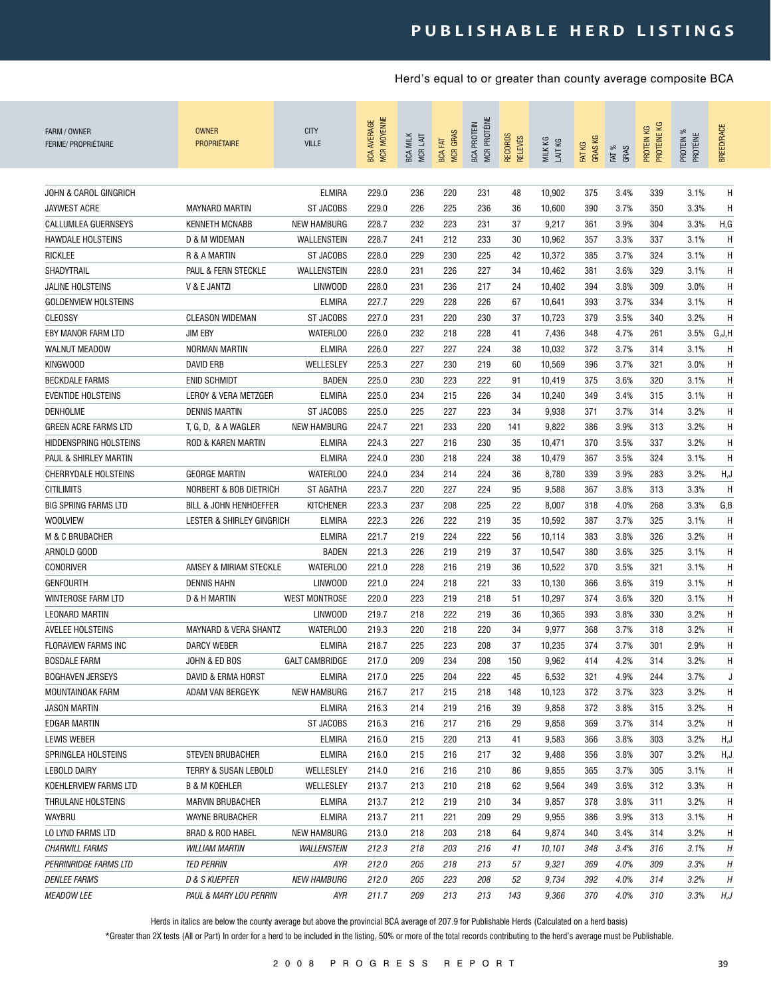| FARM / OWNER<br><b>FERME/ PROPRIÉTAIRE</b> | <b>OWNER</b><br><b>PROPRIÉTAIRE</b> | <b>CITY</b><br><b>VILLE</b> | <b>MCR MOYENNE</b><br><b>BCA AVERAGE</b> | <b>BCA MILK</b><br>MCR LAIT | <b>MCR GRAS</b><br><b>BCA FAT</b> | MCR PROTÉINE<br><b>BCA PROTEIN</b> | <b>RECORDS</b><br><b>RELEVÉS</b> | MILK KG<br>LAIT KG | <b>GRASKG</b><br>FAT KG | FAT %<br>GRAS | PROTÉINE KG<br>PROTEIN KG | ೫<br>PROTEIN %<br>PROTÉINE | <b>BREED/RACE</b> |
|--------------------------------------------|-------------------------------------|-----------------------------|------------------------------------------|-----------------------------|-----------------------------------|------------------------------------|----------------------------------|--------------------|-------------------------|---------------|---------------------------|----------------------------|-------------------|
|                                            |                                     |                             |                                          |                             |                                   |                                    |                                  |                    |                         |               |                           |                            |                   |
| <b>JOHN &amp; CAROL GINGRICH</b>           |                                     | <b>ELMIRA</b>               | 229.0                                    | 236                         | 220                               | 231                                | 48                               | 10,902             | 375                     | 3.4%          | 339                       | 3.1%                       | H                 |
| <b>JAYWEST ACRE</b>                        | <b>MAYNARD MARTIN</b>               | <b>ST JACOBS</b>            | 229.0                                    | 226                         | 225                               | 236                                | 36                               | 10,600             | 390                     | 3.7%          | 350                       | 3.3%                       | H                 |
| CALLUMLEA GUERNSEYS                        | <b>KENNETH MCNABB</b>               | <b>NEW HAMBURG</b>          | 228.7                                    | 232                         | 223                               | 231                                | 37                               | 9,217              | 361                     | 3.9%          | 304                       | 3.3%                       | H, G              |
| <b>HAWDALE HOLSTEINS</b>                   | D & M WIDEMAN                       | WALLENSTEIN                 | 228.7                                    | 241                         | 212                               | 233                                | 30                               | 10,962             | 357                     | 3.3%          | 337                       | 3.1%                       | Η                 |
| <b>RICKLEE</b>                             | R & A MARTIN                        | <b>ST JACOBS</b>            | 228.0                                    | 229                         | 230                               | 225                                | 42                               | 10,372             | 385                     | 3.7%          | 324                       | 3.1%                       | Η                 |
| SHADYTRAIL<br><b>JALINE HOLSTEINS</b>      | PAUL & FERN STECKLE                 | WALLENSTEIN                 | 228.0                                    | 231                         | 226                               | 227                                | 34                               | 10,462             | 381                     | 3.6%          | 329                       | 3.1%                       | Η                 |
|                                            | V & E JANTZI                        | LINWOOD                     | 228.0                                    | 231                         | 236                               | 217                                | 24                               | 10,402             | 394                     | 3.8%          | 309                       | 3.0%                       | Η                 |
| <b>GOLDENVIEW HOLSTEINS</b>                |                                     | ELMIRA                      | 227.7                                    | 229                         | 228                               | 226                                | 67                               | 10,641             | 393                     | 3.7%          | 334                       | 3.1%                       | H                 |
| <b>CLEOSSY</b>                             | <b>CLEASON WIDEMAN</b>              | <b>ST JACOBS</b>            | 227.0                                    | 231                         | 220                               | 230                                | 37                               | 10,723             | 379                     | 3.5%          | 340                       | 3.2%                       | Η                 |
| EBY MANOR FARM LTD                         | <b>JIM EBY</b>                      | <b>WATERLOO</b>             | 226.0                                    | 232                         | 218                               | 228                                | 41                               | 7,436              | 348                     | 4.7%          | 261                       | 3.5%                       | G, J, H           |
| <b>WALNUT MEADOW</b>                       | NORMAN MARTIN                       | <b>ELMIRA</b>               | 226.0                                    | 227                         | 227                               | 224                                | 38                               | 10,032             | 372                     | 3.7%          | 314                       | 3.1%                       | Н                 |
| KINGWOOD                                   | <b>DAVID ERB</b>                    | WELLESLEY                   | 225.3                                    | 227                         | 230                               | 219                                | 60                               | 10,569             | 396                     | 3.7%          | 321                       | 3.0%                       | H                 |
| <b>BECKDALE FARMS</b>                      | <b>ENID SCHMIDT</b>                 | <b>BADEN</b>                | 225.0                                    | 230                         | 223                               | 222                                | 91                               | 10,419             | 375                     | 3.6%          | 320                       | 3.1%                       | H                 |
| <b>EVENTIDE HOLSTEINS</b>                  | LEROY & VERA METZGER                | <b>ELMIRA</b>               | 225.0                                    | 234                         | 215                               | 226                                | 34                               | 10,240             | 349                     | 3.4%          | 315                       | 3.1%                       | Н                 |
| <b>DENHOLME</b>                            | <b>DENNIS MARTIN</b>                | <b>ST JACOBS</b>            | 225.0                                    | 225                         | 227                               | 223                                | 34                               | 9,938              | 371                     | 3.7%          | 314                       | 3.2%                       | Н                 |
| GREEN ACRE FARMS LTD                       | T, G, D, & A WAGLER                 | <b>NEW HAMBURG</b>          | 224.7                                    | 221                         | 233                               | 220                                | 141                              | 9,822              | 386                     | 3.9%          | 313                       | 3.2%                       | H                 |
| <b>HIDDENSPRING HOLSTEINS</b>              | <b>ROD &amp; KAREN MARTIN</b>       | <b>ELMIRA</b>               | 224.3                                    | 227                         | 216                               | 230                                | 35                               | 10,471             | 370                     | 3.5%          | 337                       | 3.2%                       | Η                 |
| PAUL & SHIRLEY MARTIN                      |                                     | <b>ELMIRA</b>               | 224.0                                    | 230                         | 218                               | 224                                | 38                               | 10,479             | 367                     | 3.5%          | 324                       | 3.1%                       | H                 |
| <b>CHERRYDALE HOLSTEINS</b>                | <b>GEORGE MARTIN</b>                | <b>WATERLOO</b>             | 224.0                                    | 234                         | 214                               | 224                                | 36                               | 8,780              | 339                     | 3.9%          | 283                       | 3.2%                       | H, J              |
| <b>CITILIMITS</b>                          | <b>NORBERT &amp; BOB DIETRICH</b>   | ST AGATHA                   | 223.7                                    | 220                         | 227                               | 224                                | 95                               | 9,588              | 367                     | 3.8%          | 313                       | 3.3%                       | H                 |
| <b>BIG SPRING FARMS LTD</b>                | BILL & JOHN HENHOEFFER              | <b>KITCHENER</b>            | 223.3                                    | 237                         | 208                               | 225                                | 22                               | 8,007              | 318                     | 4.0%          | 268                       | 3.3%                       | G, B              |
| <b>WOOLVIEW</b>                            | LESTER & SHIRLEY GINGRICH           | <b>ELMIRA</b>               | 222.3                                    | 226                         | 222                               | 219                                | 35                               | 10,592             | 387                     | 3.7%          | 325                       | 3.1%                       | Η                 |
| M & C BRUBACHER                            |                                     | <b>ELMIRA</b>               | 221.7                                    | 219                         | 224                               | 222                                | 56                               | 10,114             | 383                     | 3.8%          | 326                       | 3.2%                       | Н                 |
| ARNOLD GOOD                                |                                     | <b>BADEN</b>                | 221.3                                    | 226                         | 219                               | 219                                | 37                               | 10,547             | 380                     | 3.6%          | 325                       | 3.1%                       | H                 |
| <b>CONORIVER</b>                           | AMSEY & MIRIAM STECKLE              | <b>WATERLOO</b>             | 221.0                                    | 228                         | 216                               | 219                                | 36                               | 10,522             | 370                     | 3.5%          | 321                       | 3.1%                       | H                 |
| <b>GENFOURTH</b>                           | <b>DENNIS HAHN</b>                  | <b>LINWOOD</b>              | 221.0                                    | 224                         | 218                               | 221                                | 33                               | 10,130             | 366                     | 3.6%          | 319                       | 3.1%                       | Н                 |
| WINTEROSE FARM LTD                         | D & H MARTIN                        | <b>WEST MONTROSE</b>        | 220.0                                    | 223                         | 219                               | 218                                | 51                               | 10,297             | 374                     | 3.6%          | 320                       | 3.1%                       | H                 |
| <b>LEONARD MARTIN</b>                      |                                     | <b>LINWOOD</b>              | 219.7                                    | 218                         | 222                               | 219                                | 36                               | 10,365             | 393                     | 3.8%          | 330                       | 3.2%                       | H                 |
| AVELEE HOLSTEINS                           | MAYNARD & VERA SHANTZ               | <b>WATERLOO</b>             | 219.3                                    | 220                         | 218                               | 220                                | 34                               | 9,977              | 368                     | 3.7%          | 318                       | 3.2%                       | Н                 |
| FLORAVIEW FARMS INC                        | DARCY WEBER                         | ELMIRA                      | 218.7                                    | 225                         | 223                               | 208                                | 37                               | 10,235             | 374                     | 3.7%          | 301                       | 2.9%                       | H                 |
| <b>BOSDALE FARM</b>                        | JOHN & ED BOS                       | <b>GALT CAMBRIDGE</b>       | 217.0                                    | 209                         | 234                               | 208                                | 150                              | 9,962              | 414                     | 4.2%          | 314                       | 3.2%                       | Η                 |
| <b>BOGHAVEN JERSEYS</b>                    | DAVID & ERMA HORST                  | <b>ELMIRA</b>               | 217.0                                    | 225                         | 204                               | 222                                | 45                               | 6,532              | 321                     | 4.9%          | 244                       | 3.7%                       | J                 |
| MOUNTAINOAK FARM                           | ADAM VAN BERGEYK                    | <b>NEW HAMBURG</b>          | 216.7                                    | 217                         | 215                               | 218                                | 148                              | 10,123             | 372                     | 3.7%          | 323                       | 3.2%                       | H                 |
| JASON MARTIN                               |                                     | <b>ELMIRA</b>               | 216.3                                    | 214                         | 219                               | 216                                | 39                               | 9,858              | 372                     | 3.8%          | 315                       | 3.2%                       | H                 |
| EDGAR MARTIN                               |                                     | ST JACOBS                   | 216.3                                    | 216                         | 217                               | 216                                | 29                               | 9,858              | 369                     | 3.7%          | 314                       | 3.2%                       | H                 |
| LEWIS WEBER                                |                                     | <b>ELMIRA</b>               | 216.0                                    | 215                         | 220                               | 213                                | 41                               | 9,583              | 366                     | 3.8%          | 303                       | 3.2%                       | H,J               |
| SPRINGLEA HOLSTEINS                        | <b>STEVEN BRUBACHER</b>             | ELMIRA                      | 216.0                                    | 215                         | 216                               | 217                                | 32                               | 9,488              | 356                     | 3.8%          | 307                       | 3.2%                       | H,J               |
| LEBOLD DAIRY                               | TERRY & SUSAN LEBOLD                | WELLESLEY                   | 214.0                                    | 216                         | 216                               | 210                                | 86                               | 9,855              | 365                     | 3.7%          | 305                       | 3.1%                       | H                 |
| KOEHLERVIEW FARMS LTD                      | B & M KOEHLER                       | WELLESLEY                   | 213.7                                    | 213                         | 210                               | 218                                | 62                               | 9,564              | 349                     | 3.6%          | 312                       | 3.3%                       | H                 |
| THRULANE HOLSTEINS                         | <b>MARVIN BRUBACHER</b>             | <b>ELMIRA</b>               | 213.7                                    | 212                         | 219                               | 210                                | 34                               | 9,857              | 378                     | 3.8%          | 311                       | 3.2%                       | H                 |
| WAYBRU                                     | WAYNE BRUBACHER                     | <b>ELMIRA</b>               | 213.7                                    | 211                         | 221                               | 209                                | 29                               | 9,955              | 386                     | 3.9%          | 313                       | 3.1%                       | H                 |
| LO LYND FARMS LTD                          | BRAD & ROD HABEL                    | <b>NEW HAMBURG</b>          | 213.0                                    | 218                         | 203                               | 218                                | 64                               | 9,874              | 340                     | 3.4%          | 314                       | 3.2%                       | H                 |
| <b>CHARWILL FARMS</b>                      | <b>WILLIAM MARTIN</b>               | WALLENSTEIN                 | 212.3                                    | 218                         | 203                               | 216                                | 41                               | 10,101             | 348                     | 3.4%          | 316                       | 3.1%                       | Н                 |
| PERRINRIDGE FARMS LTD                      | <b>TED PERRIN</b>                   | AYR                         | 212.0                                    | 205                         | 218                               | 213                                | 57                               | 9,321              | 369                     | 4.0%          | 309                       | 3.3%                       | Н                 |
| <i>DENLEE FARMS</i>                        | D & S KUEPFER                       | <b>NEW HAMBURG</b>          | 212.0                                    | 205                         | 223                               | 208                                | 52                               | 9,734              | 392                     | 4.0%          | 314                       | 3.2%                       | Н                 |
| <b>MEADOW LEE</b>                          | PAUL & MARY LOU PERRIN              | AYR                         | 211.7                                    | 209                         | 213                               | 213                                | 143                              | 9,366              | 370                     | 4.0%          | 310                       | 3.3%                       | H,J               |

Herds in italics are below the county average but above the provincial BCA average of 207.9 for Publishable Herds (Calculated on a herd basis)

\*Greater than 2X tests (All or Part) In order for a herd to be included in the listing, 50% or more of the total records contributing to the herd's average must be Publishable.

2 0 0 8 P R O G R E S S R E P O R T 39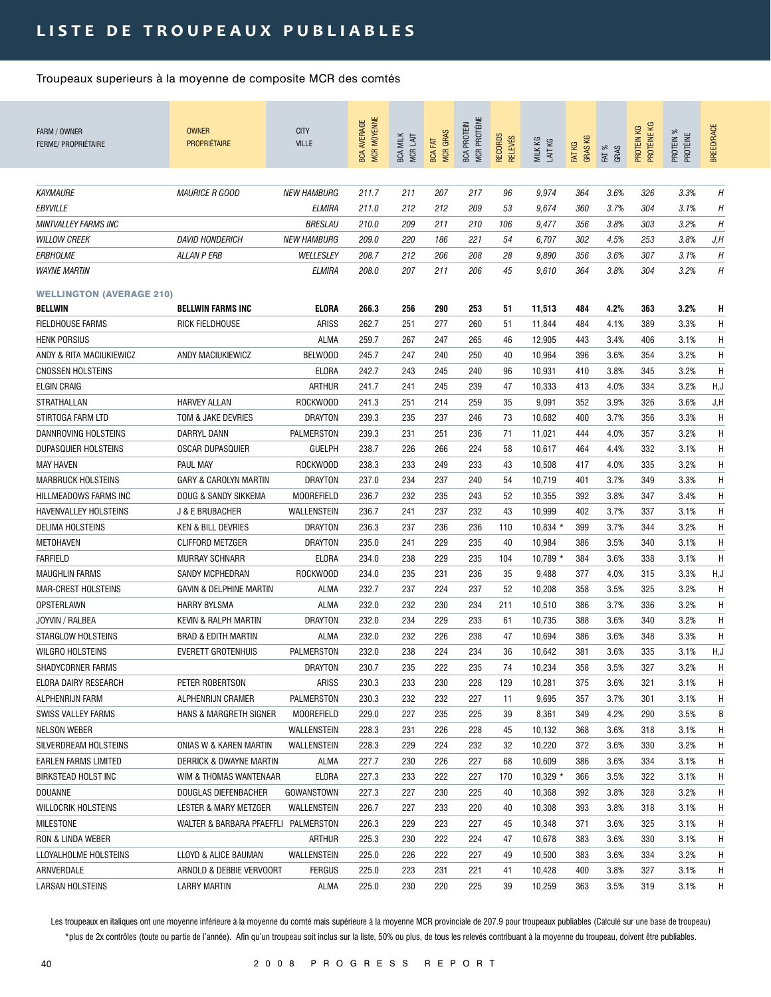| FARM / OWNER<br>FERME/ PROPRIÉTAIRE | <b>OWNER</b><br><b>PROPRIÉTAIRE</b>  | <b>CITY</b><br><b>VILLE</b> | <b>MCR MOYENNE</b><br><b>BCA AVERAGE</b> | <b>BCA MILK</b><br>MCR LAIT | <b>MCR GRAS</b><br><b>BCA FAT</b> | MCR PROTÉINE<br><b>BCA PROTEIN</b> | RECORDS<br><b>RELEVÉS</b> | MILK KG<br>LAIT KG | <b>GRASKG</b><br>FAT KG | FAT %<br>GRAS | PROTÉINE KG<br>PROTEIN KG | PROTEIN %<br>PROTÉINE | BREED/RACE |
|-------------------------------------|--------------------------------------|-----------------------------|------------------------------------------|-----------------------------|-----------------------------------|------------------------------------|---------------------------|--------------------|-------------------------|---------------|---------------------------|-----------------------|------------|
|                                     |                                      |                             |                                          |                             |                                   |                                    |                           |                    |                         |               |                           |                       |            |
| <b>KAYMAURE</b>                     | <i>MAURICE R GOOD</i>                | <b>NEW HAMBURG</b>          | 211.7                                    | 211                         | 207                               | 217                                | 96                        | 9,974              | 364                     | 3.6%          | 326                       | 3.3%                  | H          |
| EBYVILLE                            |                                      | ELMIRA                      | 211.0                                    | 212                         | 212                               | 209                                | 53                        | 9,674              | 360                     | 3.7%          | 304                       | 3.1%                  | Η          |
| <b>MINTVALLEY FARMS INC</b>         |                                      | <b>BRESLAU</b>              | 210.0                                    | 209                         | 211                               | 210                                | 106                       | 9,477              | 356                     | 3.8%          | 303                       | 3.2%                  | H          |
| <b>WILLOW CREEK</b>                 | <b>DAVID HONDERICH</b>               | <b>NEW HAMBURG</b>          | 209.0                                    | 220                         | 186                               | 221                                | 54                        | 6,707              | 302                     | 4.5%          | 253                       | 3.8%                  | J,H        |
| <b>ERBHOLME</b>                     | <b>ALLAN P ERB</b>                   | WELLESLEY                   | 208.7                                    | 212                         | 206                               | 208                                | 28                        | 9,890              | 356                     | 3.6%          | 307                       | 3.1%                  | H          |
| <b>WAYNE MARTIN</b>                 |                                      | ELMIRA                      | 208.0                                    | 207                         | 211                               | 206                                | 45                        | 9,610              | 364                     | 3.8%          | 304                       | 3.2%                  | H          |
| <b>WELLINGTON (AVERAGE 210)</b>     |                                      |                             |                                          |                             |                                   |                                    |                           |                    |                         |               |                           |                       |            |
| <b>BELLWIN</b>                      | <b>BELLWIN FARMS INC</b>             | <b>ELORA</b>                | 266.3                                    | 256                         | 290                               | 253                                | 51                        | 11,513             | 484                     | 4.2%          | 363                       | 3.2%                  | H          |
| <b>FIELDHOUSE FARMS</b>             | RICK FIELDHOUSE                      | <b>ARISS</b>                | 262.7                                    | 251                         | 277                               | 260                                | 51                        | 11,844             | 484                     | 4.1%          | 389                       | 3.3%                  | H          |
| <b>HENK PORSIUS</b>                 |                                      | <b>ALMA</b>                 | 259.7                                    | 267                         | 247                               | 265                                | 46                        | 12,905             | 443                     | 3.4%          | 406                       | 3.1%                  | H          |
| ANDY & RITA MACIUKIEWICZ            | ANDY MACIUKIEWICZ                    | <b>BELWOOD</b>              | 245.7                                    | 247                         | 240                               | 250                                | 40                        | 10,964             | 396                     | 3.6%          | 354                       | 3.2%                  | H          |
| <b>CNOSSEN HOLSTEINS</b>            |                                      | ELORA                       | 242.7                                    | 243                         | 245                               | 240                                | 96                        | 10,931             | 410                     | 3.8%          | 345                       | 3.2%                  | H          |
| <b>ELGIN CRAIG</b>                  |                                      | ARTHUR                      | 241.7                                    | 241                         | 245                               | 239                                | 47                        | 10,333             | 413                     | 4.0%          | 334                       | 3.2%                  | H,J        |
| STRATHALLAN                         | <b>HARVEY ALLAN</b>                  | ROCKWOOD                    | 241.3                                    | 251                         | 214                               | 259                                | 35                        | 9,091              | 352                     | 3.9%          | 326                       | 3.6%                  | J, H       |
| STIRTOGA FARM LTD                   | TOM & JAKE DEVRIES                   | <b>DRAYTON</b>              | 239.3                                    | 235                         | 237                               | 246                                | 73                        | 10,682             | 400                     | 3.7%          | 356                       | 3.3%                  | H          |
| DANNROVING HOLSTEINS                | DARRYL DANN                          | PALMERSTON                  | 239.3                                    | 231                         | 251                               | 236                                | 71                        | 11,021             | 444                     | 4.0%          | 357                       | 3.2%                  | H          |
| DUPASQUIER HOLSTEINS                | <b>OSCAR DUPASQUIER</b>              | <b>GUELPH</b>               | 238.7                                    | 226                         | 266                               | 224                                | 58                        | 10,617             | 464                     | 4.4%          | 332                       | 3.1%                  | H          |
| <b>MAY HAVEN</b>                    | PAUL MAY                             | ROCKWOOD                    | 238.3                                    | 233                         | 249                               | 233                                | 43                        | 10,508             | 417                     | 4.0%          | 335                       | 3.2%                  | H          |
| <b>MARBRUCK HOLSTEINS</b>           | GARY & CAROLYN MARTIN                | DRAYTON                     | 237.0                                    | 234                         | 237                               | 240                                | 54                        | 10,719             | 401                     | 3.7%          | 349                       | 3.3%                  | H          |
| HILLMEADOWS FARMS INC               | DOUG & SANDY SIKKEMA                 | <b>MOOREFIELD</b>           | 236.7                                    | 232                         | 235                               | 243                                | 52                        | 10,355             | 392                     | 3.8%          | 347                       | 3.4%                  | H          |
| HAVENVALLEY HOLSTEINS               | J & E BRUBACHER                      | WALLENSTEIN                 | 236.7                                    | 241                         | 237                               | 232                                | 43                        | 10,999             | 402                     | 3.7%          | 337                       | 3.1%                  | H          |
| <b>DELIMA HOLSTEINS</b>             | <b>KEN &amp; BILL DEVRIES</b>        | <b>DRAYTON</b>              | 236.3                                    | 237                         | 236                               | 236                                | 110                       | $10,834$ *         | 399                     | 3.7%          | 344                       | 3.2%                  | H          |
| METOHAVEN                           | <b>CLIFFORD METZGER</b>              | <b>DRAYTON</b>              | 235.0                                    | 241                         | 229                               | 235                                | 40                        | 10,984             | 386                     | 3.5%          | 340                       | 3.1%                  | H          |
| <b>FARFIELD</b>                     | <b>MURRAY SCHNARR</b>                | ELORA                       | 234.0                                    | 238                         | 229                               | 235                                | 104                       | $10,789$ *         | 384                     | 3.6%          | 338                       | 3.1%                  | H          |
| <b>MAUGHLIN FARMS</b>               | <b>SANDY MCPHEDRAN</b>               | ROCKWOOD                    | 234.0                                    | 235                         | 231                               | 236                                | 35                        | 9,488              | 377                     | 4.0%          | 315                       | 3.3%                  | H,J        |
| <b>MAR-CREST HOLSTEINS</b>          | <b>GAVIN &amp; DELPHINE MARTIN</b>   | ALMA                        | 232.7                                    | 237                         | 224                               | 237                                | 52                        | 10,208             | 358                     | 3.5%          | 325                       | 3.2%                  | H          |
| OPSTERLAWN                          | <b>HARRY BYLSMA</b>                  | <b>ALMA</b>                 | 232.0                                    | 232                         | 230                               | 234                                | 211                       | 10,510             | 386                     | 3.7%          | 336                       | 3.2%                  | H          |
| JOYVIN / RALBEA                     | <b>KEVIN &amp; RALPH MARTIN</b>      | <b>DRAYTON</b>              | 232.0                                    | 234                         | 229                               | 233                                | 61                        | 10,735             | 388                     | 3.6%          | 340                       | 3.2%                  | H          |
| <b>STARGLOW HOLSTEINS</b>           | <b>BRAD &amp; EDITH MARTIN</b>       | <b>ALMA</b>                 | 232.0                                    | 232                         | 226                               | 238                                | 47                        | 10,694             | 386                     | 3.6%          | 348                       | 3.3%                  | H          |
| <b>WILGRO HOLSTEINS</b>             | <b>EVERETT GROTENHUIS</b>            | PALMERSTON                  | 232.0                                    | 238                         | 224                               | 234                                | 36                        | 10,642             | 381                     | 3.6%          | 335                       | 3.1%                  | H,J        |
| SHADYCORNER FARMS                   |                                      | <b>DRAYTON</b>              | 230.7                                    | 235                         | 222                               | 235                                | 74                        | 10,234             | 358                     | 3.5%          | 327                       | 3.2%                  | H          |
| ELORA DAIRY RESEARCH                | PETER ROBERTSON                      | ARISS                       | 230.3                                    | 233                         | 230                               | 228                                | 129                       | 10,281             | 375                     | 3.6%          | 321                       | 3.1%                  | H          |
| ALPHENRIJN FARM                     | ALPHENRIJN CRAMER                    | PALMERSTON                  | 230.3                                    | 232                         | 232                               | 227                                | 11                        | 9,695              | 357                     | 3.7%          | 301                       | 3.1%                  | H          |
| SWISS VALLEY FARMS                  | HANS & MARGRETH SIGNER               | <b>MOOREFIELD</b>           | 229.0                                    | 227                         | 235                               | 225                                | 39                        | 8,361              | 349                     | 4.2%          | 290                       | 3.5%                  | В          |
| NELSON WEBER                        |                                      | WALLENSTEIN                 | 228.3                                    | 231                         | 226                               | 228                                | 45                        | 10,132             | 368                     | 3.6%          | 318                       | 3.1%                  | Η          |
| SILVERDREAM HOLSTEINS               | ONIAS W & KAREN MARTIN               | WALLENSTEIN                 | 228.3                                    | 229                         | 224                               | 232                                | 32                        | 10,220             | 372                     | 3.6%          | 330                       | 3.2%                  | H          |
| EARLEN FARMS LIMITED                | <b>DERRICK &amp; DWAYNE MARTIN</b>   | ALMA                        | 227.7                                    | 230                         | 226                               | 227                                | 68                        | 10,609             | 386                     | 3.6%          | 334                       | 3.1%                  | H          |
| BIRKSTEAD HOLST INC                 | WIM & THOMAS WANTENAAR               | ELORA                       | 227.3                                    | 233                         | 222                               | 227                                | 170                       | $10,329$ *         | 366                     | 3.5%          | 322                       | 3.1%                  | H          |
| <b>DOUANNE</b>                      | DOUGLAS DIEFENBACHER                 | GOWANSTOWN                  | 227.3                                    | 227                         | 230                               | 225                                | 40                        | 10,368             | 392                     | 3.8%          | 328                       | 3.2%                  | H          |
| <b>WILLOCRIK HOLSTEINS</b>          | LESTER & MARY METZGER                | WALLENSTEIN                 | 226.7                                    | 227                         | 233                               | 220                                | 40                        | 10,308             | 393                     | 3.8%          | 318                       | 3.1%                  | H          |
| <b>MILESTONE</b>                    | WALTER & BARBARA PFAEFFLI PALMERSTON |                             | 226.3                                    | 229                         | 223                               | 227                                | 45                        | 10,348             | 371                     | 3.6%          | 325                       | 3.1%                  | H          |
| RON & LINDA WEBER                   |                                      | ARTHUR                      | 225.3                                    | 230                         | 222                               | 224                                | 47                        | 10,678             | 383                     | 3.6%          | 330                       | 3.1%                  | H          |
| LLOYALHOLME HOLSTEINS               | LLOYD & ALICE BAUMAN                 | WALLENSTEIN                 | 225.0                                    | 226                         | 222                               | 227                                | 49                        | 10,500             | 383                     | 3.6%          | 334                       | 3.2%                  | H          |
| ARNVERDALE                          | ARNOLD & DEBBIE VERVOORT             | <b>FERGUS</b>               | 225.0                                    | 223                         | 231                               | 221                                | 41                        | 10,428             | 400                     | 3.8%          | 327                       | 3.1%                  | H          |
| <b>LARSAN HOLSTEINS</b>             | <b>LARRY MARTIN</b>                  | ALMA                        | 225.0                                    | 230                         | 220                               | 225                                | 39                        | 10,259             | 363                     | 3.5%          | 319                       | 3.1%                  | H.         |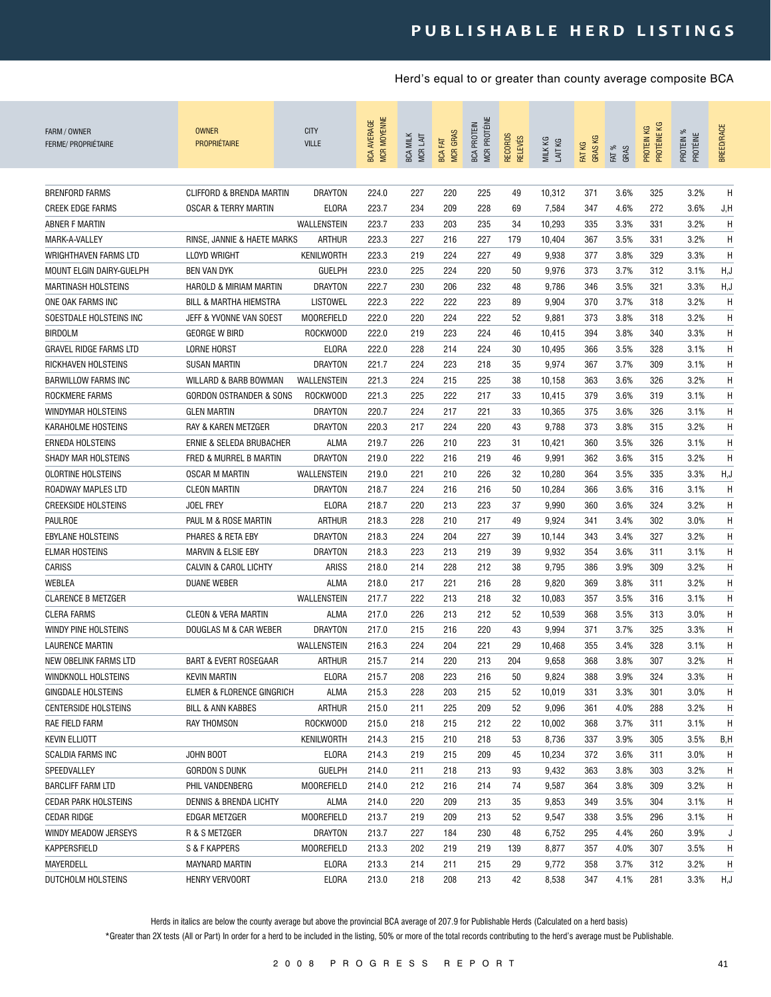| FARM / OWNER<br><b>FERME/ PROPRIÉTAIRE</b>             | <b>OWNER</b><br><b>PROPRIÉTAIRE</b>             | <b>CITY</b><br><b>VILLE</b>     | <b>MCR MOYENNE</b><br><b>BCA AVERAGE</b> | <b>BCA MILK</b><br>MCR LAIT | <b>MCR GRAS</b><br><b>BCA FAT</b> | MCR PROTÉINE<br><b>BCA PROTEIN</b> | RECORDS<br><b>RELEVÉS</b> | MILK KG<br>LAIT KG | <b>GRASKG</b><br>FAT KG | FAT %<br>GRAS | PROTÉINE KG<br>КG<br>PROTEIN I | ೫<br>PROTÉINE<br>PROTEIN | <b>BREED/RACE</b> |
|--------------------------------------------------------|-------------------------------------------------|---------------------------------|------------------------------------------|-----------------------------|-----------------------------------|------------------------------------|---------------------------|--------------------|-------------------------|---------------|--------------------------------|--------------------------|-------------------|
|                                                        |                                                 |                                 |                                          |                             |                                   |                                    |                           |                    |                         |               |                                |                          |                   |
| <b>BRENFORD FARMS</b>                                  | CLIFFORD & BRENDA MARTIN                        | <b>DRAYTON</b>                  | 224.0                                    | 227                         | 220                               | 225                                | 49                        | 10,312             | 371                     | 3.6%          | 325                            | 3.2%                     | H                 |
| <b>CREEK EDGE FARMS</b>                                | <b>OSCAR &amp; TERRY MARTIN</b>                 | ELORA                           | 223.7                                    | 234                         | 209                               | 228                                | 69                        | 7,584              | 347                     | 4.6%          | 272                            | 3.6%                     | J,H               |
| ABNER F MARTIN                                         |                                                 | WALLENSTEIN                     | 223.7                                    | 233                         | 203                               | 235                                | 34                        | 10,293             | 335                     | 3.3%          | 331                            | 3.2%                     | H                 |
| MARK-A-VALLEY                                          | RINSE, JANNIE & HAETE MARKS                     | <b>ARTHUR</b>                   | 223.3                                    | 227                         | 216                               | 227                                | 179                       | 10,404             | 367                     | 3.5%          | 331                            | 3.2%                     | Η                 |
| WRIGHTHAVEN FARMS LTD                                  | <b>LLOYD WRIGHT</b><br><b>BEN VAN DYK</b>       | KENILWORTH                      | 223.3                                    | 219                         | 224                               | 227                                | 49                        | 9,938              | 377                     | 3.8%          | 329                            | 3.3%                     | H<br>H, J         |
| MOUNT ELGIN DAIRY-GUELPH<br><b>MARTINASH HOLSTEINS</b> | HAROLD & MIRIAM MARTIN                          | <b>GUELPH</b><br><b>DRAYTON</b> | 223.0<br>222.7                           | 225<br>230                  | 224<br>206                        | 220<br>232                         | 50<br>48                  | 9,976<br>9,786     | 373                     | 3.7%<br>3.5%  | 312<br>321                     | 3.1%<br>3.3%             | H, J              |
| ONE OAK FARMS INC                                      |                                                 | LISTOWEL                        | 222.3                                    | 222                         | 222                               | 223                                | 89                        | 9,904              | 346<br>370              | 3.7%          | 318                            | 3.2%                     | Η                 |
|                                                        | BILL & MARTHA HIEMSTRA                          |                                 |                                          |                             |                                   |                                    |                           |                    |                         |               |                                |                          | H                 |
| SOESTDALE HOLSTEINS INC                                | JEFF & YVONNE VAN SOEST<br><b>GEORGE W BIRD</b> | <b>MOOREFIELD</b>               | 222.0                                    | 220                         | 224                               | 222                                | 52                        | 9,881              | 373                     | 3.8%          | 318                            | 3.2%                     |                   |
| <b>BIRDOLM</b><br><b>GRAVEL RIDGE FARMS LTD</b>        | <b>LORNE HORST</b>                              | ROCKWOOD                        | 222.0<br>222.0                           | 219                         | 223                               | 224<br>224                         | 46<br>30                  | 10,415             | 394<br>366              | 3.8%          | 340                            | 3.3%                     | H<br>H            |
| RICKHAVEN HOLSTEINS                                    | <b>SUSAN MARTIN</b>                             | ELORA<br><b>DRAYTON</b>         | 221.7                                    | 228<br>224                  | 214<br>223                        | 218                                |                           | 10,495<br>9,974    | 367                     | 3.5%<br>3.7%  | 328<br>309                     | 3.1%<br>3.1%             | Н                 |
|                                                        |                                                 | <b>WALLENSTEIN</b>              |                                          |                             |                                   |                                    | 35                        |                    |                         |               |                                |                          |                   |
| <b>BARWILLOW FARMS INC</b><br><b>ROCKMERE FARMS</b>    | WILLARD & BARB BOWMAN                           |                                 | 221.3                                    | 224                         | 215                               | 225                                | 38                        | 10,158             | 363                     | 3.6%          | 326                            | 3.2%                     | H                 |
| <b>WINDYMAR HOLSTEINS</b>                              | GORDON OSTRANDER & SONS<br><b>GLEN MARTIN</b>   | ROCKWOOD<br><b>DRAYTON</b>      | 221.3<br>220.7                           | 225<br>224                  | 222<br>217                        | 217<br>221                         | 33<br>33                  | 10,415             | 379<br>375              | 3.6%<br>3.6%  | 319<br>326                     | 3.1%<br>3.1%             | H<br>H            |
| KARAHOLME HOSTEINS                                     | RAY & KAREN METZGER                             | <b>DRAYTON</b>                  | 220.3                                    | 217                         | 224                               | 220                                | 43                        | 10,365<br>9,788    | 373                     | 3.8%          | 315                            | 3.2%                     | Н                 |
| ERNEDA HOLSTEINS                                       | ERNIE & SELEDA BRUBACHER                        |                                 | 219.7                                    | 226                         | 210                               | 223                                | 31                        | 10,421             | 360                     | 3.5%          | 326                            | 3.1%                     | Η                 |
| SHADY MAR HOLSTEINS                                    | FRED & MURREL B MARTIN                          | ALMA<br><b>DRAYTON</b>          | 219.0                                    | 222                         | 216                               | 219                                | 46                        | 9,991              | 362                     | 3.6%          | 315                            | 3.2%                     | H                 |
| <b>OLORTINE HOLSTEINS</b>                              | <b>OSCAR M MARTIN</b>                           |                                 |                                          | 221                         |                                   | 226                                |                           |                    | 364                     | 3.5%          | 335                            | 3.3%                     | H, J              |
|                                                        |                                                 | WALLENSTEIN                     | 219.0                                    |                             | 210                               |                                    | 32                        | 10,280             |                         |               |                                |                          |                   |
| ROADWAY MAPLES LTD                                     | <b>CLEON MARTIN</b>                             | <b>DRAYTON</b>                  | 218.7                                    | 224                         | 216                               | 216                                | 50                        | 10,284             | 366                     | 3.6%          | 316                            | 3.1%                     | Н                 |
| <b>CREEKSIDE HOLSTEINS</b>                             | <b>JOEL FREY</b>                                | <b>ELORA</b>                    | 218.7                                    | 220                         | 213                               | 223                                | 37                        | 9,990              | 360                     | 3.6%          | 324                            | 3.2%                     | Η                 |
| PAULROE                                                | PAUL M & ROSE MARTIN                            | ARTHUR                          | 218.3                                    | 228                         | 210                               | 217                                | 49                        | 9,924              | 341                     | 3.4%          | 302                            | 3.0%                     | Η                 |
| <b>EBYLANE HOLSTEINS</b>                               | PHARES & RETA EBY                               | <b>DRAYTON</b>                  | 218.3                                    | 224                         | 204                               | 227                                | 39                        | 10,144             | 343                     | 3.4%          | 327                            | 3.2%                     | H                 |
| <b>ELMAR HOSTEINS</b>                                  | <b>MARVIN &amp; ELSIE EBY</b>                   | <b>DRAYTON</b>                  | 218.3                                    | 223                         | 213                               | 219                                | 39                        | 9,932              | 354                     | 3.6%          | 311                            | 3.1%                     | Н                 |
| CARISS                                                 | <b>CALVIN &amp; CAROL LICHTY</b>                | ARISS                           | 218.0                                    | 214                         | 228                               | 212                                | 38                        | 9,795              | 386                     | 3.9%          | 309                            | 3.2%                     | H                 |
| WEBLEA                                                 | <b>DUANE WEBER</b>                              | <b>ALMA</b>                     | 218.0                                    | 217                         | 221                               | 216                                | 28                        | 9,820              | 369                     | 3.8%          | 311                            | 3.2%                     | H                 |
| <b>CLARENCE B METZGER</b>                              |                                                 | WALLENSTEIN                     | 217.7                                    | 222                         | 213                               | 218                                | 32                        | 10,083             | 357                     | 3.5%          | 316                            | 3.1%                     | Н                 |
| <b>CLERA FARMS</b>                                     | <b>CLEON &amp; VERA MARTIN</b>                  | ALMA                            | 217.0                                    | 226                         | 213                               | 212                                | 52                        | 10,539             | 368                     | 3.5%          | 313                            | 3.0%                     | H                 |
| <b>WINDY PINE HOLSTEINS</b>                            | DOUGLAS M & CAR WEBER                           | <b>DRAYTON</b>                  | 217.0                                    | 215                         | 216                               | 220                                | 43                        | 9,994              | 371                     | 3.7%          | 325                            | 3.3%                     | H                 |
| <b>LAURENCE MARTIN</b>                                 |                                                 | WALLENSTEIN                     | 216.3                                    | 224                         | 204                               | 221                                | 29                        | 10,468             | 355                     | 3.4%          | 328                            | 3.1%                     | H                 |
| NEW OBELINK FARMS LTD                                  | <b>BART &amp; EVERT ROSEGAAR</b>                | ARTHUR                          | 215.7                                    | 214                         | 220                               | 213                                | 204                       | 9,658              | 368                     | 3.8%          | 307                            | 3.2%                     | H                 |
| <b>WINDKNOLL HOLSTEINS</b>                             | <b>KEVIN MARTIN</b>                             | ELORA                           | 215.7                                    | 208                         | 223                               | 216                                | 50                        | 9,824              | 388                     | 3.9%          | 324                            | 3.3%                     | H                 |
| <b>GINGDALE HOLSTEINS</b>                              | <b>ELMER &amp; FLORENCE GINGRICH</b>            | <b>ALMA</b>                     | 215.3                                    | 228                         | 203                               | 215                                | 52                        | 10,019             | 331                     | 3.3%          | 301                            | 3.0%                     | H                 |
| <b>CENTERSIDE HOLSTEINS</b>                            | BILL & ANN KABBES                               | ARTHUR                          | 215.0                                    | 211                         | 225                               | 209                                | 52                        | 9,096              | 361                     | 4.0%          | 288                            | 3.2%                     | H                 |
| RAE FIELD FARM                                         | RAY THOMSON                                     | ROCKWOOD                        | 215.0                                    | 218                         | 215                               | 212                                | 22                        | 10,002             | 368                     | 3.7%          | 311                            | 3.1%                     | H                 |
| <b>KEVIN ELLIOTT</b>                                   |                                                 | KENILWORTH                      | 214.3                                    | 215                         | 210                               | 218                                | 53                        | 8,736              | 337                     | 3.9%          | 305                            | 3.5%                     | B,H               |
| SCALDIA FARMS INC                                      | JOHN BOOT                                       | ELORA                           | 214.3                                    | 219                         | 215                               | 209                                | 45                        | 10,234             | 372                     | 3.6%          | 311                            | 3.0%                     | H                 |
| SPEEDVALLEY                                            | <b>GORDON S DUNK</b>                            | <b>GUELPH</b>                   | 214.0                                    | 211                         | 218                               | 213                                | 93                        | 9,432              | 363                     | 3.8%          | 303                            | 3.2%                     | H                 |
| <b>BARCLIFF FARM LTD</b>                               | PHIL VANDENBERG                                 | <b>MOOREFIELD</b>               | 214.0                                    | 212                         | 216                               | 214                                | 74                        | 9,587              | 364                     | 3.8%          | 309                            | 3.2%                     | H                 |
| CEDAR PARK HOLSTEINS                                   | <b>DENNIS &amp; BRENDA LICHTY</b>               | ALMA                            | 214.0                                    | 220                         | 209                               | 213                                | 35                        | 9,853              | 349                     | 3.5%          | 304                            | 3.1%                     | H                 |
| <b>CEDAR RIDGE</b>                                     | EDGAR METZGER                                   | <b>MOOREFIELD</b>               | 213.7                                    | 219                         | 209                               | 213                                | 52                        | 9,547              | 338                     | 3.5%          | 296                            | 3.1%                     | H                 |
| WINDY MEADOW JERSEYS                                   | R & S METZGER                                   | <b>DRAYTON</b>                  | 213.7                                    | 227                         | 184                               | 230                                | 48                        | 6,752              | 295                     | 4.4%          | 260                            | 3.9%                     | J                 |
| KAPPERSFIELD                                           | S & F KAPPERS                                   | <b>MOOREFIELD</b>               | 213.3                                    | 202                         | 219                               | 219                                | 139                       | 8,877              | 357                     | 4.0%          | 307                            | 3.5%                     | H                 |
| MAYERDELL                                              | MAYNARD MARTIN                                  | ELORA                           | 213.3                                    | 214                         | 211                               | 215                                | 29                        | 9,772              | 358                     | 3.7%          | 312                            | 3.2%                     | H                 |
| DUTCHOLM HOLSTEINS                                     | HENRY VERVOORT                                  | ELORA                           | 213.0                                    | 218                         | 208                               | 213                                | 42                        | 8,538              | 347                     | 4.1%          | 281                            | 3.3%                     | H,J               |

Herds in italics are below the county average but above the provincial BCA average of 207.9 for Publishable Herds (Calculated on a herd basis)